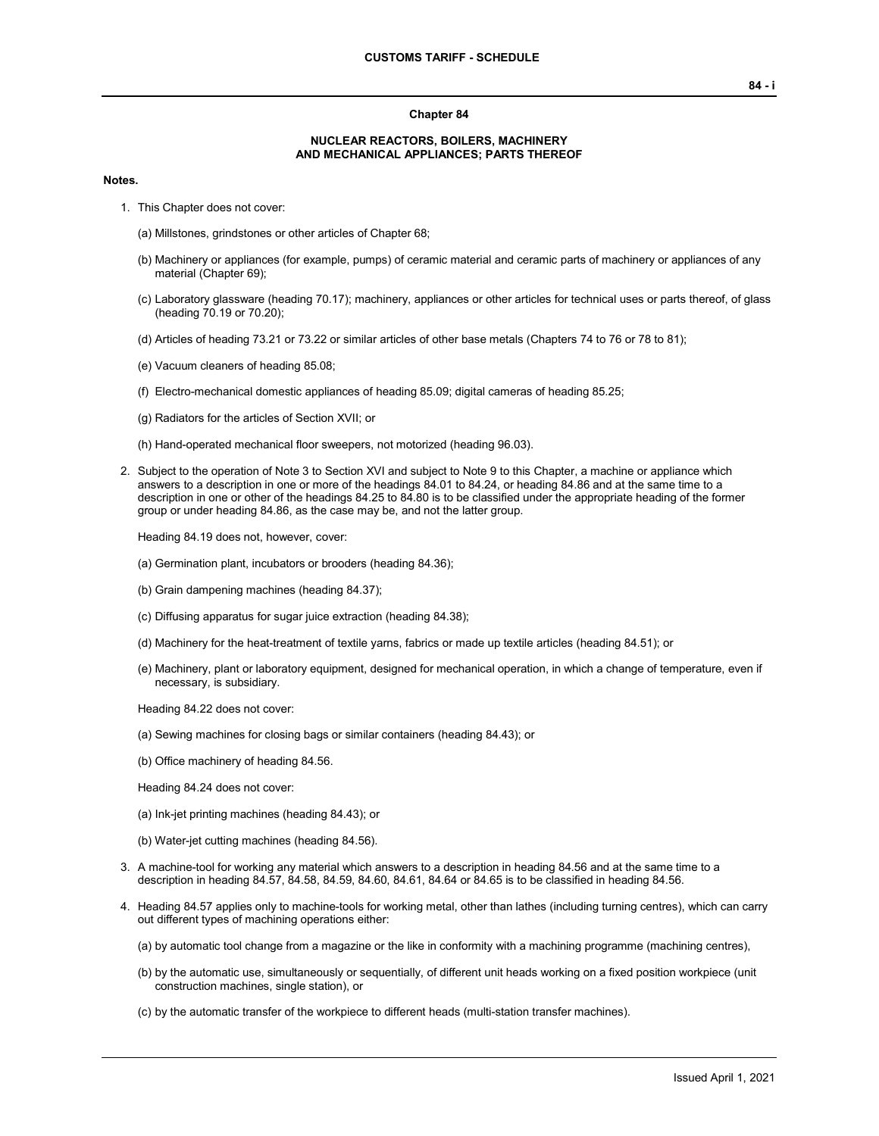#### **Chapter 84**

#### **NUCLEAR REACTORS, BOILERS, MACHINERY AND MECHANICAL APPLIANCES; PARTS THEREOF**

#### **Notes.**

1. This Chapter does not cover:

(a) Millstones, grindstones or other articles of Chapter 68;

- (b) Machinery or appliances (for example, pumps) of ceramic material and ceramic parts of machinery or appliances of any material (Chapter 69);
- (c) Laboratory glassware (heading 70.17); machinery, appliances or other articles for technical uses or parts thereof, of glass (heading 70.19 or 70.20);
- (d) Articles of heading 73.21 or 73.22 or similar articles of other base metals (Chapters 74 to 76 or 78 to 81);
- (e) Vacuum cleaners of heading 85.08;
- (f) Electro-mechanical domestic appliances of heading 85.09; digital cameras of heading 85.25;
- (g) Radiators for the articles of Section XVII; or
- (h) Hand-operated mechanical floor sweepers, not motorized (heading 96.03).
- 2. Subject to the operation of Note 3 to Section XVI and subject to Note 9 to this Chapter, a machine or appliance which answers to a description in one or more of the headings 84.01 to 84.24, or heading 84.86 and at the same time to a description in one or other of the headings 84.25 to 84.80 is to be classified under the appropriate heading of the former group or under heading 84.86, as the case may be, and not the latter group.

Heading 84.19 does not, however, cover:

- (a) Germination plant, incubators or brooders (heading 84.36);
- (b) Grain dampening machines (heading 84.37);
- (c) Diffusing apparatus for sugar juice extraction (heading 84.38);
- (d) Machinery for the heat-treatment of textile yarns, fabrics or made up textile articles (heading 84.51); or
- (e) Machinery, plant or laboratory equipment, designed for mechanical operation, in which a change of temperature, even if necessary, is subsidiary.

Heading 84.22 does not cover:

- (a) Sewing machines for closing bags or similar containers (heading 84.43); or
- (b) Office machinery of heading 84.56.

Heading 84.24 does not cover:

- (a) Ink-jet printing machines (heading 84.43); or
- (b) Water-jet cutting machines (heading 84.56).
- 3. A machine-tool for working any material which answers to a description in heading 84.56 and at the same time to a description in heading 84.57, 84.58, 84.59, 84.60, 84.61, 84.64 or 84.65 is to be classified in heading 84.56.
- 4. Heading 84.57 applies only to machine-tools for working metal, other than lathes (including turning centres), which can carry out different types of machining operations either:
	- (a) by automatic tool change from a magazine or the like in conformity with a machining programme (machining centres),
	- (b) by the automatic use, simultaneously or sequentially, of different unit heads working on a fixed position workpiece (unit construction machines, single station), or
	- (c) by the automatic transfer of the workpiece to different heads (multi-station transfer machines).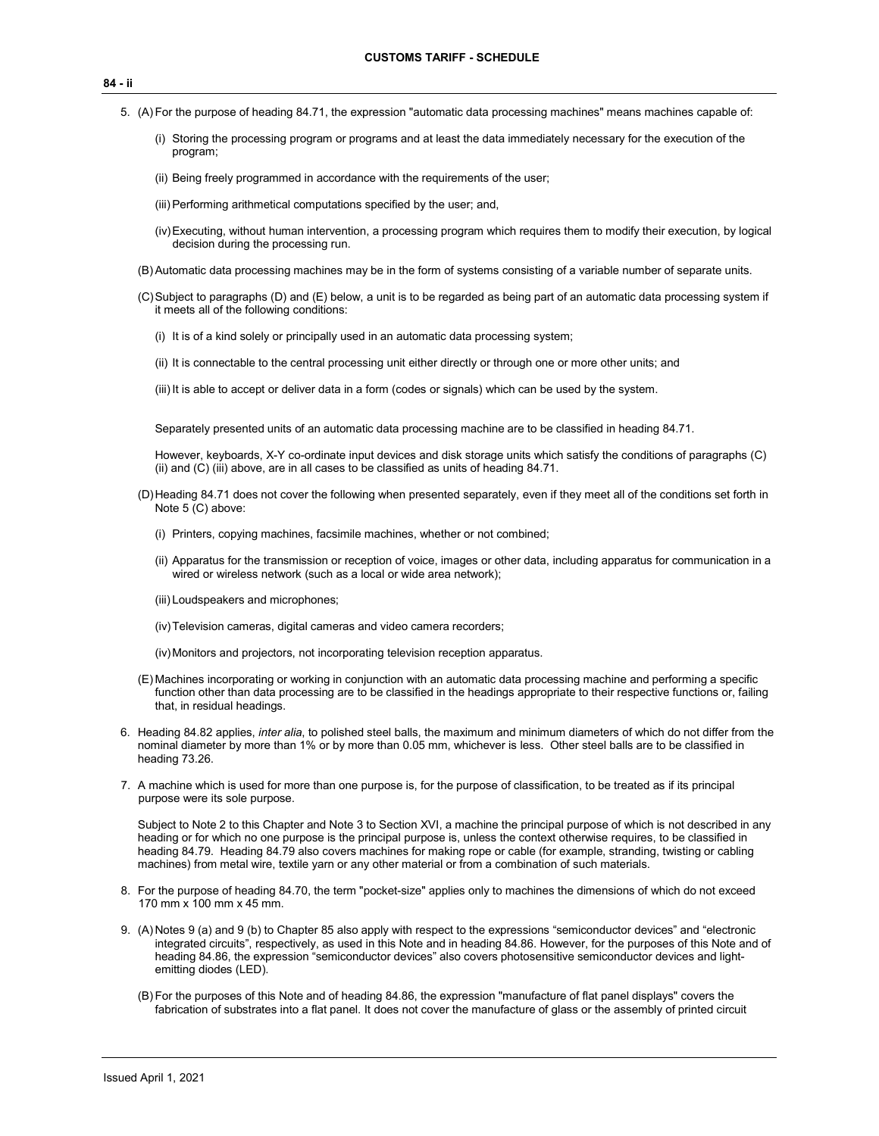- 5. (A) For the purpose of heading 84.71, the expression "automatic data processing machines" means machines capable of:
	- (i) Storing the processing program or programs and at least the data immediately necessary for the execution of the program;
	- (ii) Being freely programmed in accordance with the requirements of the user;
	- (iii)Performing arithmetical computations specified by the user; and,
	- (iv)Executing, without human intervention, a processing program which requires them to modify their execution, by logical decision during the processing run.
	- (B)Automatic data processing machines may be in the form of systems consisting of a variable number of separate units.
	- (C)Subject to paragraphs (D) and (E) below, a unit is to be regarded as being part of an automatic data processing system if it meets all of the following conditions:
		- (i) It is of a kind solely or principally used in an automatic data processing system;
		- (ii) It is connectable to the central processing unit either directly or through one or more other units; and
		- (iii) It is able to accept or deliver data in a form (codes or signals) which can be used by the system.

Separately presented units of an automatic data processing machine are to be classified in heading 84.71.

However, keyboards, X-Y co-ordinate input devices and disk storage units which satisfy the conditions of paragraphs (C) (ii) and (C) (iii) above, are in all cases to be classified as units of heading 84.71.

- (D)Heading 84.71 does not cover the following when presented separately, even if they meet all of the conditions set forth in Note 5 (C) above:
	- (i) Printers, copying machines, facsimile machines, whether or not combined;
	- (ii) Apparatus for the transmission or reception of voice, images or other data, including apparatus for communication in a wired or wireless network (such as a local or wide area network);
	- (iii) Loudspeakers and microphones;
	- (iv)Television cameras, digital cameras and video camera recorders;
	- (iv)Monitors and projectors, not incorporating television reception apparatus.
- (E) Machines incorporating or working in conjunction with an automatic data processing machine and performing a specific function other than data processing are to be classified in the headings appropriate to their respective functions or, failing that, in residual headings.
- 6. Heading 84.82 applies, *inter alia*, to polished steel balls, the maximum and minimum diameters of which do not differ from the nominal diameter by more than 1% or by more than 0.05 mm, whichever is less. Other steel balls are to be classified in heading 73.26.
- 7. A machine which is used for more than one purpose is, for the purpose of classification, to be treated as if its principal purpose were its sole purpose.

Subject to Note 2 to this Chapter and Note 3 to Section XVI, a machine the principal purpose of which is not described in any heading or for which no one purpose is the principal purpose is, unless the context otherwise requires, to be classified in heading 84.79. Heading 84.79 also covers machines for making rope or cable (for example, stranding, twisting or cabling machines) from metal wire, textile yarn or any other material or from a combination of such materials.

- 8. For the purpose of heading 84.70, the term "pocket-size" applies only to machines the dimensions of which do not exceed 170 mm x 100 mm x 45 mm.
- 9. (A) Notes 9 (a) and 9 (b) to Chapter 85 also apply with respect to the expressions "semiconductor devices" and "electronic integrated circuits", respectively, as used in this Note and in heading 84.86. However, for the purposes of this Note and of heading 84.86, the expression "semiconductor devices" also covers photosensitive semiconductor devices and lightemitting diodes (LED).
	- (B) For the purposes of this Note and of heading 84.86, the expression "manufacture of flat panel displays" covers the fabrication of substrates into a flat panel. It does not cover the manufacture of glass or the assembly of printed circuit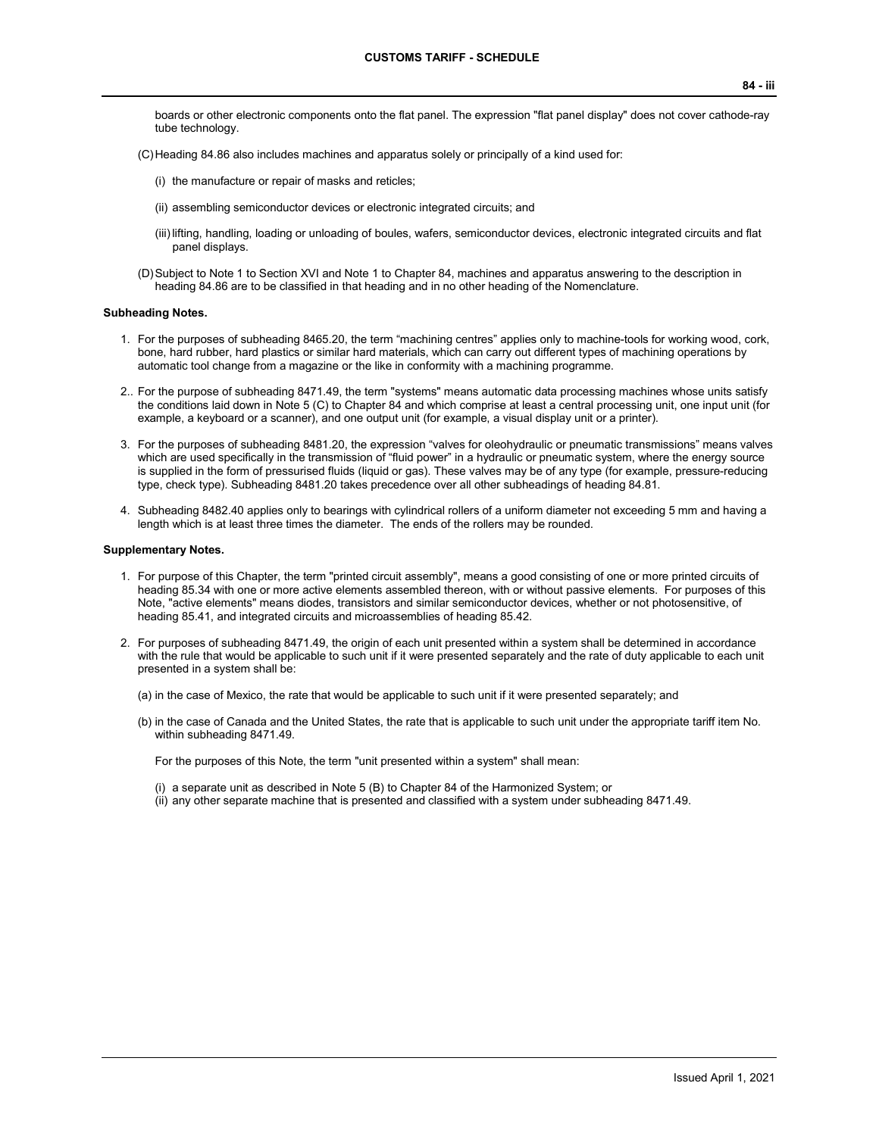- boards or other electronic components onto the flat panel. The expression "flat panel display" does not cover cathode-ray tube technology.
- (C)Heading 84.86 also includes machines and apparatus solely or principally of a kind used for:
	- (i) the manufacture or repair of masks and reticles;
	- (ii) assembling semiconductor devices or electronic integrated circuits; and
	- (iii)lifting, handling, loading or unloading of boules, wafers, semiconductor devices, electronic integrated circuits and flat panel displays.
- (D)Subject to Note 1 to Section XVI and Note 1 to Chapter 84, machines and apparatus answering to the description in heading 84.86 are to be classified in that heading and in no other heading of the Nomenclature.

#### **Subheading Notes.**

- 1. For the purposes of subheading 8465.20, the term "machining centres" applies only to machine-tools for working wood, cork, bone, hard rubber, hard plastics or similar hard materials, which can carry out different types of machining operations by automatic tool change from a magazine or the like in conformity with a machining programme.
- 2.. For the purpose of subheading 8471.49, the term "systems" means automatic data processing machines whose units satisfy the conditions laid down in Note 5 (C) to Chapter 84 and which comprise at least a central processing unit, one input unit (for example, a keyboard or a scanner), and one output unit (for example, a visual display unit or a printer).
- 3. For the purposes of subheading 8481.20, the expression "valves for oleohydraulic or pneumatic transmissions" means valves which are used specifically in the transmission of "fluid power" in a hydraulic or pneumatic system, where the energy source is supplied in the form of pressurised fluids (liquid or gas). These valves may be of any type (for example, pressure-reducing type, check type). Subheading 8481.20 takes precedence over all other subheadings of heading 84.81.
- 4. Subheading 8482.40 applies only to bearings with cylindrical rollers of a uniform diameter not exceeding 5 mm and having a length which is at least three times the diameter. The ends of the rollers may be rounded.

#### **Supplementary Notes.**

- 1. For purpose of this Chapter, the term "printed circuit assembly", means a good consisting of one or more printed circuits of heading 85.34 with one or more active elements assembled thereon, with or without passive elements. For purposes of this Note, "active elements" means diodes, transistors and similar semiconductor devices, whether or not photosensitive, of heading 85.41, and integrated circuits and microassemblies of heading 85.42.
- 2. For purposes of subheading 8471.49, the origin of each unit presented within a system shall be determined in accordance with the rule that would be applicable to such unit if it were presented separately and the rate of duty applicable to each unit presented in a system shall be:
	- (a) in the case of Mexico, the rate that would be applicable to such unit if it were presented separately; and
	- (b) in the case of Canada and the United States, the rate that is applicable to such unit under the appropriate tariff item No. within subheading 8471.49.

For the purposes of this Note, the term "unit presented within a system" shall mean:

- (i) a separate unit as described in Note 5 (B) to Chapter 84 of the Harmonized System; or
- (ii) any other separate machine that is presented and classified with a system under subheading 8471.49.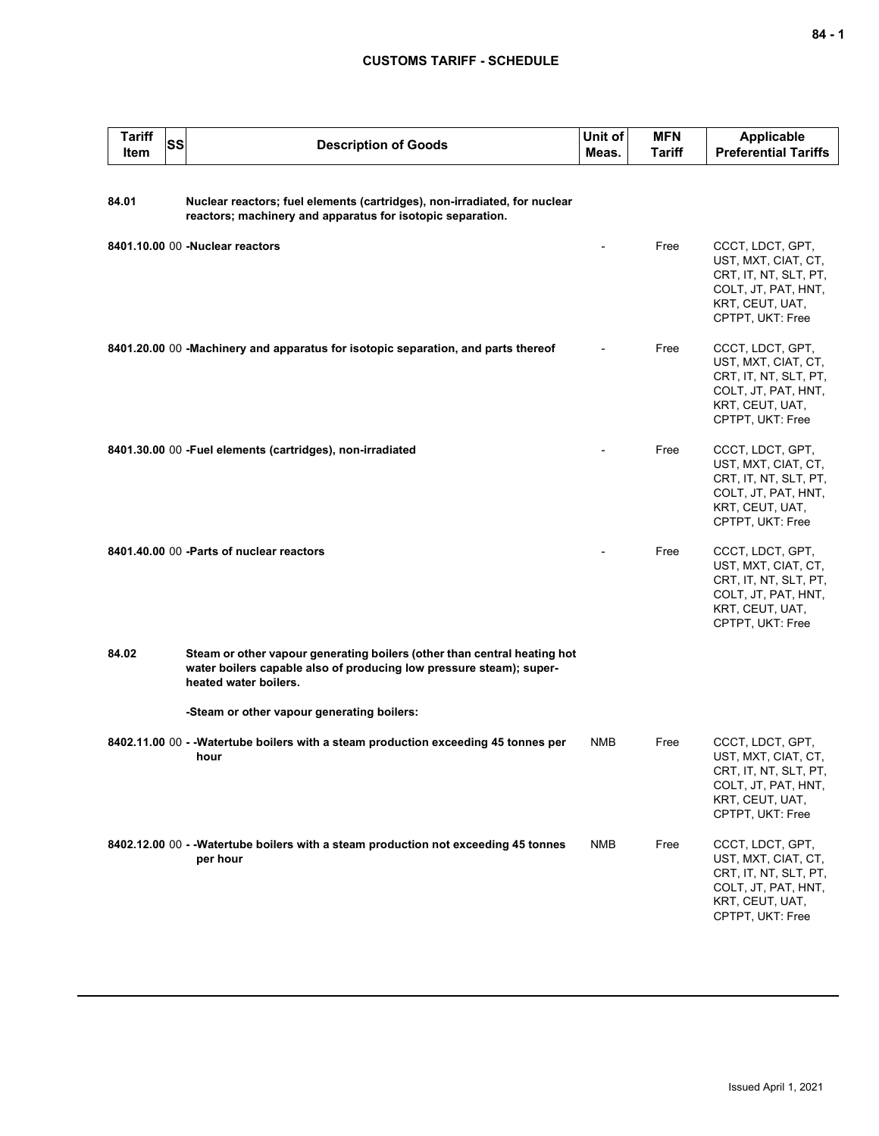| <b>Tariff</b><br>Item | <b>SS</b> | <b>Description of Goods</b>                                                                                                                                              | Unit of<br>Meas. | <b>MFN</b><br>Tariff | <b>Applicable</b><br><b>Preferential Tariffs</b>                                                                               |
|-----------------------|-----------|--------------------------------------------------------------------------------------------------------------------------------------------------------------------------|------------------|----------------------|--------------------------------------------------------------------------------------------------------------------------------|
| 84.01                 |           | Nuclear reactors; fuel elements (cartridges), non-irradiated, for nuclear<br>reactors; machinery and apparatus for isotopic separation.                                  |                  |                      |                                                                                                                                |
|                       |           | 8401.10.00 00 -Nuclear reactors                                                                                                                                          |                  | Free                 | CCCT, LDCT, GPT,<br>UST, MXT, CIAT, CT,<br>CRT, IT, NT, SLT, PT,<br>COLT, JT, PAT, HNT,<br>KRT, CEUT, UAT,<br>CPTPT, UKT: Free |
|                       |           | 8401.20.00 00 -Machinery and apparatus for isotopic separation, and parts thereof                                                                                        |                  | Free                 | CCCT, LDCT, GPT,<br>UST, MXT, CIAT, CT,<br>CRT, IT, NT, SLT, PT,<br>COLT, JT, PAT, HNT,<br>KRT, CEUT, UAT,<br>CPTPT, UKT: Free |
|                       |           | 8401.30.00 00 - Fuel elements (cartridges), non-irradiated                                                                                                               |                  | Free                 | CCCT, LDCT, GPT,<br>UST, MXT, CIAT, CT,<br>CRT, IT, NT, SLT, PT,<br>COLT, JT, PAT, HNT,<br>KRT, CEUT, UAT,<br>CPTPT, UKT: Free |
|                       |           | 8401.40.00 00 - Parts of nuclear reactors                                                                                                                                |                  | Free                 | CCCT, LDCT, GPT,<br>UST, MXT, CIAT, CT,<br>CRT, IT, NT, SLT, PT,<br>COLT, JT, PAT, HNT,<br>KRT, CEUT, UAT,<br>CPTPT, UKT: Free |
| 84.02                 |           | Steam or other vapour generating boilers (other than central heating hot<br>water boilers capable also of producing low pressure steam); super-<br>heated water boilers. |                  |                      |                                                                                                                                |
|                       |           | -Steam or other vapour generating boilers:                                                                                                                               |                  |                      |                                                                                                                                |
|                       |           | 8402.11.00 00 - -Watertube boilers with a steam production exceeding 45 tonnes per<br>hour                                                                               | NMB              | Free                 | CCCT, LDCT, GPT,<br>UST, MXT, CIAT, CT,<br>CRT, IT, NT, SLT, PT,<br>COLT, JT, PAT, HNT,<br>KRT, CEUT, UAT,<br>CPTPT, UKT: Free |
|                       |           | 8402.12.00 00 - - Watertube boilers with a steam production not exceeding 45 tonnes<br>per hour                                                                          | <b>NMB</b>       | Free                 | CCCT, LDCT, GPT,<br>UST, MXT, CIAT, CT,<br>CRT, IT, NT, SLT, PT,<br>COLT, JT, PAT, HNT,<br>KRT, CEUT, UAT,<br>CPTPT, UKT: Free |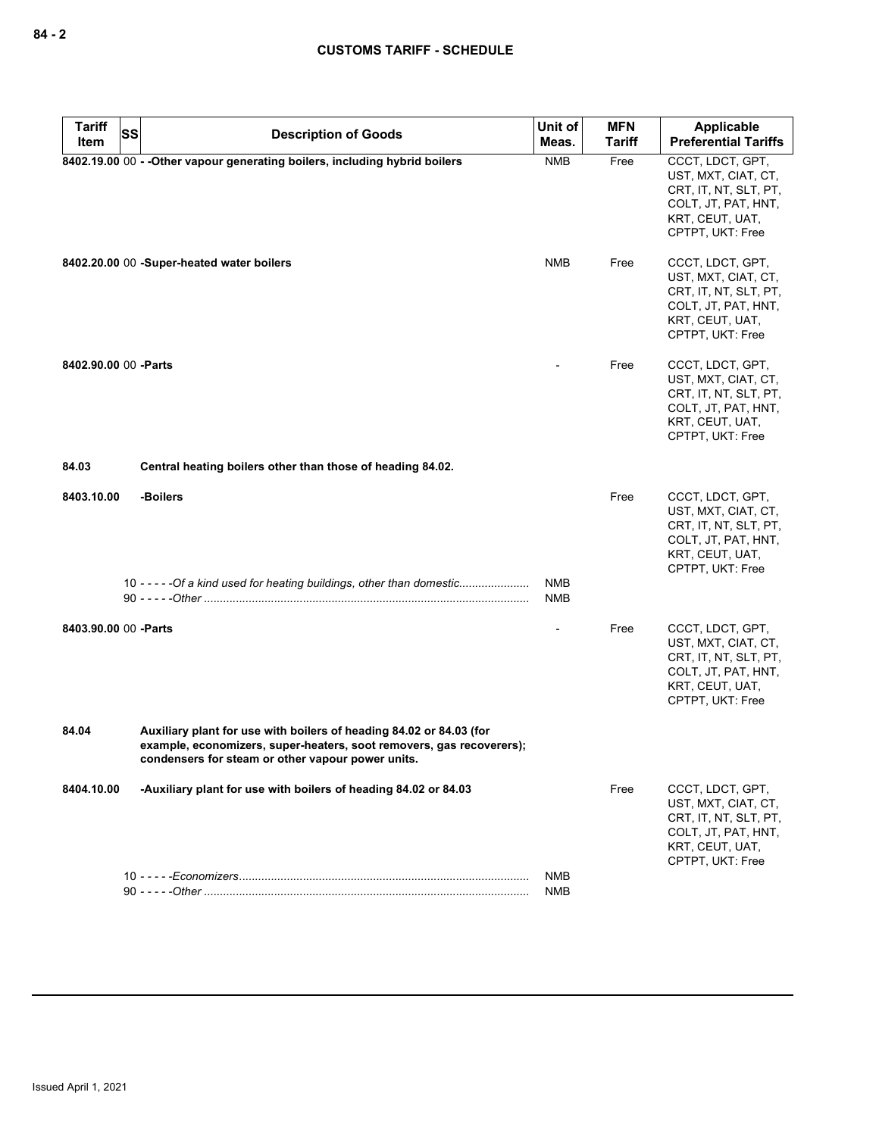| SS<br><b>Preferential Tariffs</b><br>Meas.<br><b>Tariff</b><br>Item<br>8402.19.00 00 - - Other vapour generating boilers, including hybrid boilers<br><b>NMB</b><br>Free<br>CCCT, LDCT, GPT,<br>UST, MXT, CIAT, CT,<br>CRT, IT, NT, SLT, PT,<br>COLT, JT, PAT, HNT,<br>KRT, CEUT, UAT,<br>CPTPT, UKT: Free<br><b>NMB</b><br>CCCT, LDCT, GPT,<br>8402.20.00 00 -Super-heated water boilers<br>Free<br>UST, MXT, CIAT, CT,<br>CRT, IT, NT, SLT, PT,<br>COLT, JT, PAT, HNT,<br>KRT, CEUT, UAT,<br>CPTPT, UKT: Free<br>8402.90.00 00 - Parts<br>Free<br>CCCT, LDCT, GPT,<br>UST, MXT, CIAT, CT,<br>CRT, IT, NT, SLT, PT,<br>COLT, JT, PAT, HNT,<br>KRT, CEUT, UAT,<br>CPTPT, UKT: Free<br>84.03<br>Central heating boilers other than those of heading 84.02.<br>-Boilers<br>Free<br>CCCT, LDCT, GPT,<br>8403.10.00<br>UST, MXT, CIAT, CT,<br>CRT, IT, NT, SLT, PT,<br>COLT, JT, PAT, HNT,<br>KRT, CEUT, UAT,<br>CPTPT, UKT: Free<br>10 - - - - - Of a kind used for heating buildings, other than domestic<br><b>NMB</b><br><b>NMB</b><br>8403.90.00 00 - Parts<br>CCCT, LDCT, GPT,<br>Free<br>UST, MXT, CIAT, CT,<br>CRT, IT, NT, SLT, PT,<br>COLT, JT, PAT, HNT,<br>KRT, CEUT, UAT,<br>CPTPT, UKT: Free<br>84.04<br>Auxiliary plant for use with boilers of heading 84.02 or 84.03 (for<br>example, economizers, super-heaters, soot removers, gas recoverers);<br>condensers for steam or other vapour power units.<br>-Auxiliary plant for use with boilers of heading 84.02 or 84.03<br>Free<br>CCCT, LDCT, GPT,<br>8404.10.00<br>UST, MXT, CIAT, CT,<br>CRT, IT, NT, SLT, PT,<br>COLT, JT, PAT, HNT,<br>KRT, CEUT, UAT,<br>CPTPT, UKT: Free<br>NMB | <b>Tariff</b> | <b>Description of Goods</b> | Unit of | <b>MFN</b> | Applicable |
|-------------------------------------------------------------------------------------------------------------------------------------------------------------------------------------------------------------------------------------------------------------------------------------------------------------------------------------------------------------------------------------------------------------------------------------------------------------------------------------------------------------------------------------------------------------------------------------------------------------------------------------------------------------------------------------------------------------------------------------------------------------------------------------------------------------------------------------------------------------------------------------------------------------------------------------------------------------------------------------------------------------------------------------------------------------------------------------------------------------------------------------------------------------------------------------------------------------------------------------------------------------------------------------------------------------------------------------------------------------------------------------------------------------------------------------------------------------------------------------------------------------------------------------------------------------------------------------------------------------------------------------------------------|---------------|-----------------------------|---------|------------|------------|
|                                                                                                                                                                                                                                                                                                                                                                                                                                                                                                                                                                                                                                                                                                                                                                                                                                                                                                                                                                                                                                                                                                                                                                                                                                                                                                                                                                                                                                                                                                                                                                                                                                                       |               |                             |         |            |            |
|                                                                                                                                                                                                                                                                                                                                                                                                                                                                                                                                                                                                                                                                                                                                                                                                                                                                                                                                                                                                                                                                                                                                                                                                                                                                                                                                                                                                                                                                                                                                                                                                                                                       |               |                             |         |            |            |
|                                                                                                                                                                                                                                                                                                                                                                                                                                                                                                                                                                                                                                                                                                                                                                                                                                                                                                                                                                                                                                                                                                                                                                                                                                                                                                                                                                                                                                                                                                                                                                                                                                                       |               |                             |         |            |            |
|                                                                                                                                                                                                                                                                                                                                                                                                                                                                                                                                                                                                                                                                                                                                                                                                                                                                                                                                                                                                                                                                                                                                                                                                                                                                                                                                                                                                                                                                                                                                                                                                                                                       |               |                             |         |            |            |
|                                                                                                                                                                                                                                                                                                                                                                                                                                                                                                                                                                                                                                                                                                                                                                                                                                                                                                                                                                                                                                                                                                                                                                                                                                                                                                                                                                                                                                                                                                                                                                                                                                                       |               |                             |         |            |            |
|                                                                                                                                                                                                                                                                                                                                                                                                                                                                                                                                                                                                                                                                                                                                                                                                                                                                                                                                                                                                                                                                                                                                                                                                                                                                                                                                                                                                                                                                                                                                                                                                                                                       |               |                             |         |            |            |
|                                                                                                                                                                                                                                                                                                                                                                                                                                                                                                                                                                                                                                                                                                                                                                                                                                                                                                                                                                                                                                                                                                                                                                                                                                                                                                                                                                                                                                                                                                                                                                                                                                                       |               |                             |         |            |            |
|                                                                                                                                                                                                                                                                                                                                                                                                                                                                                                                                                                                                                                                                                                                                                                                                                                                                                                                                                                                                                                                                                                                                                                                                                                                                                                                                                                                                                                                                                                                                                                                                                                                       |               |                             |         |            |            |
|                                                                                                                                                                                                                                                                                                                                                                                                                                                                                                                                                                                                                                                                                                                                                                                                                                                                                                                                                                                                                                                                                                                                                                                                                                                                                                                                                                                                                                                                                                                                                                                                                                                       |               |                             |         |            |            |
|                                                                                                                                                                                                                                                                                                                                                                                                                                                                                                                                                                                                                                                                                                                                                                                                                                                                                                                                                                                                                                                                                                                                                                                                                                                                                                                                                                                                                                                                                                                                                                                                                                                       |               |                             |         |            |            |
| <b>NMB</b>                                                                                                                                                                                                                                                                                                                                                                                                                                                                                                                                                                                                                                                                                                                                                                                                                                                                                                                                                                                                                                                                                                                                                                                                                                                                                                                                                                                                                                                                                                                                                                                                                                            |               |                             |         |            |            |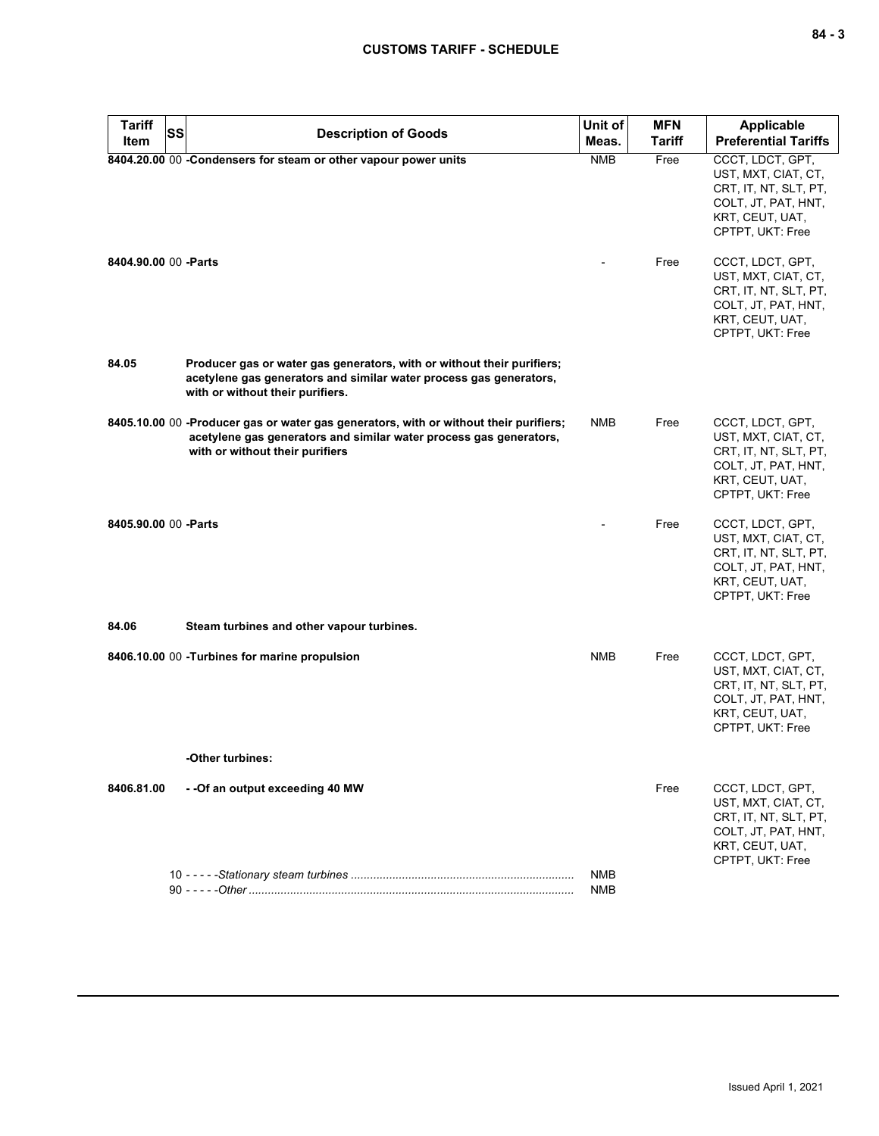| <b>Tariff</b><br>SS   | <b>Description of Goods</b>                                                                                                                                                                    | Unit of    | <b>MFN</b>    | <b>Applicable</b>                                                                                                              |
|-----------------------|------------------------------------------------------------------------------------------------------------------------------------------------------------------------------------------------|------------|---------------|--------------------------------------------------------------------------------------------------------------------------------|
| Item                  |                                                                                                                                                                                                | Meas.      | <b>Tariff</b> | <b>Preferential Tariffs</b>                                                                                                    |
|                       | 8404.20.00 00 -Condensers for steam or other vapour power units                                                                                                                                | <b>NMB</b> | Free          | CCCT, LDCT, GPT,<br>UST, MXT, CIAT, CT,<br>CRT, IT, NT, SLT, PT,<br>COLT, JT, PAT, HNT,<br>KRT, CEUT, UAT,<br>CPTPT, UKT: Free |
| 8404.90.00 00 - Parts |                                                                                                                                                                                                |            | Free          | CCCT, LDCT, GPT,<br>UST, MXT, CIAT, CT,<br>CRT, IT, NT, SLT, PT,<br>COLT, JT, PAT, HNT,<br>KRT, CEUT, UAT,<br>CPTPT, UKT: Free |
| 84.05                 | Producer gas or water gas generators, with or without their purifiers;<br>acetylene gas generators and similar water process gas generators,<br>with or without their purifiers.               |            |               |                                                                                                                                |
|                       | 8405.10.00 00 -Producer gas or water gas generators, with or without their purifiers;<br>acetylene gas generators and similar water process gas generators,<br>with or without their purifiers | <b>NMB</b> | Free          | CCCT, LDCT, GPT,<br>UST, MXT, CIAT, CT,<br>CRT, IT, NT, SLT, PT,<br>COLT, JT, PAT, HNT,<br>KRT, CEUT, UAT,<br>CPTPT, UKT: Free |
| 8405.90.00 00 -Parts  |                                                                                                                                                                                                |            | Free          | CCCT, LDCT, GPT,<br>UST, MXT, CIAT, CT,<br>CRT, IT, NT, SLT, PT,<br>COLT, JT, PAT, HNT,<br>KRT, CEUT, UAT,<br>CPTPT, UKT: Free |
| 84.06                 | Steam turbines and other vapour turbines.                                                                                                                                                      |            |               |                                                                                                                                |
|                       | 8406.10.00 00 - Turbines for marine propulsion                                                                                                                                                 | <b>NMB</b> | Free          | CCCT, LDCT, GPT,<br>UST, MXT, CIAT, CT,<br>CRT, IT, NT, SLT, PT,<br>COLT, JT, PAT, HNT,<br>KRT, CEUT, UAT,<br>CPTPT, UKT: Free |
|                       | -Other turbines:                                                                                                                                                                               |            |               |                                                                                                                                |
| 8406.81.00            | - -Of an output exceeding 40 MW                                                                                                                                                                |            | Free          | CCCT, LDCT, GPT,<br>UST, MXT, CIAT, CT,<br>CRT, IT, NT, SLT, PT,<br>COLT, JT, PAT, HNT,<br>KRT, CEUT, UAT,<br>CPTPT, UKT: Free |
|                       |                                                                                                                                                                                                | NMB<br>NMB |               |                                                                                                                                |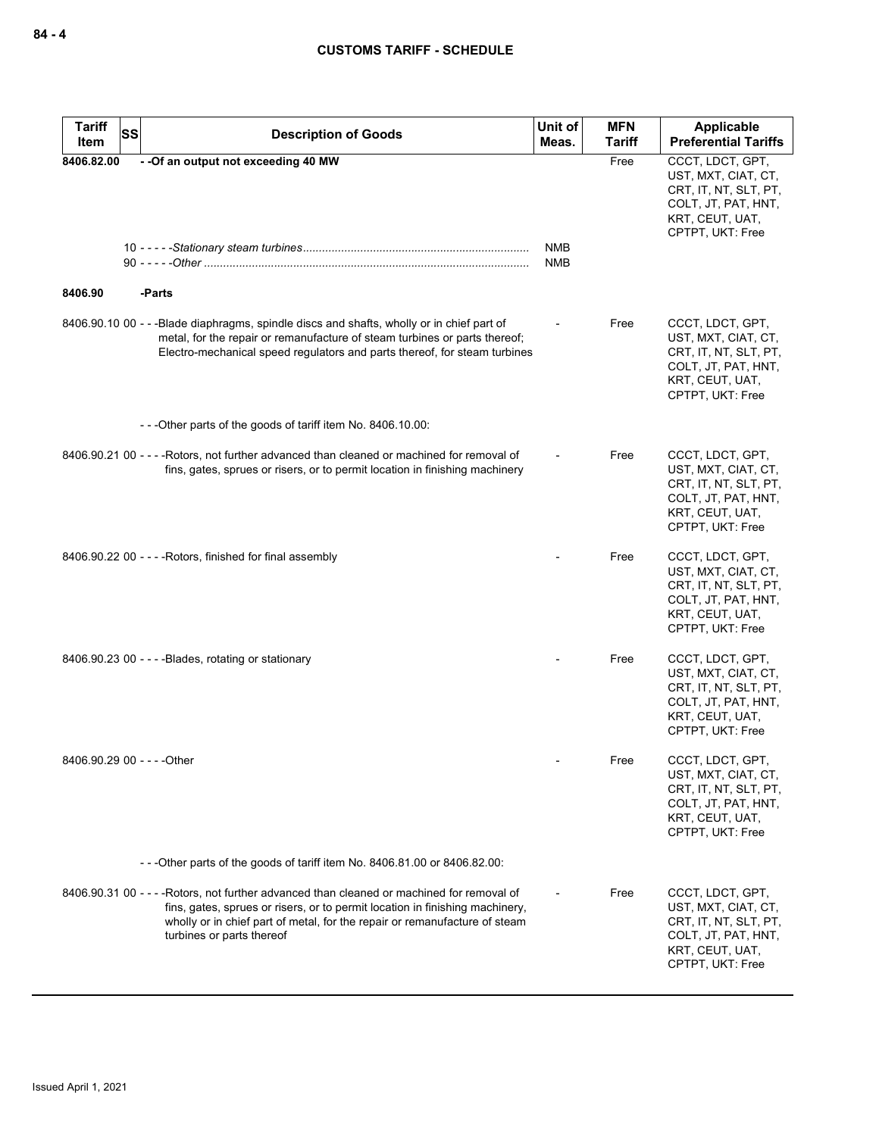| <b>Tariff</b><br>SS<br>Item | <b>Description of Goods</b>                                                                                                                                                                                                                                                           | Unit of<br>Meas.         | <b>MFN</b><br><b>Tariff</b> | Applicable<br><b>Preferential Tariffs</b>                                                                                      |
|-----------------------------|---------------------------------------------------------------------------------------------------------------------------------------------------------------------------------------------------------------------------------------------------------------------------------------|--------------------------|-----------------------------|--------------------------------------------------------------------------------------------------------------------------------|
| 8406.82.00                  | -- Of an output not exceeding 40 MW                                                                                                                                                                                                                                                   |                          | Free                        | CCCT, LDCT, GPT,<br>UST, MXT, CIAT, CT,<br>CRT, IT, NT, SLT, PT,<br>COLT, JT, PAT, HNT,<br>KRT, CEUT, UAT,<br>CPTPT, UKT: Free |
|                             |                                                                                                                                                                                                                                                                                       | <b>NMB</b><br><b>NMB</b> |                             |                                                                                                                                |
| 8406.90                     | -Parts                                                                                                                                                                                                                                                                                |                          |                             |                                                                                                                                |
|                             | 8406.90.10 00 - - -Blade diaphragms, spindle discs and shafts, wholly or in chief part of<br>metal, for the repair or remanufacture of steam turbines or parts thereof;<br>Electro-mechanical speed regulators and parts thereof, for steam turbines                                  |                          | Free                        | CCCT, LDCT, GPT,<br>UST, MXT, CIAT, CT,<br>CRT, IT, NT, SLT, PT,<br>COLT, JT, PAT, HNT,<br>KRT, CEUT, UAT,<br>CPTPT, UKT: Free |
|                             | ---Other parts of the goods of tariff item No. 8406.10.00:                                                                                                                                                                                                                            |                          |                             |                                                                                                                                |
|                             | 8406.90.21 00 - - - - Rotors, not further advanced than cleaned or machined for removal of<br>fins, gates, sprues or risers, or to permit location in finishing machinery                                                                                                             |                          | Free                        | CCCT, LDCT, GPT,<br>UST, MXT, CIAT, CT,<br>CRT, IT, NT, SLT, PT,<br>COLT, JT, PAT, HNT,<br>KRT, CEUT, UAT,<br>CPTPT, UKT: Free |
|                             | $8406.90.22$ 00 - - - - Rotors, finished for final assembly                                                                                                                                                                                                                           |                          | Free                        | CCCT, LDCT, GPT,<br>UST, MXT, CIAT, CT,<br>CRT, IT, NT, SLT, PT,<br>COLT, JT, PAT, HNT,<br>KRT, CEUT, UAT,<br>CPTPT, UKT: Free |
|                             | 8406.90.23 00 - - - - Blades, rotating or stationary                                                                                                                                                                                                                                  |                          | Free                        | CCCT, LDCT, GPT,<br>UST, MXT, CIAT, CT,<br>CRT, IT, NT, SLT, PT,<br>COLT, JT, PAT, HNT,<br>KRT, CEUT, UAT,<br>CPTPT, UKT: Free |
| 8406.90.29 00 - - - - Other |                                                                                                                                                                                                                                                                                       |                          | Free                        | CCCT, LDCT, GPT,<br>UST, MXT, CIAT, CT,<br>CRT, IT, NT, SLT, PT,<br>COLT, JT, PAT, HNT,<br>KRT, CEUT, UAT,<br>CPTPT, UKT: Free |
|                             | -- - Other parts of the goods of tariff item No. 8406.81.00 or 8406.82.00:                                                                                                                                                                                                            |                          |                             |                                                                                                                                |
|                             | 8406.90.31 00 - - - - Rotors, not further advanced than cleaned or machined for removal of<br>fins, gates, sprues or risers, or to permit location in finishing machinery,<br>wholly or in chief part of metal, for the repair or remanufacture of steam<br>turbines or parts thereof |                          | Free                        | CCCT, LDCT, GPT,<br>UST, MXT, CIAT, CT,<br>CRT, IT, NT, SLT, PT,<br>COLT, JT, PAT, HNT,<br>KRT, CEUT, UAT,<br>CPTPT, UKT: Free |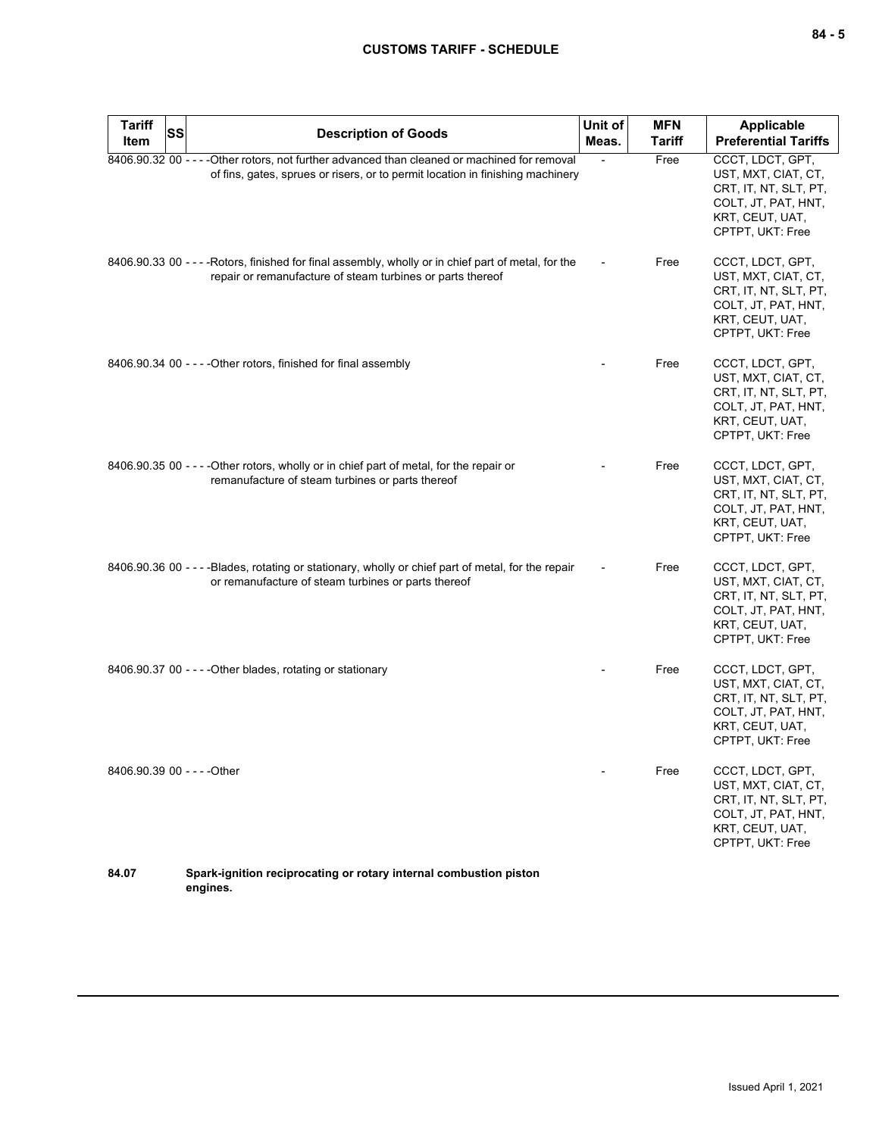| <b>Tariff</b><br><b>SS</b>  | <b>Description of Goods</b>                                                                                                                                                     | Unit of        | <b>MFN</b>    | <b>Applicable</b>                                                                                                              |
|-----------------------------|---------------------------------------------------------------------------------------------------------------------------------------------------------------------------------|----------------|---------------|--------------------------------------------------------------------------------------------------------------------------------|
| <b>Item</b>                 |                                                                                                                                                                                 | Meas.          | <b>Tariff</b> | <b>Preferential Tariffs</b>                                                                                                    |
|                             | 8406.90.32 00 - - - - Other rotors, not further advanced than cleaned or machined for removal<br>of fins, gates, sprues or risers, or to permit location in finishing machinery | $\blacksquare$ | Free          | CCCT, LDCT, GPT,<br>UST, MXT, CIAT, CT,<br>CRT, IT, NT, SLT, PT,<br>COLT, JT, PAT, HNT,<br>KRT, CEUT, UAT,<br>CPTPT, UKT: Free |
|                             | 8406.90.33 00 - - - - Rotors, finished for final assembly, wholly or in chief part of metal, for the<br>repair or remanufacture of steam turbines or parts thereof              |                | Free          | CCCT, LDCT, GPT,<br>UST, MXT, CIAT, CT,<br>CRT, IT, NT, SLT, PT,<br>COLT, JT, PAT, HNT,<br>KRT, CEUT, UAT,<br>CPTPT, UKT: Free |
|                             | 8406.90.34 00 - - - - Other rotors, finished for final assembly                                                                                                                 |                | Free          | CCCT, LDCT, GPT,<br>UST, MXT, CIAT, CT,<br>CRT, IT, NT, SLT, PT,<br>COLT, JT, PAT, HNT,<br>KRT, CEUT, UAT,<br>CPTPT, UKT: Free |
|                             | 8406.90.35 00 - - - - Other rotors, wholly or in chief part of metal, for the repair or<br>remanufacture of steam turbines or parts thereof                                     |                | Free          | CCCT, LDCT, GPT,<br>UST, MXT, CIAT, CT,<br>CRT, IT, NT, SLT, PT,<br>COLT, JT, PAT, HNT,<br>KRT, CEUT, UAT,<br>CPTPT, UKT: Free |
|                             | 8406.90.36 00 - - - - Blades, rotating or stationary, wholly or chief part of metal, for the repair<br>or remanufacture of steam turbines or parts thereof                      |                | Free          | CCCT, LDCT, GPT,<br>UST, MXT, CIAT, CT,<br>CRT, IT, NT, SLT, PT,<br>COLT, JT, PAT, HNT,<br>KRT, CEUT, UAT,<br>CPTPT, UKT: Free |
|                             | $8406.90.37$ 00 - - - - Other blades, rotating or stationary                                                                                                                    |                | Free          | CCCT, LDCT, GPT,<br>UST, MXT, CIAT, CT,<br>CRT, IT, NT, SLT, PT,<br>COLT, JT, PAT, HNT,<br>KRT, CEUT, UAT,<br>CPTPT, UKT: Free |
| 8406.90.39 00 - - - - Other |                                                                                                                                                                                 |                | Free          | CCCT, LDCT, GPT,<br>UST, MXT, CIAT, CT,<br>CRT, IT, NT, SLT, PT,<br>COLT, JT, PAT, HNT,<br>KRT, CEUT, UAT,<br>CPTPT, UKT: Free |
| 84.07                       | Spark-ignition reciprocating or rotary internal combustion piston                                                                                                               |                |               |                                                                                                                                |

**engines.**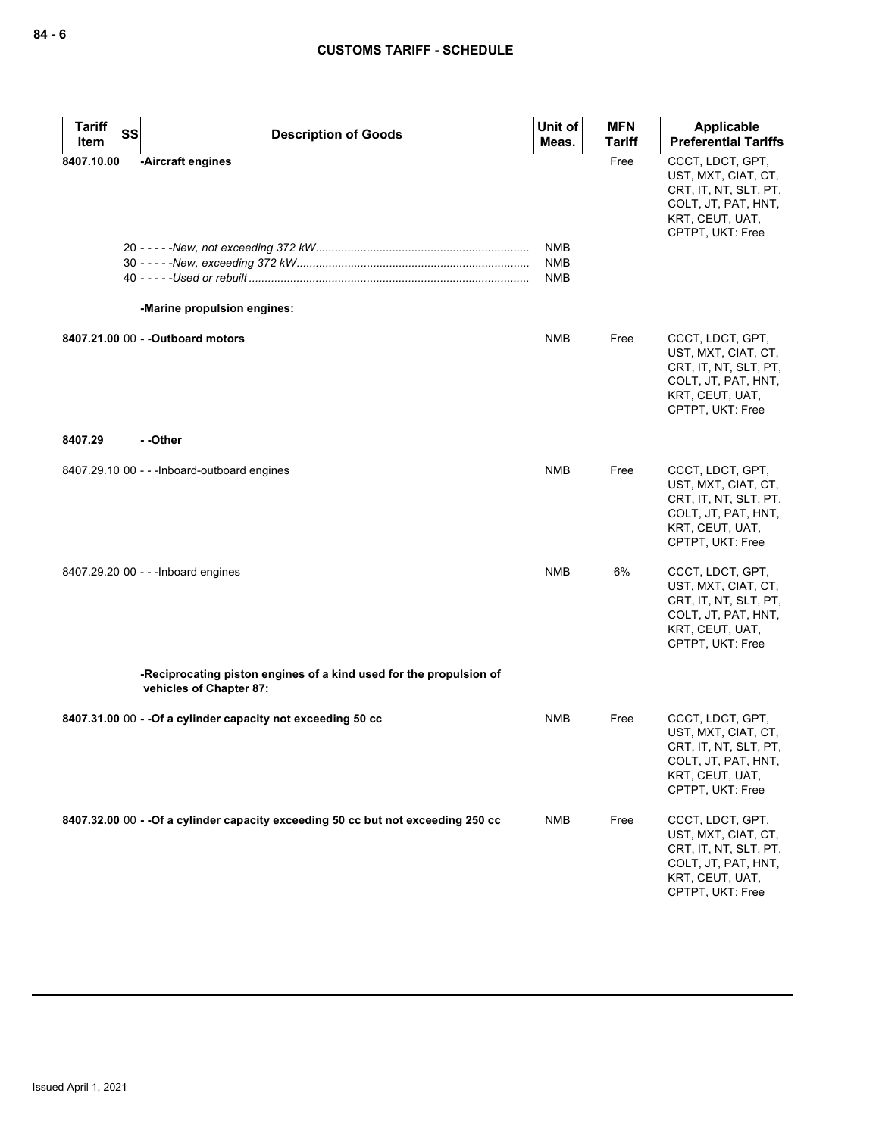| Tariff<br>Item | <b>SS</b> | <b>Description of Goods</b>                                                                   | Unit of<br>Meas.                       | <b>MFN</b><br><b>Tariff</b> | Applicable<br><b>Preferential Tariffs</b>                                                                                      |
|----------------|-----------|-----------------------------------------------------------------------------------------------|----------------------------------------|-----------------------------|--------------------------------------------------------------------------------------------------------------------------------|
| 8407.10.00     |           | -Aircraft engines<br>-Marine propulsion engines:                                              | <b>NMB</b><br><b>NMB</b><br><b>NMB</b> | Free                        | CCCT, LDCT, GPT,<br>UST, MXT, CIAT, CT,<br>CRT, IT, NT, SLT, PT,<br>COLT, JT, PAT, HNT,<br>KRT, CEUT, UAT,<br>CPTPT, UKT: Free |
|                |           | 8407.21.00 00 - - Outboard motors                                                             | <b>NMB</b>                             | Free                        | CCCT, LDCT, GPT,<br>UST, MXT, CIAT, CT,<br>CRT, IT, NT, SLT, PT,<br>COLT, JT, PAT, HNT,<br>KRT, CEUT, UAT,<br>CPTPT, UKT: Free |
| 8407.29        |           | - -Other                                                                                      |                                        |                             |                                                                                                                                |
|                |           | 8407.29.10 00 - - - Inboard-outboard engines                                                  | NMB                                    | Free                        | CCCT, LDCT, GPT,<br>UST, MXT, CIAT, CT,<br>CRT, IT, NT, SLT, PT,<br>COLT, JT, PAT, HNT,<br>KRT, CEUT, UAT,<br>CPTPT, UKT: Free |
|                |           | 8407.29.20 00 - - - Inboard engines                                                           | <b>NMB</b>                             | 6%                          | CCCT, LDCT, GPT,<br>UST, MXT, CIAT, CT,<br>CRT, IT, NT, SLT, PT,<br>COLT, JT, PAT, HNT,<br>KRT, CEUT, UAT,<br>CPTPT, UKT: Free |
|                |           | -Reciprocating piston engines of a kind used for the propulsion of<br>vehicles of Chapter 87: |                                        |                             |                                                                                                                                |
|                |           | 8407.31.00 00 - - Of a cylinder capacity not exceeding 50 cc                                  | <b>NMB</b>                             | Free                        | CCCT, LDCT, GPT,<br>UST, MXT, CIAT, CT,<br>CRT, IT, NT, SLT, PT,<br>COLT, JT, PAT, HNT,<br>KRT, CEUT, UAT,<br>CPTPT, UKT: Free |
|                |           | 8407.32.00 00 - - Of a cylinder capacity exceeding 50 cc but not exceeding 250 cc             | <b>NMB</b>                             | Free                        | CCCT, LDCT, GPT,<br>UST, MXT, CIAT, CT,<br>CRT, IT, NT, SLT, PT,<br>COLT, JT, PAT, HNT,<br>KRT, CEUT, UAT,<br>CPTPT, UKT: Free |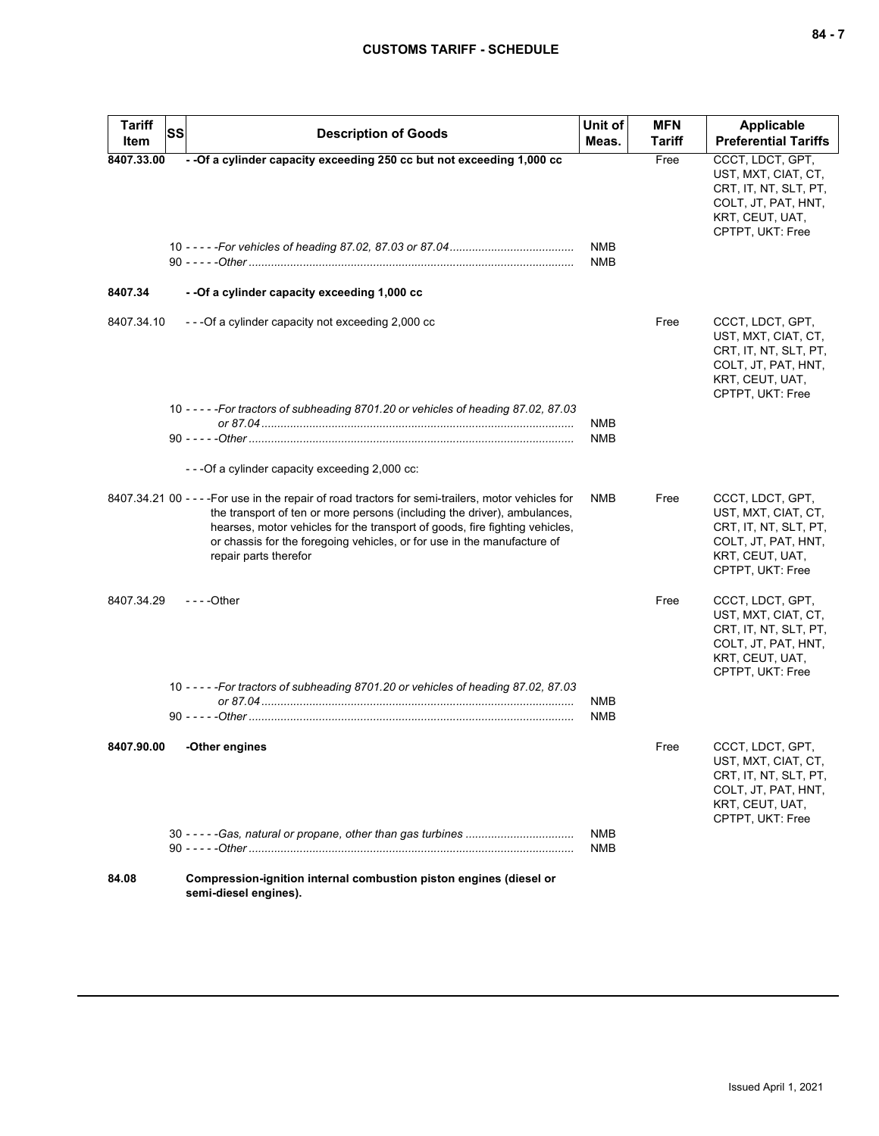| <b>Tariff</b><br>Item | <b>SS</b> | <b>Description of Goods</b>                                                                                                                                                                                                                                                                                                                                       | Unit of<br>Meas.         | <b>MFN</b><br>Tariff | Applicable<br><b>Preferential Tariffs</b>                                                                                      |
|-----------------------|-----------|-------------------------------------------------------------------------------------------------------------------------------------------------------------------------------------------------------------------------------------------------------------------------------------------------------------------------------------------------------------------|--------------------------|----------------------|--------------------------------------------------------------------------------------------------------------------------------|
| 8407.33.00            |           | - - Of a cylinder capacity exceeding 250 cc but not exceeding 1,000 cc                                                                                                                                                                                                                                                                                            | NMB<br><b>NMB</b>        | Free                 | CCCT, LDCT, GPT,<br>UST, MXT, CIAT, CT,<br>CRT, IT, NT, SLT, PT,<br>COLT, JT, PAT, HNT,<br>KRT, CEUT, UAT,<br>CPTPT, UKT: Free |
| 8407.34               |           | - - Of a cylinder capacity exceeding 1,000 cc                                                                                                                                                                                                                                                                                                                     |                          |                      |                                                                                                                                |
| 8407.34.10            |           | ---Of a cylinder capacity not exceeding 2,000 cc                                                                                                                                                                                                                                                                                                                  |                          | Free                 | CCCT, LDCT, GPT,<br>UST, MXT, CIAT, CT,<br>CRT, IT, NT, SLT, PT,<br>COLT, JT, PAT, HNT,<br>KRT, CEUT, UAT,<br>CPTPT, UKT: Free |
|                       |           | 10 - - - - - For tractors of subheading 8701.20 or vehicles of heading 87.02, 87.03                                                                                                                                                                                                                                                                               | NMB<br>NMB               |                      |                                                                                                                                |
|                       |           | - - - Of a cylinder capacity exceeding 2,000 cc:                                                                                                                                                                                                                                                                                                                  |                          |                      |                                                                                                                                |
|                       |           | 8407.34.21 00 - - - - For use in the repair of road tractors for semi-trailers, motor vehicles for<br>the transport of ten or more persons (including the driver), ambulances,<br>hearses, motor vehicles for the transport of goods, fire fighting vehicles,<br>or chassis for the foregoing vehicles, or for use in the manufacture of<br>repair parts therefor | <b>NMB</b>               | Free                 | CCCT, LDCT, GPT,<br>UST, MXT, CIAT, CT,<br>CRT, IT, NT, SLT, PT,<br>COLT, JT, PAT, HNT,<br>KRT, CEUT, UAT,<br>CPTPT, UKT: Free |
| 8407.34.29            |           | $--$ Other                                                                                                                                                                                                                                                                                                                                                        |                          | Free                 | CCCT, LDCT, GPT,<br>UST, MXT, CIAT, CT,<br>CRT, IT, NT, SLT, PT,<br>COLT, JT, PAT, HNT,<br>KRT, CEUT, UAT,<br>CPTPT, UKT: Free |
|                       |           | 10 - - - - - For tractors of subheading 8701.20 or vehicles of heading 87.02, 87.03                                                                                                                                                                                                                                                                               | <b>NMB</b><br>NMB        |                      |                                                                                                                                |
| 8407.90.00            |           | -Other engines                                                                                                                                                                                                                                                                                                                                                    |                          | Free                 | CCCT, LDCT, GPT,<br>UST, MXT, CIAT, CT,<br>CRT, IT, NT, SLT, PT,<br>COLT, JT, PAT, HNT,<br>KRT, CEUT, UAT,<br>CPTPT, UKT: Free |
|                       |           |                                                                                                                                                                                                                                                                                                                                                                   | <b>NMB</b><br><b>NMB</b> |                      |                                                                                                                                |
| 84.08                 |           | Compression-ignition internal combustion piston engines (diesel or<br>semi-diesel engines).                                                                                                                                                                                                                                                                       |                          |                      |                                                                                                                                |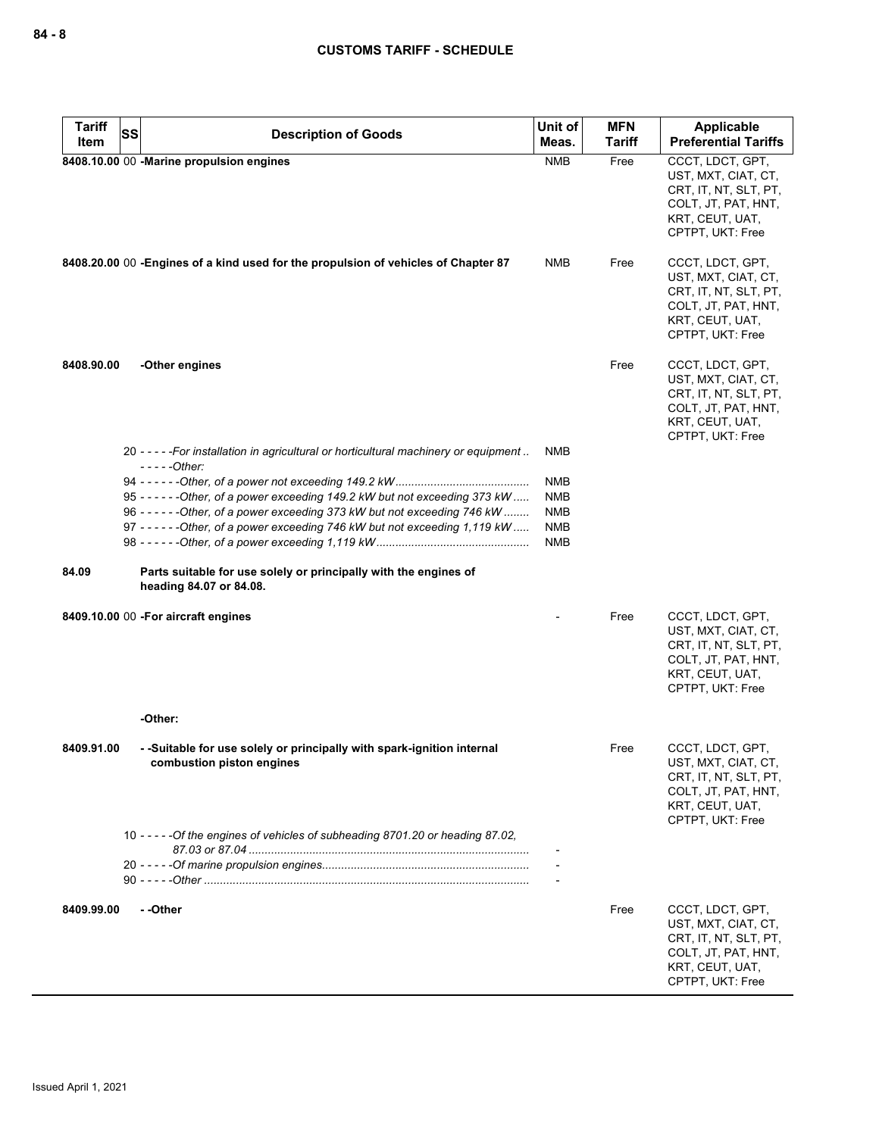| <b>Tariff</b> | <b>SS</b>                                                                                                                                                        | Unit of                  | <b>MFN</b>    | <b>Applicable</b>                                                                                                              |
|---------------|------------------------------------------------------------------------------------------------------------------------------------------------------------------|--------------------------|---------------|--------------------------------------------------------------------------------------------------------------------------------|
| Item          | <b>Description of Goods</b>                                                                                                                                      | Meas.                    | <b>Tariff</b> | <b>Preferential Tariffs</b>                                                                                                    |
|               | 8408.10.00 00 -Marine propulsion engines                                                                                                                         | <b>NMB</b>               | Free          | CCCT, LDCT, GPT,<br>UST, MXT, CIAT, CT,<br>CRT, IT, NT, SLT, PT,<br>COLT, JT, PAT, HNT,<br>KRT, CEUT, UAT,<br>CPTPT, UKT: Free |
|               | 8408.20.00 00 -Engines of a kind used for the propulsion of vehicles of Chapter 87                                                                               | NMB                      | Free          | CCCT, LDCT, GPT,<br>UST, MXT, CIAT, CT,<br>CRT, IT, NT, SLT, PT,<br>COLT, JT, PAT, HNT,<br>KRT, CEUT, UAT,<br>CPTPT, UKT: Free |
| 8408.90.00    | -Other engines                                                                                                                                                   |                          | Free          | CCCT, LDCT, GPT,<br>UST, MXT, CIAT, CT,<br>CRT, IT, NT, SLT, PT,<br>COLT, JT, PAT, HNT,<br>KRT, CEUT, UAT,<br>CPTPT, UKT: Free |
|               | 20 - - - - - For installation in agricultural or horticultural machinery or equipment<br>$---Other:$                                                             | NMB                      |               |                                                                                                                                |
|               |                                                                                                                                                                  | NMB                      |               |                                                                                                                                |
|               | 95 - - - - - - Other, of a power exceeding 149.2 kW but not exceeding 373 kW                                                                                     | NMB                      |               |                                                                                                                                |
|               | 96 ----- - - - - - Other, of a power exceeding 373 kW but not exceeding 746 kW<br>97 - - - - - - - Other, of a power exceeding 746 kW but not exceeding 1,119 kW | <b>NMB</b><br><b>NMB</b> |               |                                                                                                                                |
|               |                                                                                                                                                                  | <b>NMB</b>               |               |                                                                                                                                |
| 84.09         | Parts suitable for use solely or principally with the engines of<br>heading 84.07 or 84.08.                                                                      |                          |               |                                                                                                                                |
|               | 8409.10.00 00 - For aircraft engines                                                                                                                             |                          | Free          | CCCT, LDCT, GPT,<br>UST, MXT, CIAT, CT,<br>CRT, IT, NT, SLT, PT,<br>COLT, JT, PAT, HNT,<br>KRT, CEUT, UAT,<br>CPTPT, UKT: Free |
|               | -Other:                                                                                                                                                          |                          |               |                                                                                                                                |
| 8409.91.00    | - -Suitable for use solely or principally with spark-ignition internal<br>combustion piston engines                                                              |                          | Free          | CCCT, LDCT, GPT,<br>UST, MXT, CIAT, CT,<br>CRT, IT, NT, SLT, PT,<br>COLT, JT, PAT, HNT,<br>KRT, CEUT, UAT,<br>CPTPT, UKT: Free |
|               | 10 - - - - - Of the engines of vehicles of subheading 8701.20 or heading 87.02,                                                                                  |                          |               |                                                                                                                                |
|               |                                                                                                                                                                  |                          |               |                                                                                                                                |
| 8409.99.00    | --Other                                                                                                                                                          |                          | Free          | CCCT, LDCT, GPT,<br>UST, MXT, CIAT, CT,<br>CRT, IT, NT, SLT, PT,<br>COLT, JT, PAT, HNT,<br>KRT, CEUT, UAT,<br>CPTPT, UKT: Free |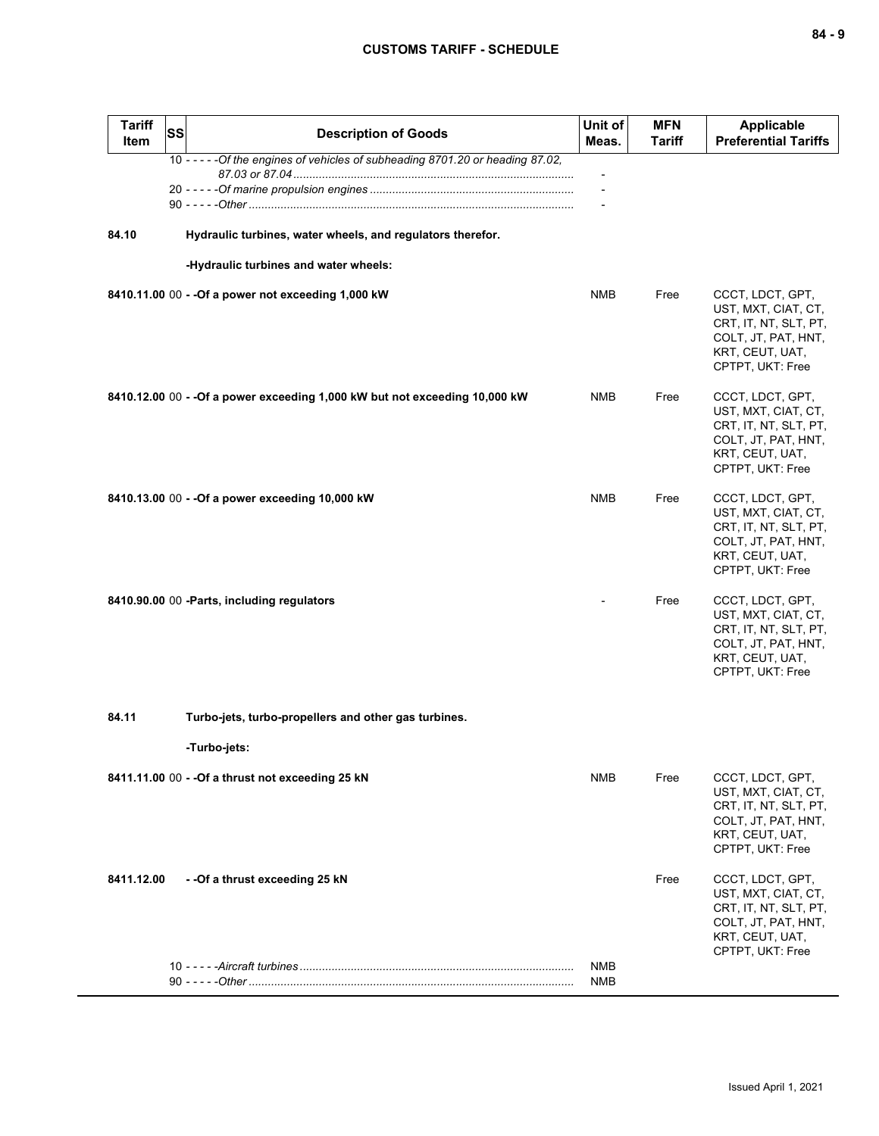| <b>Tariff</b><br>Item | <b>SS</b> | <b>Description of Goods</b>                                                     | Unit of<br>Meas. | <b>MFN</b><br>Tariff | <b>Applicable</b><br><b>Preferential Tariffs</b>                                                                               |
|-----------------------|-----------|---------------------------------------------------------------------------------|------------------|----------------------|--------------------------------------------------------------------------------------------------------------------------------|
|                       |           | 10 - - - - - Of the engines of vehicles of subheading 8701.20 or heading 87.02, |                  |                      |                                                                                                                                |
|                       |           |                                                                                 |                  |                      |                                                                                                                                |
|                       |           |                                                                                 |                  |                      |                                                                                                                                |
| 84.10                 |           | Hydraulic turbines, water wheels, and regulators therefor.                      |                  |                      |                                                                                                                                |
|                       |           | -Hydraulic turbines and water wheels:                                           |                  |                      |                                                                                                                                |
|                       |           | 8410.11.00 00 - - Of a power not exceeding 1,000 kW                             | NMB              | Free                 | CCCT, LDCT, GPT,<br>UST, MXT, CIAT, CT,<br>CRT, IT, NT, SLT, PT,<br>COLT, JT, PAT, HNT,<br>KRT, CEUT, UAT,<br>CPTPT, UKT: Free |
|                       |           | 8410.12.00 00 - - Of a power exceeding 1,000 kW but not exceeding 10,000 kW     | NMB              | Free                 | CCCT, LDCT, GPT,<br>UST, MXT, CIAT, CT,<br>CRT, IT, NT, SLT, PT,<br>COLT, JT, PAT, HNT,<br>KRT, CEUT, UAT,<br>CPTPT, UKT: Free |
|                       |           | 8410.13.00 00 - - Of a power exceeding 10,000 kW                                | NMB              | Free                 | CCCT, LDCT, GPT,<br>UST, MXT, CIAT, CT,<br>CRT, IT, NT, SLT, PT,<br>COLT, JT, PAT, HNT,<br>KRT, CEUT, UAT,<br>CPTPT, UKT: Free |
|                       |           | 8410.90.00 00 -Parts, including regulators                                      |                  | Free                 | CCCT, LDCT, GPT,<br>UST, MXT, CIAT, CT,<br>CRT, IT, NT, SLT, PT,<br>COLT, JT, PAT, HNT,<br>KRT, CEUT, UAT,<br>CPTPT, UKT: Free |
| 84.11                 |           | Turbo-jets, turbo-propellers and other gas turbines.                            |                  |                      |                                                                                                                                |
|                       |           |                                                                                 |                  |                      |                                                                                                                                |
|                       |           | -Turbo-jets:                                                                    |                  |                      |                                                                                                                                |
|                       |           | 8411.11.00 00 - - Of a thrust not exceeding 25 kN                               | NMB              | Free                 | CCCT, LDCT, GPT,<br>UST, MXT, CIAT, CT,<br>CRT, IT, NT, SLT, PT,<br>COLT, JT, PAT, HNT,<br>KRT, CEUT, UAT,<br>CPTPT, UKT: Free |
| 8411.12.00            |           | - - Of a thrust exceeding 25 kN                                                 |                  | Free                 | CCCT, LDCT, GPT,<br>UST, MXT, CIAT, CT,<br>CRT, IT, NT, SLT, PT,<br>COLT, JT, PAT, HNT,<br>KRT, CEUT, UAT,<br>CPTPT, UKT: Free |
|                       |           |                                                                                 | NMB<br>NMB       |                      |                                                                                                                                |
|                       |           |                                                                                 |                  |                      |                                                                                                                                |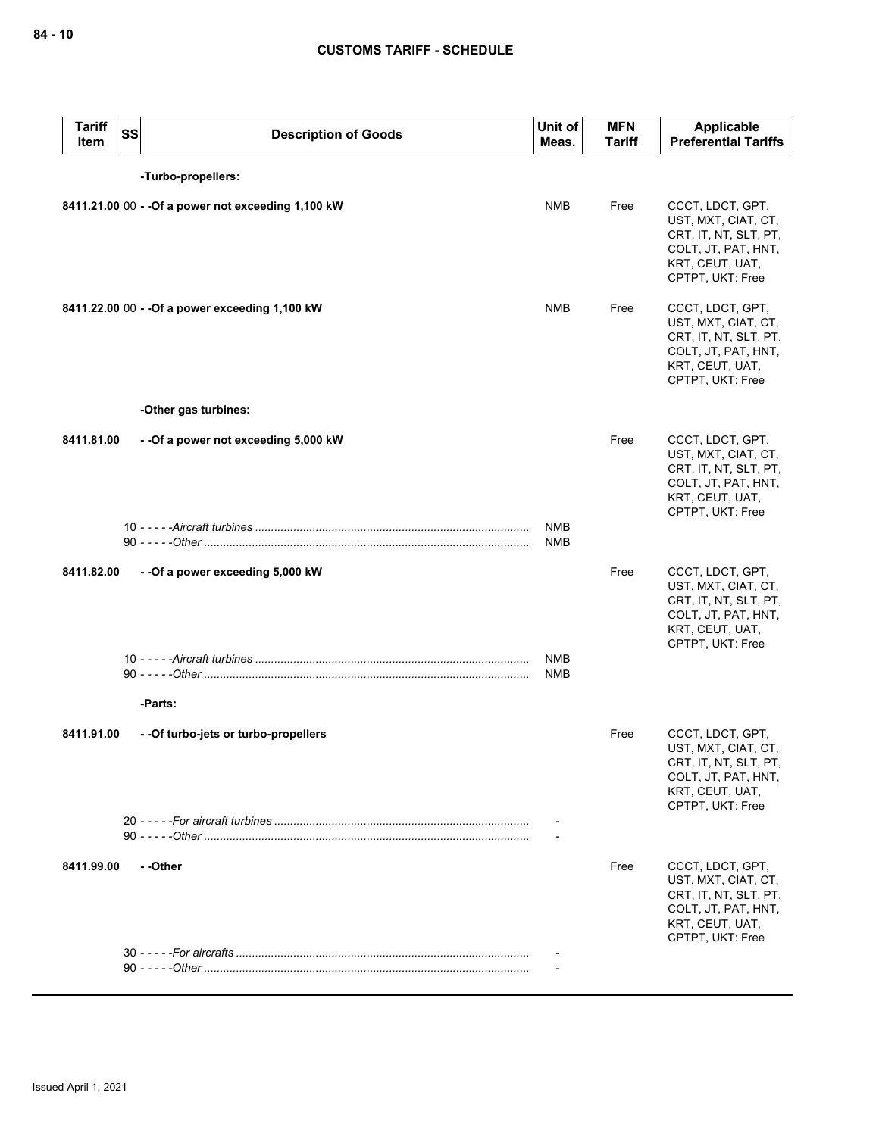| <b>Tariff</b><br><b>Item</b> | <b>SS</b> | <b>Description of Goods</b>                         | Unit of<br>Meas.         | <b>MFN</b><br><b>Tariff</b> | Applicable<br><b>Preferential Tariffs</b>                                                                                      |
|------------------------------|-----------|-----------------------------------------------------|--------------------------|-----------------------------|--------------------------------------------------------------------------------------------------------------------------------|
|                              |           | -Turbo-propellers:                                  |                          |                             |                                                                                                                                |
|                              |           | 8411.21.00 00 - - Of a power not exceeding 1,100 kW | <b>NMB</b>               | Free                        | CCCT, LDCT, GPT,<br>UST, MXT, CIAT, CT,<br>CRT, IT, NT, SLT, PT,<br>COLT, JT, PAT, HNT,<br>KRT, CEUT, UAT,<br>CPTPT, UKT: Free |
|                              |           | 8411.22.00 00 - - Of a power exceeding 1,100 kW     | <b>NMB</b>               | Free                        | CCCT, LDCT, GPT,<br>UST, MXT, CIAT, CT,<br>CRT, IT, NT, SLT, PT,<br>COLT, JT, PAT, HNT,<br>KRT, CEUT, UAT,<br>CPTPT, UKT: Free |
|                              |           | -Other gas turbines:                                |                          |                             |                                                                                                                                |
| 8411.81.00                   |           | --Of a power not exceeding 5,000 kW                 |                          | Free                        | CCCT, LDCT, GPT,<br>UST, MXT, CIAT, CT,<br>CRT, IT, NT, SLT, PT,<br>COLT, JT, PAT, HNT,<br>KRT, CEUT, UAT,<br>CPTPT, UKT: Free |
|                              |           |                                                     | <b>NMB</b><br><b>NMB</b> |                             |                                                                                                                                |
| 8411.82.00                   |           | --Of a power exceeding 5,000 kW                     |                          | Free                        | CCCT, LDCT, GPT,<br>UST, MXT, CIAT, CT,<br>CRT, IT, NT, SLT, PT,<br>COLT, JT, PAT, HNT,<br>KRT, CEUT, UAT,<br>CPTPT, UKT: Free |
|                              |           |                                                     | <b>NMB</b>               |                             |                                                                                                                                |
|                              |           |                                                     | <b>NMB</b>               |                             |                                                                                                                                |
|                              |           | -Parts:                                             |                          |                             |                                                                                                                                |
| 8411.91.00                   |           | - - Of turbo-jets or turbo-propellers               |                          | Free                        | CCCT, LDCT, GPT,<br>UST, MXT, CIAT, CT,<br>CRT, IT, NT, SLT, PT,<br>COLT, JT, PAT, HNT,<br>KRT, CEUT, UAT,<br>CPTPT, UKT: Free |
|                              |           |                                                     |                          |                             |                                                                                                                                |
| 8411.99.00                   |           | --Other                                             |                          | Free                        | CCCT, LDCT, GPT,<br>UST, MXT, CIAT, CT,<br>CRT, IT, NT, SLT, PT,<br>COLT, JT, PAT, HNT,<br>KRT, CEUT, UAT,<br>CPTPT, UKT: Free |
|                              |           |                                                     |                          |                             |                                                                                                                                |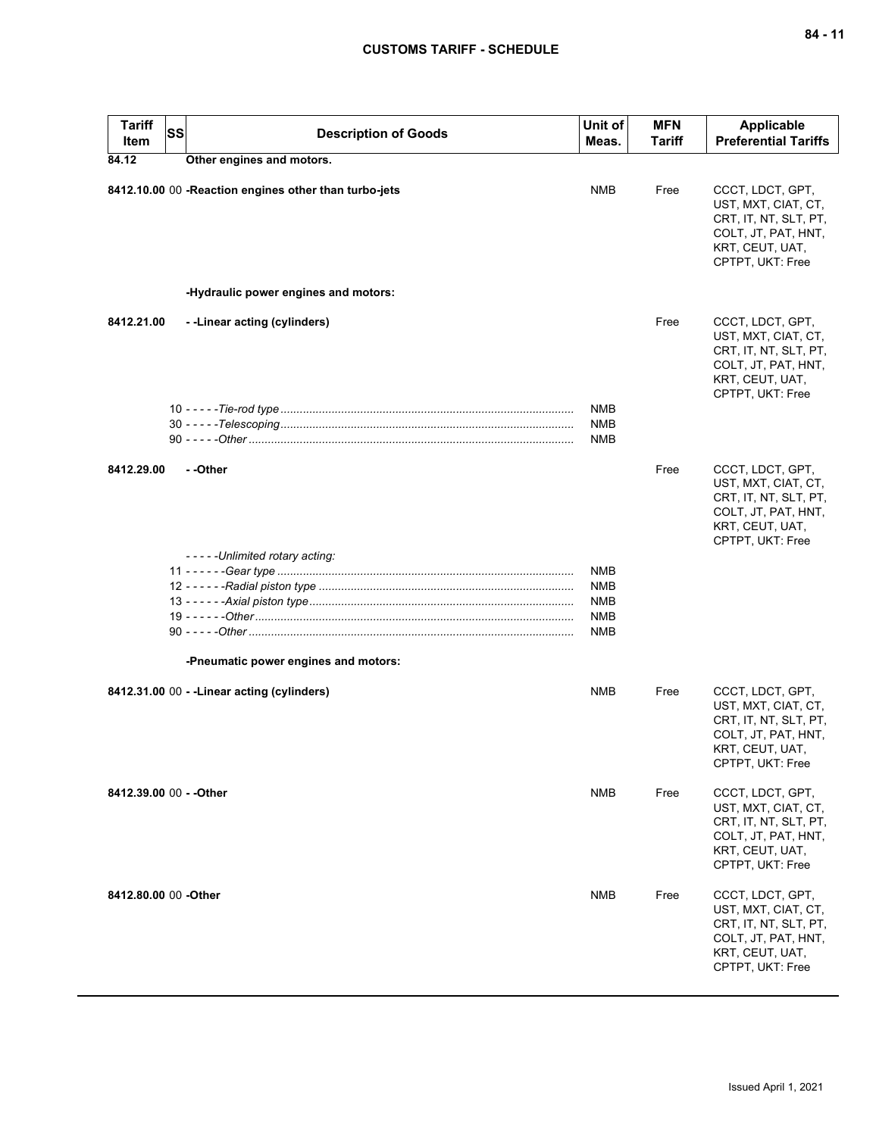| <b>Tariff</b><br>Item   | <b>SS</b> | <b>Description of Goods</b>                           | Unit of<br>Meas.                | <b>MFN</b><br><b>Tariff</b> | Applicable<br><b>Preferential Tariffs</b>                                                                                      |
|-------------------------|-----------|-------------------------------------------------------|---------------------------------|-----------------------------|--------------------------------------------------------------------------------------------------------------------------------|
| 84.12                   |           | Other engines and motors.                             |                                 |                             |                                                                                                                                |
|                         |           | 8412.10.00 00 -Reaction engines other than turbo-jets | <b>NMB</b>                      | Free                        | CCCT, LDCT, GPT,<br>UST, MXT, CIAT, CT,<br>CRT, IT, NT, SLT, PT,<br>COLT, JT, PAT, HNT,<br>KRT, CEUT, UAT,<br>CPTPT, UKT: Free |
|                         |           | -Hydraulic power engines and motors:                  |                                 |                             |                                                                                                                                |
| 8412.21.00              |           | --Linear acting (cylinders)                           |                                 | Free                        | CCCT, LDCT, GPT,<br>UST, MXT, CIAT, CT,<br>CRT, IT, NT, SLT, PT,<br>COLT, JT, PAT, HNT,<br>KRT, CEUT, UAT,<br>CPTPT, UKT: Free |
|                         |           |                                                       | <b>NMB</b><br><b>NMB</b><br>NMB |                             |                                                                                                                                |
| 8412.29.00              |           | - -Other                                              |                                 | Free                        | CCCT, LDCT, GPT,<br>UST, MXT, CIAT, CT,<br>CRT, IT, NT, SLT, PT,<br>COLT, JT, PAT, HNT,<br>KRT, CEUT, UAT,<br>CPTPT, UKT: Free |
|                         |           | - - - - - Unlimited rotary acting:                    | <b>NMB</b>                      |                             |                                                                                                                                |
|                         |           |                                                       | <b>NMB</b>                      |                             |                                                                                                                                |
|                         |           |                                                       | <b>NMB</b>                      |                             |                                                                                                                                |
|                         |           |                                                       | <b>NMB</b>                      |                             |                                                                                                                                |
|                         |           |                                                       | <b>NMB</b>                      |                             |                                                                                                                                |
|                         |           | -Pneumatic power engines and motors:                  |                                 |                             |                                                                                                                                |
|                         |           | 8412.31.00 00 - - Linear acting (cylinders)           | <b>NMB</b>                      | Free                        | CCCT, LDCT, GPT,<br>UST, MXT, CIAT, CT,<br>CRT, IT, NT, SLT, PT,<br>COLT, JT, PAT, HNT,<br>KRT, CEUT, UAT,<br>CPTPT, UKT: Free |
| 8412.39.00 00 - - Other |           |                                                       | NMB                             | Free                        | CCCT, LDCT, GPT,<br>UST, MXT, CIAT, CT,<br>CRT, IT, NT, SLT, PT,<br>COLT, JT, PAT, HNT,<br>KRT, CEUT, UAT,<br>CPTPT, UKT: Free |
| 8412.80.00 00 -Other    |           |                                                       | <b>NMB</b>                      | Free                        | CCCT, LDCT, GPT,<br>UST, MXT, CIAT, CT,<br>CRT, IT, NT, SLT, PT,<br>COLT, JT, PAT, HNT,<br>KRT, CEUT, UAT,<br>CPTPT, UKT: Free |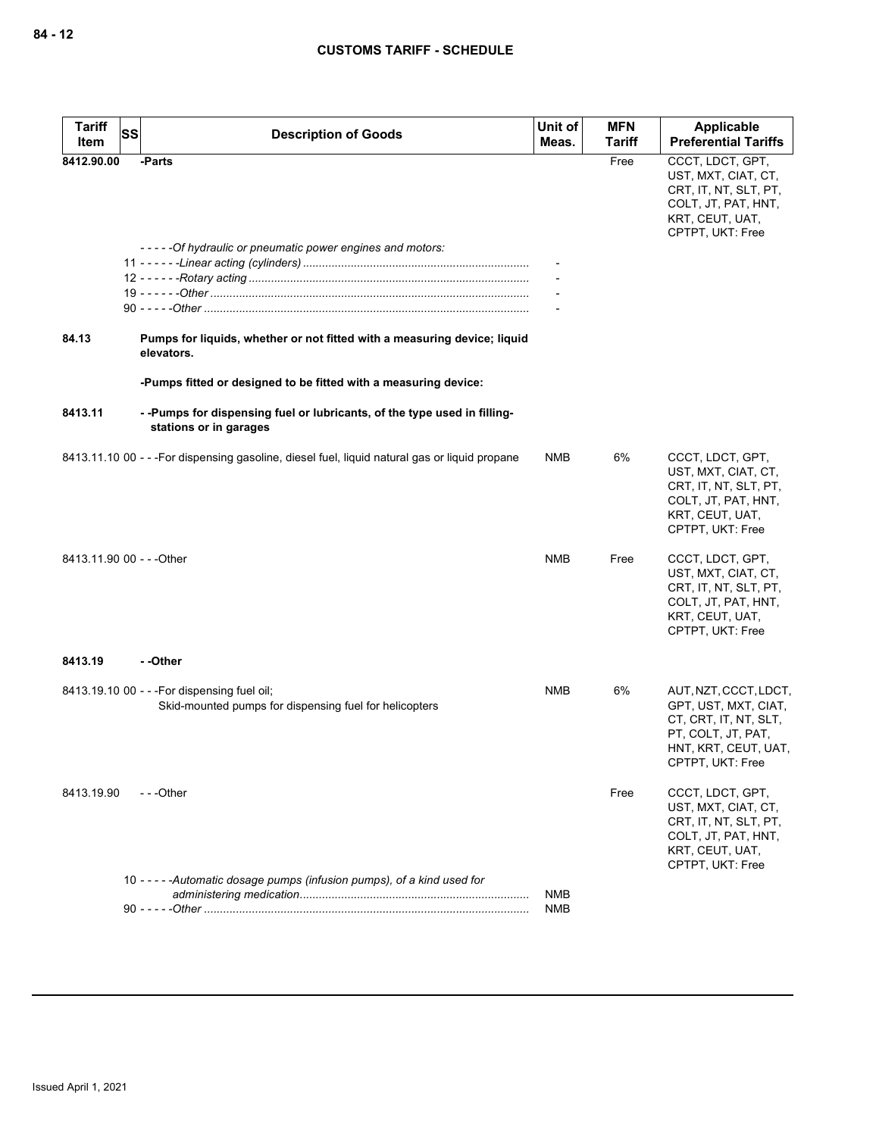| <b>Tariff</b><br>Item     | <b>SS</b><br><b>Description of Goods</b>                                                               | Unit of<br>Meas.         | <b>MFN</b><br><b>Tariff</b> | Applicable<br><b>Preferential Tariffs</b>                                                                                                |
|---------------------------|--------------------------------------------------------------------------------------------------------|--------------------------|-----------------------------|------------------------------------------------------------------------------------------------------------------------------------------|
| 8412.90.00                | -Parts<br>-----Of hydraulic or pneumatic power engines and motors:                                     |                          | Free                        | CCCT, LDCT, GPT,<br>UST, MXT, CIAT, CT,<br>CRT, IT, NT, SLT, PT,<br>COLT, JT, PAT, HNT,<br>KRT, CEUT, UAT,<br>CPTPT, UKT: Free           |
| 84.13                     | Pumps for liquids, whether or not fitted with a measuring device; liquid<br>elevators.                 |                          |                             |                                                                                                                                          |
|                           | -Pumps fitted or designed to be fitted with a measuring device:                                        |                          |                             |                                                                                                                                          |
| 8413.11                   | --Pumps for dispensing fuel or lubricants, of the type used in filling-<br>stations or in garages      |                          |                             |                                                                                                                                          |
|                           | 8413.11.10 00 - - -For dispensing gasoline, diesel fuel, liquid natural gas or liquid propane          | NMB                      | 6%                          | CCCT, LDCT, GPT,<br>UST, MXT, CIAT, CT,<br>CRT, IT, NT, SLT, PT,<br>COLT, JT, PAT, HNT,<br>KRT, CEUT, UAT,<br>CPTPT, UKT: Free           |
| 8413.11.90 00 - - - Other |                                                                                                        | <b>NMB</b>               | Free                        | CCCT, LDCT, GPT,<br>UST, MXT, CIAT, CT,<br>CRT, IT, NT, SLT, PT,<br>COLT, JT, PAT, HNT,<br>KRT, CEUT, UAT,<br>CPTPT, UKT: Free           |
| 8413.19                   | - -Other                                                                                               |                          |                             |                                                                                                                                          |
|                           | 8413.19.10 00 - - - For dispensing fuel oil;<br>Skid-mounted pumps for dispensing fuel for helicopters | NMB                      | 6%                          | AUT, NZT, CCCT, LDCT,<br>GPT, UST, MXT, CIAT,<br>CT, CRT, IT, NT, SLT,<br>PT, COLT, JT, PAT,<br>HNT, KRT, CEUT, UAT,<br>CPTPT, UKT: Free |
| 8413.19.90                | $- -$ Other                                                                                            |                          | Free                        | CCCT, LDCT, GPT,<br>UST, MXT, CIAT, CT,<br>CRT, IT, NT, SLT, PT,<br>COLT, JT, PAT, HNT,<br>KRT, CEUT, UAT,<br>CPTPT, UKT: Free           |
|                           | 10 - - - - - Automatic dosage pumps (infusion pumps), of a kind used for                               | <b>NMB</b><br><b>NMB</b> |                             |                                                                                                                                          |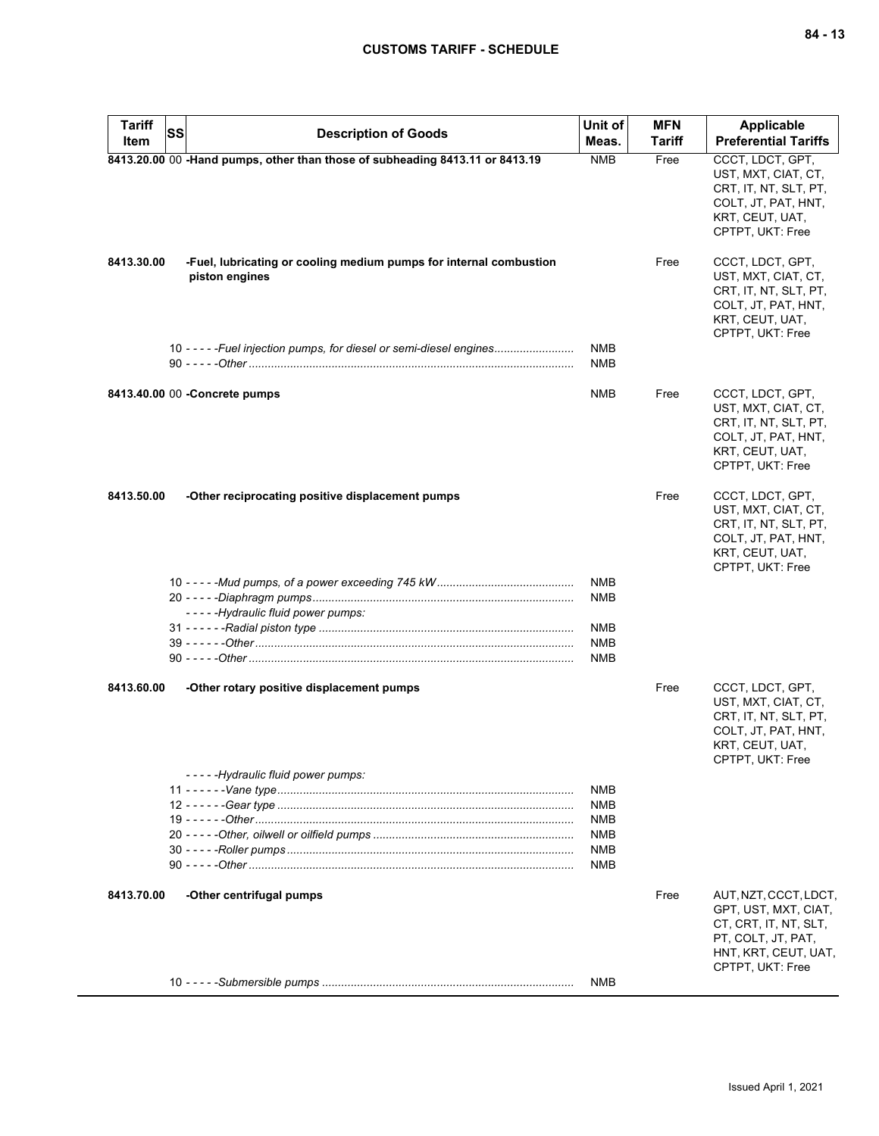| <b>Tariff</b><br>Item | <b>SS</b><br><b>Description of Goods</b>                                             | Unit of<br>Meas.                                                                 | <b>MFN</b><br>Tariff | <b>Applicable</b><br><b>Preferential Tariffs</b>                                                                               |
|-----------------------|--------------------------------------------------------------------------------------|----------------------------------------------------------------------------------|----------------------|--------------------------------------------------------------------------------------------------------------------------------|
|                       | 8413.20.00 00 -Hand pumps, other than those of subheading 8413.11 or 8413.19         | <b>NMB</b>                                                                       | Free                 | CCCT, LDCT, GPT,<br>UST, MXT, CIAT, CT,<br>CRT, IT, NT, SLT, PT,<br>COLT, JT, PAT, HNT,<br>KRT, CEUT, UAT,<br>CPTPT, UKT: Free |
| 8413.30.00            | -Fuel, lubricating or cooling medium pumps for internal combustion<br>piston engines |                                                                                  | Free                 | CCCT, LDCT, GPT,<br>UST, MXT, CIAT, CT,<br>CRT, IT, NT, SLT, PT,<br>COLT, JT, PAT, HNT,<br>KRT, CEUT, UAT,<br>CPTPT, UKT: Free |
|                       | 10 - - - - - Fuel injection pumps, for diesel or semi-diesel engines                 | NMB<br>NMB                                                                       |                      |                                                                                                                                |
|                       | 8413.40.00 00 - Concrete pumps                                                       | NMB                                                                              | Free                 | CCCT, LDCT, GPT,<br>UST, MXT, CIAT, CT,<br>CRT, IT, NT, SLT, PT,<br>COLT, JT, PAT, HNT,<br>KRT, CEUT, UAT,<br>CPTPT, UKT: Free |
| 8413.50.00            | -Other reciprocating positive displacement pumps                                     |                                                                                  | Free                 | CCCT, LDCT, GPT,<br>UST, MXT, CIAT, CT,<br>CRT, IT, NT, SLT, PT,<br>COLT, JT, PAT, HNT,<br>KRT, CEUT, UAT,<br>CPTPT, UKT: Free |
|                       | -----Hydraulic fluid power pumps:                                                    | <b>NMB</b><br>NMB                                                                |                      |                                                                                                                                |
|                       |                                                                                      | NMB<br><b>NMB</b><br><b>NMB</b>                                                  |                      |                                                                                                                                |
| 8413.60.00            | -Other rotary positive displacement pumps                                            |                                                                                  | Free                 | CCCT, LDCT, GPT,<br>UST, MXT, CIAT, CT,<br>CRT, IT, NT, SLT, PT,<br>COLT, JT, PAT, HNT,<br>KRT, CEUT, UAT,<br>CPTPT, UKT: Free |
|                       | -----Hydraulic fluid power pumps:                                                    | <b>NMB</b><br><b>NMB</b><br><b>NMB</b><br><b>NMB</b><br><b>NMB</b><br><b>NMB</b> |                      |                                                                                                                                |
| 8413.70.00            | -Other centrifugal pumps                                                             |                                                                                  | Free                 | AUT, NZT, CCCT, LDCT,<br>GPT, UST, MXT, CIAT,<br>CT, CRT, IT, NT, SLT,<br>PT, COLT, JT, PAT,<br>HNT, KRT, CEUT, UAT,           |
|                       |                                                                                      | NMB                                                                              |                      | CPTPT, UKT: Free                                                                                                               |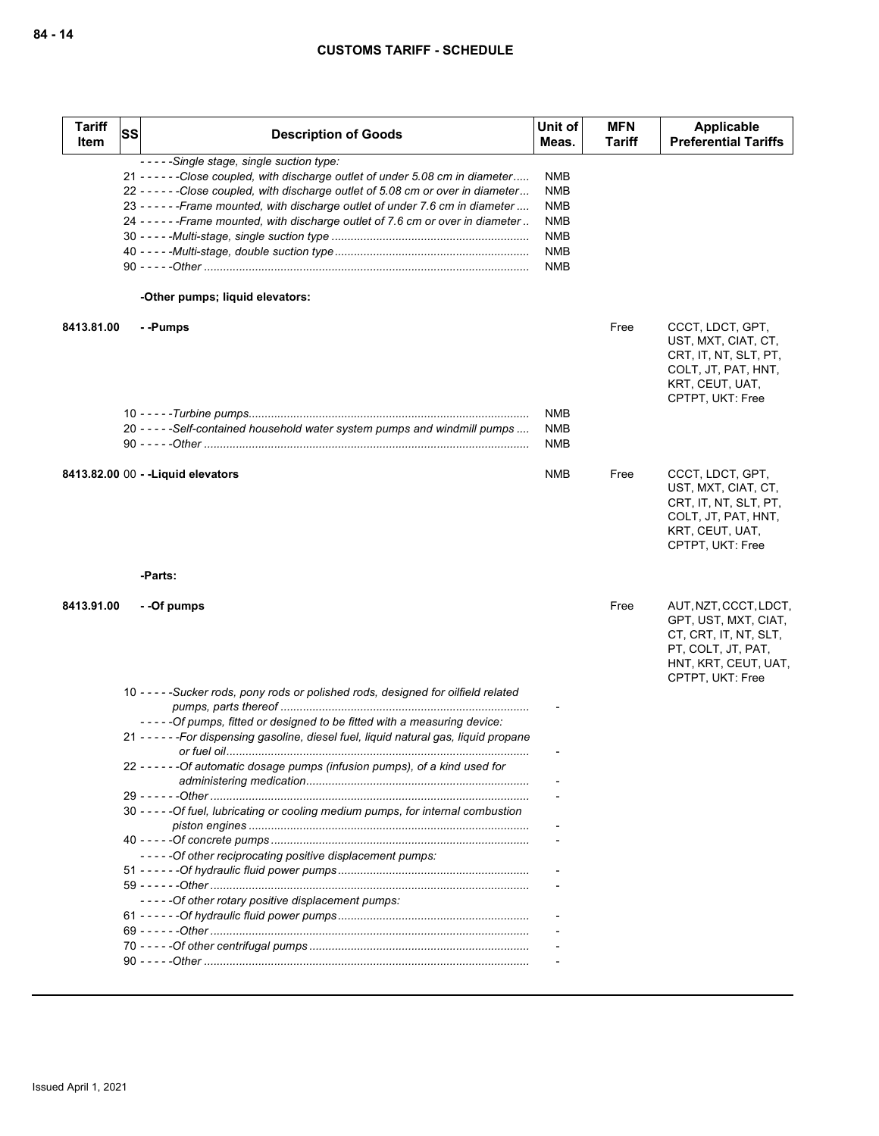| <b>Tariff</b><br><b>Item</b> | SS | <b>Description of Goods</b>                                                                                                                                                                                                                                                                                                                                                                                              | Unit of<br>Meas.                                                                        | <b>MFN</b><br>Tariff | Applicable<br><b>Preferential Tariffs</b>                                                                                                |
|------------------------------|----|--------------------------------------------------------------------------------------------------------------------------------------------------------------------------------------------------------------------------------------------------------------------------------------------------------------------------------------------------------------------------------------------------------------------------|-----------------------------------------------------------------------------------------|----------------------|------------------------------------------------------------------------------------------------------------------------------------------|
|                              |    | -----Single stage, single suction type:<br>21 - - - - - - Close coupled, with discharge outlet of under 5.08 cm in diameter<br>22 - - - - - - Close coupled, with discharge outlet of 5.08 cm or over in diameter<br>23 - - - - - - Frame mounted, with discharge outlet of under 7.6 cm in diameter<br>24 ----- - Frame mounted, with discharge outlet of 7.6 cm or over in diameter<br>-Other pumps; liquid elevators: | NMB<br><b>NMB</b><br><b>NMB</b><br><b>NMB</b><br><b>NMB</b><br><b>NMB</b><br><b>NMB</b> |                      |                                                                                                                                          |
|                              |    |                                                                                                                                                                                                                                                                                                                                                                                                                          |                                                                                         |                      |                                                                                                                                          |
| 8413.81.00                   |    | - -Pumps                                                                                                                                                                                                                                                                                                                                                                                                                 |                                                                                         | Free                 | CCCT, LDCT, GPT,<br>UST, MXT, CIAT, CT,<br>CRT, IT, NT, SLT, PT,<br>COLT, JT, PAT, HNT,<br>KRT, CEUT, UAT,<br>CPTPT, UKT: Free           |
|                              |    | 20 -----Self-contained household water system pumps and windmill pumps                                                                                                                                                                                                                                                                                                                                                   | NMB<br><b>NMB</b><br>NMB                                                                |                      |                                                                                                                                          |
|                              |    | 8413.82.00 00 - - Liquid elevators                                                                                                                                                                                                                                                                                                                                                                                       | <b>NMB</b>                                                                              | Free                 | CCCT, LDCT, GPT,<br>UST, MXT, CIAT, CT,<br>CRT, IT, NT, SLT, PT,<br>COLT, JT, PAT, HNT,<br>KRT, CEUT, UAT,<br>CPTPT, UKT: Free           |
|                              |    | -Parts:                                                                                                                                                                                                                                                                                                                                                                                                                  |                                                                                         |                      |                                                                                                                                          |
| 8413.91.00                   |    | - -Of pumps                                                                                                                                                                                                                                                                                                                                                                                                              |                                                                                         | Free                 | AUT, NZT, CCCT, LDCT,<br>GPT, UST, MXT, CIAT,<br>CT, CRT, IT, NT, SLT,<br>PT, COLT, JT, PAT,<br>HNT, KRT, CEUT, UAT,<br>CPTPT, UKT: Free |
|                              |    | 10 - - - - - Sucker rods, pony rods or polished rods, designed for oilfield related                                                                                                                                                                                                                                                                                                                                      |                                                                                         |                      |                                                                                                                                          |
|                              |    | -----Of pumps, fitted or designed to be fitted with a measuring device:<br>21 - - - - - - For dispensing gasoline, diesel fuel, liquid natural gas, liquid propane<br>22 - - - - - - Of automatic dosage pumps (infusion pumps), of a kind used for                                                                                                                                                                      |                                                                                         |                      |                                                                                                                                          |
|                              |    | 30 - - - - - Of fuel, lubricating or cooling medium pumps, for internal combustion                                                                                                                                                                                                                                                                                                                                       |                                                                                         |                      |                                                                                                                                          |
|                              |    | -----Of other reciprocating positive displacement pumps:                                                                                                                                                                                                                                                                                                                                                                 |                                                                                         |                      |                                                                                                                                          |
|                              |    | -----Of other rotary positive displacement pumps:                                                                                                                                                                                                                                                                                                                                                                        |                                                                                         |                      |                                                                                                                                          |
|                              |    |                                                                                                                                                                                                                                                                                                                                                                                                                          |                                                                                         |                      |                                                                                                                                          |
|                              |    |                                                                                                                                                                                                                                                                                                                                                                                                                          |                                                                                         |                      |                                                                                                                                          |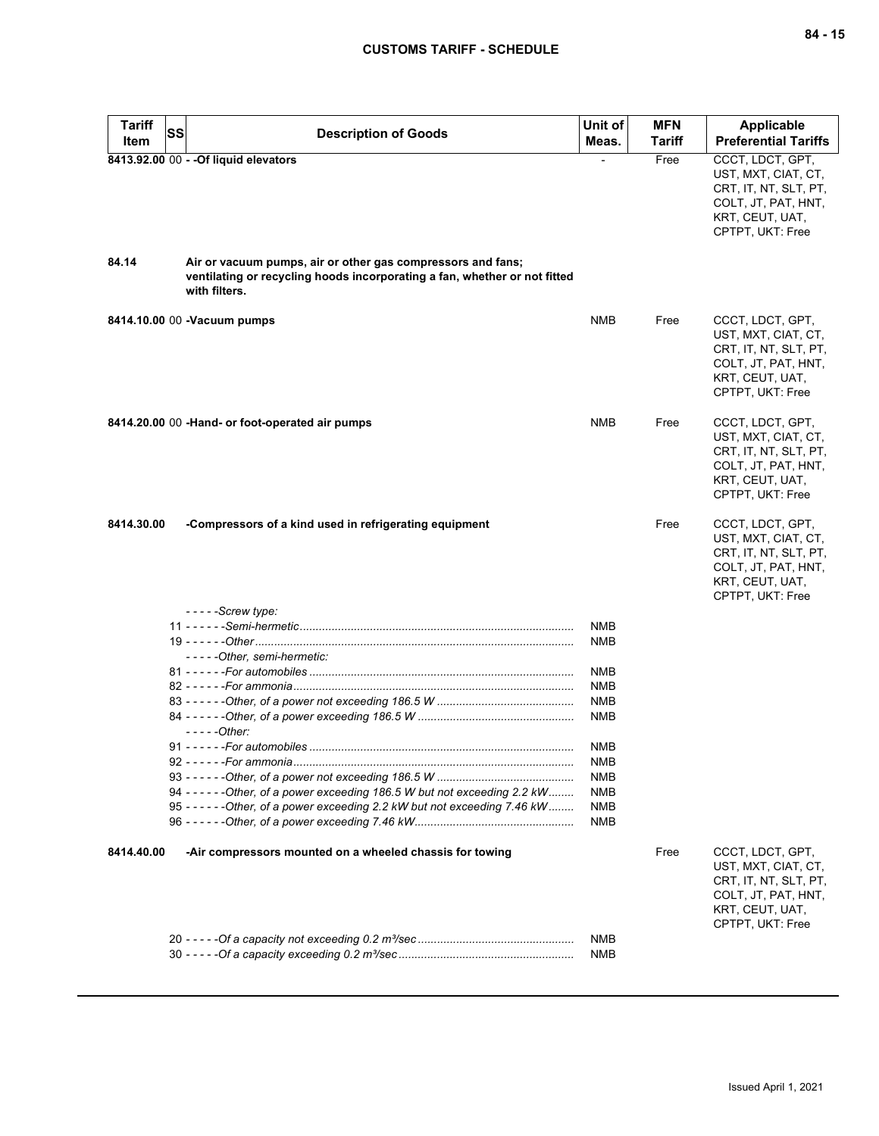| <b>Tariff</b> | <b>SS</b> |                                                                                                      | Unit of                  | <b>MFN</b> | Applicable                                                                                                                     |
|---------------|-----------|------------------------------------------------------------------------------------------------------|--------------------------|------------|--------------------------------------------------------------------------------------------------------------------------------|
| Item          |           | <b>Description of Goods</b>                                                                          | Meas.                    | Tariff     | <b>Preferential Tariffs</b>                                                                                                    |
| 84.14         |           | 8413.92.00 00 - - Of liquid elevators<br>Air or vacuum pumps, air or other gas compressors and fans; |                          | Free       | CCCT, LDCT, GPT,<br>UST, MXT, CIAT, CT,<br>CRT, IT, NT, SLT, PT,<br>COLT, JT, PAT, HNT,<br>KRT, CEUT, UAT,<br>CPTPT, UKT: Free |
|               |           | ventilating or recycling hoods incorporating a fan, whether or not fitted<br>with filters.           |                          |            |                                                                                                                                |
|               |           | 8414.10.00 00 - Vacuum pumps                                                                         | <b>NMB</b>               | Free       | CCCT, LDCT, GPT,<br>UST, MXT, CIAT, CT,<br>CRT, IT, NT, SLT, PT,<br>COLT, JT, PAT, HNT,<br>KRT, CEUT, UAT,<br>CPTPT, UKT: Free |
|               |           | 8414.20.00 00 -Hand- or foot-operated air pumps                                                      | <b>NMB</b>               | Free       | CCCT, LDCT, GPT,<br>UST, MXT, CIAT, CT,<br>CRT, IT, NT, SLT, PT,<br>COLT, JT, PAT, HNT,<br>KRT, CEUT, UAT,<br>CPTPT, UKT: Free |
| 8414.30.00    |           | -Compressors of a kind used in refrigerating equipment                                               |                          | Free       | CCCT, LDCT, GPT,<br>UST, MXT, CIAT, CT,<br>CRT, IT, NT, SLT, PT,<br>COLT, JT, PAT, HNT,<br>KRT, CEUT, UAT,<br>CPTPT, UKT: Free |
|               |           | $----$ Screw type:                                                                                   |                          |            |                                                                                                                                |
|               |           |                                                                                                      | <b>NMB</b>               |            |                                                                                                                                |
|               |           |                                                                                                      | <b>NMB</b>               |            |                                                                                                                                |
|               |           | -----Other, semi-hermetic:                                                                           | <b>NMB</b>               |            |                                                                                                                                |
|               |           |                                                                                                      | <b>NMB</b>               |            |                                                                                                                                |
|               |           |                                                                                                      | <b>NMB</b>               |            |                                                                                                                                |
|               |           | $---Other:$                                                                                          | <b>NMB</b>               |            |                                                                                                                                |
|               |           |                                                                                                      | NMB                      |            |                                                                                                                                |
|               |           |                                                                                                      | <b>NMR</b>               |            |                                                                                                                                |
|               |           |                                                                                                      | NMB                      |            |                                                                                                                                |
|               |           | 94 - - - - - - Other, of a power exceeding 186.5 W but not exceeding 2.2 kW                          | <b>NMB</b>               |            |                                                                                                                                |
|               |           | 95 - - - - - - Other, of a power exceeding 2.2 kW but not exceeding 7.46 kW                          | NMB<br>NMB               |            |                                                                                                                                |
| 8414.40.00    |           | -Air compressors mounted on a wheeled chassis for towing                                             |                          | Free       | CCCT, LDCT, GPT,<br>UST, MXT, CIAT, CT,<br>CRT, IT, NT, SLT, PT,<br>COLT, JT, PAT, HNT,<br>KRT, CEUT, UAT,<br>CPTPT, UKT: Free |
|               |           |                                                                                                      | <b>NMB</b><br><b>NMB</b> |            |                                                                                                                                |
|               |           |                                                                                                      |                          |            |                                                                                                                                |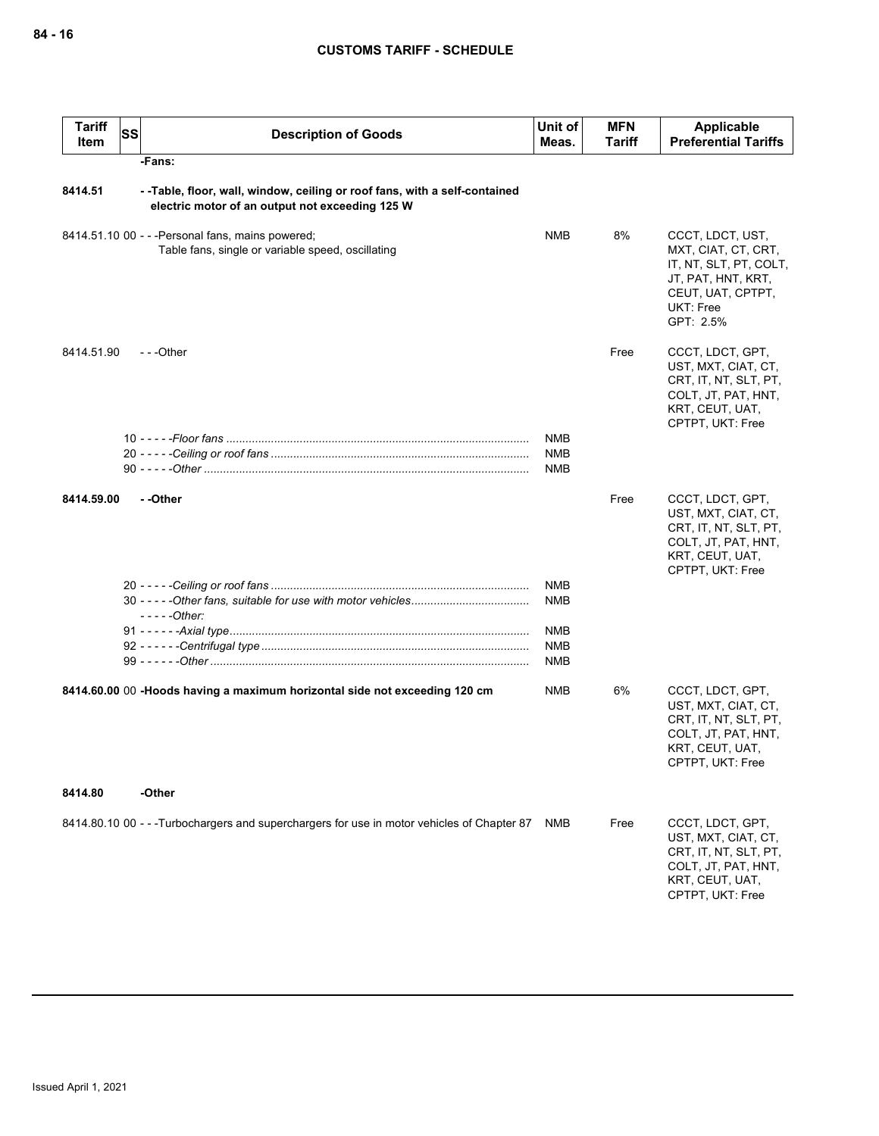| <b>Tariff</b><br>Item | <b>SS</b> | <b>Description of Goods</b>                                                                                                  | Unit of<br>Meas.  | <b>MFN</b><br>Tariff | Applicable<br><b>Preferential Tariffs</b>                                                                                              |
|-----------------------|-----------|------------------------------------------------------------------------------------------------------------------------------|-------------------|----------------------|----------------------------------------------------------------------------------------------------------------------------------------|
|                       |           | -Fans:                                                                                                                       |                   |                      |                                                                                                                                        |
| 8414.51               |           | --Table, floor, wall, window, ceiling or roof fans, with a self-contained<br>electric motor of an output not exceeding 125 W |                   |                      |                                                                                                                                        |
|                       |           | 8414.51.10 00 - - - Personal fans, mains powered;<br>Table fans, single or variable speed, oscillating                       | <b>NMB</b>        | 8%                   | CCCT, LDCT, UST,<br>MXT, CIAT, CT, CRT,<br>IT, NT, SLT, PT, COLT,<br>JT, PAT, HNT, KRT,<br>CEUT, UAT, CPTPT,<br>UKT: Free<br>GPT: 2.5% |
| 8414.51.90            |           | $- -$ Other                                                                                                                  |                   | Free                 | CCCT, LDCT, GPT,<br>UST, MXT, CIAT, CT,<br>CRT, IT, NT, SLT, PT,<br>COLT, JT, PAT, HNT,<br>KRT, CEUT, UAT,<br>CPTPT, UKT: Free         |
|                       |           |                                                                                                                              | <b>NMB</b>        |                      |                                                                                                                                        |
|                       |           |                                                                                                                              | <b>NMB</b>        |                      |                                                                                                                                        |
|                       |           |                                                                                                                              | <b>NMB</b>        |                      |                                                                                                                                        |
| 8414.59.00            |           | - -Other                                                                                                                     |                   | Free                 | CCCT, LDCT, GPT,<br>UST, MXT, CIAT, CT,<br>CRT, IT, NT, SLT, PT,<br>COLT, JT, PAT, HNT,<br>KRT, CEUT, UAT,<br>CPTPT, UKT: Free         |
|                       |           | $---Other:$                                                                                                                  | <b>NMB</b><br>NMB |                      |                                                                                                                                        |
|                       |           |                                                                                                                              | NMB               |                      |                                                                                                                                        |
|                       |           |                                                                                                                              | <b>NMB</b>        |                      |                                                                                                                                        |
|                       |           |                                                                                                                              | NMB               |                      |                                                                                                                                        |
|                       |           | 8414.60.00 00 -Hoods having a maximum horizontal side not exceeding 120 cm                                                   | NMB               | 6%                   | CCCT, LDCT, GPT,<br>UST, MXT, CIAT, CT,<br>CRT, IT, NT, SLT, PT,<br>COLT, JT, PAT, HNT,<br>KRT, CEUT, UAT,<br>CPTPT, UKT: Free         |
| 8414.80               |           | -Other                                                                                                                       |                   |                      |                                                                                                                                        |
|                       |           | 8414.80.10 00 - - -Turbochargers and superchargers for use in motor vehicles of Chapter 87                                   | NMB               | Free                 | CCCT, LDCT, GPT,<br>UST, MXT, CIAT, CT,<br>CRT, IT, NT, SLT, PT,<br>COLT, JT, PAT, HNT,<br>KRT, CEUT, UAT,<br>CPTPT, UKT: Free         |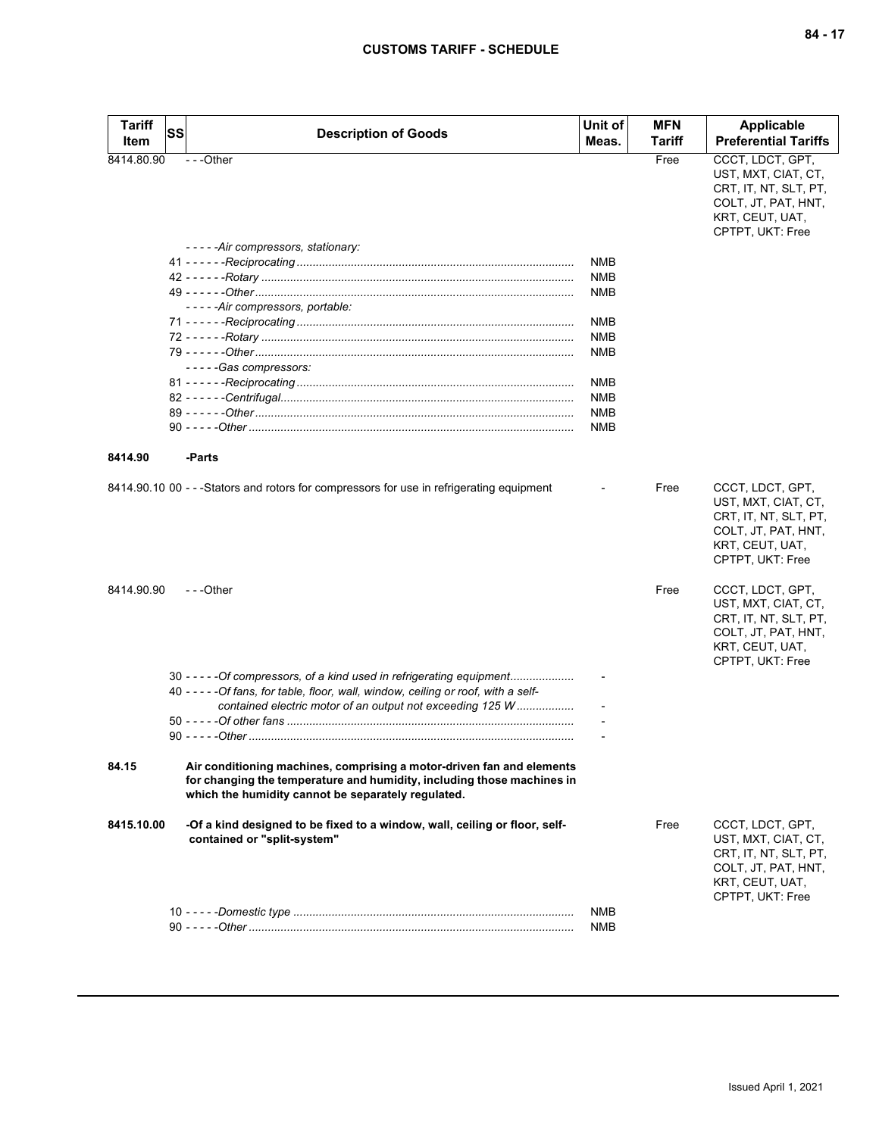| <b>Tariff</b><br>Item | <b>SS</b><br><b>Description of Goods</b>                                                                                                                                                                                   | Unit of<br>Meas.  | <b>MFN</b><br>Tariff | Applicable<br><b>Preferential Tariffs</b>                                                                                                                                                          |
|-----------------------|----------------------------------------------------------------------------------------------------------------------------------------------------------------------------------------------------------------------------|-------------------|----------------------|----------------------------------------------------------------------------------------------------------------------------------------------------------------------------------------------------|
| 8414.80.90            | $\overline{- -}$ Other                                                                                                                                                                                                     |                   | Free                 | CCCT, LDCT, GPT,<br>UST, MXT, CIAT, CT,<br>CRT, IT, NT, SLT, PT,<br>COLT, JT, PAT, HNT,<br>KRT, CEUT, UAT,<br>CPTPT, UKT: Free                                                                     |
|                       | -----Air compressors, stationary:                                                                                                                                                                                          |                   |                      |                                                                                                                                                                                                    |
|                       |                                                                                                                                                                                                                            | <b>NMB</b>        |                      |                                                                                                                                                                                                    |
|                       |                                                                                                                                                                                                                            | <b>NMB</b><br>NMB |                      |                                                                                                                                                                                                    |
|                       | -----Air compressors, portable:                                                                                                                                                                                            |                   |                      |                                                                                                                                                                                                    |
|                       |                                                                                                                                                                                                                            | <b>NMB</b>        |                      |                                                                                                                                                                                                    |
|                       |                                                                                                                                                                                                                            | <b>NMB</b>        |                      |                                                                                                                                                                                                    |
|                       |                                                                                                                                                                                                                            | NMB               |                      |                                                                                                                                                                                                    |
|                       | -----Gas compressors:                                                                                                                                                                                                      |                   |                      |                                                                                                                                                                                                    |
|                       |                                                                                                                                                                                                                            | <b>NMB</b>        |                      |                                                                                                                                                                                                    |
|                       |                                                                                                                                                                                                                            | NMB               |                      |                                                                                                                                                                                                    |
|                       |                                                                                                                                                                                                                            | <b>NMB</b>        |                      |                                                                                                                                                                                                    |
|                       |                                                                                                                                                                                                                            | NMB               |                      |                                                                                                                                                                                                    |
|                       |                                                                                                                                                                                                                            |                   |                      |                                                                                                                                                                                                    |
| 8414.90               | -Parts                                                                                                                                                                                                                     |                   |                      |                                                                                                                                                                                                    |
| 8414.90.90            | 8414.90.10 00 - - -Stators and rotors for compressors for use in refrigerating equipment<br>$-$ - -Other                                                                                                                   |                   | Free<br>Free         | CCCT, LDCT, GPT,<br>UST, MXT, CIAT, CT,<br>CRT, IT, NT, SLT, PT,<br>COLT, JT, PAT, HNT,<br>KRT, CEUT, UAT,<br>CPTPT, UKT: Free<br>CCCT, LDCT, GPT,<br>UST, MXT, CIAT, CT,<br>CRT, IT, NT, SLT, PT, |
|                       | 30 - - - - - Of compressors, of a kind used in refrigerating equipment<br>40 - - - - - Of fans, for table, floor, wall, window, ceiling or roof, with a self-<br>contained electric motor of an output not exceeding 125 W |                   |                      | COLT, JT, PAT, HNT,<br>KRT, CEUT, UAT,<br>CPTPT, UKT: Free                                                                                                                                         |
| 84.15                 | Air conditioning machines, comprising a motor-driven fan and elements<br>for changing the temperature and humidity, including those machines in<br>which the humidity cannot be separately regulated.                      |                   |                      |                                                                                                                                                                                                    |
| 8415.10.00            | -Of a kind designed to be fixed to a window, wall, ceiling or floor, self-<br>contained or "split-system"                                                                                                                  |                   | Free                 | CCCT, LDCT, GPT,<br>UST, MXT, CIAT, CT,<br>CRT, IT, NT, SLT, PT,<br>COLT, JT, PAT, HNT,<br>KRT, CEUT, UAT,<br>CPTPT, UKT: Free                                                                     |
|                       |                                                                                                                                                                                                                            | <b>NMB</b>        |                      |                                                                                                                                                                                                    |
|                       |                                                                                                                                                                                                                            | <b>NMB</b>        |                      |                                                                                                                                                                                                    |
|                       |                                                                                                                                                                                                                            |                   |                      |                                                                                                                                                                                                    |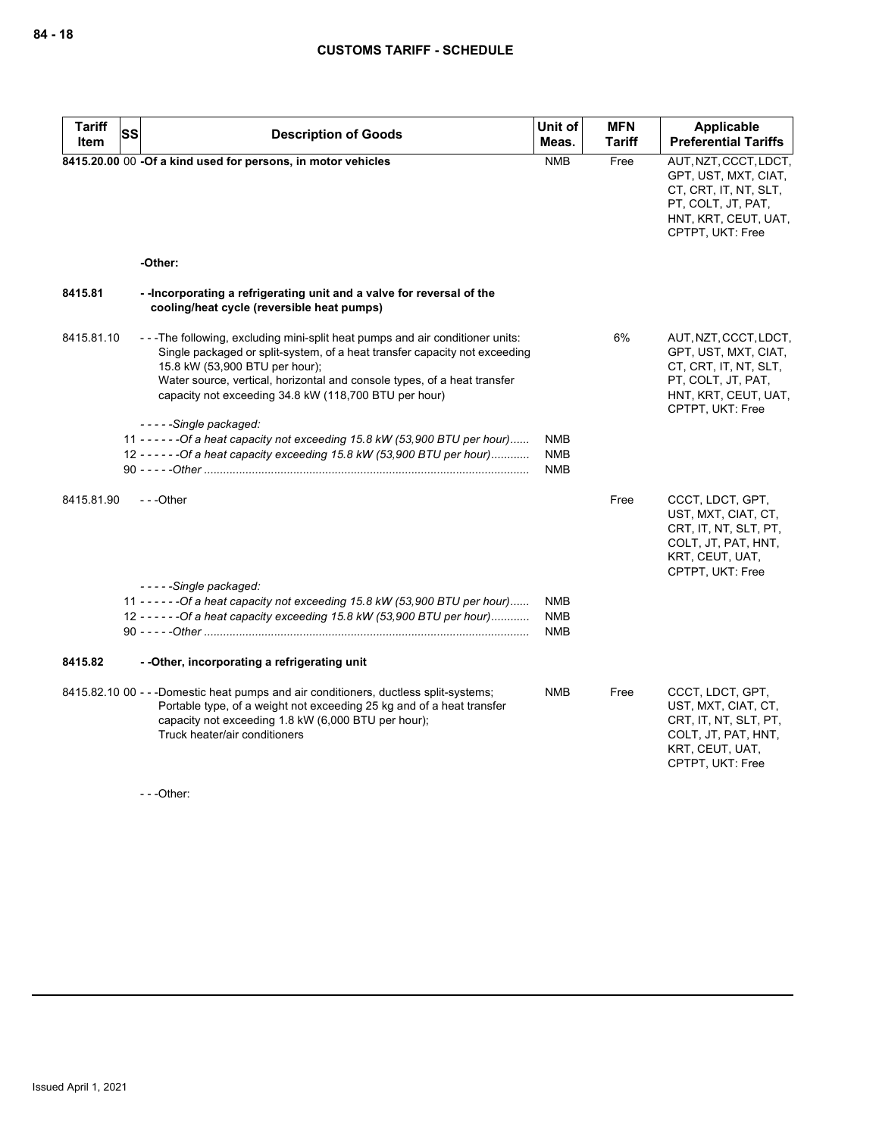| <b>Tariff</b><br>Item | <b>SS</b> | <b>Description of Goods</b>                                                                                                                                                                                                                                                                                                                                 | Unit of<br>Meas.                | <b>MFN</b><br><b>Tariff</b> | Applicable<br><b>Preferential Tariffs</b>                                                                                                |
|-----------------------|-----------|-------------------------------------------------------------------------------------------------------------------------------------------------------------------------------------------------------------------------------------------------------------------------------------------------------------------------------------------------------------|---------------------------------|-----------------------------|------------------------------------------------------------------------------------------------------------------------------------------|
|                       |           | 8415.20.00 00 -Of a kind used for persons, in motor vehicles                                                                                                                                                                                                                                                                                                | <b>NMB</b>                      | Free                        | AUT, NZT, CCCT, LDCT,<br>GPT, UST, MXT, CIAT,<br>CT, CRT, IT, NT, SLT,<br>PT, COLT, JT, PAT,<br>HNT, KRT, CEUT, UAT,<br>CPTPT, UKT: Free |
|                       |           | -Other:                                                                                                                                                                                                                                                                                                                                                     |                                 |                             |                                                                                                                                          |
| 8415.81               |           | --Incorporating a refrigerating unit and a valve for reversal of the<br>cooling/heat cycle (reversible heat pumps)                                                                                                                                                                                                                                          |                                 |                             |                                                                                                                                          |
| 8415.81.10            |           | - - The following, excluding mini-split heat pumps and air conditioner units:<br>Single packaged or split-system, of a heat transfer capacity not exceeding<br>15.8 kW (53,900 BTU per hour);<br>Water source, vertical, horizontal and console types, of a heat transfer<br>capacity not exceeding 34.8 kW (118,700 BTU per hour)<br>-----Single packaged: |                                 | 6%                          | AUT, NZT, CCCT, LDCT,<br>GPT, UST, MXT, CIAT,<br>CT, CRT, IT, NT, SLT,<br>PT, COLT, JT, PAT,<br>HNT, KRT, CEUT, UAT,<br>CPTPT, UKT: Free |
|                       |           | 11 - - - - - - Of a heat capacity not exceeding 15.8 kW (53,900 BTU per hour)<br>12 - - - - - - Of a heat capacity exceeding 15.8 kW (53,900 BTU per hour)                                                                                                                                                                                                  | <b>NMB</b><br>NMB<br><b>NMB</b> |                             |                                                                                                                                          |
| 8415.81.90            |           | $- -$ Other                                                                                                                                                                                                                                                                                                                                                 |                                 | Free                        | CCCT, LDCT, GPT,<br>UST, MXT, CIAT, CT,<br>CRT, IT, NT, SLT, PT,<br>COLT, JT, PAT, HNT,<br>KRT, CEUT, UAT,<br>CPTPT, UKT: Free           |
|                       |           | -----Single packaged:<br>11 - - - - - - Of a heat capacity not exceeding 15.8 kW (53,900 BTU per hour)                                                                                                                                                                                                                                                      | <b>NMB</b>                      |                             |                                                                                                                                          |
|                       |           | 12 - - - - - - Of a heat capacity exceeding 15.8 kW (53,900 BTU per hour)                                                                                                                                                                                                                                                                                   | <b>NMB</b><br><b>NMB</b>        |                             |                                                                                                                                          |
| 8415.82               |           | - - Other, incorporating a refrigerating unit                                                                                                                                                                                                                                                                                                               |                                 |                             |                                                                                                                                          |
|                       |           | 8415.82.10 00 - - -Domestic heat pumps and air conditioners, ductless split-systems;<br>Portable type, of a weight not exceeding 25 kg and of a heat transfer<br>capacity not exceeding 1.8 kW (6,000 BTU per hour);<br>Truck heater/air conditioners                                                                                                       | <b>NMB</b>                      | Free                        | CCCT, LDCT, GPT,<br>UST, MXT, CIAT, CT,<br>CRT, IT, NT, SLT, PT,<br>COLT, JT, PAT, HNT,<br>KRT, CEUT, UAT,<br>CPTPT, UKT: Free           |

- - -Other: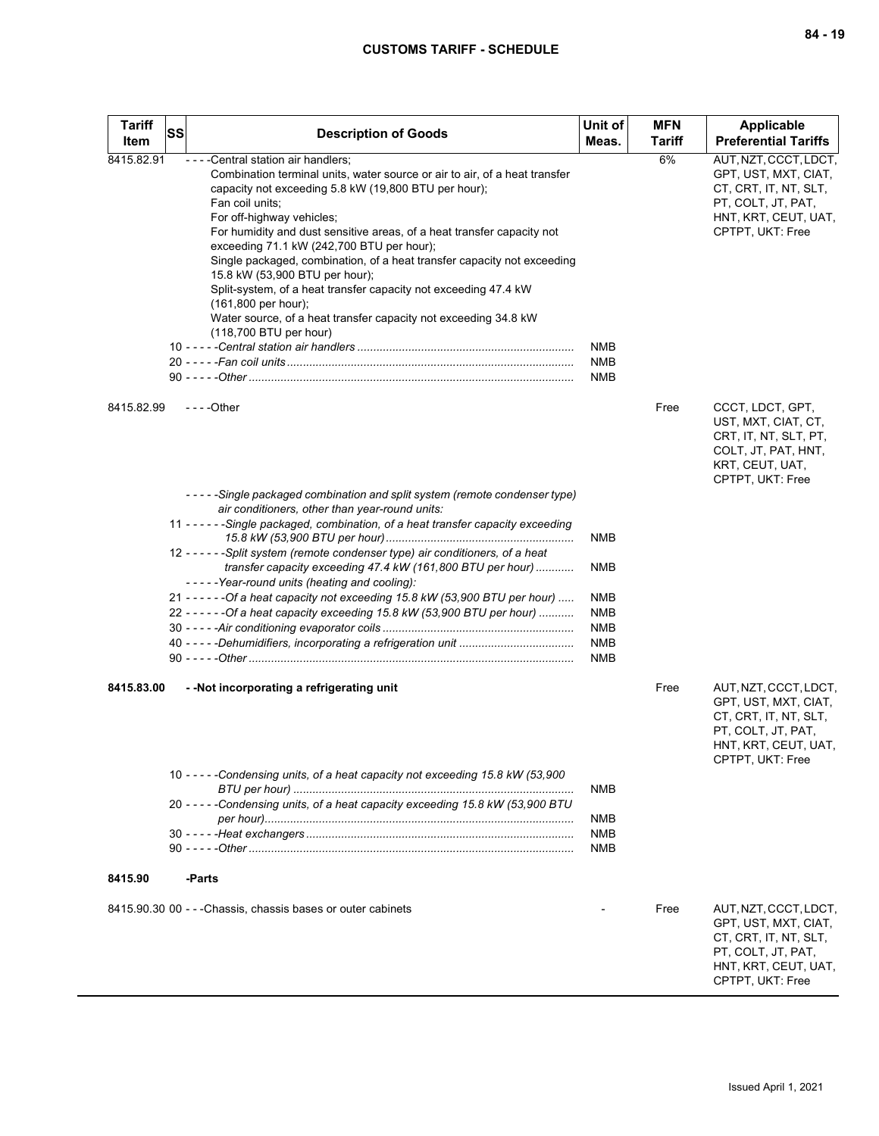| <b>Tariff</b> | <b>SS</b> | <b>Description of Goods</b>                                                                                                                                                                                                                                                                                                                                                                                                                                                                                                                                                                                                                              | Unit of                  | <b>MFN</b>    | <b>Applicable</b>                                                                                                                        |
|---------------|-----------|----------------------------------------------------------------------------------------------------------------------------------------------------------------------------------------------------------------------------------------------------------------------------------------------------------------------------------------------------------------------------------------------------------------------------------------------------------------------------------------------------------------------------------------------------------------------------------------------------------------------------------------------------------|--------------------------|---------------|------------------------------------------------------------------------------------------------------------------------------------------|
| Item          |           |                                                                                                                                                                                                                                                                                                                                                                                                                                                                                                                                                                                                                                                          | Meas.                    | <b>Tariff</b> | <b>Preferential Tariffs</b>                                                                                                              |
| 8415.82.91    |           | - - - - Central station air handlers;<br>Combination terminal units, water source or air to air, of a heat transfer<br>capacity not exceeding 5.8 kW (19,800 BTU per hour);<br>Fan coil units;<br>For off-highway vehicles;<br>For humidity and dust sensitive areas, of a heat transfer capacity not<br>exceeding 71.1 kW (242,700 BTU per hour);<br>Single packaged, combination, of a heat transfer capacity not exceeding<br>15.8 kW (53,900 BTU per hour);<br>Split-system, of a heat transfer capacity not exceeding 47.4 kW<br>$(161,800$ per hour);<br>Water source, of a heat transfer capacity not exceeding 34.8 kW<br>(118,700 BTU per hour) | NMB<br><b>NMB</b><br>NMB | 6%            | AUT, NZT, CCCT, LDCT,<br>GPT, UST, MXT, CIAT,<br>CT, CRT, IT, NT, SLT,<br>PT, COLT, JT, PAT,<br>HNT, KRT, CEUT, UAT,<br>CPTPT, UKT: Free |
| 8415.82.99    |           | $--$ Other                                                                                                                                                                                                                                                                                                                                                                                                                                                                                                                                                                                                                                               |                          | Free          | CCCT, LDCT, GPT,<br>UST, MXT, CIAT, CT,<br>CRT, IT, NT, SLT, PT,<br>COLT, JT, PAT, HNT,<br>KRT, CEUT, UAT,<br>CPTPT, UKT: Free           |
|               |           | ---- Single packaged combination and split system (remote condenser type)                                                                                                                                                                                                                                                                                                                                                                                                                                                                                                                                                                                |                          |               |                                                                                                                                          |
|               |           | air conditioners, other than year-round units:<br>11 - - - - - - Single packaged, combination, of a heat transfer capacity exceeding                                                                                                                                                                                                                                                                                                                                                                                                                                                                                                                     |                          |               |                                                                                                                                          |
|               |           | 12 - - - - - - Split system (remote condenser type) air conditioners, of a heat<br>transfer capacity exceeding 47.4 kW (161,800 BTU per hour)                                                                                                                                                                                                                                                                                                                                                                                                                                                                                                            | <b>NMB</b><br><b>NMB</b> |               |                                                                                                                                          |
|               |           | -----Year-round units (heating and cooling):<br>21 - - - - - - Of a heat capacity not exceeding 15.8 kW (53,900 BTU per hour)                                                                                                                                                                                                                                                                                                                                                                                                                                                                                                                            | <b>NMB</b>               |               |                                                                                                                                          |
|               |           | 22 - - - - - - Of a heat capacity exceeding 15.8 kW (53,900 BTU per hour)                                                                                                                                                                                                                                                                                                                                                                                                                                                                                                                                                                                | <b>NMB</b>               |               |                                                                                                                                          |
|               |           |                                                                                                                                                                                                                                                                                                                                                                                                                                                                                                                                                                                                                                                          | <b>NMB</b>               |               |                                                                                                                                          |
|               |           |                                                                                                                                                                                                                                                                                                                                                                                                                                                                                                                                                                                                                                                          | <b>NMB</b><br><b>NMB</b> |               |                                                                                                                                          |
| 8415.83.00    |           | - - Not incorporating a refrigerating unit                                                                                                                                                                                                                                                                                                                                                                                                                                                                                                                                                                                                               |                          | Free          | AUT, NZT, CCCT, LDCT,<br>GPT, UST, MXT, CIAT,<br>CT, CRT, IT, NT, SLT,<br>PT, COLT, JT, PAT,<br>HNT, KRT, CEUT, UAT,<br>CPTPT, UKT: Free |
|               |           | 10 - - - - - Condensing units, of a heat capacity not exceeding 15.8 kW (53,900                                                                                                                                                                                                                                                                                                                                                                                                                                                                                                                                                                          | <b>NMB</b>               |               |                                                                                                                                          |
|               |           | 20 - - - - - Condensing units, of a heat capacity exceeding 15.8 kW (53,900 BTU                                                                                                                                                                                                                                                                                                                                                                                                                                                                                                                                                                          | <b>NMB</b>               |               |                                                                                                                                          |
|               |           |                                                                                                                                                                                                                                                                                                                                                                                                                                                                                                                                                                                                                                                          | <b>NMB</b>               |               |                                                                                                                                          |
|               |           |                                                                                                                                                                                                                                                                                                                                                                                                                                                                                                                                                                                                                                                          | <b>NMB</b>               |               |                                                                                                                                          |
| 8415.90       |           | -Parts                                                                                                                                                                                                                                                                                                                                                                                                                                                                                                                                                                                                                                                   |                          |               |                                                                                                                                          |
|               |           | 8415.90.30 00 - - - Chassis, chassis bases or outer cabinets                                                                                                                                                                                                                                                                                                                                                                                                                                                                                                                                                                                             |                          | Free          | AUT, NZT, CCCT, LDCT,<br>GPT, UST, MXT, CIAT,<br>CT, CRT, IT, NT, SLT,<br>PT, COLT, JT, PAT,<br>HNT, KRT, CEUT, UAT,<br>CPTPT, UKT: Free |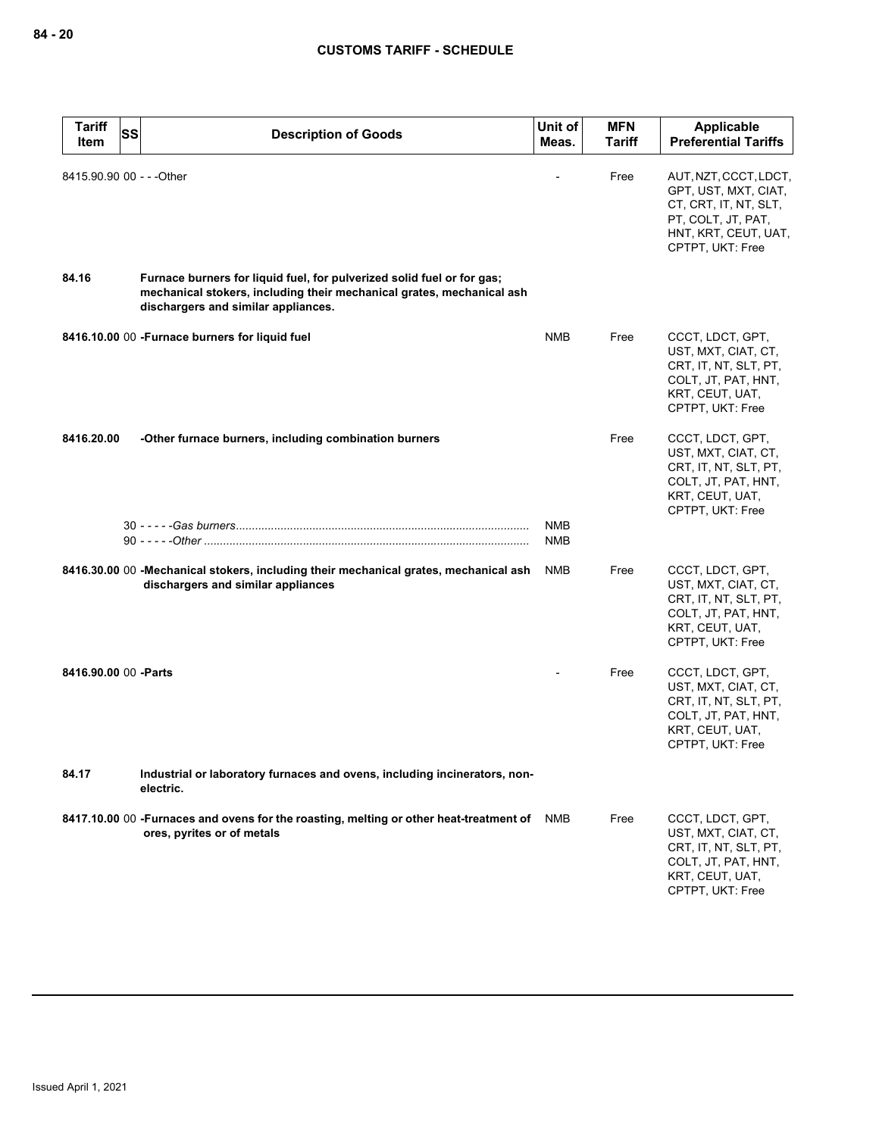| <b>Tariff</b><br><b>SS</b><br>ltem | <b>Description of Goods</b>                                                                                                                                                            | Unit of<br>Meas. | <b>MFN</b><br><b>Tariff</b> | Applicable<br><b>Preferential Tariffs</b>                                                                                                |
|------------------------------------|----------------------------------------------------------------------------------------------------------------------------------------------------------------------------------------|------------------|-----------------------------|------------------------------------------------------------------------------------------------------------------------------------------|
| 8415.90.90 00 - - - Other          |                                                                                                                                                                                        |                  | Free                        | AUT, NZT, CCCT, LDCT,<br>GPT, UST, MXT, CIAT,<br>CT, CRT, IT, NT, SLT,<br>PT, COLT, JT, PAT,<br>HNT, KRT, CEUT, UAT,<br>CPTPT, UKT: Free |
| 84.16                              | Furnace burners for liquid fuel, for pulverized solid fuel or for gas;<br>mechanical stokers, including their mechanical grates, mechanical ash<br>dischargers and similar appliances. |                  |                             |                                                                                                                                          |
|                                    | 8416.10.00 00 - Furnace burners for liquid fuel                                                                                                                                        | NMB              | Free                        | CCCT, LDCT, GPT,<br>UST, MXT, CIAT, CT,<br>CRT, IT, NT, SLT, PT,<br>COLT, JT, PAT, HNT,<br>KRT, CEUT, UAT,<br>CPTPT, UKT: Free           |
| 8416.20.00                         | -Other furnace burners, including combination burners                                                                                                                                  |                  | Free                        | CCCT, LDCT, GPT,<br>UST, MXT, CIAT, CT,<br>CRT, IT, NT, SLT, PT,<br>COLT, JT, PAT, HNT,<br>KRT, CEUT, UAT,<br>CPTPT, UKT: Free           |
|                                    |                                                                                                                                                                                        | NMB<br>NMB       |                             |                                                                                                                                          |
|                                    | 8416.30.00 00 - Mechanical stokers, including their mechanical grates, mechanical ash<br>dischargers and similar appliances                                                            | <b>NMB</b>       | Free                        | CCCT, LDCT, GPT,<br>UST, MXT, CIAT, CT,<br>CRT, IT, NT, SLT, PT,<br>COLT, JT, PAT, HNT,<br>KRT, CEUT, UAT,<br>CPTPT, UKT: Free           |
| 8416.90.00 00 - Parts              |                                                                                                                                                                                        |                  | Free                        | CCCT, LDCT, GPT,<br>UST, MXT, CIAT, CT,<br>CRT, IT, NT, SLT, PT,<br>COLT, JT, PAT, HNT,<br>KRT, CEUT, UAT,<br>CPTPT, UKT: Free           |
| 84.17                              | Industrial or laboratory furnaces and ovens, including incinerators, non-<br>electric.                                                                                                 |                  |                             |                                                                                                                                          |
|                                    | 8417.10.00 00 -Furnaces and ovens for the roasting, melting or other heat-treatment of NMB<br>ores, pyrites or of metals                                                               |                  | Free                        | CCCT, LDCT, GPT,<br>UST, MXT, CIAT, CT,<br>CRT, IT, NT, SLT, PT,<br>COLT, JT, PAT, HNT,<br>KRT, CEUT, UAT,<br>CPTPT, UKT: Free           |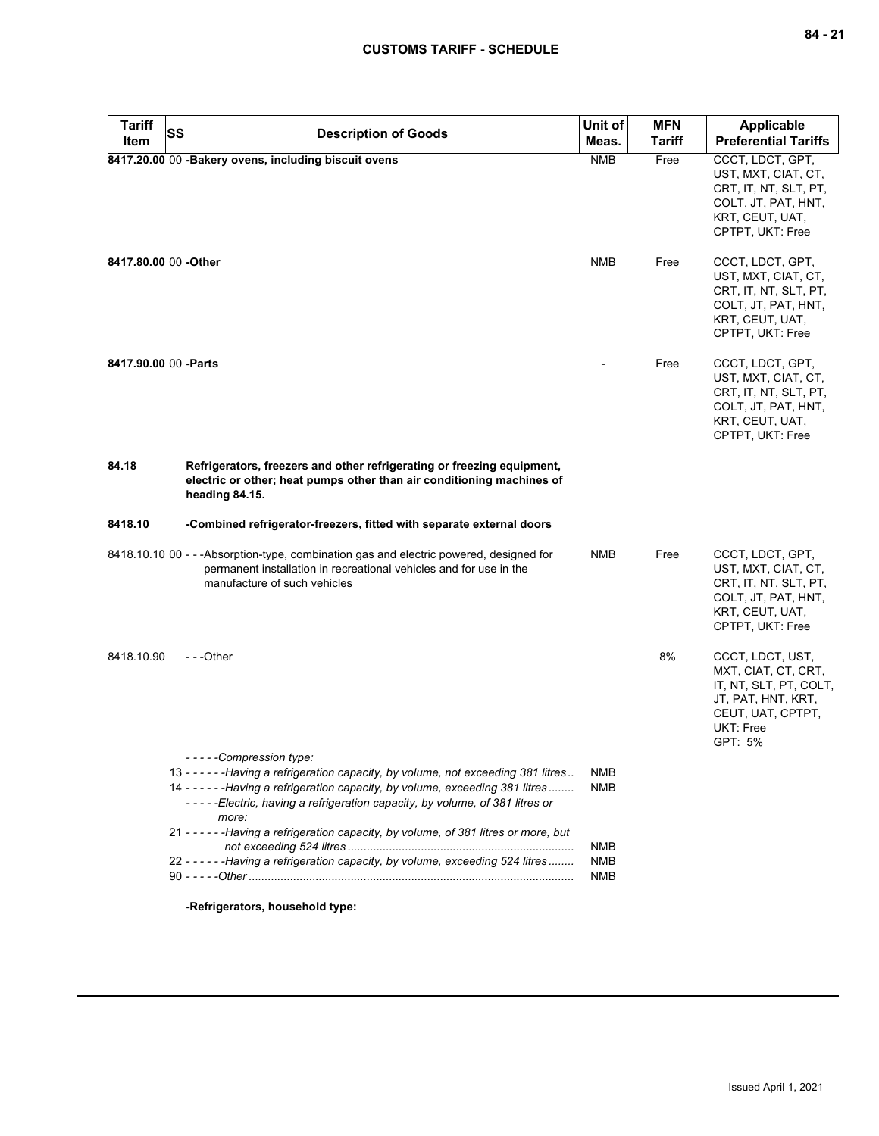| <b>Tariff</b><br><b>SS</b> | <b>Description of Goods</b>                                                                                                                                                                                                                                                              | Unit of                  | <b>MFN</b>    | <b>Applicable</b>                                                                                                                    |
|----------------------------|------------------------------------------------------------------------------------------------------------------------------------------------------------------------------------------------------------------------------------------------------------------------------------------|--------------------------|---------------|--------------------------------------------------------------------------------------------------------------------------------------|
| <b>Item</b>                |                                                                                                                                                                                                                                                                                          | Meas.                    | <b>Tariff</b> | <b>Preferential Tariffs</b>                                                                                                          |
|                            | 8417.20.00 00 - Bakery ovens, including biscuit ovens                                                                                                                                                                                                                                    | <b>NMB</b>               | Free          | CCCT, LDCT, GPT,<br>UST, MXT, CIAT, CT,<br>CRT, IT, NT, SLT, PT,<br>COLT, JT, PAT, HNT,<br>KRT, CEUT, UAT,<br>CPTPT, UKT: Free       |
| 8417.80.00 00 -Other       |                                                                                                                                                                                                                                                                                          | <b>NMB</b>               | Free          | CCCT, LDCT, GPT,<br>UST, MXT, CIAT, CT,<br>CRT, IT, NT, SLT, PT,<br>COLT, JT, PAT, HNT,<br>KRT, CEUT, UAT,<br>CPTPT, UKT: Free       |
| 8417.90.00 00 - Parts      |                                                                                                                                                                                                                                                                                          |                          | Free          | CCCT, LDCT, GPT,<br>UST, MXT, CIAT, CT,<br>CRT, IT, NT, SLT, PT,<br>COLT, JT, PAT, HNT,<br>KRT, CEUT, UAT,<br>CPTPT, UKT: Free       |
| 84.18                      | Refrigerators, freezers and other refrigerating or freezing equipment,<br>electric or other; heat pumps other than air conditioning machines of<br>heading 84.15.                                                                                                                        |                          |               |                                                                                                                                      |
| 8418.10                    | -Combined refrigerator-freezers, fitted with separate external doors                                                                                                                                                                                                                     |                          |               |                                                                                                                                      |
|                            | 8418.10.10 00 - - - Absorption-type, combination gas and electric powered, designed for<br>permanent installation in recreational vehicles and for use in the<br>manufacture of such vehicles                                                                                            | <b>NMB</b>               | Free          | CCCT, LDCT, GPT,<br>UST, MXT, CIAT, CT,<br>CRT, IT, NT, SLT, PT,<br>COLT, JT, PAT, HNT,<br>KRT, CEUT, UAT,<br>CPTPT, UKT: Free       |
| 8418.10.90                 | $- -$ Other                                                                                                                                                                                                                                                                              |                          | 8%            | CCCT, LDCT, UST,<br>MXT, CIAT, CT, CRT,<br>IT, NT, SLT, PT, COLT,<br>JT, PAT, HNT, KRT,<br>CEUT, UAT, CPTPT,<br>UKT: Free<br>GPT: 5% |
|                            | -----Compression type:<br>13 - - - - - - Having a refrigeration capacity, by volume, not exceeding 381 litres<br>14 - - - - - - Having a refrigeration capacity, by volume, exceeding 381 litres<br>-----Electric, having a refrigeration capacity, by volume, of 381 litres or<br>more: | NMB<br>NMB               |               |                                                                                                                                      |
|                            | 21 - - - - - - Having a refrigeration capacity, by volume, of 381 litres or more, but                                                                                                                                                                                                    |                          |               |                                                                                                                                      |
|                            | 22 - - - - - - Having a refrigeration capacity, by volume, exceeding 524 litres                                                                                                                                                                                                          | <b>NMB</b><br><b>NMB</b> |               |                                                                                                                                      |
|                            |                                                                                                                                                                                                                                                                                          | <b>NMB</b>               |               |                                                                                                                                      |
|                            |                                                                                                                                                                                                                                                                                          |                          |               |                                                                                                                                      |

**-Refrigerators, household type:**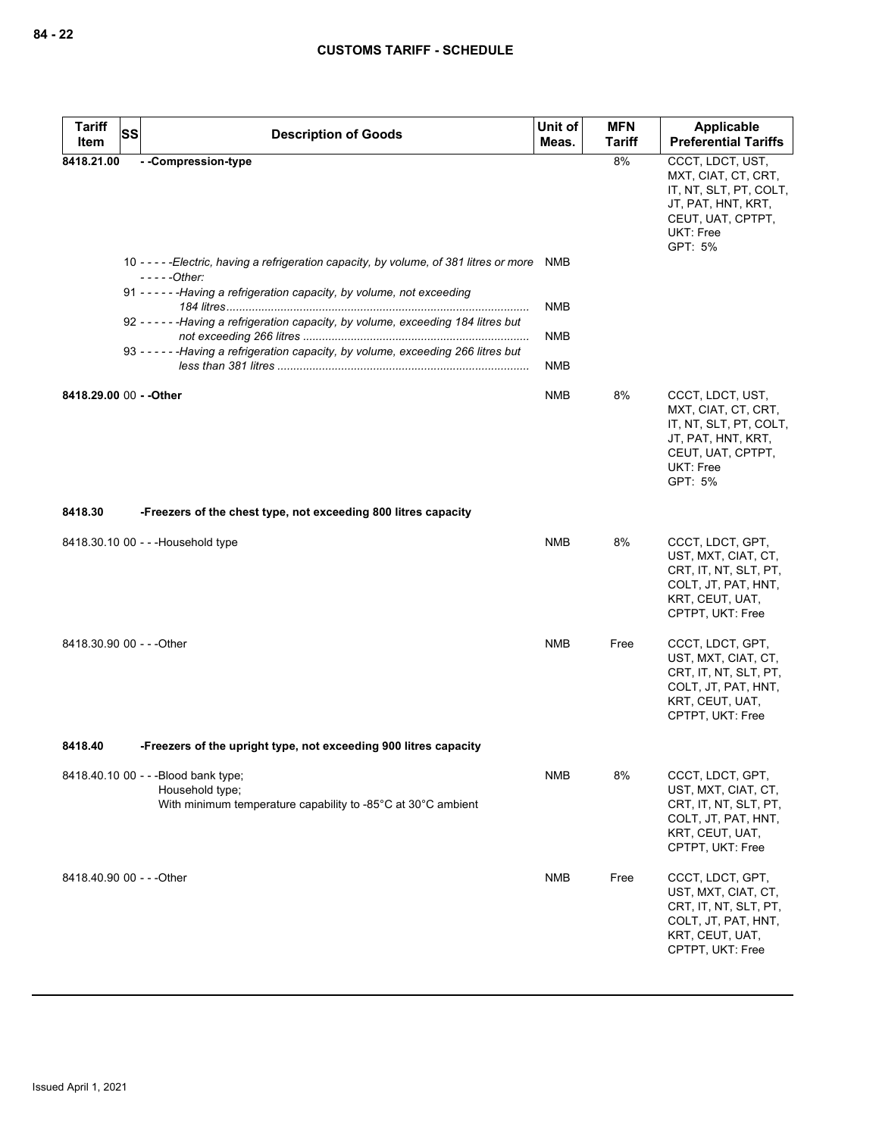| <b>Tariff</b><br>Item     | <b>SS</b> | <b>Description of Goods</b>                                                                                                                                                                                                                                                | Unit of<br>Meas. | <b>MFN</b><br><b>Tariff</b> | Applicable<br><b>Preferential Tariffs</b>                                                                                            |
|---------------------------|-----------|----------------------------------------------------------------------------------------------------------------------------------------------------------------------------------------------------------------------------------------------------------------------------|------------------|-----------------------------|--------------------------------------------------------------------------------------------------------------------------------------|
| 8418.21.00                |           | - -Compression-type                                                                                                                                                                                                                                                        |                  | 8%                          | CCCT, LDCT, UST,<br>MXT, CIAT, CT, CRT,<br>IT, NT, SLT, PT, COLT,<br>JT, PAT, HNT, KRT,<br>CEUT, UAT, CPTPT,<br>UKT: Free<br>GPT: 5% |
|                           |           | 10 - - - - - Electric, having a refrigeration capacity, by volume, of 381 litres or more<br>$---Other:$<br>91 - - - - - - Having a refrigeration capacity, by volume, not exceeding<br>92 - - - - - - Having a refrigeration capacity, by volume, exceeding 184 litres but | NMB<br>NMB       |                             |                                                                                                                                      |
|                           |           | 93 - - - - - - Having a refrigeration capacity, by volume, exceeding 266 litres but                                                                                                                                                                                        | NMB<br>NMB       |                             |                                                                                                                                      |
| 8418.29.00 00 - - Other   |           |                                                                                                                                                                                                                                                                            | <b>NMB</b>       | 8%                          | CCCT, LDCT, UST,<br>MXT, CIAT, CT, CRT,<br>IT, NT, SLT, PT, COLT,<br>JT, PAT, HNT, KRT,<br>CEUT, UAT, CPTPT,<br>UKT: Free<br>GPT: 5% |
| 8418.30                   |           | -Freezers of the chest type, not exceeding 800 litres capacity                                                                                                                                                                                                             |                  |                             |                                                                                                                                      |
|                           |           | 8418.30.10 00 - - - Household type                                                                                                                                                                                                                                         | <b>NMB</b>       | 8%                          | CCCT, LDCT, GPT,<br>UST, MXT, CIAT, CT,<br>CRT, IT, NT, SLT, PT,<br>COLT, JT, PAT, HNT,<br>KRT, CEUT, UAT,<br>CPTPT, UKT: Free       |
| 8418.30.90 00 - - - Other |           |                                                                                                                                                                                                                                                                            | <b>NMB</b>       | Free                        | CCCT, LDCT, GPT,<br>UST, MXT, CIAT, CT,<br>CRT, IT, NT, SLT, PT,<br>COLT, JT, PAT, HNT,<br>KRT, CEUT, UAT,<br>CPTPT, UKT: Free       |
| 8418.40                   |           | -Freezers of the upright type, not exceeding 900 litres capacity                                                                                                                                                                                                           |                  |                             |                                                                                                                                      |
|                           |           | 8418.40.10 00 - - - Blood bank type;<br>Household type;<br>With minimum temperature capability to -85°C at 30°C ambient                                                                                                                                                    | <b>NMB</b>       | 8%                          | CCCT, LDCT, GPT,<br>UST, MXT, CIAT, CT,<br>CRT, IT, NT, SLT, PT,<br>COLT, JT, PAT, HNT,<br>KRT, CEUT, UAT,<br>CPTPT, UKT: Free       |
| 8418.40.90 00 - - - Other |           |                                                                                                                                                                                                                                                                            | <b>NMB</b>       | Free                        | CCCT, LDCT, GPT,<br>UST, MXT, CIAT, CT,<br>CRT, IT, NT, SLT, PT,<br>COLT, JT, PAT, HNT,<br>KRT, CEUT, UAT,<br>CPTPT, UKT: Free       |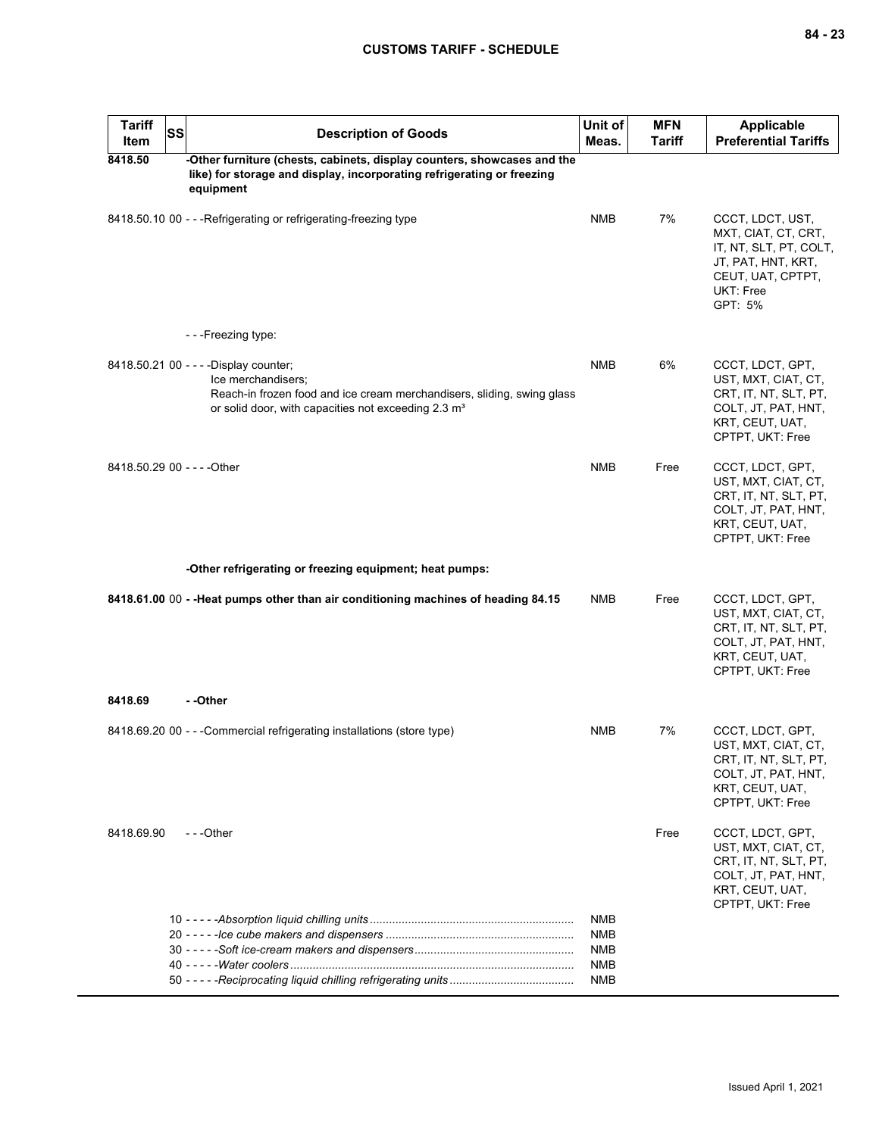| <b>Tariff</b><br>Item       | <b>SS</b> | <b>Description of Goods</b>                                                                                                                                                                               | Unit of<br>Meas.                       | <b>MFN</b><br>Tariff | <b>Applicable</b><br><b>Preferential Tariffs</b>                                                                                     |
|-----------------------------|-----------|-----------------------------------------------------------------------------------------------------------------------------------------------------------------------------------------------------------|----------------------------------------|----------------------|--------------------------------------------------------------------------------------------------------------------------------------|
| 8418.50                     |           | -Other furniture (chests, cabinets, display counters, showcases and the<br>like) for storage and display, incorporating refrigerating or freezing<br>equipment                                            |                                        |                      |                                                                                                                                      |
|                             |           | 8418.50.10 00 - - - Refrigerating or refrigerating-freezing type                                                                                                                                          | <b>NMB</b>                             | 7%                   | CCCT, LDCT, UST,<br>MXT, CIAT, CT, CRT,<br>IT, NT, SLT, PT, COLT,<br>JT, PAT, HNT, KRT,<br>CEUT, UAT, CPTPT,<br>UKT: Free<br>GPT: 5% |
|                             |           | - - - Freezing type:                                                                                                                                                                                      |                                        |                      |                                                                                                                                      |
|                             |           | 8418.50.21 00 - - - - Display counter;<br>Ice merchandisers;<br>Reach-in frozen food and ice cream merchandisers, sliding, swing glass<br>or solid door, with capacities not exceeding 2.3 m <sup>3</sup> | <b>NMB</b>                             | 6%                   | CCCT, LDCT, GPT,<br>UST, MXT, CIAT, CT,<br>CRT, IT, NT, SLT, PT,<br>COLT, JT, PAT, HNT,<br>KRT, CEUT, UAT,<br>CPTPT, UKT: Free       |
| 8418.50.29 00 - - - - Other |           |                                                                                                                                                                                                           | <b>NMB</b>                             | Free                 | CCCT, LDCT, GPT,<br>UST, MXT, CIAT, CT,<br>CRT, IT, NT, SLT, PT,<br>COLT, JT, PAT, HNT,<br>KRT, CEUT, UAT,<br>CPTPT, UKT: Free       |
|                             |           | -Other refrigerating or freezing equipment; heat pumps:                                                                                                                                                   |                                        |                      |                                                                                                                                      |
|                             |           | 8418.61.00 00 - - Heat pumps other than air conditioning machines of heading 84.15                                                                                                                        | <b>NMB</b>                             | Free                 | CCCT, LDCT, GPT,<br>UST, MXT, CIAT, CT,<br>CRT, IT, NT, SLT, PT,<br>COLT, JT, PAT, HNT,<br>KRT, CEUT, UAT,<br>CPTPT, UKT: Free       |
| 8418.69                     |           | - -Other                                                                                                                                                                                                  |                                        |                      |                                                                                                                                      |
|                             |           | 8418.69.20 00 - - - Commercial refrigerating installations (store type)                                                                                                                                   | NMB                                    | 7%                   | CCCT, LDCT, GPT,<br>UST, MXT, CIAT, CT,<br>CRT, IT, NT, SLT, PT,<br>COLT, JT, PAT, HNT,<br>KRT, CEUT, UAT,<br>CPTPT, UKT: Free       |
| 8418.69.90                  |           | ---Other                                                                                                                                                                                                  |                                        | Free                 | CCCT, LDCT, GPT,<br>UST, MXT, CIAT, CT,<br>CRT, IT, NT, SLT, PT,<br>COLT, JT, PAT, HNT,<br>KRT, CEUT, UAT,<br>CPTPT, UKT: Free       |
|                             |           |                                                                                                                                                                                                           | NMB<br><b>NMB</b><br><b>NMB</b><br>NMB |                      |                                                                                                                                      |
|                             |           |                                                                                                                                                                                                           | NMB                                    |                      |                                                                                                                                      |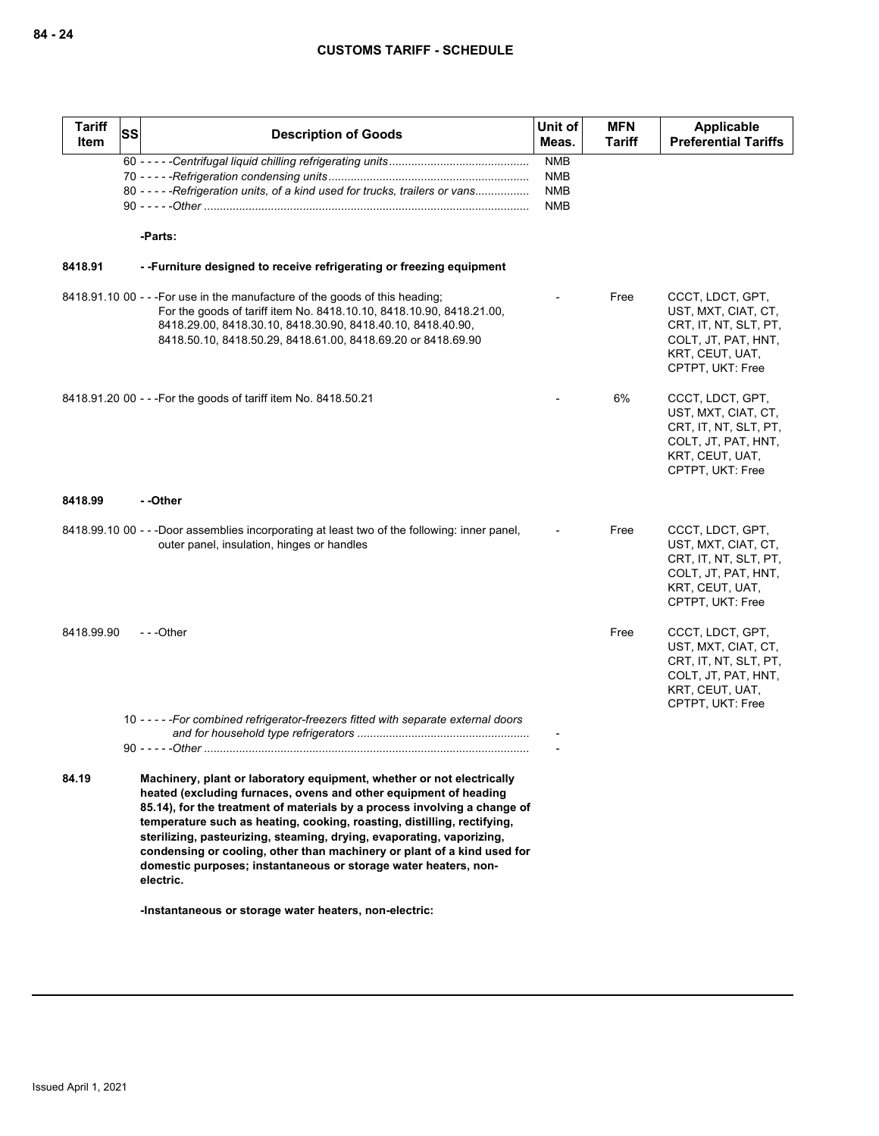| <b>Tariff</b><br>Item | <b>SS</b> | <b>Description of Goods</b>                                                                                                                                                                                                                                                                                                                                                                                                                                                                                                                                                                     | Unit of<br>Meas.                                     | <b>MFN</b><br><b>Tariff</b> | Applicable<br><b>Preferential Tariffs</b>                                                                                      |
|-----------------------|-----------|-------------------------------------------------------------------------------------------------------------------------------------------------------------------------------------------------------------------------------------------------------------------------------------------------------------------------------------------------------------------------------------------------------------------------------------------------------------------------------------------------------------------------------------------------------------------------------------------------|------------------------------------------------------|-----------------------------|--------------------------------------------------------------------------------------------------------------------------------|
|                       |           | 80 - - - - - Refrigeration units, of a kind used for trucks, trailers or vans                                                                                                                                                                                                                                                                                                                                                                                                                                                                                                                   | <b>NMB</b><br><b>NMB</b><br><b>NMB</b><br><b>NMB</b> |                             |                                                                                                                                |
|                       |           | -Parts:                                                                                                                                                                                                                                                                                                                                                                                                                                                                                                                                                                                         |                                                      |                             |                                                                                                                                |
| 8418.91               |           | --Furniture designed to receive refrigerating or freezing equipment                                                                                                                                                                                                                                                                                                                                                                                                                                                                                                                             |                                                      |                             |                                                                                                                                |
|                       |           | 8418.91.10 00 - - - For use in the manufacture of the goods of this heading;<br>For the goods of tariff item No. 8418.10.10, 8418.10.90, 8418.21.00,<br>8418.29.00, 8418.30.10, 8418.30.90, 8418.40.10, 8418.40.90,<br>8418.50.10, 8418.50.29, 8418.61.00, 8418.69.20 or 8418.69.90                                                                                                                                                                                                                                                                                                             |                                                      | Free                        | CCCT, LDCT, GPT,<br>UST, MXT, CIAT, CT,<br>CRT, IT, NT, SLT, PT,<br>COLT, JT, PAT, HNT,<br>KRT, CEUT, UAT,<br>CPTPT, UKT: Free |
|                       |           | 8418.91.20 00 - - - For the goods of tariff item No. 8418.50.21                                                                                                                                                                                                                                                                                                                                                                                                                                                                                                                                 |                                                      | 6%                          | CCCT, LDCT, GPT,<br>UST, MXT, CIAT, CT,<br>CRT, IT, NT, SLT, PT,<br>COLT, JT, PAT, HNT,<br>KRT, CEUT, UAT,<br>CPTPT, UKT: Free |
| 8418.99               |           | - -Other                                                                                                                                                                                                                                                                                                                                                                                                                                                                                                                                                                                        |                                                      |                             |                                                                                                                                |
|                       |           | 8418.99.10 00 - - -Door assemblies incorporating at least two of the following: inner panel,<br>outer panel, insulation, hinges or handles                                                                                                                                                                                                                                                                                                                                                                                                                                                      |                                                      | Free                        | CCCT, LDCT, GPT,<br>UST, MXT, CIAT, CT,<br>CRT, IT, NT, SLT, PT,<br>COLT, JT, PAT, HNT,<br>KRT, CEUT, UAT,<br>CPTPT, UKT: Free |
| 8418.99.90            |           | $-$ -Other                                                                                                                                                                                                                                                                                                                                                                                                                                                                                                                                                                                      |                                                      | Free                        | CCCT, LDCT, GPT,<br>UST, MXT, CIAT, CT,<br>CRT, IT, NT, SLT, PT,<br>COLT, JT, PAT, HNT,<br>KRT, CEUT, UAT,<br>CPTPT, UKT: Free |
|                       |           | 10 - - - - - For combined refrigerator-freezers fitted with separate external doors                                                                                                                                                                                                                                                                                                                                                                                                                                                                                                             |                                                      |                             |                                                                                                                                |
| 84.19                 |           | Machinery, plant or laboratory equipment, whether or not electrically<br>heated (excluding furnaces, ovens and other equipment of heading<br>85.14), for the treatment of materials by a process involving a change of<br>temperature such as heating, cooking, roasting, distilling, rectifying,<br>sterilizing, pasteurizing, steaming, drying, evaporating, vaporizing,<br>condensing or cooling, other than machinery or plant of a kind used for<br>domestic purposes; instantaneous or storage water heaters, non-<br>electric.<br>-Instantaneous or storage water heaters, non-electric: |                                                      |                             |                                                                                                                                |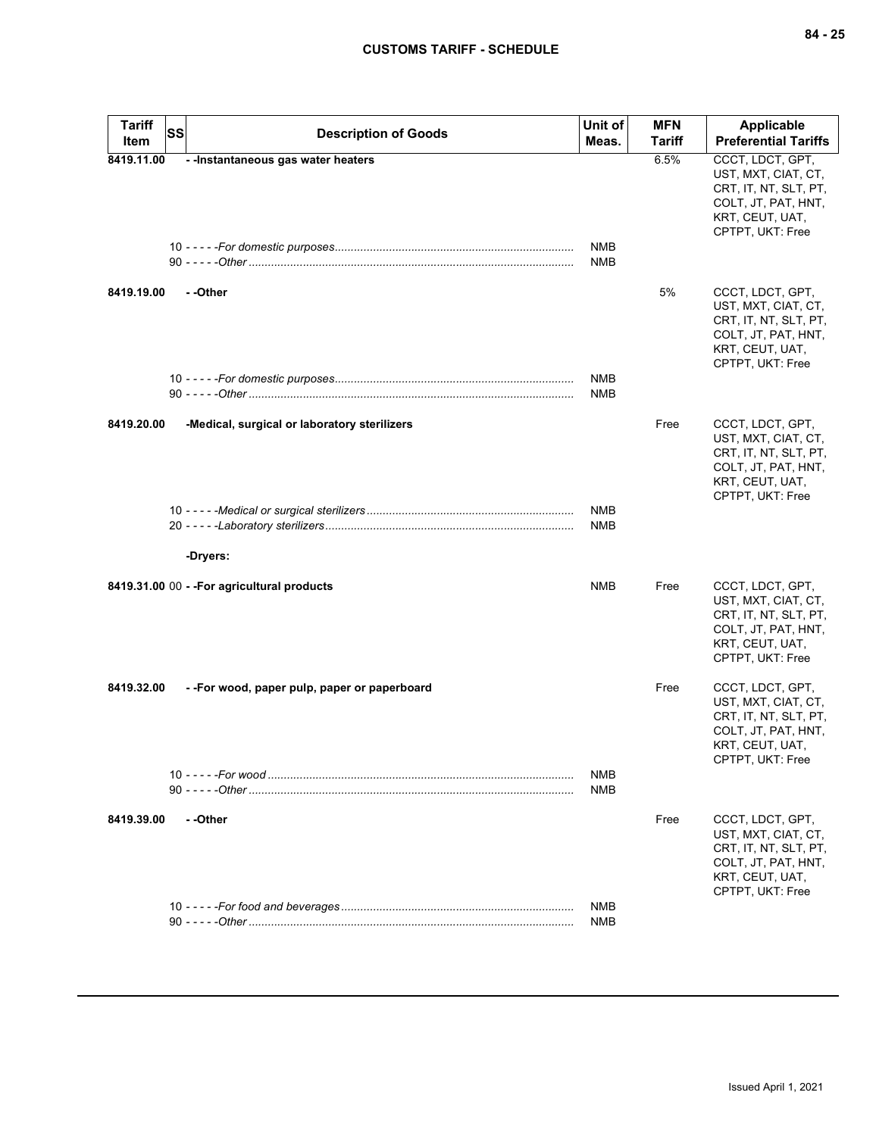| <b>Tariff</b><br><b>SS</b><br>Item |          | <b>Description of Goods</b>                  | Unit of<br>Meas.         | <b>MFN</b><br><b>Tariff</b> | <b>Applicable</b><br><b>Preferential Tariffs</b>                                                                               |
|------------------------------------|----------|----------------------------------------------|--------------------------|-----------------------------|--------------------------------------------------------------------------------------------------------------------------------|
| 8419.11.00                         |          | --Instantaneous gas water heaters            | NMB                      | 6.5%                        | CCCT, LDCT, GPT,<br>UST, MXT, CIAT, CT,<br>CRT, IT, NT, SLT, PT,<br>COLT, JT, PAT, HNT,<br>KRT, CEUT, UAT,<br>CPTPT, UKT: Free |
|                                    |          |                                              | NMB                      |                             |                                                                                                                                |
| 8419.19.00                         | --Other  |                                              |                          | 5%                          | CCCT, LDCT, GPT,<br>UST, MXT, CIAT, CT,<br>CRT, IT, NT, SLT, PT,<br>COLT, JT, PAT, HNT,<br>KRT, CEUT, UAT,<br>CPTPT, UKT: Free |
|                                    |          |                                              | <b>NMB</b><br><b>NMB</b> |                             |                                                                                                                                |
| 8419.20.00                         |          | -Medical, surgical or laboratory sterilizers |                          | Free                        | CCCT, LDCT, GPT,<br>UST, MXT, CIAT, CT,<br>CRT, IT, NT, SLT, PT,<br>COLT, JT, PAT, HNT,<br>KRT, CEUT, UAT,<br>CPTPT, UKT: Free |
|                                    | -Dryers: |                                              | NMB<br>NMB               |                             |                                                                                                                                |
|                                    |          | 8419.31.00 00 - - For agricultural products  | NMB                      | Free                        | CCCT, LDCT, GPT,<br>UST, MXT, CIAT, CT,<br>CRT, IT, NT, SLT, PT,<br>COLT, JT, PAT, HNT,<br>KRT, CEUT, UAT,<br>CPTPT, UKT: Free |
| 8419.32.00                         |          | --For wood, paper pulp, paper or paperboard  |                          | Free                        | CCCT, LDCT, GPT,<br>UST, MXT, CIAT, CT,<br>CRT, IT, NT, SLT, PT,<br>COLT, JT, PAT, HNT,<br>KRT, CEUT, UAT,<br>CPTPT, UKT: Free |
|                                    |          |                                              | <b>NMB</b><br><b>NMB</b> |                             |                                                                                                                                |
| 8419.39.00                         | --Other  |                                              |                          | Free                        | CCCT, LDCT, GPT,<br>UST, MXT, CIAT, CT,<br>CRT, IT, NT, SLT, PT,<br>COLT, JT, PAT, HNT,<br>KRT, CEUT, UAT,<br>CPTPT, UKT: Free |
|                                    |          |                                              | <b>NMB</b><br><b>NMB</b> |                             |                                                                                                                                |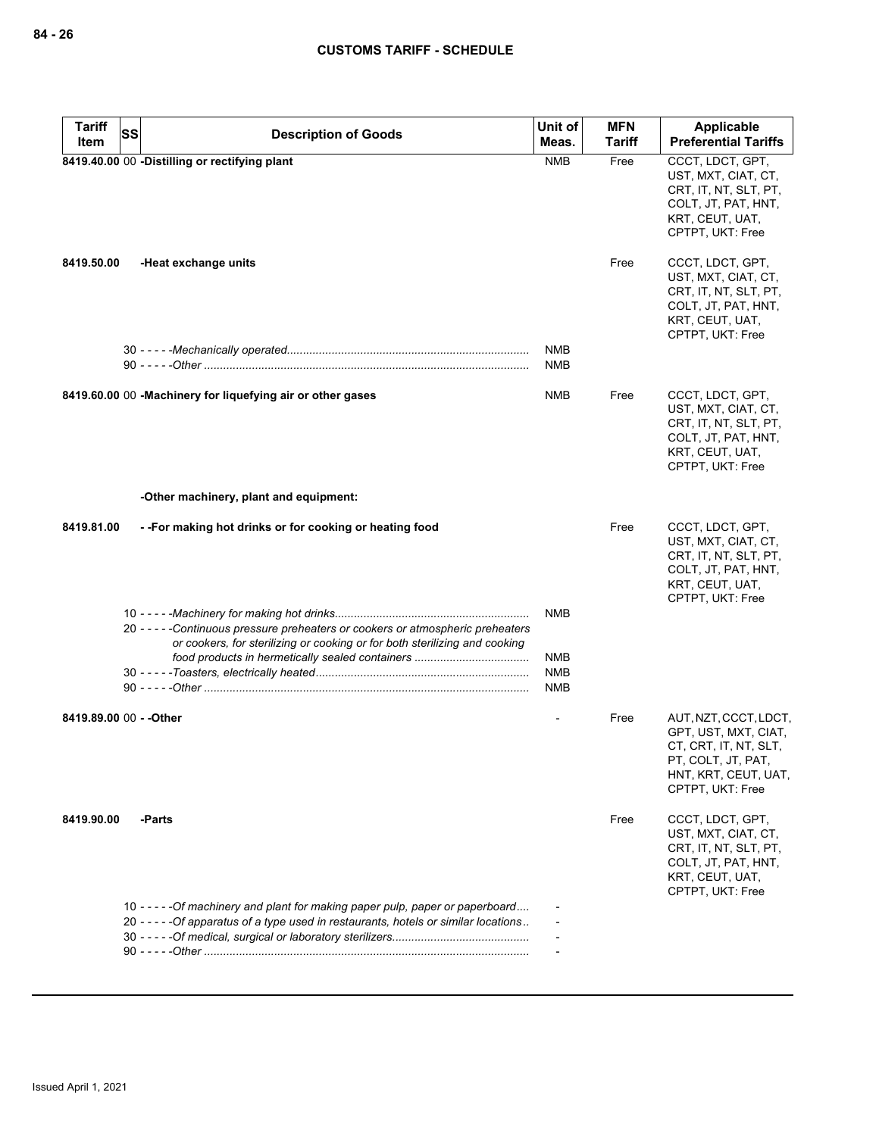| <b>Tariff</b><br><b>SS</b> | <b>Description of Goods</b>                                                                                                                                            | Unit of                  | <b>MFN</b> | <b>Applicable</b>                                                                                                                        |
|----------------------------|------------------------------------------------------------------------------------------------------------------------------------------------------------------------|--------------------------|------------|------------------------------------------------------------------------------------------------------------------------------------------|
| Item                       |                                                                                                                                                                        | Meas.                    | Tariff     | <b>Preferential Tariffs</b>                                                                                                              |
|                            | 8419.40.00 00 -Distilling or rectifying plant                                                                                                                          | <b>NMB</b>               | Free       | CCCT, LDCT, GPT,<br>UST, MXT, CIAT, CT,<br>CRT, IT, NT, SLT, PT,<br>COLT, JT, PAT, HNT,<br>KRT, CEUT, UAT,<br>CPTPT, UKT: Free           |
| 8419.50.00                 | -Heat exchange units                                                                                                                                                   |                          | Free       | CCCT, LDCT, GPT,<br>UST, MXT, CIAT, CT,<br>CRT, IT, NT, SLT, PT,<br>COLT, JT, PAT, HNT,<br>KRT, CEUT, UAT,<br>CPTPT, UKT: Free           |
|                            |                                                                                                                                                                        | <b>NMB</b><br><b>NMB</b> |            |                                                                                                                                          |
|                            | 8419.60.00 00 -Machinery for liquefying air or other gases                                                                                                             | NMB                      | Free       | CCCT, LDCT, GPT,<br>UST, MXT, CIAT, CT,<br>CRT, IT, NT, SLT, PT,<br>COLT, JT, PAT, HNT,<br>KRT, CEUT, UAT,<br>CPTPT, UKT: Free           |
|                            | -Other machinery, plant and equipment:                                                                                                                                 |                          |            |                                                                                                                                          |
| 8419.81.00                 | - - For making hot drinks or for cooking or heating food                                                                                                               |                          | Free       | CCCT, LDCT, GPT,<br>UST, MXT, CIAT, CT,<br>CRT, IT, NT, SLT, PT,<br>COLT, JT, PAT, HNT,<br>KRT, CEUT, UAT,<br>CPTPT, UKT: Free           |
|                            | 20 - - - - - Continuous pressure preheaters or cookers or atmospheric preheaters                                                                                       | <b>NMB</b>               |            |                                                                                                                                          |
|                            | or cookers, for sterilizing or cooking or for both sterilizing and cooking                                                                                             | NMB<br><b>NMB</b><br>NMB |            |                                                                                                                                          |
| 8419.89.00 00 - - Other    |                                                                                                                                                                        |                          | Free       | AUT, NZT, CCCT, LDCT,<br>GPT, UST, MXT, CIAT,<br>CT, CRT, IT, NT, SLT,<br>PT, COLT, JT, PAT,<br>HNT, KRT, CEUT, UAT,<br>CPTPT, UKT: Free |
| 8419.90.00                 | -Parts                                                                                                                                                                 |                          | Free       | CCCT, LDCT, GPT,<br>UST, MXT, CIAT, CT,<br>CRT, IT, NT, SLT, PT,<br>COLT, JT, PAT, HNT,<br>KRT, CEUT, UAT,<br>CPTPT, UKT: Free           |
|                            | 10 - - - - - Of machinery and plant for making paper pulp, paper or paperboard<br>20 - - - - - Of apparatus of a type used in restaurants, hotels or similar locations |                          |            |                                                                                                                                          |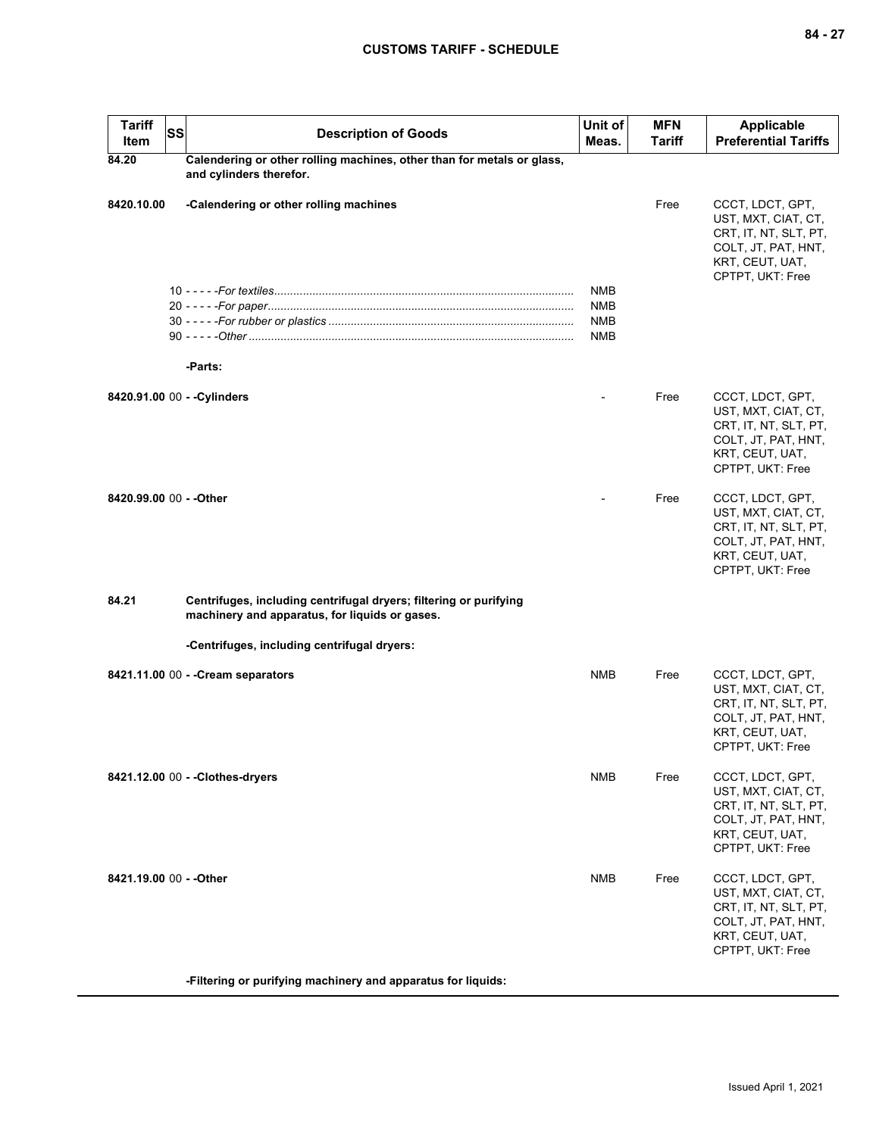| <b>Tariff</b><br><b>SS</b><br>Item | <b>Description of Goods</b>                                                                                         | Unit of<br>Meas.                                     | <b>MFN</b><br><b>Tariff</b> | <b>Applicable</b><br><b>Preferential Tariffs</b>                                                                               |
|------------------------------------|---------------------------------------------------------------------------------------------------------------------|------------------------------------------------------|-----------------------------|--------------------------------------------------------------------------------------------------------------------------------|
| 84.20                              | Calendering or other rolling machines, other than for metals or glass,<br>and cylinders therefor.                   |                                                      |                             |                                                                                                                                |
| 8420.10.00                         | -Calendering or other rolling machines                                                                              |                                                      | Free                        | CCCT, LDCT, GPT,<br>UST, MXT, CIAT, CT,<br>CRT, IT, NT, SLT, PT,<br>COLT, JT, PAT, HNT,<br>KRT, CEUT, UAT,<br>CPTPT, UKT: Free |
|                                    | -Parts:                                                                                                             | <b>NMB</b><br><b>NMB</b><br><b>NMB</b><br><b>NMB</b> |                             |                                                                                                                                |
| 8420.91.00 00 - - Cylinders        |                                                                                                                     |                                                      | Free                        | CCCT, LDCT, GPT,<br>UST, MXT, CIAT, CT,<br>CRT, IT, NT, SLT, PT,<br>COLT, JT, PAT, HNT,<br>KRT, CEUT, UAT,<br>CPTPT, UKT: Free |
| 8420.99.00 00 - - Other            |                                                                                                                     |                                                      | Free                        | CCCT, LDCT, GPT,<br>UST, MXT, CIAT, CT,<br>CRT, IT, NT, SLT, PT,<br>COLT, JT, PAT, HNT,<br>KRT, CEUT, UAT,<br>CPTPT, UKT: Free |
| 84.21                              | Centrifuges, including centrifugal dryers; filtering or purifying<br>machinery and apparatus, for liquids or gases. |                                                      |                             |                                                                                                                                |
|                                    | -Centrifuges, including centrifugal dryers:                                                                         |                                                      |                             |                                                                                                                                |
|                                    | 8421.11.00 00 - - Cream separators                                                                                  | NMB                                                  | Free                        | CCCT, LDCT, GPT,<br>UST, MXT, CIAT, CT,<br>CRT, IT, NT, SLT, PT,<br>COLT, JT, PAT, HNT,<br>KRT, CEUT, UAT,<br>CPTPT, UKT: Free |
|                                    | 8421.12.00 00 - - Clothes-dryers                                                                                    | NMB                                                  | Free                        | CCCT, LDCT, GPT,<br>UST, MXT, CIAT, CT,<br>CRT, IT, NT, SLT, PT,<br>COLT, JT, PAT, HNT,<br>KRT, CEUT, UAT,<br>CPTPT, UKT: Free |
| 8421.19.00 00 - - Other            |                                                                                                                     | <b>NMB</b>                                           | Free                        | CCCT, LDCT, GPT,<br>UST, MXT, CIAT, CT,<br>CRT, IT, NT, SLT, PT,<br>COLT, JT, PAT, HNT,<br>KRT, CEUT, UAT,<br>CPTPT, UKT: Free |

**-Filtering or purifying machinery and apparatus for liquids:**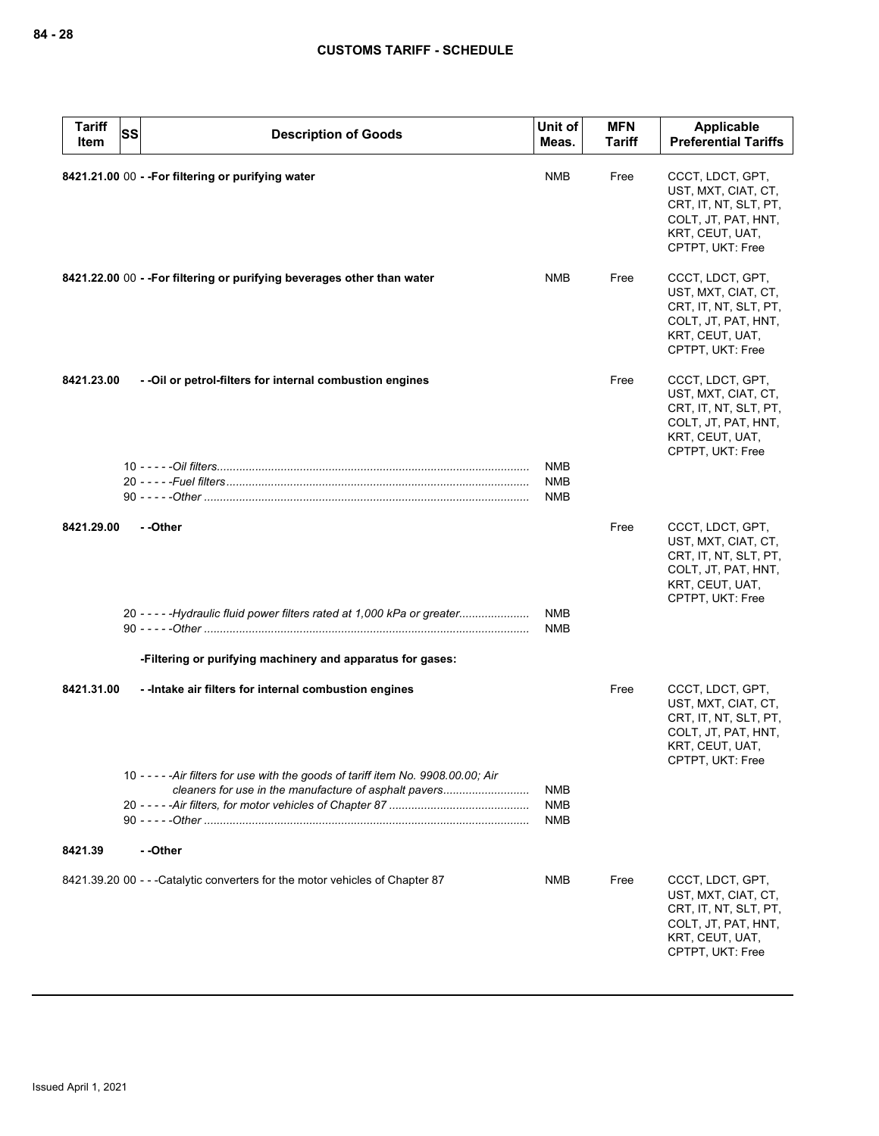| <b>Tariff</b><br>Item | <b>SS</b><br><b>Description of Goods</b>                                                                                                    | Unit of<br>Meas.                       | <b>MFN</b><br><b>Tariff</b> | Applicable<br><b>Preferential Tariffs</b>                                                                                      |
|-----------------------|---------------------------------------------------------------------------------------------------------------------------------------------|----------------------------------------|-----------------------------|--------------------------------------------------------------------------------------------------------------------------------|
|                       | 8421.21.00 00 - - For filtering or purifying water                                                                                          | <b>NMB</b>                             | Free                        | CCCT, LDCT, GPT,<br>UST, MXT, CIAT, CT,<br>CRT, IT, NT, SLT, PT,<br>COLT, JT, PAT, HNT,<br>KRT, CEUT, UAT,<br>CPTPT, UKT: Free |
|                       | 8421.22.00 00 - - For filtering or purifying beverages other than water                                                                     | <b>NMB</b>                             | Free                        | CCCT, LDCT, GPT,<br>UST, MXT, CIAT, CT,<br>CRT, IT, NT, SLT, PT,<br>COLT, JT, PAT, HNT,<br>KRT, CEUT, UAT,<br>CPTPT, UKT: Free |
| 8421.23.00            | - - Oil or petrol-filters for internal combustion engines                                                                                   |                                        | Free                        | CCCT, LDCT, GPT,<br>UST, MXT, CIAT, CT,<br>CRT, IT, NT, SLT, PT,<br>COLT, JT, PAT, HNT,<br>KRT, CEUT, UAT,<br>CPTPT, UKT: Free |
|                       |                                                                                                                                             | <b>NMB</b><br><b>NMB</b><br>NMB        |                             |                                                                                                                                |
| 8421.29.00            | --Other                                                                                                                                     |                                        | Free                        | CCCT, LDCT, GPT,<br>UST, MXT, CIAT, CT,<br>CRT, IT, NT, SLT, PT,<br>COLT, JT, PAT, HNT,<br>KRT, CEUT, UAT,<br>CPTPT, UKT: Free |
|                       | 20 - - - - - Hydraulic fluid power filters rated at 1,000 kPa or greater                                                                    | <b>NMB</b><br><b>NMB</b>               |                             |                                                                                                                                |
|                       | -Filtering or purifying machinery and apparatus for gases:                                                                                  |                                        |                             |                                                                                                                                |
| 8421.31.00            | - - Intake air filters for internal combustion engines                                                                                      |                                        | Free                        | CCCT, LDCT, GPT,<br>UST, MXT, CIAT, CT,<br>CRT, IT, NT, SLT, PT,<br>COLT, JT, PAT, HNT,<br>KRT, CEUT, UAT,<br>CPTPT, UKT: Free |
|                       | 10 - - - - - Air filters for use with the goods of tariff item No. 9908.00.00; Air<br>cleaners for use in the manufacture of asphalt pavers | <b>NMB</b><br><b>NMB</b><br><b>NMB</b> |                             |                                                                                                                                |
| 8421.39               | - -Other                                                                                                                                    |                                        |                             |                                                                                                                                |
|                       | 8421.39.20 00 - - - Catalytic converters for the motor vehicles of Chapter 87                                                               | NMB                                    | Free                        | CCCT, LDCT, GPT,<br>UST, MXT, CIAT, CT,<br>CRT, IT, NT, SLT, PT,<br>COLT, JT, PAT, HNT,<br>KRT, CEUT, UAT,<br>CPTPT, UKT: Free |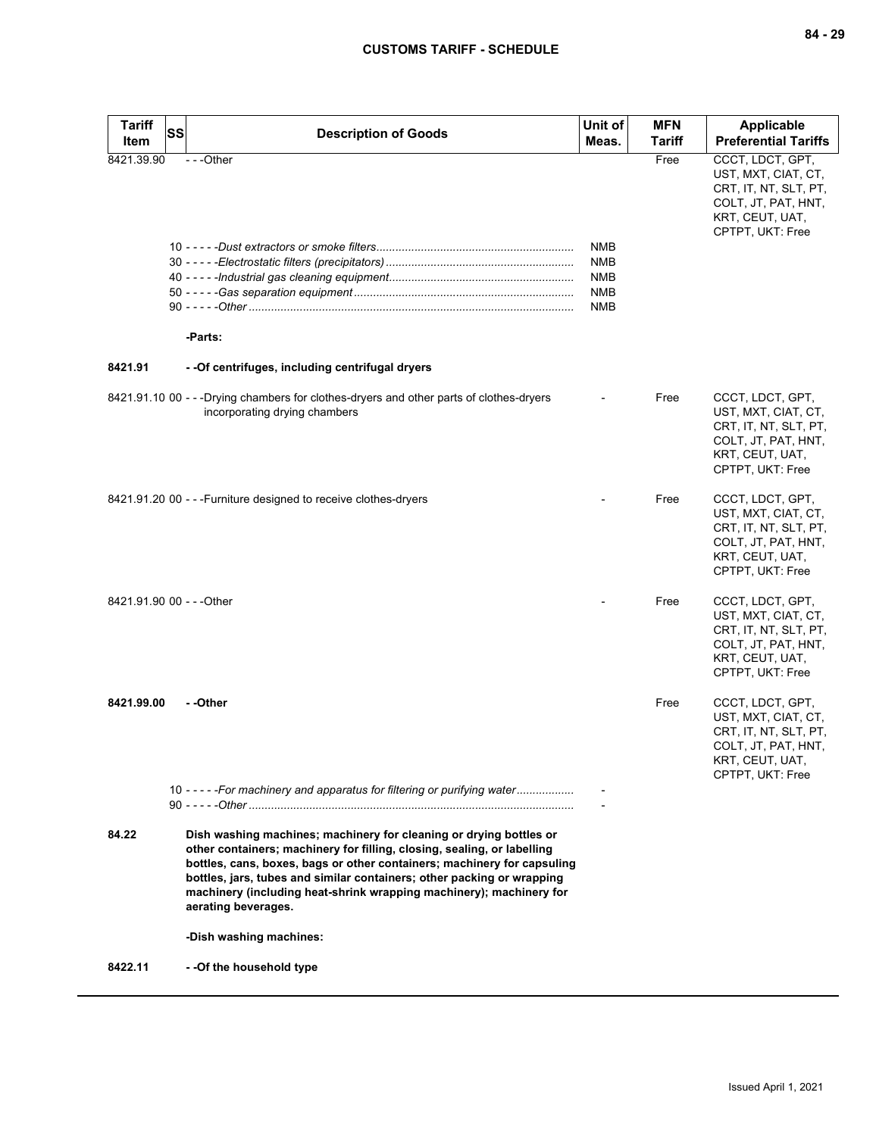| <b>Tariff</b><br>Item | SS<br><b>Description of Goods</b>                                                                                                                                                                                                                                                                                                                                                                | Unit of<br>Meas.                                                   | <b>MFN</b><br><b>Tariff</b> | <b>Applicable</b><br><b>Preferential Tariffs</b>                                                                               |
|-----------------------|--------------------------------------------------------------------------------------------------------------------------------------------------------------------------------------------------------------------------------------------------------------------------------------------------------------------------------------------------------------------------------------------------|--------------------------------------------------------------------|-----------------------------|--------------------------------------------------------------------------------------------------------------------------------|
| 8421.39.90            | ---Other<br>-Parts:                                                                                                                                                                                                                                                                                                                                                                              | <b>NMB</b><br><b>NMB</b><br><b>NMB</b><br><b>NMB</b><br><b>NMB</b> | Free                        | CCCT, LDCT, GPT,<br>UST, MXT, CIAT, CT,<br>CRT, IT, NT, SLT, PT,<br>COLT, JT, PAT, HNT,<br>KRT, CEUT, UAT,<br>CPTPT, UKT: Free |
| 8421.91               | - - Of centrifuges, including centrifugal dryers                                                                                                                                                                                                                                                                                                                                                 |                                                                    |                             |                                                                                                                                |
|                       | 8421.91.10 00 - - -Drying chambers for clothes-dryers and other parts of clothes-dryers<br>incorporating drying chambers                                                                                                                                                                                                                                                                         |                                                                    | Free                        | CCCT, LDCT, GPT,<br>UST, MXT, CIAT, CT,<br>CRT, IT, NT, SLT, PT,<br>COLT, JT, PAT, HNT,<br>KRT, CEUT, UAT,<br>CPTPT, UKT: Free |
|                       | 8421.91.20 00 - - - Furniture designed to receive clothes-dryers                                                                                                                                                                                                                                                                                                                                 |                                                                    | Free                        | CCCT, LDCT, GPT,<br>UST, MXT, CIAT, CT,<br>CRT, IT, NT, SLT, PT,<br>COLT, JT, PAT, HNT,<br>KRT, CEUT, UAT,<br>CPTPT, UKT: Free |
|                       | 8421.91.90 00 - - - Other                                                                                                                                                                                                                                                                                                                                                                        |                                                                    | Free                        | CCCT, LDCT, GPT,<br>UST, MXT, CIAT, CT,<br>CRT, IT, NT, SLT, PT,<br>COLT, JT, PAT, HNT,<br>KRT, CEUT, UAT,<br>CPTPT, UKT: Free |
| 8421.99.00            | --Other                                                                                                                                                                                                                                                                                                                                                                                          |                                                                    | Free                        | CCCT, LDCT, GPT,<br>UST, MXT, CIAT, CT,<br>CRT, IT, NT, SLT, PT,<br>COLT, JT, PAT, HNT,<br>KRT, CEUT, UAT,<br>CPTPT, UKT: Free |
|                       | 10 - - - - - For machinery and apparatus for filtering or purifying water                                                                                                                                                                                                                                                                                                                        |                                                                    |                             |                                                                                                                                |
| 84.22                 | Dish washing machines; machinery for cleaning or drying bottles or<br>other containers; machinery for filling, closing, sealing, or labelling<br>bottles, cans, boxes, bags or other containers; machinery for capsuling<br>bottles, jars, tubes and similar containers; other packing or wrapping<br>machinery (including heat-shrink wrapping machinery); machinery for<br>aerating beverages. |                                                                    |                             |                                                                                                                                |
|                       | -Dish washing machines:                                                                                                                                                                                                                                                                                                                                                                          |                                                                    |                             |                                                                                                                                |
| 8422.11               | - -Of the household type                                                                                                                                                                                                                                                                                                                                                                         |                                                                    |                             |                                                                                                                                |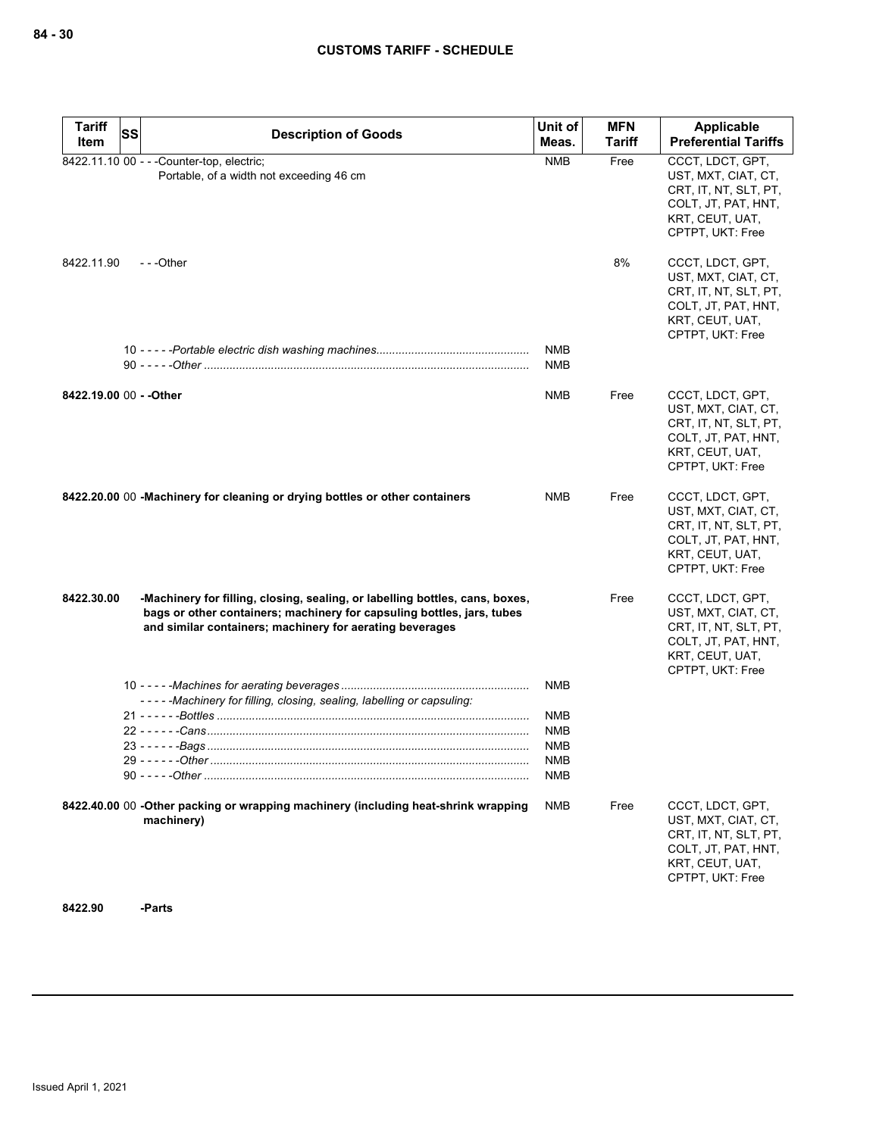| <b>Tariff</b>           | <b>SS</b> |                                                                                                                                                                                                                    | Unit of                  | <b>MFN</b>    | Applicable                                                                                                                     |
|-------------------------|-----------|--------------------------------------------------------------------------------------------------------------------------------------------------------------------------------------------------------------------|--------------------------|---------------|--------------------------------------------------------------------------------------------------------------------------------|
| Item                    |           | <b>Description of Goods</b>                                                                                                                                                                                        | Meas.                    | <b>Tariff</b> | <b>Preferential Tariffs</b>                                                                                                    |
|                         |           | 8422.11.10 00 - - - Counter-top, electric;<br>Portable, of a width not exceeding 46 cm                                                                                                                             | <b>NMB</b>               | Free          | CCCT, LDCT, GPT,<br>UST, MXT, CIAT, CT,<br>CRT, IT, NT, SLT, PT,<br>COLT, JT, PAT, HNT,<br>KRT, CEUT, UAT,<br>CPTPT, UKT: Free |
| 8422.11.90              |           | ---Other                                                                                                                                                                                                           |                          | 8%            | CCCT, LDCT, GPT,<br>UST, MXT, CIAT, CT,<br>CRT, IT, NT, SLT, PT,<br>COLT, JT, PAT, HNT,<br>KRT, CEUT, UAT,<br>CPTPT, UKT: Free |
|                         |           |                                                                                                                                                                                                                    | <b>NMB</b><br><b>NMB</b> |               |                                                                                                                                |
| 8422.19.00 00 - - Other |           |                                                                                                                                                                                                                    | <b>NMB</b>               | Free          | CCCT, LDCT, GPT,<br>UST, MXT, CIAT, CT,<br>CRT, IT, NT, SLT, PT,<br>COLT, JT, PAT, HNT,<br>KRT, CEUT, UAT,<br>CPTPT, UKT: Free |
|                         |           | 8422.20.00 00 - Machinery for cleaning or drying bottles or other containers                                                                                                                                       | NMB                      | Free          | CCCT, LDCT, GPT,<br>UST, MXT, CIAT, CT,<br>CRT, IT, NT, SLT, PT,<br>COLT, JT, PAT, HNT,<br>KRT, CEUT, UAT,<br>CPTPT, UKT: Free |
| 8422.30.00              |           | -Machinery for filling, closing, sealing, or labelling bottles, cans, boxes,<br>bags or other containers; machinery for capsuling bottles, jars, tubes<br>and similar containers; machinery for aerating beverages |                          | Free          | CCCT, LDCT, GPT,<br>UST, MXT, CIAT, CT,<br>CRT, IT, NT, SLT, PT,<br>COLT, JT, PAT, HNT,<br>KRT, CEUT, UAT,<br>CPTPT, UKT: Free |
|                         |           | -----Machinery for filling, closing, sealing, labelling or capsuling:                                                                                                                                              | <b>NMB</b>               |               |                                                                                                                                |
|                         |           |                                                                                                                                                                                                                    | <b>NMB</b>               |               |                                                                                                                                |
|                         |           |                                                                                                                                                                                                                    | <b>NMB</b>               |               |                                                                                                                                |
|                         |           |                                                                                                                                                                                                                    | <b>NMB</b><br><b>NMB</b> |               |                                                                                                                                |
|                         |           |                                                                                                                                                                                                                    | NMB                      |               |                                                                                                                                |
|                         |           | 8422.40.00 00 -Other packing or wrapping machinery (including heat-shrink wrapping<br>machinery)                                                                                                                   | <b>NMB</b>               | Free          | CCCT, LDCT, GPT,<br>UST, MXT, CIAT, CT,<br>CRT, IT, NT, SLT, PT,<br>COLT, JT, PAT, HNT,<br>KRT, CEUT, UAT,<br>CPTPT, UKT: Free |

**8422.90 -Parts**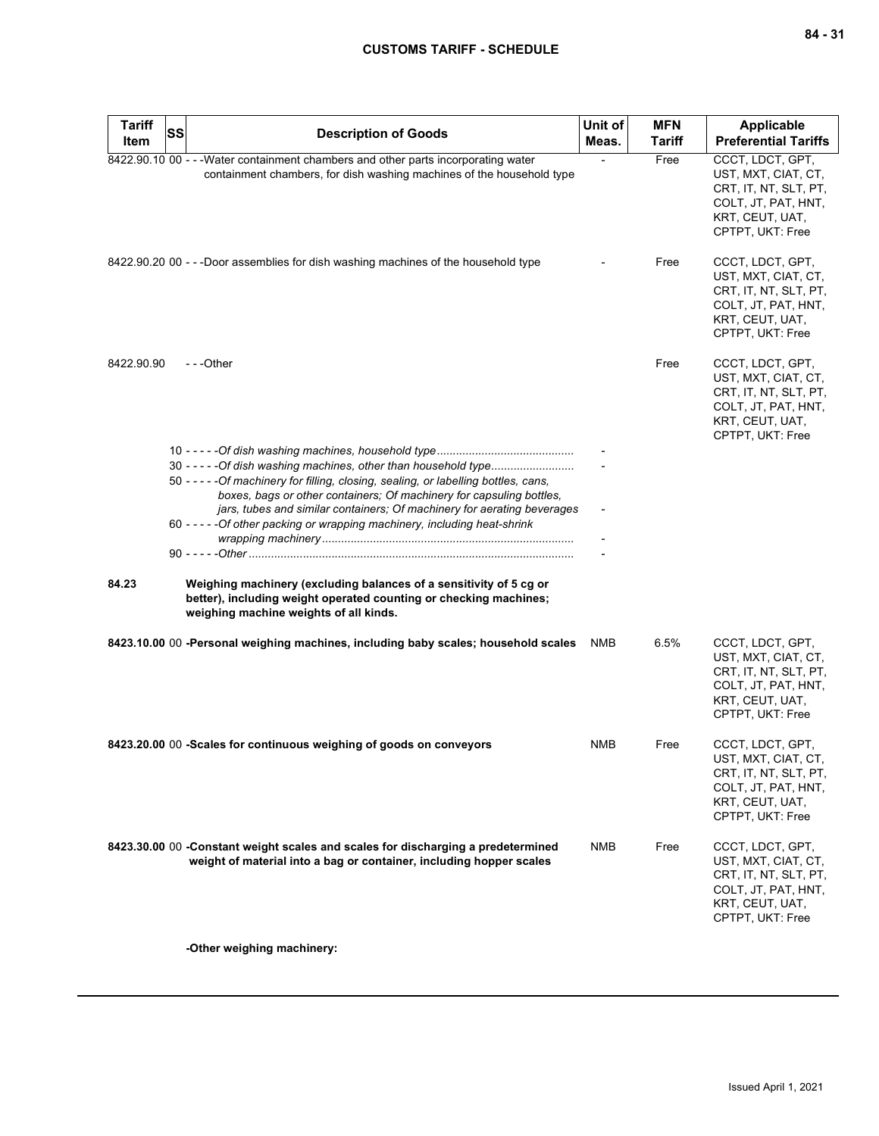| <b>Tariff</b><br>Item | SS | <b>Description of Goods</b>                                                                                                                                                                                                      | Unit of<br>Meas.         | <b>MFN</b><br><b>Tariff</b> | Applicable<br><b>Preferential Tariffs</b>                                                                                      |
|-----------------------|----|----------------------------------------------------------------------------------------------------------------------------------------------------------------------------------------------------------------------------------|--------------------------|-----------------------------|--------------------------------------------------------------------------------------------------------------------------------|
|                       |    | 8422.90.10 00 - - - Water containment chambers and other parts incorporating water<br>containment chambers, for dish washing machines of the household type                                                                      |                          | Free                        | CCCT, LDCT, GPT,<br>UST, MXT, CIAT, CT,<br>CRT, IT, NT, SLT, PT,<br>COLT, JT, PAT, HNT,<br>KRT, CEUT, UAT,<br>CPTPT, UKT: Free |
|                       |    | 8422.90.20 00 - - -Door assemblies for dish washing machines of the household type                                                                                                                                               |                          | Free                        | CCCT, LDCT, GPT,<br>UST, MXT, CIAT, CT,<br>CRT, IT, NT, SLT, PT,<br>COLT, JT, PAT, HNT,<br>KRT, CEUT, UAT,<br>CPTPT, UKT: Free |
| 8422.90.90            |    | ---Other                                                                                                                                                                                                                         |                          | Free                        | CCCT, LDCT, GPT,<br>UST, MXT, CIAT, CT,<br>CRT, IT, NT, SLT, PT,<br>COLT, JT, PAT, HNT,<br>KRT, CEUT, UAT,<br>CPTPT, UKT: Free |
|                       |    | 30 - - - - - Of dish washing machines, other than household type<br>50 - - - - - Of machinery for filling, closing, sealing, or labelling bottles, cans,<br>boxes, bags or other containers; Of machinery for capsuling bottles, |                          |                             |                                                                                                                                |
|                       |    | jars, tubes and similar containers; Of machinery for aerating beverages<br>60 - - - - - Of other packing or wrapping machinery, including heat-shrink                                                                            | $\overline{\phantom{a}}$ |                             |                                                                                                                                |
| 84.23                 |    | Weighing machinery (excluding balances of a sensitivity of 5 cg or<br>better), including weight operated counting or checking machines;<br>weighing machine weights of all kinds.                                                |                          |                             |                                                                                                                                |
|                       |    | 8423.10.00 00 -Personal weighing machines, including baby scales; household scales                                                                                                                                               | NMB                      | 6.5%                        | CCCT, LDCT, GPT,<br>UST, MXT, CIAT, CT,<br>CRT, IT, NT, SLT, PT,<br>COLT, JT, PAT, HNT,<br>KRT, CEUT, UAT,<br>CPTPT, UKT: Free |
|                       |    | 8423.20.00 00 -Scales for continuous weighing of goods on conveyors                                                                                                                                                              | NMB                      | Free                        | CCCT, LDCT, GPT,<br>UST, MXT, CIAT, CT,<br>CRT, IT, NT, SLT, PT,<br>COLT, JT, PAT, HNT,<br>KRT, CEUT, UAT,<br>CPTPT, UKT: Free |
|                       |    | 8423.30.00 00 - Constant weight scales and scales for discharging a predetermined<br>weight of material into a bag or container, including hopper scales                                                                         | <b>NMB</b>               | Free                        | CCCT, LDCT, GPT,<br>UST, MXT, CIAT, CT,<br>CRT, IT, NT, SLT, PT,<br>COLT, JT, PAT, HNT,<br>KRT, CEUT, UAT,<br>CPTPT, UKT: Free |
|                       |    | -Other weighing machinery:                                                                                                                                                                                                       |                          |                             |                                                                                                                                |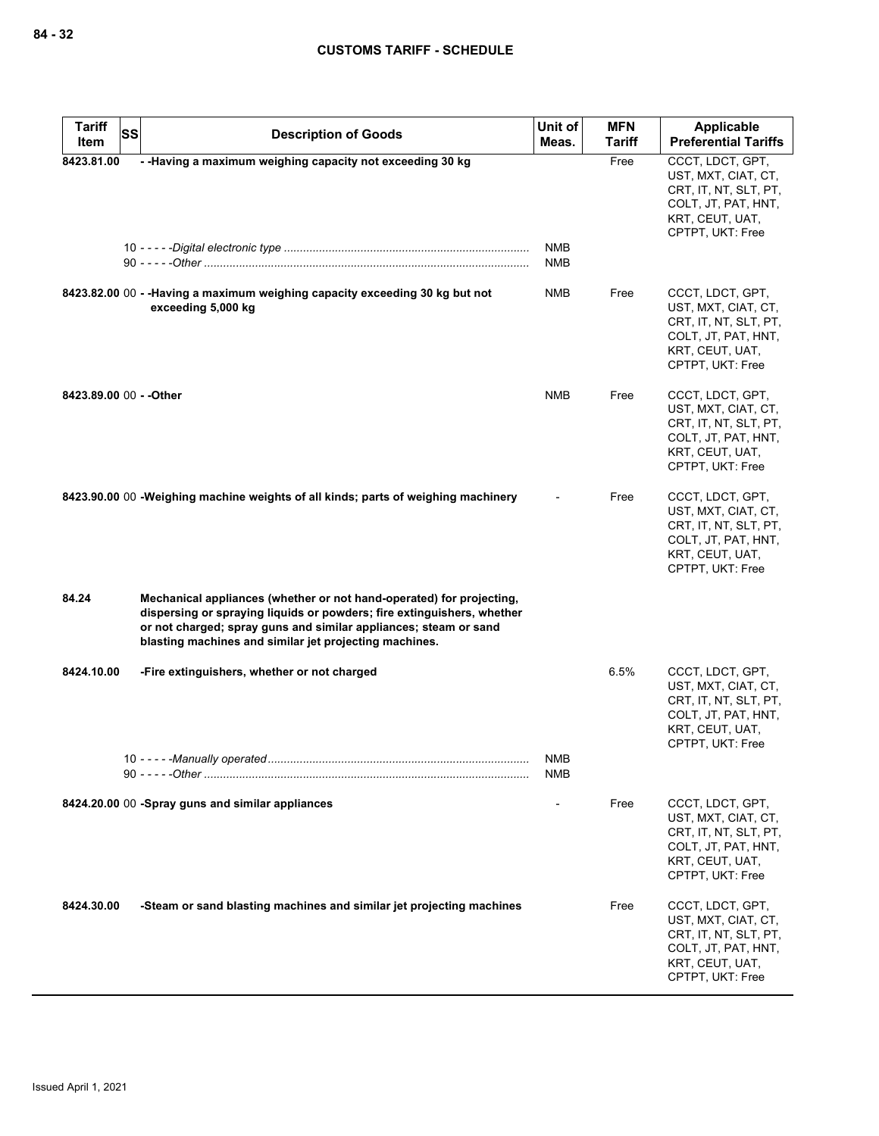| <b>Tariff</b><br>SS     | <b>Description of Goods</b>                                                                                                                                                                                                                                                  | Unit of<br>Meas.         | MFN<br>Tariff | Applicable<br><b>Preferential Tariffs</b>                                                                                      |
|-------------------------|------------------------------------------------------------------------------------------------------------------------------------------------------------------------------------------------------------------------------------------------------------------------------|--------------------------|---------------|--------------------------------------------------------------------------------------------------------------------------------|
| Item<br>8423.81.00      | - -Having a maximum weighing capacity not exceeding 30 kg                                                                                                                                                                                                                    |                          | Free          | CCCT, LDCT, GPT,                                                                                                               |
|                         |                                                                                                                                                                                                                                                                              | <b>NMB</b><br><b>NMB</b> |               | UST, MXT, CIAT, CT,<br>CRT, IT, NT, SLT, PT,<br>COLT, JT, PAT, HNT,<br>KRT, CEUT, UAT,<br>CPTPT, UKT: Free                     |
|                         | 8423.82.00 00 - - Having a maximum weighing capacity exceeding 30 kg but not<br>exceeding 5,000 kg                                                                                                                                                                           | <b>NMB</b>               | Free          | CCCT, LDCT, GPT,<br>UST, MXT, CIAT, CT,<br>CRT, IT, NT, SLT, PT,<br>COLT, JT, PAT, HNT,<br>KRT, CEUT, UAT,<br>CPTPT, UKT: Free |
| 8423.89.00 00 - - Other |                                                                                                                                                                                                                                                                              | <b>NMB</b>               | Free          | CCCT, LDCT, GPT,<br>UST, MXT, CIAT, CT,<br>CRT, IT, NT, SLT, PT,<br>COLT, JT, PAT, HNT,<br>KRT, CEUT, UAT,<br>CPTPT, UKT: Free |
|                         | 8423.90.00 00 - Weighing machine weights of all kinds; parts of weighing machinery                                                                                                                                                                                           |                          | Free          | CCCT, LDCT, GPT,<br>UST, MXT, CIAT, CT,<br>CRT, IT, NT, SLT, PT,<br>COLT, JT, PAT, HNT,<br>KRT, CEUT, UAT,<br>CPTPT, UKT: Free |
| 84.24                   | Mechanical appliances (whether or not hand-operated) for projecting,<br>dispersing or spraying liquids or powders; fire extinguishers, whether<br>or not charged; spray guns and similar appliances; steam or sand<br>blasting machines and similar jet projecting machines. |                          |               |                                                                                                                                |
| 8424.10.00              | -Fire extinguishers, whether or not charged                                                                                                                                                                                                                                  |                          | 6.5%          | CCCT, LDCT, GPT,<br>UST, MXT, CIAT, CT,<br>CRT, IT, NT, SLT, PT,<br>COLT, JT, PAT, HNT,<br>KRT, CEUT, UAT,<br>CPTPT, UKT: Free |
|                         |                                                                                                                                                                                                                                                                              | <b>NMB</b><br>NMB        |               |                                                                                                                                |
|                         | 8424.20.00 00 -Spray guns and similar appliances                                                                                                                                                                                                                             |                          | Free          | CCCT, LDCT, GPT,<br>UST, MXT, CIAT, CT,<br>CRT, IT, NT, SLT, PT,<br>COLT, JT, PAT, HNT,<br>KRT, CEUT, UAT,<br>CPTPT, UKT: Free |
| 8424.30.00              | -Steam or sand blasting machines and similar jet projecting machines                                                                                                                                                                                                         |                          | Free          | CCCT, LDCT, GPT,<br>UST, MXT, CIAT, CT,<br>CRT, IT, NT, SLT, PT,<br>COLT, JT, PAT, HNT,<br>KRT, CEUT, UAT,<br>CPTPT, UKT: Free |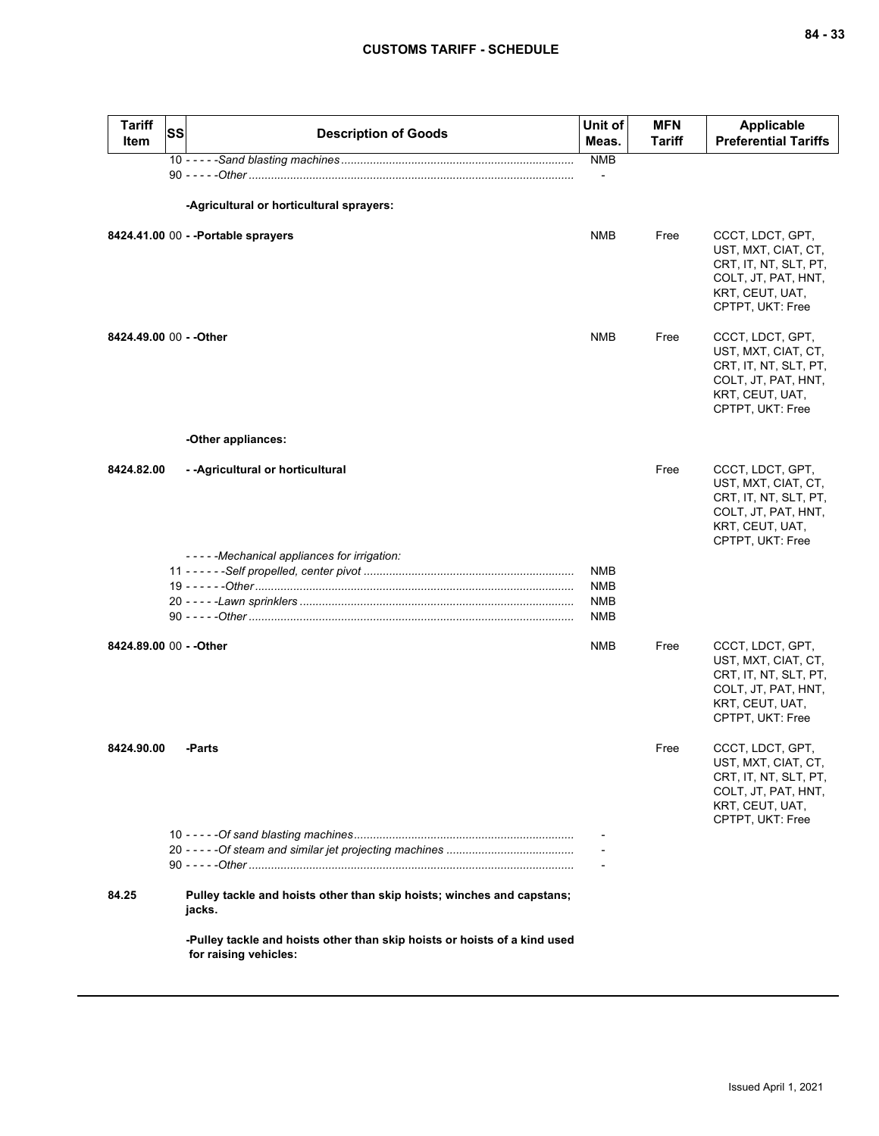| Tariff<br>Item          | SS | <b>Description of Goods</b>                                                                        | Unit of<br>Meas. | <b>MFN</b><br><b>Tariff</b> | <b>Applicable</b><br><b>Preferential Tariffs</b>                                                                               |
|-------------------------|----|----------------------------------------------------------------------------------------------------|------------------|-----------------------------|--------------------------------------------------------------------------------------------------------------------------------|
|                         |    |                                                                                                    | <b>NMB</b>       |                             |                                                                                                                                |
|                         |    |                                                                                                    |                  |                             |                                                                                                                                |
|                         |    | -Agricultural or horticultural sprayers:                                                           |                  |                             |                                                                                                                                |
|                         |    | 8424.41.00 00 - - Portable sprayers                                                                | <b>NMB</b>       | Free                        | CCCT, LDCT, GPT,<br>UST, MXT, CIAT, CT,<br>CRT, IT, NT, SLT, PT,<br>COLT, JT, PAT, HNT,<br>KRT, CEUT, UAT,<br>CPTPT, UKT: Free |
| 8424.49.00 00 - - Other |    |                                                                                                    | <b>NMB</b>       | Free                        | CCCT, LDCT, GPT,<br>UST, MXT, CIAT, CT,<br>CRT, IT, NT, SLT, PT,<br>COLT, JT, PAT, HNT,<br>KRT, CEUT, UAT,<br>CPTPT, UKT: Free |
|                         |    | -Other appliances:                                                                                 |                  |                             |                                                                                                                                |
| 8424.82.00              |    | - - Agricultural or horticultural                                                                  |                  | Free                        | CCCT, LDCT, GPT,<br>UST, MXT, CIAT, CT,<br>CRT, IT, NT, SLT, PT,<br>COLT, JT, PAT, HNT,<br>KRT, CEUT, UAT,<br>CPTPT, UKT: Free |
|                         |    | -----Mechanical appliances for irrigation:                                                         |                  |                             |                                                                                                                                |
|                         |    |                                                                                                    | <b>NMB</b>       |                             |                                                                                                                                |
|                         |    |                                                                                                    | <b>NMB</b>       |                             |                                                                                                                                |
|                         |    |                                                                                                    | NMB<br>NMB       |                             |                                                                                                                                |
|                         |    |                                                                                                    |                  |                             |                                                                                                                                |
| 8424.89.00 00 - - Other |    |                                                                                                    | NMB              | Free                        | CCCT, LDCT, GPT,<br>UST, MXT, CIAT, CT,<br>CRT, IT, NT, SLT, PT,<br>COLT, JT, PAT, HNT,<br>KRT, CEUT, UAT,<br>CPTPT, UKT: Free |
| 8424.90.00              |    | -Parts                                                                                             |                  | Free                        | CCCT. LDCT. GPT.<br>UST, MXT, CIAT, CT,<br>CRT, IT, NT, SLT, PT,<br>COLT, JT, PAT, HNT,<br>KRT, CEUT, UAT,<br>CPTPT, UKT: Free |
|                         |    |                                                                                                    |                  |                             |                                                                                                                                |
|                         |    |                                                                                                    |                  |                             |                                                                                                                                |
|                         |    |                                                                                                    |                  |                             |                                                                                                                                |
| 84.25                   |    | Pulley tackle and hoists other than skip hoists; winches and capstans;<br>jacks.                   |                  |                             |                                                                                                                                |
|                         |    | -Pulley tackle and hoists other than skip hoists or hoists of a kind used<br>for raising vehicles: |                  |                             |                                                                                                                                |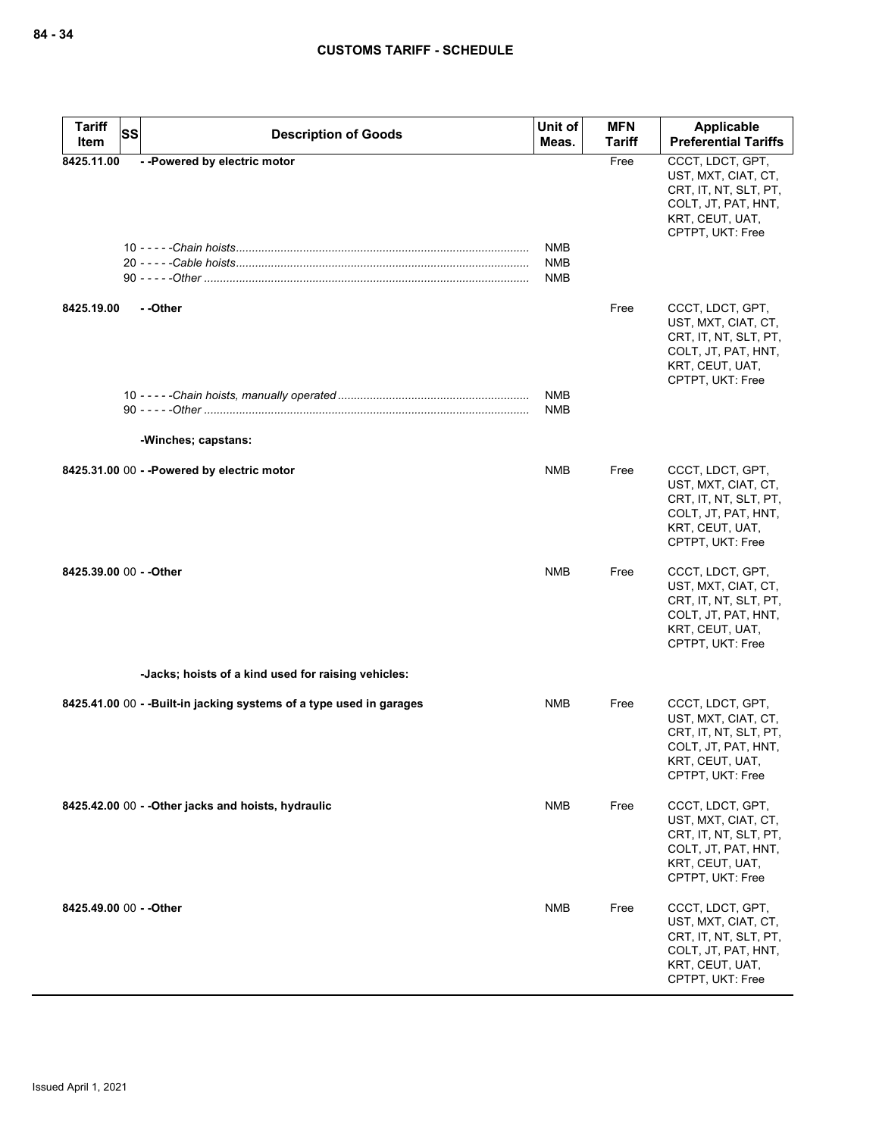| <b>Tariff</b><br><b>SS</b> | <b>Description of Goods</b>                                          | Unit of                         | <b>MFN</b>    | Applicable                                                                                                                     |
|----------------------------|----------------------------------------------------------------------|---------------------------------|---------------|--------------------------------------------------------------------------------------------------------------------------------|
| Item                       |                                                                      | Meas.                           | <b>Tariff</b> | <b>Preferential Tariffs</b>                                                                                                    |
| 8425.11.00                 | --Powered by electric motor                                          | NMB<br><b>NMB</b><br><b>NMB</b> | Free          | CCCT, LDCT, GPT,<br>UST, MXT, CIAT, CT,<br>CRT, IT, NT, SLT, PT,<br>COLT, JT, PAT, HNT,<br>KRT, CEUT, UAT,<br>CPTPT, UKT: Free |
| 8425.19.00                 | - - Other                                                            |                                 | Free          | CCCT, LDCT, GPT,<br>UST, MXT, CIAT, CT,<br>CRT, IT, NT, SLT, PT,<br>COLT, JT, PAT, HNT,<br>KRT, CEUT, UAT,<br>CPTPT, UKT: Free |
|                            |                                                                      | <b>NMB</b>                      |               |                                                                                                                                |
|                            |                                                                      | NMB                             |               |                                                                                                                                |
|                            | -Winches; capstans:                                                  |                                 |               |                                                                                                                                |
|                            | 8425.31.00 00 - - Powered by electric motor                          | NMB                             | Free          | CCCT, LDCT, GPT,<br>UST, MXT, CIAT, CT,<br>CRT, IT, NT, SLT, PT,<br>COLT, JT, PAT, HNT,<br>KRT, CEUT, UAT,<br>CPTPT, UKT: Free |
| 8425.39.00 00 - - Other    |                                                                      | <b>NMB</b>                      | Free          | CCCT, LDCT, GPT,<br>UST, MXT, CIAT, CT,<br>CRT, IT, NT, SLT, PT,<br>COLT, JT, PAT, HNT,<br>KRT, CEUT, UAT,<br>CPTPT, UKT: Free |
|                            | -Jacks; hoists of a kind used for raising vehicles:                  |                                 |               |                                                                                                                                |
|                            | 8425.41.00 00 - - Built-in jacking systems of a type used in garages | <b>NMB</b>                      | Free          | CCCT, LDCT, GPT,<br>UST, MXT, CIAT, CT,<br>CRT, IT, NT, SLT, PT,<br>COLT, JT, PAT, HNT,<br>KRT, CEUT, UAT,<br>CPTPT, UKT: Free |
|                            | 8425.42.00 00 - - Other jacks and hoists, hydraulic                  | NMB                             | Free          | CCCT, LDCT, GPT,<br>UST, MXT, CIAT, CT,<br>CRT, IT, NT, SLT, PT,<br>COLT, JT, PAT, HNT,<br>KRT, CEUT, UAT,<br>CPTPT, UKT: Free |
| 8425.49.00 00 - - Other    |                                                                      | <b>NMB</b>                      | Free          | CCCT, LDCT, GPT,<br>UST, MXT, CIAT, CT,<br>CRT, IT, NT, SLT, PT,<br>COLT, JT, PAT, HNT,<br>KRT, CEUT, UAT,<br>CPTPT, UKT: Free |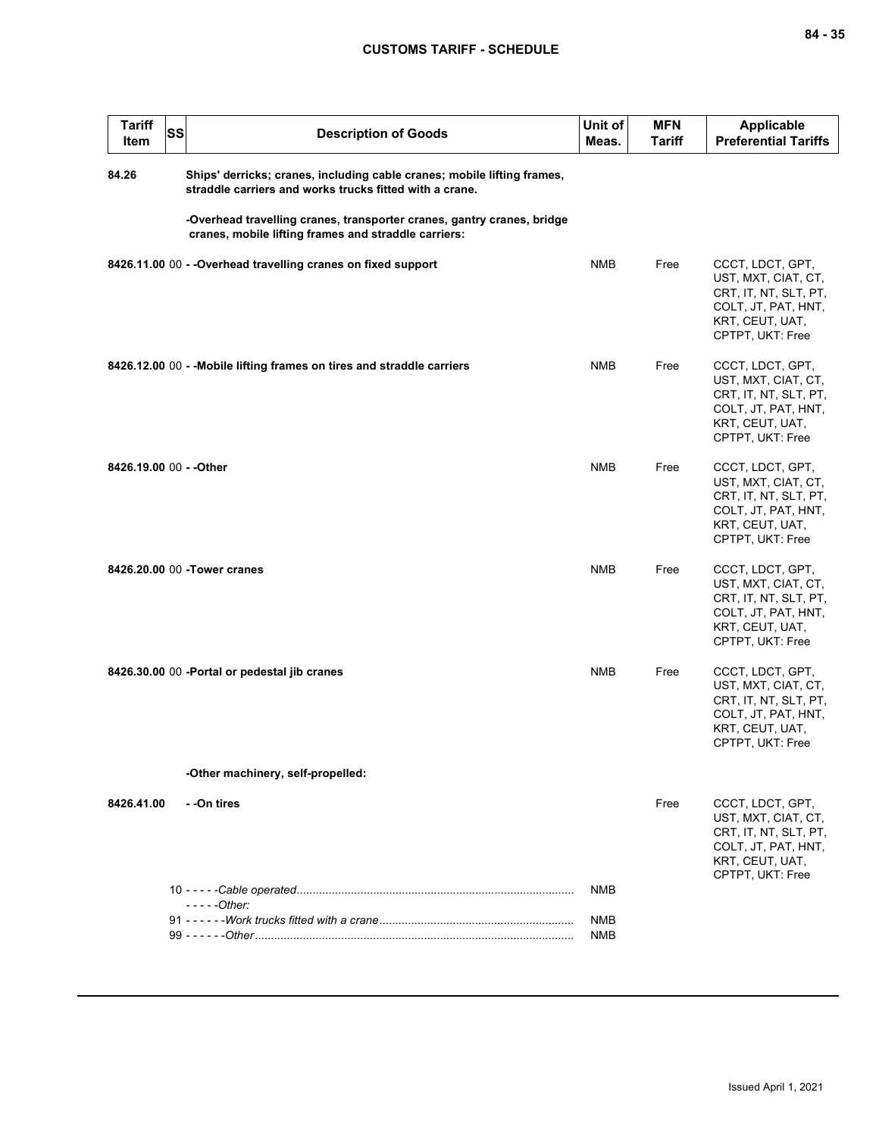| <b>Tariff</b><br>SS<br>Item | <b>Description of Goods</b>                                                                                                        | Unit of<br>Meas.         | <b>MFN</b><br>Tariff | <b>Applicable</b><br><b>Preferential Tariffs</b>                                                                               |
|-----------------------------|------------------------------------------------------------------------------------------------------------------------------------|--------------------------|----------------------|--------------------------------------------------------------------------------------------------------------------------------|
| 84.26                       | Ships' derricks; cranes, including cable cranes; mobile lifting frames,<br>straddle carriers and works trucks fitted with a crane. |                          |                      |                                                                                                                                |
|                             | -Overhead travelling cranes, transporter cranes, gantry cranes, bridge<br>cranes, mobile lifting frames and straddle carriers:     |                          |                      |                                                                                                                                |
|                             | 8426.11.00 00 - - Overhead travelling cranes on fixed support                                                                      | <b>NMB</b>               | Free                 | CCCT, LDCT, GPT,<br>UST, MXT, CIAT, CT,<br>CRT, IT, NT, SLT, PT,<br>COLT, JT, PAT, HNT,<br>KRT, CEUT, UAT,<br>CPTPT, UKT: Free |
|                             | 8426.12.00 00 - - Mobile lifting frames on tires and straddle carriers                                                             | NMB                      | Free                 | CCCT, LDCT, GPT,<br>UST, MXT, CIAT, CT,<br>CRT, IT, NT, SLT, PT,<br>COLT, JT, PAT, HNT,<br>KRT, CEUT, UAT,<br>CPTPT, UKT: Free |
| 8426.19.00 00 - - Other     |                                                                                                                                    | NMB                      | Free                 | CCCT, LDCT, GPT,<br>UST, MXT, CIAT, CT,<br>CRT, IT, NT, SLT, PT,<br>COLT, JT, PAT, HNT,<br>KRT, CEUT, UAT,<br>CPTPT, UKT: Free |
|                             | 8426.20.00 00 - Tower cranes                                                                                                       | <b>NMB</b>               | Free                 | CCCT, LDCT, GPT,<br>UST, MXT, CIAT, CT,<br>CRT, IT, NT, SLT, PT,<br>COLT, JT, PAT, HNT,<br>KRT, CEUT, UAT,<br>CPTPT, UKT: Free |
|                             | 8426.30.00 00 - Portal or pedestal jib cranes                                                                                      | <b>NMB</b>               | Free                 | CCCT, LDCT, GPT,<br>UST, MXT, CIAT, CT,<br>CRT, IT, NT, SLT, PT,<br>COLT, JT, PAT, HNT,<br>KRT, CEUT, UAT,<br>CPTPT, UKT: Free |
|                             | -Other machinery, self-propelled:                                                                                                  |                          |                      |                                                                                                                                |
| 8426.41.00                  | - -On tires                                                                                                                        |                          | Free                 | CCCT, LDCT, GPT,<br>UST, MXT, CIAT, CT,<br>CRT, IT, NT, SLT, PT,<br>COLT, JT, PAT, HNT,<br>KRT, CEUT, UAT,<br>CPTPT, UKT: Free |
|                             | $---Other:$                                                                                                                        | <b>NMB</b>               |                      |                                                                                                                                |
|                             |                                                                                                                                    | <b>NMB</b><br><b>NMB</b> |                      |                                                                                                                                |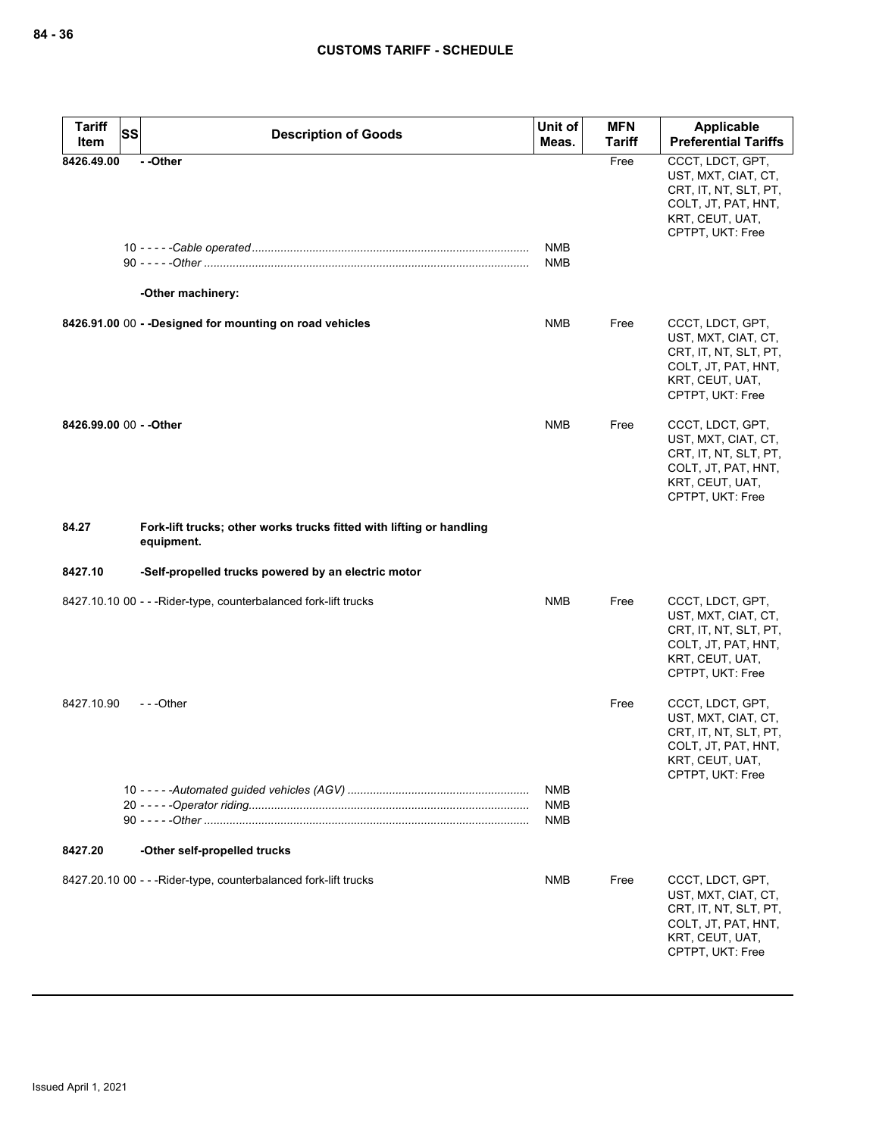| <b>Tariff</b>           | <b>SS</b><br><b>Description of Goods</b>                                           | Unit of                         | <b>MFN</b>    | Applicable                                                                                                                     |
|-------------------------|------------------------------------------------------------------------------------|---------------------------------|---------------|--------------------------------------------------------------------------------------------------------------------------------|
| Item                    |                                                                                    | Meas.                           | <b>Tariff</b> | <b>Preferential Tariffs</b>                                                                                                    |
| 8426.49.00              | --Other                                                                            |                                 | Free          | CCCT, LDCT, GPT,<br>UST, MXT, CIAT, CT,<br>CRT, IT, NT, SLT, PT,<br>COLT, JT, PAT, HNT,<br>KRT, CEUT, UAT,<br>CPTPT, UKT: Free |
|                         |                                                                                    | <b>NMB</b>                      |               |                                                                                                                                |
|                         |                                                                                    | <b>NMB</b>                      |               |                                                                                                                                |
|                         | -Other machinery:                                                                  |                                 |               |                                                                                                                                |
|                         | 8426.91.00 00 - - Designed for mounting on road vehicles                           | <b>NMB</b>                      | Free          | CCCT, LDCT, GPT,<br>UST, MXT, CIAT, CT,<br>CRT, IT, NT, SLT, PT,<br>COLT, JT, PAT, HNT,<br>KRT, CEUT, UAT,<br>CPTPT, UKT: Free |
| 8426.99.00 00 - - Other |                                                                                    | <b>NMB</b>                      | Free          | CCCT, LDCT, GPT,<br>UST, MXT, CIAT, CT,<br>CRT, IT, NT, SLT, PT,<br>COLT, JT, PAT, HNT,<br>KRT, CEUT, UAT,<br>CPTPT, UKT: Free |
| 84.27                   | Fork-lift trucks; other works trucks fitted with lifting or handling<br>equipment. |                                 |               |                                                                                                                                |
| 8427.10                 | -Self-propelled trucks powered by an electric motor                                |                                 |               |                                                                                                                                |
|                         | 8427.10.10 00 - - - Rider-type, counterbalanced fork-lift trucks                   | <b>NMB</b>                      | Free          | CCCT, LDCT, GPT,<br>UST, MXT, CIAT, CT,<br>CRT, IT, NT, SLT, PT,<br>COLT, JT, PAT, HNT,<br>KRT, CEUT, UAT,<br>CPTPT, UKT: Free |
| 8427.10.90              | ---Other                                                                           |                                 | Free          | CCCT, LDCT, GPT,<br>UST, MXT, CIAT, CT,<br>CRT, IT, NT, SLT, PT,<br>COLT, JT, PAT, HNT,<br>KRI, CEUI, UAI,<br>CPTPT, UKT: Free |
|                         |                                                                                    | NMB<br><b>NMB</b><br><b>NMB</b> |               |                                                                                                                                |
| 8427.20                 | -Other self-propelled trucks                                                       |                                 |               |                                                                                                                                |
|                         | 8427.20.10 00 - - - Rider-type, counterbalanced fork-lift trucks                   | NMB                             | Free          | CCCT, LDCT, GPT,<br>UST, MXT, CIAT, CT,<br>CRT, IT, NT, SLT, PT,<br>COLT, JT, PAT, HNT,<br>KRT, CEUT, UAT,<br>CPTPT, UKT: Free |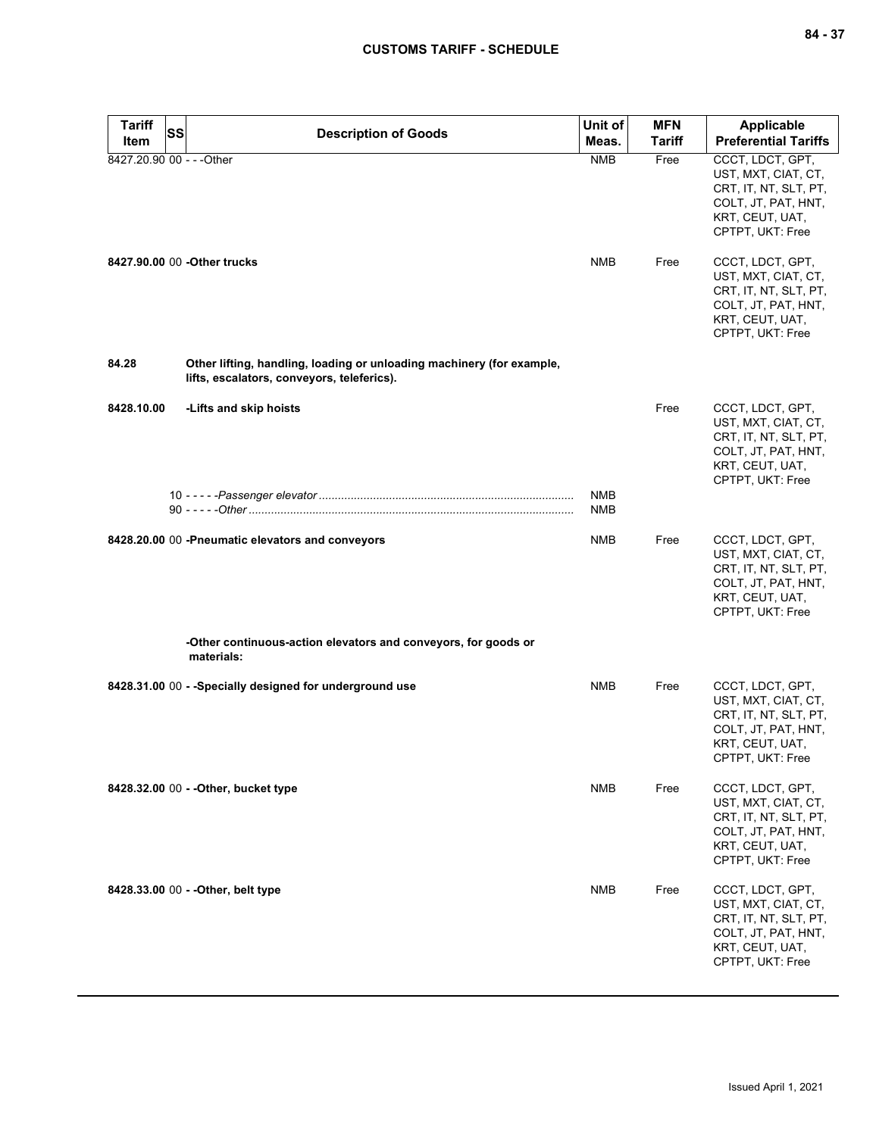| <b>Tariff</b>             | <b>SS</b>                                                                                                           | Unit of                  | <b>MFN</b>    | <b>Applicable</b>                                                                                                                                                         |
|---------------------------|---------------------------------------------------------------------------------------------------------------------|--------------------------|---------------|---------------------------------------------------------------------------------------------------------------------------------------------------------------------------|
| Item                      | <b>Description of Goods</b>                                                                                         | Meas.                    | <b>Tariff</b> | <b>Preferential Tariffs</b>                                                                                                                                               |
| 8427.20.90 00 - - - Other | 8427.90.00 00 - Other trucks                                                                                        | <b>NMB</b><br><b>NMB</b> | Free<br>Free  | CCCT, LDCT, GPT,<br>UST, MXT, CIAT, CT,<br>CRT, IT, NT, SLT, PT,<br>COLT, JT, PAT, HNT,<br>KRT, CEUT, UAT,<br>CPTPT, UKT: Free<br>CCCT, LDCT, GPT,<br>UST, MXT, CIAT, CT, |
|                           |                                                                                                                     |                          |               | CRT, IT, NT, SLT, PT,<br>COLT, JT, PAT, HNT,<br>KRT, CEUT, UAT,<br>CPTPT, UKT: Free                                                                                       |
| 84.28                     | Other lifting, handling, loading or unloading machinery (for example,<br>lifts, escalators, conveyors, teleferics). |                          |               |                                                                                                                                                                           |
| 8428.10.00                | -Lifts and skip hoists                                                                                              |                          | Free          | CCCT, LDCT, GPT,<br>UST, MXT, CIAT, CT,<br>CRT, IT, NT, SLT, PT,<br>COLT, JT, PAT, HNT,<br>KRT, CEUT, UAT,<br>CPTPT, UKT: Free                                            |
|                           |                                                                                                                     | <b>NMB</b><br>NMB        |               |                                                                                                                                                                           |
|                           | 8428.20.00 00 -Pneumatic elevators and conveyors                                                                    | <b>NMB</b>               | Free          | CCCT, LDCT, GPT,<br>UST, MXT, CIAT, CT,<br>CRT, IT, NT, SLT, PT,<br>COLT, JT, PAT, HNT,<br>KRT, CEUT, UAT,<br>CPTPT, UKT: Free                                            |
|                           | -Other continuous-action elevators and conveyors, for goods or<br>materials:                                        |                          |               |                                                                                                                                                                           |
|                           | 8428.31.00 00 - - Specially designed for underground use                                                            | <b>NMB</b>               | Free          | CCCT, LDCT, GPT,<br>UST, MXT, CIAT, CT,<br>CRT, IT, NT, SLT, PT,<br>COLT, JT, PAT, HNT,<br>KRT, CEUT, UAT,<br>CPTPT, UKT: Free                                            |
|                           | 8428.32.00 00 - - Other, bucket type                                                                                | NMB                      | Free          | CCCT, LDCT, GPT,<br>UST, MXT, CIAT, CT,<br>CRT, IT, NT, SLT, PT,<br>COLT, JT, PAT, HNT,<br>KRT, CEUT, UAT,<br>CPTPT, UKT: Free                                            |
|                           | 8428.33.00 00 - - Other, belt type                                                                                  | NMB                      | Free          | CCCT, LDCT, GPT,<br>UST, MXT, CIAT, CT,<br>CRT, IT, NT, SLT, PT,<br>COLT, JT, PAT, HNT,<br>KRT, CEUT, UAT,<br>CPTPT, UKT: Free                                            |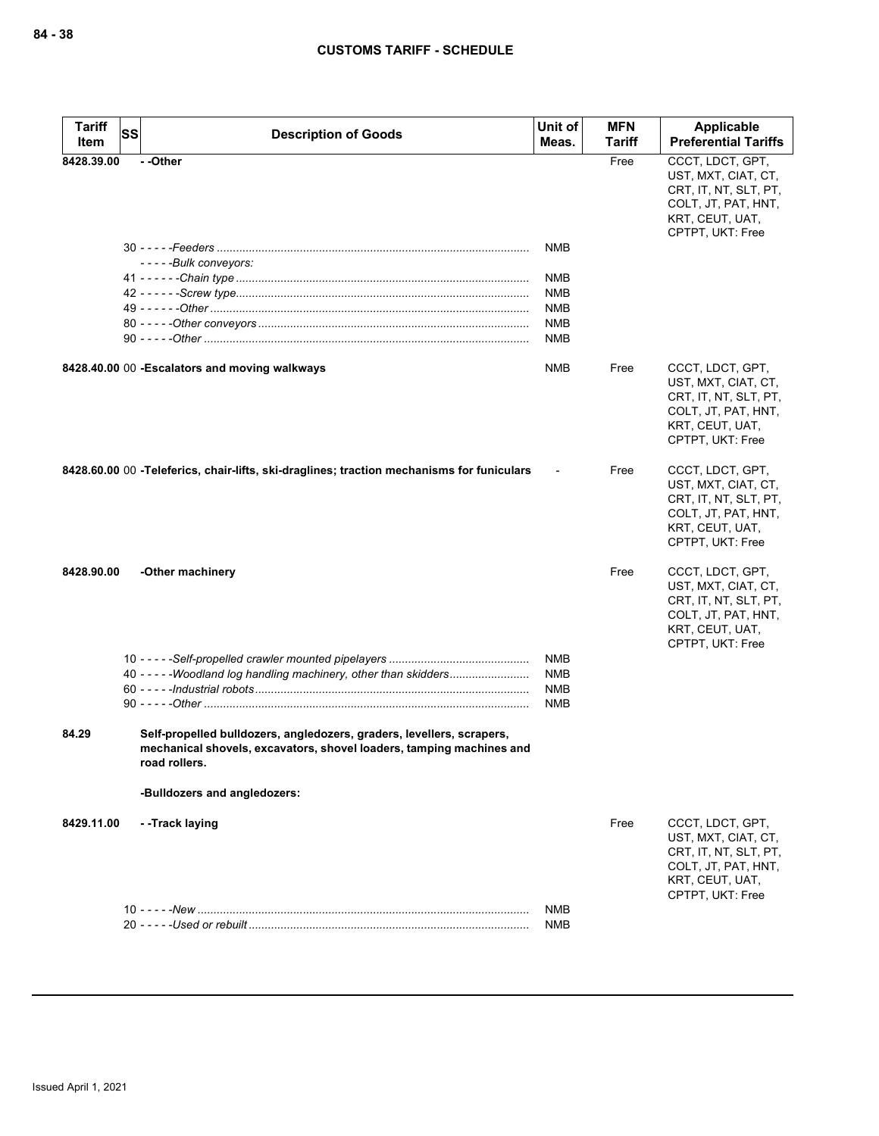| <b>Tariff</b><br>Item | SS | <b>Description of Goods</b>                                                                                                                                    | Unit of<br>Meas. | <b>MFN</b><br>Tariff | Applicable<br><b>Preferential Tariffs</b>                                                                                      |
|-----------------------|----|----------------------------------------------------------------------------------------------------------------------------------------------------------------|------------------|----------------------|--------------------------------------------------------------------------------------------------------------------------------|
| 8428.39.00            |    | --Other                                                                                                                                                        |                  | Free                 | CCCT, LDCT, GPT,                                                                                                               |
|                       |    |                                                                                                                                                                |                  |                      | UST, MXT, CIAT, CT,<br>CRT, IT, NT, SLT, PT,<br>COLT, JT, PAT, HNT,<br>KRT, CEUT, UAT,<br>CPTPT, UKT: Free                     |
|                       |    |                                                                                                                                                                | NMB              |                      |                                                                                                                                |
|                       |    | -----Bulk conveyors:                                                                                                                                           |                  |                      |                                                                                                                                |
|                       |    |                                                                                                                                                                | NMB              |                      |                                                                                                                                |
|                       |    |                                                                                                                                                                | <b>NMB</b>       |                      |                                                                                                                                |
|                       |    |                                                                                                                                                                | <b>NMB</b>       |                      |                                                                                                                                |
|                       |    |                                                                                                                                                                | <b>NMB</b>       |                      |                                                                                                                                |
|                       |    |                                                                                                                                                                | <b>NMB</b>       |                      |                                                                                                                                |
|                       |    | 8428.40.00 00 - Escalators and moving walkways                                                                                                                 | NMB              | Free                 | CCCT, LDCT, GPT,<br>UST, MXT, CIAT, CT,<br>CRT, IT, NT, SLT, PT,<br>COLT, JT, PAT, HNT,<br>KRT, CEUT, UAT,<br>CPTPT, UKT: Free |
|                       |    | 8428.60.00 00 -Teleferics, chair-lifts, ski-draglines; traction mechanisms for funiculars                                                                      |                  | Free                 | CCCT, LDCT, GPT,<br>UST, MXT, CIAT, CT,<br>CRT, IT, NT, SLT, PT,<br>COLT, JT, PAT, HNT,<br>KRT, CEUT, UAT,<br>CPTPT, UKT: Free |
| 8428.90.00            |    | -Other machinery                                                                                                                                               |                  | Free                 | CCCT, LDCT, GPT,<br>UST, MXT, CIAT, CT,<br>CRT, IT, NT, SLT, PT,<br>COLT, JT, PAT, HNT,<br>KRT, CEUT, UAT,<br>CPTPT, UKT: Free |
|                       |    |                                                                                                                                                                | <b>NMB</b>       |                      |                                                                                                                                |
|                       |    | 40 - - - - - Woodland log handling machinery, other than skidders                                                                                              | NMB              |                      |                                                                                                                                |
|                       |    |                                                                                                                                                                | <b>NMB</b>       |                      |                                                                                                                                |
|                       |    |                                                                                                                                                                | <b>NMB</b>       |                      |                                                                                                                                |
| 84.29                 |    | Self-propelled bulldozers, angledozers, graders, levellers, scrapers,<br>mechanical shovels, excavators, shovel loaders, tamping machines and<br>road rollers. |                  |                      |                                                                                                                                |
|                       |    | -Bulldozers and angledozers:                                                                                                                                   |                  |                      |                                                                                                                                |
| 8429.11.00            |    | --Track laying                                                                                                                                                 |                  | Free                 | CCCT, LDCT, GPT,<br>UST, MXT, CIAT, CT,<br>CRT, IT, NT, SLT, PT,<br>COLT, JT, PAT, HNT,<br>KRT, CEUT, UAT,<br>CPTPT, UKT: Free |
|                       |    |                                                                                                                                                                | <b>NMB</b>       |                      |                                                                                                                                |
|                       |    |                                                                                                                                                                | <b>NMB</b>       |                      |                                                                                                                                |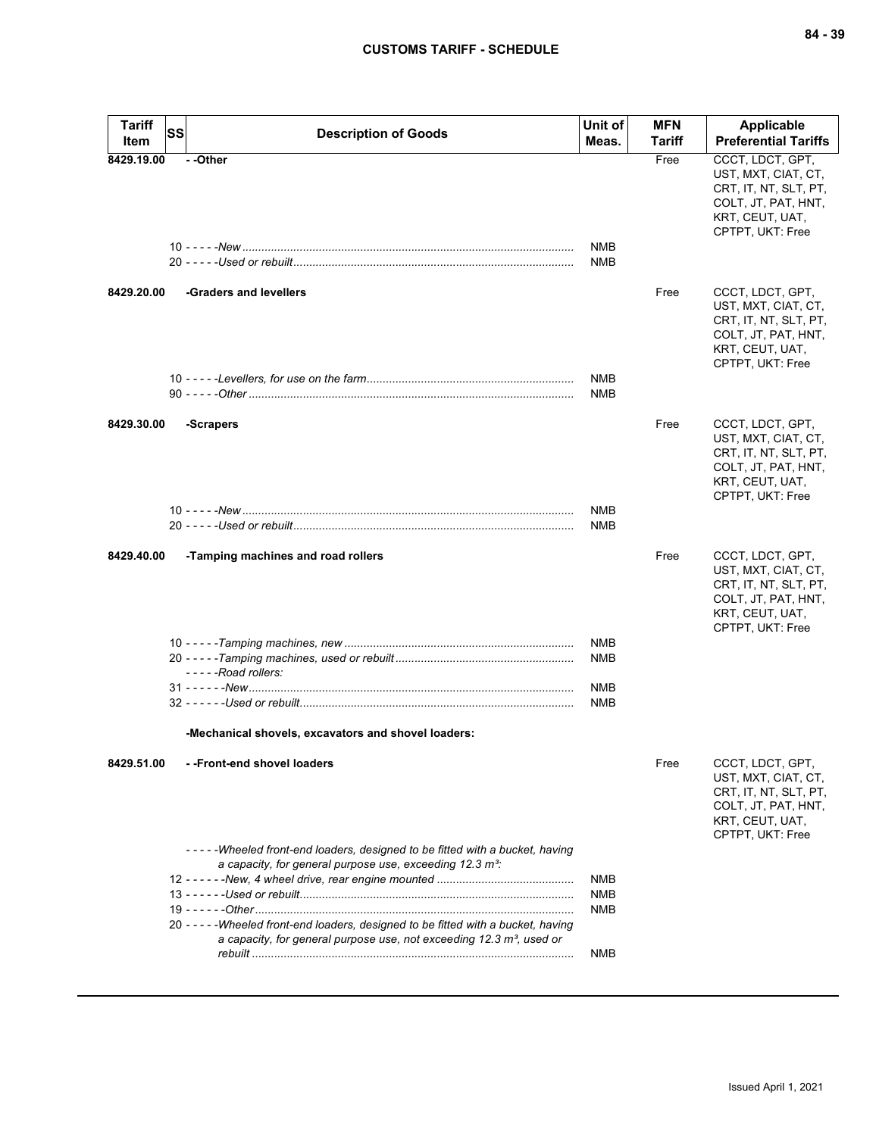| <b>Tariff</b><br>Item | SS | <b>Description of Goods</b>                                                                                                                                                                                                 | Unit of<br>Meas.                       | <b>MFN</b><br>Tariff | <b>Applicable</b><br><b>Preferential Tariffs</b>                                                                               |
|-----------------------|----|-----------------------------------------------------------------------------------------------------------------------------------------------------------------------------------------------------------------------------|----------------------------------------|----------------------|--------------------------------------------------------------------------------------------------------------------------------|
| 8429.19.00            |    | - -Other                                                                                                                                                                                                                    | NMB<br>NMB                             | Free                 | CCCT, LDCT, GPT,<br>UST, MXT, CIAT, CT,<br>CRT, IT, NT, SLT, PT,<br>COLT, JT, PAT, HNT,<br>KRT, CEUT, UAT,<br>CPTPT, UKT: Free |
| 8429.20.00            |    | -Graders and levellers                                                                                                                                                                                                      |                                        | Free                 | CCCT, LDCT, GPT,<br>UST, MXT, CIAT, CT,<br>CRT, IT, NT, SLT, PT,<br>COLT, JT, PAT, HNT,<br>KRT, CEUT, UAT,<br>CPTPT, UKT: Free |
|                       |    |                                                                                                                                                                                                                             | NMB<br><b>NMB</b>                      |                      |                                                                                                                                |
| 8429.30.00            |    | -Scrapers                                                                                                                                                                                                                   |                                        | Free                 | CCCT, LDCT, GPT,<br>UST, MXT, CIAT, CT,<br>CRT, IT, NT, SLT, PT,<br>COLT, JT, PAT, HNT,<br>KRT, CEUT, UAT,<br>CPTPT, UKT: Free |
|                       |    |                                                                                                                                                                                                                             | <b>NMB</b><br><b>NMB</b>               |                      |                                                                                                                                |
| 8429.40.00            |    | -Tamping machines and road rollers                                                                                                                                                                                          |                                        | Free                 | CCCT, LDCT, GPT,<br>UST, MXT, CIAT, CT,<br>CRT, IT, NT, SLT, PT,<br>COLT, JT, PAT, HNT,<br>KRT, CEUT, UAT,<br>CPTPT, UKT: Free |
|                       |    |                                                                                                                                                                                                                             | NMB<br>NMB                             |                      |                                                                                                                                |
|                       |    | -----Road rollers:                                                                                                                                                                                                          | <b>NMB</b><br>NMB                      |                      |                                                                                                                                |
|                       |    | -Mechanical shovels, excavators and shovel loaders:                                                                                                                                                                         |                                        |                      |                                                                                                                                |
| 8429.51.00            |    | --Front-end shovel loaders                                                                                                                                                                                                  |                                        | Free                 | CCCT, LDCT, GPT,<br>UST, MXT, CIAT, CT,<br>CRT, IT, NT, SLT, PT,<br>COLT, JT, PAT, HNT,<br>KRT, CEUT, UAT,<br>CPTPT, UKT: Free |
|                       |    | -----Wheeled front-end loaders, designed to be fitted with a bucket, having<br>a capacity, for general purpose use, exceeding 12.3 m <sup>3</sup> :                                                                         | <b>NMB</b><br><b>NMB</b><br><b>NMB</b> |                      |                                                                                                                                |
|                       |    | 20 - - - - - Wheeled front-end loaders, designed to be fitted with a bucket, having<br>a capacity, for general purpose use, not exceeding $12.3 \text{ m}^3$ , used or<br><u>rebuilt …………………………………………………………………………………………</u> | NMB                                    |                      |                                                                                                                                |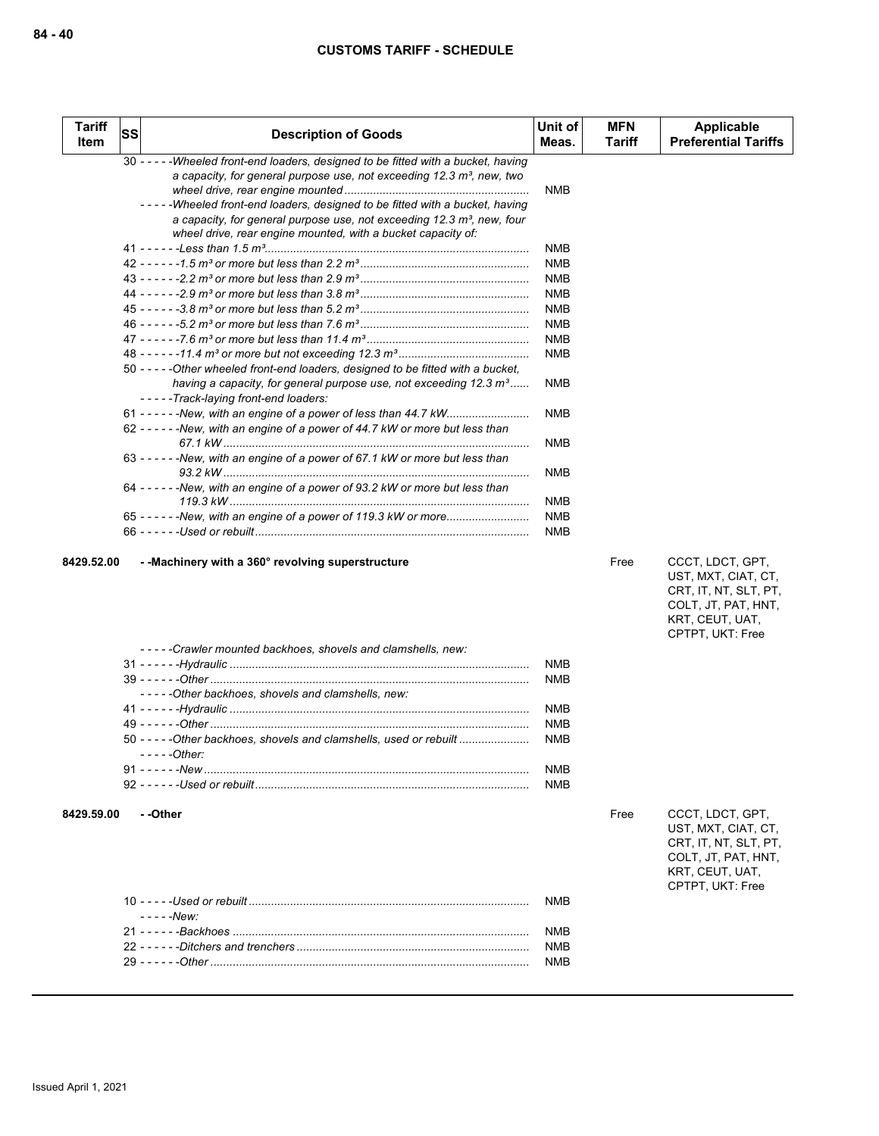| <b>Tariff</b><br>Item | <b>SS</b> | <b>Description of Goods</b>                                                                                                                                                                                                  | Unit of<br>Meas. | <b>MFN</b><br>Tariff | Applicable<br><b>Preferential Tariffs</b> |
|-----------------------|-----------|------------------------------------------------------------------------------------------------------------------------------------------------------------------------------------------------------------------------------|------------------|----------------------|-------------------------------------------|
|                       |           | $30 - - -$<br>-Wheeled front-end loaders, designed to be fitted with a bucket, having<br>a capacity, for general purpose use, not exceeding 12.3 m <sup>3</sup> , new, two                                                   | <b>NMB</b>       |                      |                                           |
|                       |           | -Wheeled front-end loaders, designed to be fitted with a bucket, having<br>a capacity, for general purpose use, not exceeding $12.3 \text{ m}^3$ , new, four<br>wheel drive, rear engine mounted, with a bucket capacity of: |                  |                      |                                           |
|                       |           |                                                                                                                                                                                                                              | <b>NMB</b>       |                      |                                           |
|                       |           |                                                                                                                                                                                                                              | <b>NMB</b>       |                      |                                           |
|                       |           |                                                                                                                                                                                                                              | <b>NMB</b>       |                      |                                           |
|                       |           |                                                                                                                                                                                                                              | <b>NMB</b>       |                      |                                           |
|                       |           |                                                                                                                                                                                                                              | <b>NMB</b>       |                      |                                           |
|                       |           |                                                                                                                                                                                                                              | <b>NMB</b>       |                      |                                           |
|                       |           |                                                                                                                                                                                                                              | <b>NMB</b>       |                      |                                           |
|                       |           |                                                                                                                                                                                                                              | <b>NMB</b>       |                      |                                           |
|                       |           | 50 ----- Other wheeled front-end loaders, designed to be fitted with a bucket,                                                                                                                                               |                  |                      |                                           |
|                       |           | having a capacity, for general purpose use, not exceeding $12.3 \text{ m}^3$<br>-----Track-laying front-end loaders:                                                                                                         | <b>NMB</b>       |                      |                                           |
|                       |           | 62 - - - - - - New, with an engine of a power of 44.7 kW or more but less than                                                                                                                                               | <b>NMB</b>       |                      |                                           |
|                       |           |                                                                                                                                                                                                                              | <b>NMB</b>       |                      |                                           |
|                       |           | 63 - - - - - - New, with an engine of a power of 67.1 kW or more but less than                                                                                                                                               | <b>NMB</b>       |                      |                                           |
|                       |           | 64 ------New, with an engine of a power of 93.2 kW or more but less than                                                                                                                                                     | <b>NMB</b>       |                      |                                           |
|                       |           | 65 - - - - - - New, with an engine of a power of 119.3 kW or more                                                                                                                                                            | <b>NMB</b>       |                      |                                           |
|                       |           |                                                                                                                                                                                                                              | <b>NMB</b>       |                      |                                           |
|                       |           |                                                                                                                                                                                                                              |                  |                      |                                           |

UST, MXT, CIAT, CT, CRT, IT, NT, SLT, PT, COLT, JT, PAT, HNT, KRT, CEUT, UAT, CPTPT, UKT: Free

| -----Crawler mounted backhoes, shovels and clamshells, new:          |            |
|----------------------------------------------------------------------|------------|
|                                                                      | <b>NMB</b> |
|                                                                      | <b>NMB</b> |
| -----Other backhoes, shovels and clamshells, new:                    |            |
|                                                                      | <b>NMB</b> |
|                                                                      | <b>NMB</b> |
| 50 - - - - - Other backhoes, shovels and clamshells, used or rebuilt | <b>NMB</b> |
| $---Other$                                                           |            |
|                                                                      | <b>NMB</b> |
|                                                                      | <b>NMR</b> |
|                                                                      |            |

**8429.59.00 - -Other** Free CCCT, LDCT, GPT,

UST, MXT, CIAT, CT, CRT, IT, NT, SLT, PT, COLT, JT, PAT, HNT, KRT, CEUT, UAT, CPTPT, UKT: Free

| - - - - -New <sup>.</sup> |  |
|---------------------------|--|
|                           |  |
|                           |  |
|                           |  |
|                           |  |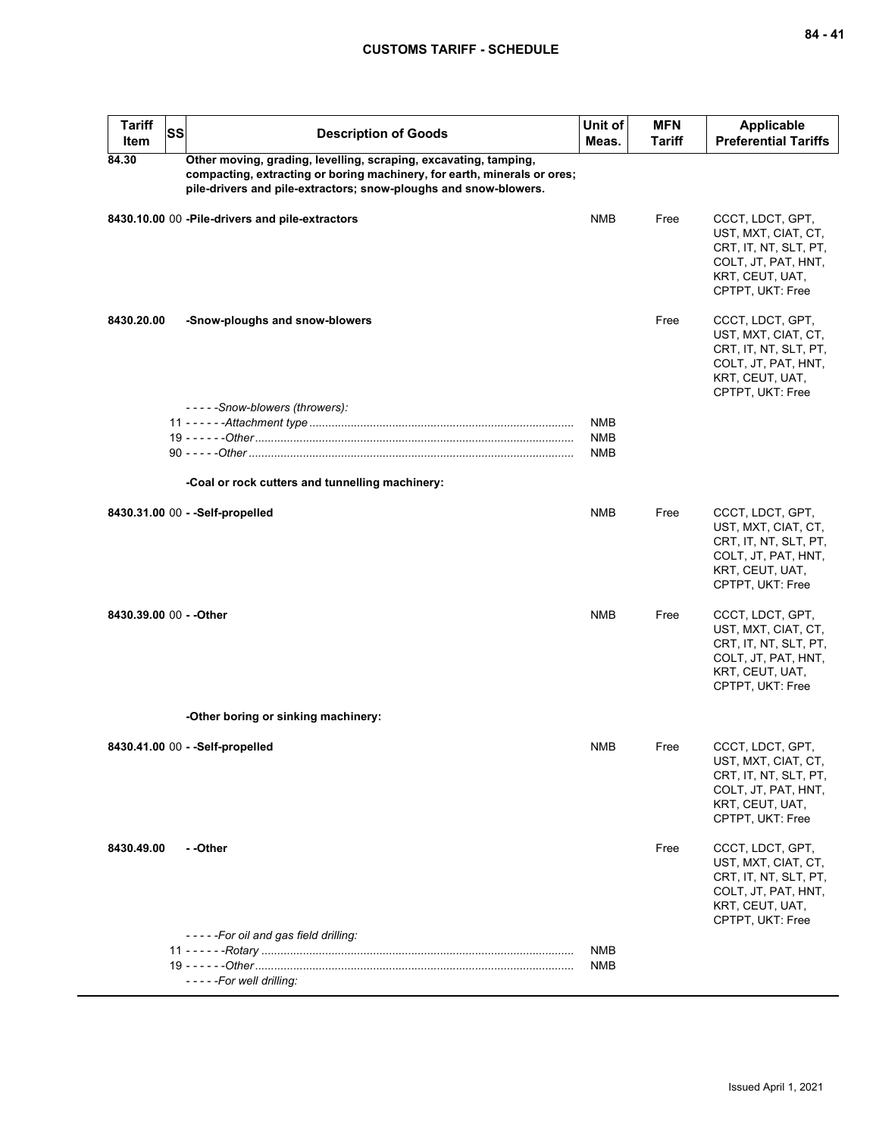| <b>Tariff</b><br>Item   | <b>SS</b> | <b>Description of Goods</b>                                                                                                                                                                                      | Unit of<br>Meas.  | <b>MFN</b><br><b>Tariff</b> | Applicable<br><b>Preferential Tariffs</b>                                                                                      |
|-------------------------|-----------|------------------------------------------------------------------------------------------------------------------------------------------------------------------------------------------------------------------|-------------------|-----------------------------|--------------------------------------------------------------------------------------------------------------------------------|
| 84.30                   |           | Other moving, grading, levelling, scraping, excavating, tamping,<br>compacting, extracting or boring machinery, for earth, minerals or ores;<br>pile-drivers and pile-extractors; snow-ploughs and snow-blowers. |                   |                             |                                                                                                                                |
|                         |           | 8430.10.00 00 - Pile-drivers and pile-extractors                                                                                                                                                                 | <b>NMB</b>        | Free                        | CCCT, LDCT, GPT,<br>UST, MXT, CIAT, CT,<br>CRT, IT, NT, SLT, PT,<br>COLT, JT, PAT, HNT,<br>KRT, CEUT, UAT,<br>CPTPT, UKT: Free |
| 8430.20.00              |           | -Snow-ploughs and snow-blowers                                                                                                                                                                                   |                   | Free                        | CCCT, LDCT, GPT,<br>UST, MXT, CIAT, CT,<br>CRT, IT, NT, SLT, PT,<br>COLT, JT, PAT, HNT,<br>KRT, CEUT, UAT,<br>CPTPT, UKT: Free |
|                         |           | -----Snow-blowers (throwers):                                                                                                                                                                                    | NMB               |                             |                                                                                                                                |
|                         |           |                                                                                                                                                                                                                  | NMB               |                             |                                                                                                                                |
|                         |           |                                                                                                                                                                                                                  | NMB               |                             |                                                                                                                                |
|                         |           |                                                                                                                                                                                                                  |                   |                             |                                                                                                                                |
|                         |           | -Coal or rock cutters and tunnelling machinery:                                                                                                                                                                  |                   |                             |                                                                                                                                |
|                         |           | 8430.31.00 00 - - Self-propelled                                                                                                                                                                                 | <b>NMB</b>        | Free                        | CCCT, LDCT, GPT,<br>UST, MXT, CIAT, CT,<br>CRT, IT, NT, SLT, PT,<br>COLT, JT, PAT, HNT,<br>KRT, CEUT, UAT,<br>CPTPT, UKT: Free |
| 8430.39.00 00 - - Other |           |                                                                                                                                                                                                                  | <b>NMB</b>        | Free                        | CCCT, LDCT, GPT,<br>UST, MXT, CIAT, CT,<br>CRT, IT, NT, SLT, PT,<br>COLT, JT, PAT, HNT,<br>KRT, CEUT, UAT,<br>CPTPT, UKT: Free |
|                         |           | -Other boring or sinking machinery:                                                                                                                                                                              |                   |                             |                                                                                                                                |
|                         |           | 8430.41.00 00 - -Self-propelled                                                                                                                                                                                  | <b>NMB</b>        | Free                        | CCCT, LDCT, GPT,<br>UST, MXT, CIAT, CT,<br>CRT, IT, NT, SLT, PT,<br>COLT, JT, PAT, HNT,<br>KRT, CEUT, UAT,<br>CPTPT, UKT: Free |
| 8430.49.00              |           | - -Other                                                                                                                                                                                                         |                   | Free                        | CCCT, LDCT, GPT,<br>UST, MXT, CIAT, CT,<br>CRT, IT, NT, SLT, PT,<br>COLT, JT, PAT, HNT,<br>KRT, CEUT, UAT,<br>CPTPT, UKT: Free |
|                         |           | -----For oil and gas field drilling:                                                                                                                                                                             |                   |                             |                                                                                                                                |
|                         |           |                                                                                                                                                                                                                  | <b>NMB</b><br>NMB |                             |                                                                                                                                |
|                         |           | - - - - - For well drilling:                                                                                                                                                                                     |                   |                             |                                                                                                                                |
|                         |           |                                                                                                                                                                                                                  |                   |                             |                                                                                                                                |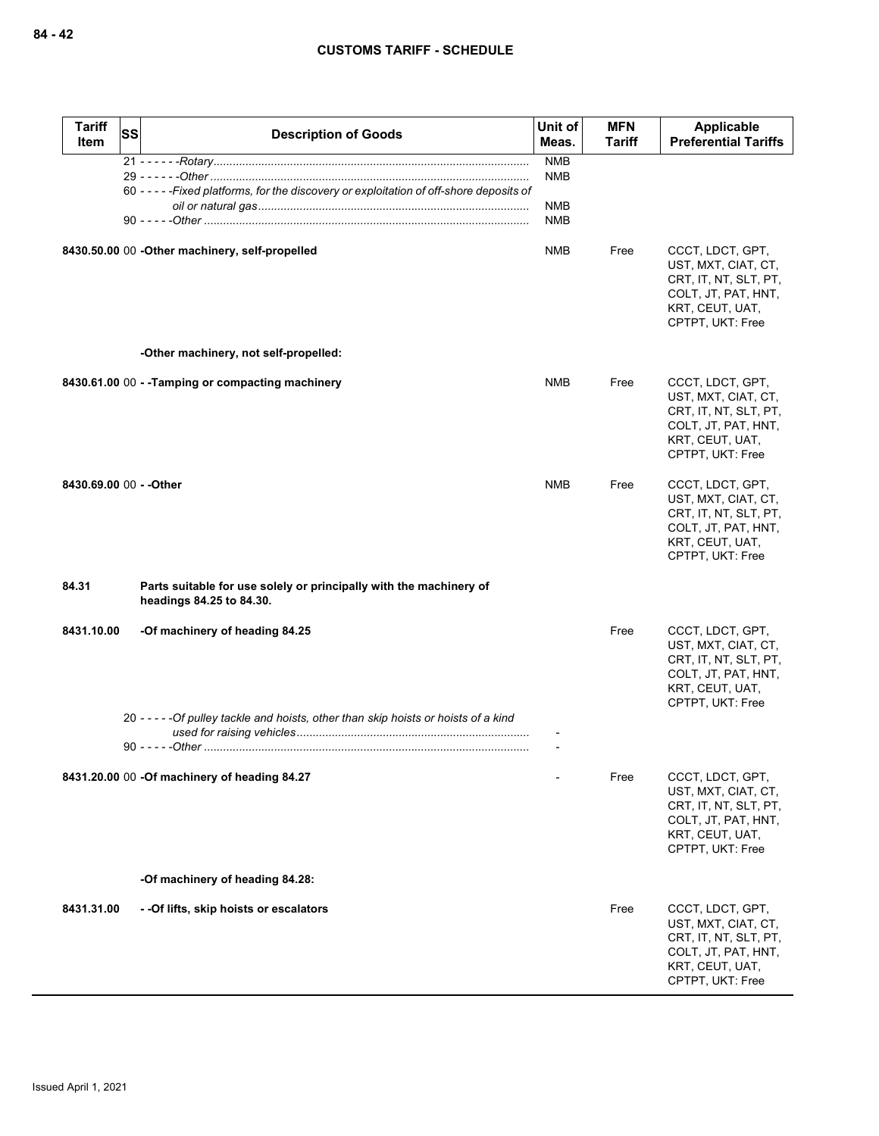| <b>Tariff</b><br>Item   | SS | <b>Description of Goods</b>                                                                    | Unit of<br>Meas.                       | <b>MFN</b><br>Tariff | Applicable<br><b>Preferential Tariffs</b>                                                                                      |
|-------------------------|----|------------------------------------------------------------------------------------------------|----------------------------------------|----------------------|--------------------------------------------------------------------------------------------------------------------------------|
|                         |    | 60 - - - - - Fixed platforms, for the discovery or exploitation of off-shore deposits of       | <b>NMB</b><br>NMB<br><b>NMB</b><br>NMB |                      |                                                                                                                                |
|                         |    | 8430.50.00 00 - Other machinery, self-propelled                                                | NMB                                    | Free                 | CCCT, LDCT, GPT,<br>UST, MXT, CIAT, CT,<br>CRT, IT, NT, SLT, PT,<br>COLT, JT, PAT, HNT,<br>KRT, CEUT, UAT,<br>CPTPT, UKT: Free |
|                         |    | -Other machinery, not self-propelled:                                                          |                                        |                      |                                                                                                                                |
|                         |    | 8430.61.00 00 - - Tamping or compacting machinery                                              | <b>NMB</b>                             | Free                 | CCCT, LDCT, GPT,<br>UST, MXT, CIAT, CT,<br>CRT, IT, NT, SLT, PT,<br>COLT, JT, PAT, HNT,<br>KRT, CEUT, UAT,<br>CPTPT, UKT: Free |
| 8430.69.00 00 - - Other |    |                                                                                                | <b>NMB</b>                             | Free                 | CCCT, LDCT, GPT,<br>UST, MXT, CIAT, CT,<br>CRT, IT, NT, SLT, PT,<br>COLT, JT, PAT, HNT,<br>KRT, CEUT, UAT,<br>CPTPT, UKT: Free |
| 84.31                   |    | Parts suitable for use solely or principally with the machinery of<br>headings 84.25 to 84.30. |                                        |                      |                                                                                                                                |
| 8431.10.00              |    | -Of machinery of heading 84.25                                                                 |                                        | Free                 | CCCT, LDCT, GPT,<br>UST, MXT, CIAT, CT,<br>CRT, IT, NT, SLT, PT,<br>COLT, JT, PAT, HNT,<br>KRT, CEUT, UAT,<br>CPTPT, UKT: Free |
|                         |    | 20 - - - - - Of pulley tackle and hoists, other than skip hoists or hoists of a kind           |                                        |                      |                                                                                                                                |
|                         |    | 8431.20.00 00 -Of machinery of heading 84.27                                                   |                                        | Free                 | CCCT, LDCT, GPT,<br>UST, MXT, CIAT, CT,<br>CRT, IT, NT, SLT, PT,<br>COLT, JT, PAT, HNT,<br>KRT, CEUT, UAT,<br>CPTPT, UKT: Free |
|                         |    | -Of machinery of heading 84.28:                                                                |                                        |                      |                                                                                                                                |
| 8431.31.00              |    | - -Of lifts, skip hoists or escalators                                                         |                                        | Free                 | CCCT, LDCT, GPT,<br>UST, MXT, CIAT, CT,<br>CRT, IT, NT, SLT, PT,<br>COLT, JT, PAT, HNT,<br>KRT, CEUT, UAT,<br>CPTPT, UKT: Free |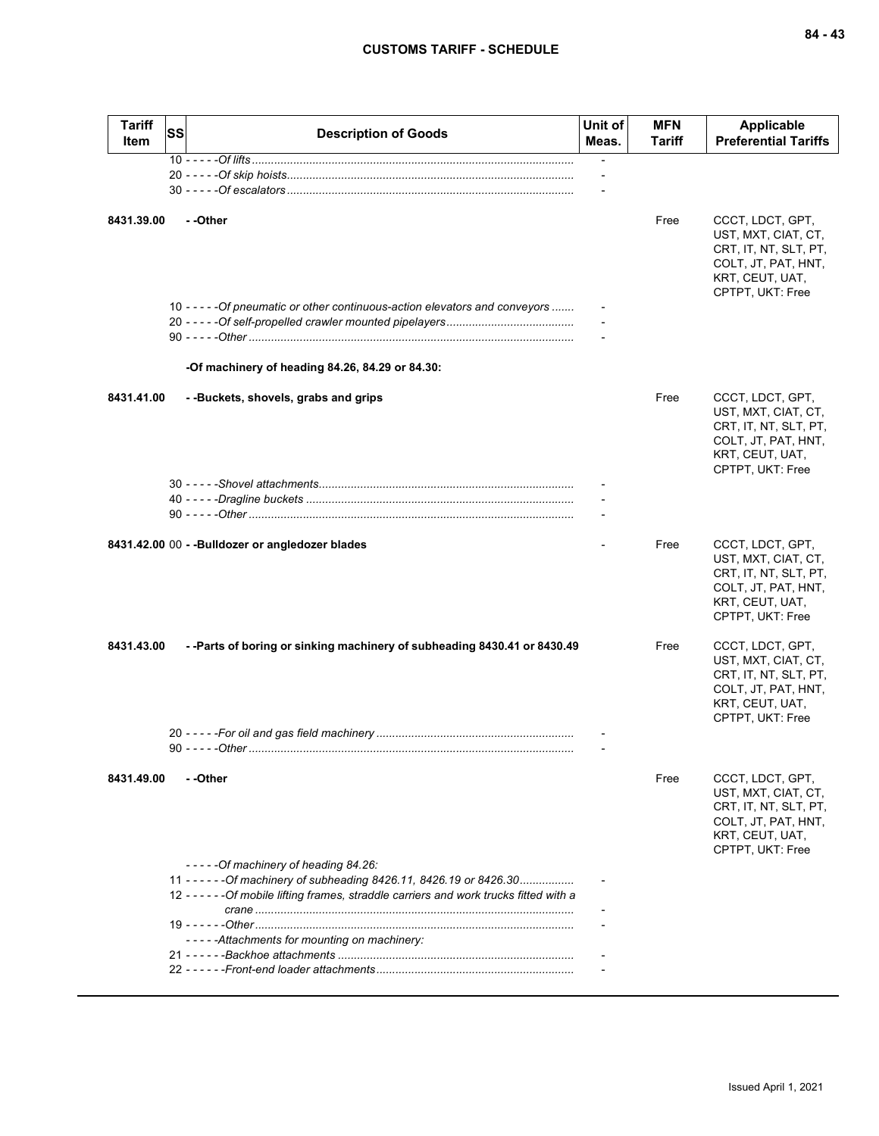| <b>Tariff</b><br><b>Item</b> | SS | <b>Description of Goods</b>                                                                                  | Unit of<br>Meas.         | <b>MFN</b><br>Tariff | <b>Applicable</b><br><b>Preferential Tariffs</b>                                                                               |
|------------------------------|----|--------------------------------------------------------------------------------------------------------------|--------------------------|----------------------|--------------------------------------------------------------------------------------------------------------------------------|
|                              |    |                                                                                                              |                          |                      |                                                                                                                                |
|                              |    |                                                                                                              | $\overline{\phantom{a}}$ |                      |                                                                                                                                |
| 8431.39.00                   |    | - -Other                                                                                                     |                          | Free                 | CCCT, LDCT, GPT,<br>UST, MXT, CIAT, CT,<br>CRT, IT, NT, SLT, PT,<br>COLT, JT, PAT, HNT,                                        |
|                              |    |                                                                                                              |                          |                      | KRT, CEUT, UAT,<br>CPTPT, UKT: Free                                                                                            |
|                              |    | 10 - - - - - Of pneumatic or other continuous-action elevators and conveyors                                 |                          |                      |                                                                                                                                |
|                              |    | -Of machinery of heading 84.26, 84.29 or 84.30:                                                              |                          |                      |                                                                                                                                |
| 8431.41.00                   |    | --Buckets, shovels, grabs and grips                                                                          |                          | Free                 | CCCT, LDCT, GPT,<br>UST, MXT, CIAT, CT,<br>CRT, IT, NT, SLT, PT,<br>COLT, JT, PAT, HNT,<br>KRT, CEUT, UAT,<br>CPTPT, UKT: Free |
|                              |    |                                                                                                              |                          |                      |                                                                                                                                |
|                              |    |                                                                                                              |                          |                      |                                                                                                                                |
|                              |    |                                                                                                              |                          |                      |                                                                                                                                |
|                              |    | 8431.42.00 00 - - Bulldozer or angledozer blades                                                             |                          | Free                 | CCCT, LDCT, GPT,<br>UST, MXT, CIAT, CT,<br>CRT, IT, NT, SLT, PT,<br>COLT, JT, PAT, HNT,<br>KRT, CEUT, UAT,<br>CPTPT, UKT: Free |
| 8431.43.00                   |    | --Parts of boring or sinking machinery of subheading 8430.41 or 8430.49                                      |                          | Free                 | CCCT, LDCT, GPT,<br>UST, MXT, CIAT, CT,<br>CRT, IT, NT, SLT, PT,<br>COLT, JT, PAT, HNT,<br>KRT, CEUT, UAT,<br>CPTPT, UKT: Free |
|                              |    |                                                                                                              |                          |                      |                                                                                                                                |
|                              |    |                                                                                                              |                          |                      |                                                                                                                                |
| 8431.49.00                   |    | - -Other                                                                                                     |                          | Free                 | CCCT, LDCT, GPT,<br>UST, MXT, CIAT, CT,<br>CRT, IT, NT, SLT, PT,<br>COLT, JT, PAT, HNT,<br>KRT, CEUT, UAT,<br>CPTPT, UKT: Free |
|                              |    | $---Of machinery of heading 84.26.$<br>11 - - - - - - Of machinery of subheading 8426.11, 8426.19 or 8426.30 |                          |                      |                                                                                                                                |
|                              |    | 12 - - - - - - Of mobile lifting frames, straddle carriers and work trucks fitted with a                     |                          |                      |                                                                                                                                |
|                              |    |                                                                                                              |                          |                      |                                                                                                                                |
|                              |    | -----Attachments for mounting on machinery:                                                                  |                          |                      |                                                                                                                                |
|                              |    |                                                                                                              |                          |                      |                                                                                                                                |
|                              |    |                                                                                                              |                          |                      |                                                                                                                                |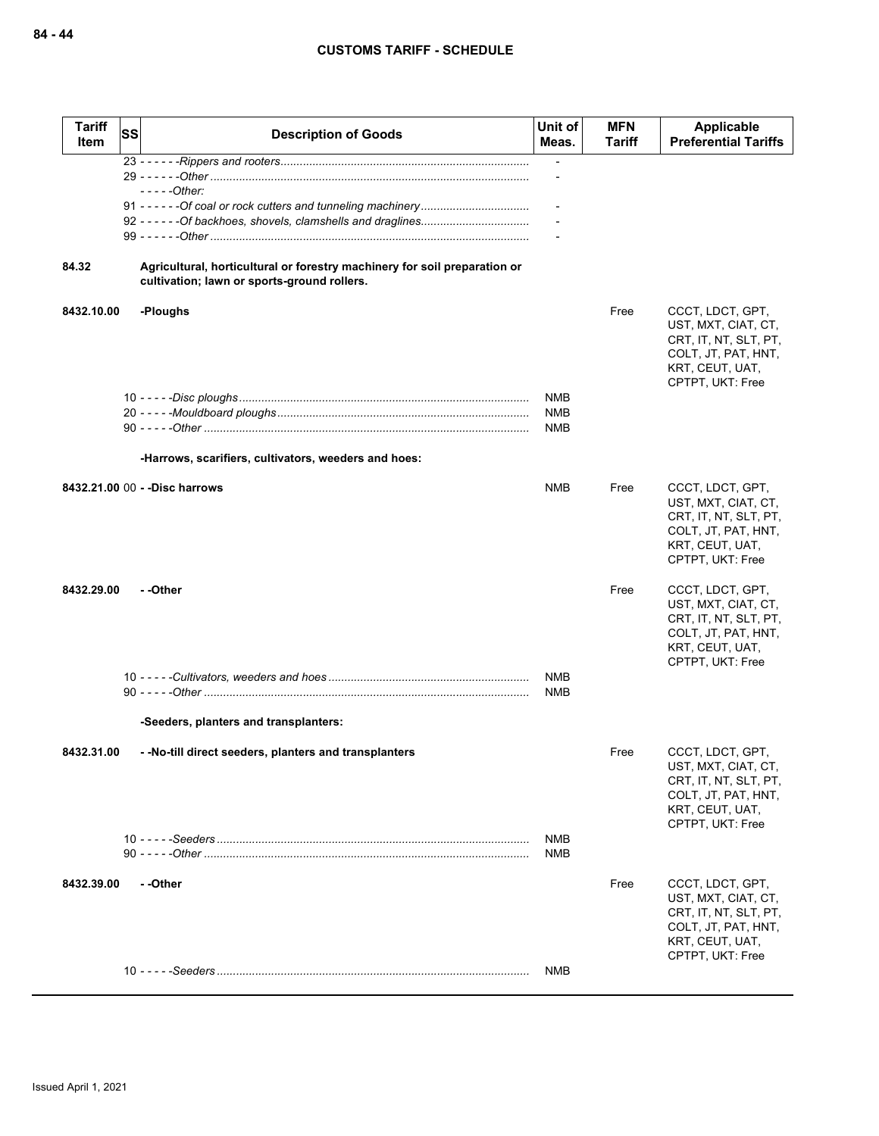| <b>Tariff</b><br>Item | SS<br><b>Description of Goods</b>                                                                                        | Unit of<br>Meas.         | <b>MFN</b><br>Tariff | Applicable<br><b>Preferential Tariffs</b>                                                                                      |
|-----------------------|--------------------------------------------------------------------------------------------------------------------------|--------------------------|----------------------|--------------------------------------------------------------------------------------------------------------------------------|
|                       |                                                                                                                          | $\overline{\phantom{a}}$ |                      |                                                                                                                                |
|                       | $---Other$                                                                                                               |                          |                      |                                                                                                                                |
| 84.32                 | Agricultural, horticultural or forestry machinery for soil preparation or<br>cultivation; lawn or sports-ground rollers. |                          |                      |                                                                                                                                |
| 8432.10.00            | -Ploughs                                                                                                                 |                          | Free                 | CCCT, LDCT, GPT,<br>UST, MXT, CIAT, CT,<br>CRT, IT, NT, SLT, PT,<br>COLT, JT, PAT, HNT,<br>KRT, CEUT, UAT,<br>CPTPT, UKT: Free |
|                       |                                                                                                                          | NMB                      |                      |                                                                                                                                |
|                       |                                                                                                                          | <b>NMB</b><br>NMB        |                      |                                                                                                                                |
|                       | -Harrows, scarifiers, cultivators, weeders and hoes:                                                                     |                          |                      |                                                                                                                                |
|                       | 8432.21.00 00 - - Disc harrows                                                                                           | <b>NMB</b>               | Free                 | CCCT, LDCT, GPT,<br>UST, MXT, CIAT, CT,<br>CRT, IT, NT, SLT, PT,<br>COLT, JT, PAT, HNT,<br>KRT, CEUT, UAT,<br>CPTPT, UKT: Free |
| 8432.29.00            | - -Other                                                                                                                 |                          | Free                 | CCCT, LDCT, GPT,<br>UST, MXT, CIAT, CT,<br>CRT, IT, NT, SLT, PT,<br>COLT, JT, PAT, HNT,<br>KRT, CEUT, UAT,<br>CPTPT, UKT: Free |
|                       |                                                                                                                          | <b>NMB</b><br><b>NMB</b> |                      |                                                                                                                                |
|                       | -Seeders, planters and transplanters:                                                                                    |                          |                      |                                                                                                                                |
| 8432.31.00            | - -No-till direct seeders, planters and transplanters                                                                    |                          | Free                 | CCCT, LDCT, GPT,<br>UST, MXT, CIAT, CT,<br>CRT, IT, NT, SLT, PT,<br>COLT, JT, PAT, HNT,<br>KRT, CEUT, UAT,<br>CPTPT, UKT: Free |
|                       |                                                                                                                          | <b>NMB</b><br><b>NMB</b> |                      |                                                                                                                                |
| 8432.39.00            | - -Other                                                                                                                 |                          | Free                 | CCCT, LDCT, GPT,<br>UST, MXT, CIAT, CT,<br>CRT, IT, NT, SLT, PT,<br>COLT, JT, PAT, HNT,<br>KRT, CEUT, UAT,<br>CPTPT, UKT: Free |
|                       |                                                                                                                          | <b>NMB</b>               |                      |                                                                                                                                |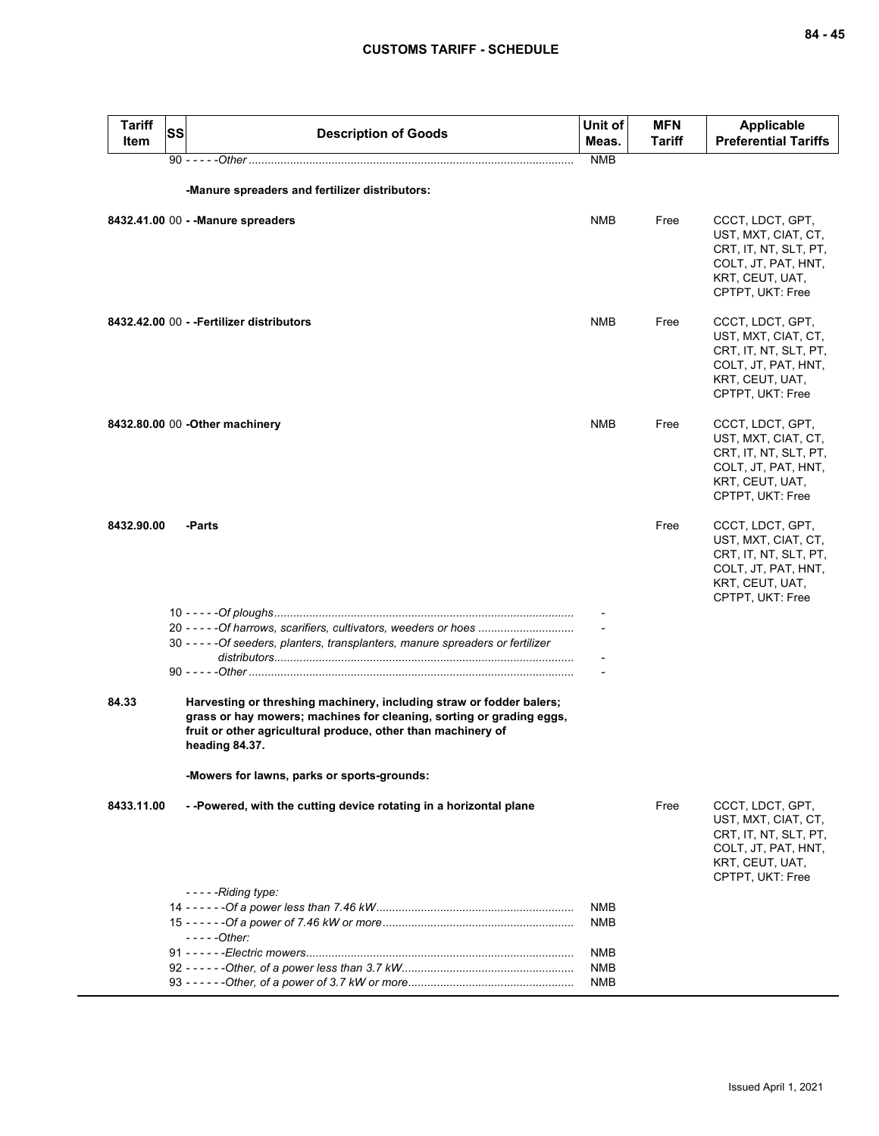| <b>Tariff</b><br>Item | <b>SS</b> | <b>Description of Goods</b>                                                                                                                                                                                                    | Unit of<br>Meas.         | MFN<br>Tariff | <b>Applicable</b><br><b>Preferential Tariffs</b>                                                                               |
|-----------------------|-----------|--------------------------------------------------------------------------------------------------------------------------------------------------------------------------------------------------------------------------------|--------------------------|---------------|--------------------------------------------------------------------------------------------------------------------------------|
|                       |           |                                                                                                                                                                                                                                | <b>NMB</b>               |               |                                                                                                                                |
|                       |           | -Manure spreaders and fertilizer distributors:                                                                                                                                                                                 |                          |               |                                                                                                                                |
|                       |           | 8432.41.00 00 - - Manure spreaders                                                                                                                                                                                             | <b>NMB</b>               | Free          | CCCT, LDCT, GPT,<br>UST, MXT, CIAT, CT,<br>CRT, IT, NT, SLT, PT,<br>COLT, JT, PAT, HNT,<br>KRT, CEUT, UAT,<br>CPTPT, UKT: Free |
|                       |           | 8432.42.00 00 - - Fertilizer distributors                                                                                                                                                                                      | <b>NMB</b>               | Free          | CCCT, LDCT, GPT,<br>UST, MXT, CIAT, CT,<br>CRT, IT, NT, SLT, PT,<br>COLT, JT, PAT, HNT,<br>KRT, CEUT, UAT,<br>CPTPT, UKT: Free |
|                       |           | 8432.80.00 00 - Other machinery                                                                                                                                                                                                | <b>NMB</b>               | Free          | CCCT, LDCT, GPT,<br>UST, MXT, CIAT, CT,<br>CRT, IT, NT, SLT, PT,<br>COLT, JT, PAT, HNT,<br>KRT, CEUT, UAT,<br>CPTPT, UKT: Free |
| 8432.90.00            |           | -Parts                                                                                                                                                                                                                         |                          | Free          | CCCT, LDCT, GPT,<br>UST, MXT, CIAT, CT,<br>CRT, IT, NT, SLT, PT,<br>COLT, JT, PAT, HNT,<br>KRT, CEUT, UAT,<br>CPTPT, UKT: Free |
|                       |           | 20 - - - - - Of harrows, scarifiers, cultivators, weeders or hoes<br>30 - - - - - Of seeders, planters, transplanters, manure spreaders or fertilizer                                                                          |                          |               |                                                                                                                                |
|                       |           |                                                                                                                                                                                                                                |                          |               |                                                                                                                                |
| 84.33                 |           | Harvesting or threshing machinery, including straw or fodder balers;<br>grass or hay mowers; machines for cleaning, sorting or grading eggs,<br>fruit or other agricultural produce, other than machinery of<br>heading 84.37. |                          |               |                                                                                                                                |
|                       |           | -Mowers for lawns, parks or sports-grounds:                                                                                                                                                                                    |                          |               |                                                                                                                                |
| 8433.11.00            |           | --Powered, with the cutting device rotating in a horizontal plane                                                                                                                                                              |                          | Free          | CCCT, LDCT, GPT,<br>UST, MXT, CIAT, CT,<br>CRT, IT, NT, SLT, PT,<br>COLT, JT, PAT, HNT,<br>KRT, CEUT, UAT,<br>CPTPT, UKT: Free |
|                       |           | $---$ Riding type:                                                                                                                                                                                                             | NMB                      |               |                                                                                                                                |
|                       |           | $---Other:$                                                                                                                                                                                                                    | NMB                      |               |                                                                                                                                |
|                       |           |                                                                                                                                                                                                                                | NMB                      |               |                                                                                                                                |
|                       |           |                                                                                                                                                                                                                                | <b>NMB</b><br><b>NMB</b> |               |                                                                                                                                |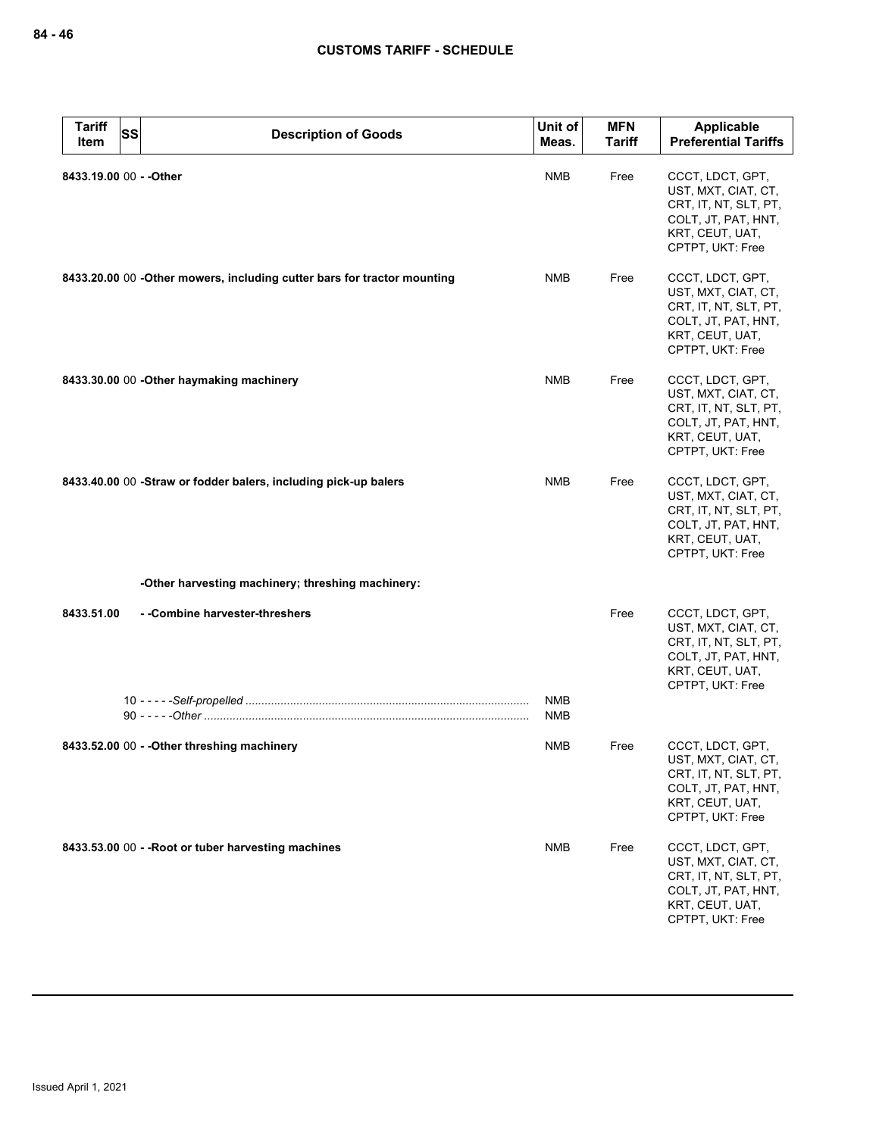| <b>Tariff</b><br>Item   | <b>SS</b> | <b>Description of Goods</b>                                             | Unit of<br>Meas.  | <b>MFN</b><br><b>Tariff</b> | Applicable<br><b>Preferential Tariffs</b>                                                                                      |
|-------------------------|-----------|-------------------------------------------------------------------------|-------------------|-----------------------------|--------------------------------------------------------------------------------------------------------------------------------|
| 8433.19.00 00 - - Other |           |                                                                         | <b>NMB</b>        | Free                        | CCCT, LDCT, GPT,<br>UST, MXT, CIAT, CT,<br>CRT, IT, NT, SLT, PT,<br>COLT, JT, PAT, HNT,<br>KRT, CEUT, UAT,<br>CPTPT, UKT: Free |
|                         |           | 8433.20.00 00 -Other mowers, including cutter bars for tractor mounting | <b>NMB</b>        | Free                        | CCCT, LDCT, GPT,<br>UST, MXT, CIAT, CT,<br>CRT, IT, NT, SLT, PT,<br>COLT, JT, PAT, HNT,<br>KRT, CEUT, UAT,<br>CPTPT, UKT: Free |
|                         |           | 8433.30.00 00 - Other haymaking machinery                               | <b>NMB</b>        | Free                        | CCCT, LDCT, GPT,<br>UST, MXT, CIAT, CT,<br>CRT, IT, NT, SLT, PT,<br>COLT, JT, PAT, HNT,<br>KRT, CEUT, UAT,<br>CPTPT, UKT: Free |
|                         |           | 8433.40.00 00 -Straw or fodder balers, including pick-up balers         | <b>NMB</b>        | Free                        | CCCT, LDCT, GPT,<br>UST, MXT, CIAT, CT,<br>CRT, IT, NT, SLT, PT,<br>COLT, JT, PAT, HNT,<br>KRT, CEUT, UAT,<br>CPTPT, UKT: Free |
|                         |           | -Other harvesting machinery; threshing machinery:                       |                   |                             |                                                                                                                                |
| 8433.51.00              |           | --Combine harvester-threshers                                           |                   | Free                        | CCCT, LDCT, GPT,<br>UST, MXT, CIAT, CT,<br>CRT, IT, NT, SLT, PT,<br>COLT, JT, PAT, HNT,<br>KRT, CEUT, UAT,<br>CPTPT, UKT: Free |
|                         |           |                                                                         | <b>NMB</b><br>NMB |                             |                                                                                                                                |
|                         |           | 8433.52.00 00 - - Other threshing machinery                             | NMB               | Free                        | CCCT, LDCT, GPT,<br>UST, MXT, CIAT, CT,<br>CRT, IT, NT, SLT, PT,<br>COLT, JT, PAT, HNT,<br>KRT, CEUT, UAT,<br>CPTPT, UKT: Free |
|                         |           | 8433.53.00 00 - - Root or tuber harvesting machines                     | <b>NMB</b>        | Free                        | CCCT, LDCT, GPT,<br>UST, MXT, CIAT, CT,<br>CRT, IT, NT, SLT, PT,<br>COLT, JT, PAT, HNT,<br>KRT, CEUT, UAT,<br>CPTPT, UKT: Free |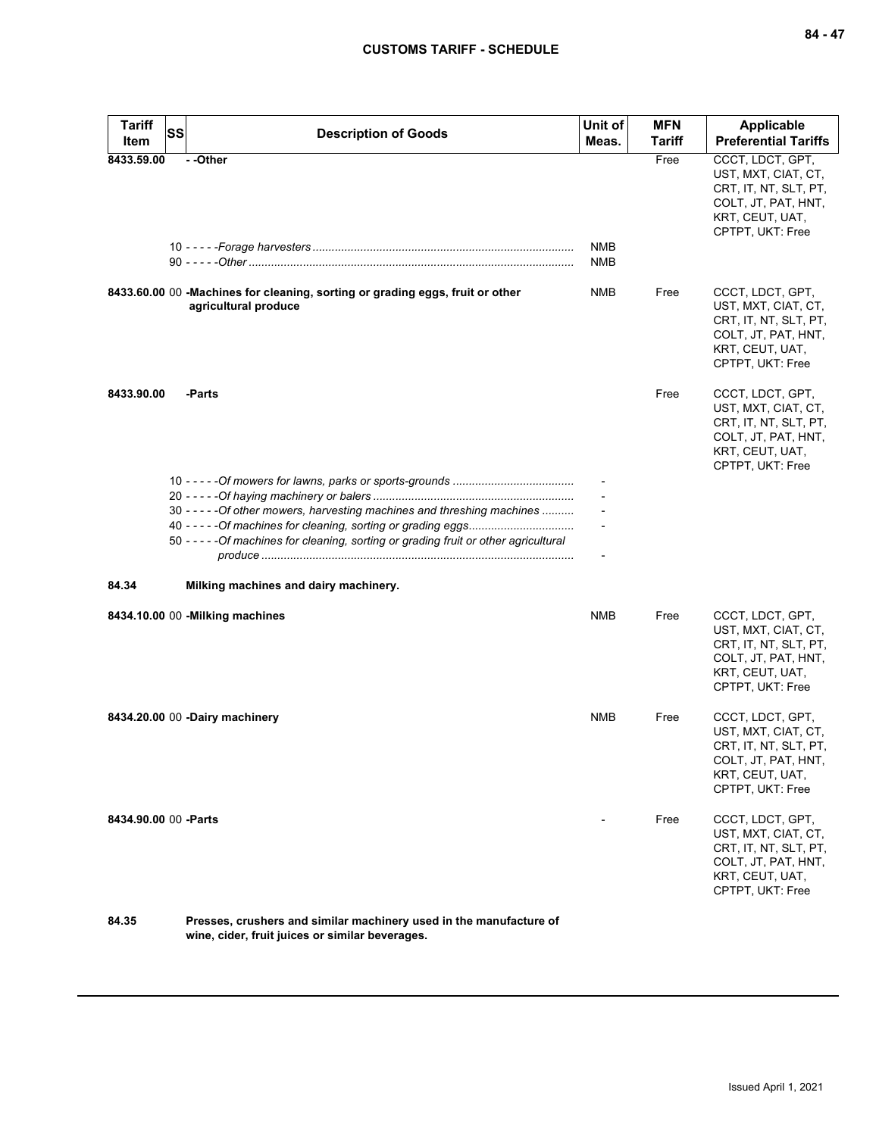| Tariff<br>Item        | <b>SS</b> | <b>Description of Goods</b>                                                                                                                                       | Unit of<br>Meas. | <b>MFN</b><br>Tariff | <b>Applicable</b><br><b>Preferential Tariffs</b>                                                                               |
|-----------------------|-----------|-------------------------------------------------------------------------------------------------------------------------------------------------------------------|------------------|----------------------|--------------------------------------------------------------------------------------------------------------------------------|
| 8433.59.00            |           | - -Other                                                                                                                                                          | NMB<br>NMB       | Free                 | CCCT, LDCT, GPT,<br>UST, MXT, CIAT, CT,<br>CRT, IT, NT, SLT, PT,<br>COLT, JT, PAT, HNT,<br>KRT, CEUT, UAT,<br>CPTPT, UKT: Free |
|                       |           | 8433.60.00 00 -Machines for cleaning, sorting or grading eggs, fruit or other<br>agricultural produce                                                             | NMB              | Free                 | CCCT, LDCT, GPT,<br>UST, MXT, CIAT, CT,<br>CRT, IT, NT, SLT, PT,<br>COLT, JT, PAT, HNT,<br>KRT, CEUT, UAT,<br>CPTPT, UKT: Free |
| 8433.90.00            |           | -Parts                                                                                                                                                            |                  | Free                 | CCCT, LDCT, GPT,<br>UST, MXT, CIAT, CT,<br>CRT, IT, NT, SLT, PT,<br>COLT, JT, PAT, HNT,<br>KRT, CEUT, UAT,<br>CPTPT, UKT: Free |
|                       |           | 30 - - - - - Of other mowers, harvesting machines and threshing machines<br>50 - - - - - Of machines for cleaning, sorting or grading fruit or other agricultural |                  |                      |                                                                                                                                |
| 84.34                 |           | Milking machines and dairy machinery.                                                                                                                             |                  |                      |                                                                                                                                |
|                       |           | 8434.10.00 00 - Milking machines                                                                                                                                  | <b>NMB</b>       | Free                 | CCCT, LDCT, GPT,<br>UST, MXT, CIAT, CT,<br>CRT, IT, NT, SLT, PT,<br>COLT, JT, PAT, HNT,<br>KRT, CEUT, UAT,<br>CPTPT, UKT: Free |
|                       |           | 8434.20.00 00 -Dairy machinery                                                                                                                                    | <b>NMB</b>       | Free                 | CCCT, LDCT, GPT,<br>UST, MXT, CIAT, CT,<br>CRT, IT, NT, SLT, PT,<br>COLT, JT, PAT, HNT,<br>KRT, CEUT, UAT,<br>CPTPT, UKT: Free |
| 8434.90.00 00 - Parts |           |                                                                                                                                                                   |                  | Free                 | CCCT, LDCT, GPT,<br>UST, MXT, CIAT, CT,<br>CRT, IT, NT, SLT, PT,<br>COLT, JT, PAT, HNT,<br>KRT, CEUT, UAT,<br>CPTPT, UKT: Free |
| 84.35                 |           | Presses, crushers and similar machinery used in the manufacture of                                                                                                |                  |                      |                                                                                                                                |

**wine, cider, fruit juices or similar beverages.**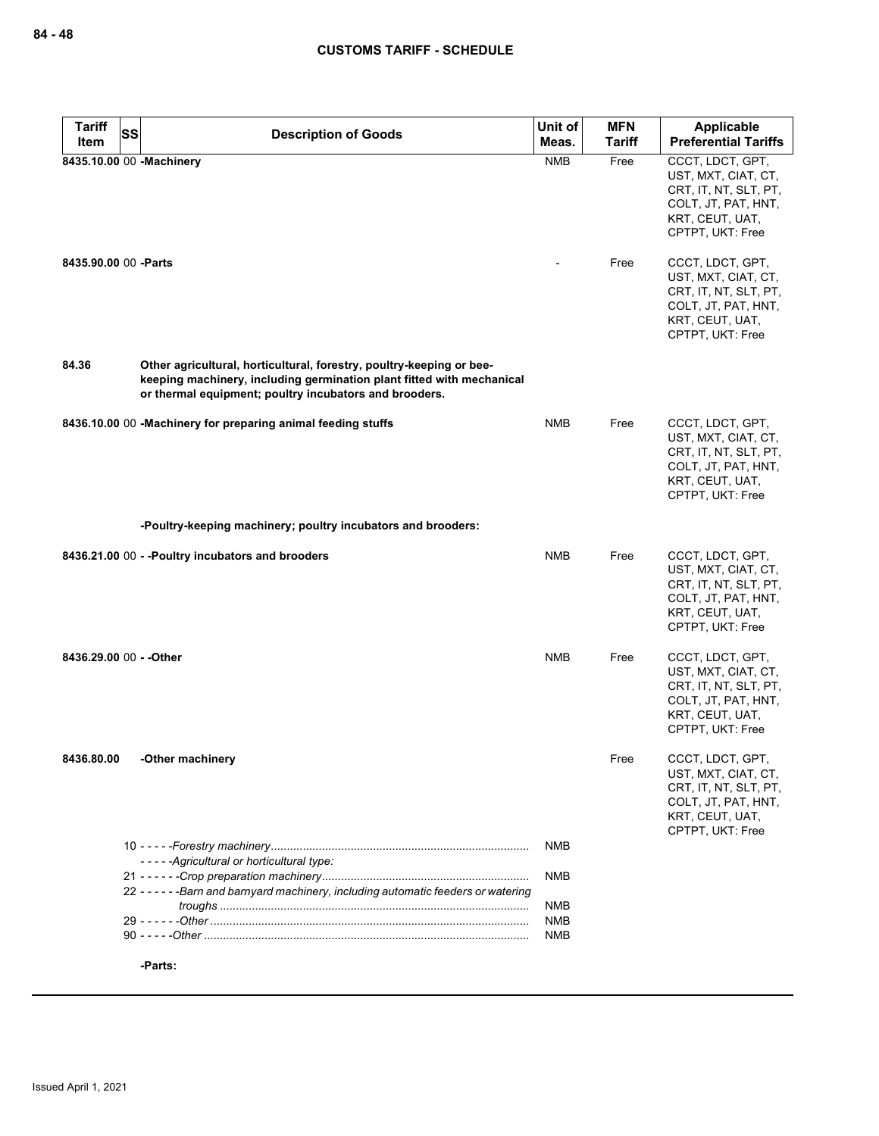| <b>Tariff</b><br>SS     | <b>Description of Goods</b>                                                                                                                                                                             | Unit of                  | <b>MFN</b><br><b>Tariff</b> | Applicable<br><b>Preferential Tariffs</b>                                                                                                          |
|-------------------------|---------------------------------------------------------------------------------------------------------------------------------------------------------------------------------------------------------|--------------------------|-----------------------------|----------------------------------------------------------------------------------------------------------------------------------------------------|
| Item                    |                                                                                                                                                                                                         | Meas.                    |                             |                                                                                                                                                    |
| 8435.90.00 00 - Parts   | 8435.10.00 00 -Machinery                                                                                                                                                                                | <b>NMB</b>               | Free<br>Free                | CCCT, LDCT, GPT,<br>UST, MXT, CIAT, CT,<br>CRT, IT, NT, SLT, PT,<br>COLT, JT, PAT, HNT,<br>KRT, CEUT, UAT,<br>CPTPT, UKT: Free<br>CCCT, LDCT, GPT, |
|                         |                                                                                                                                                                                                         |                          |                             | UST, MXT, CIAT, CT,<br>CRT, IT, NT, SLT, PT,<br>COLT, JT, PAT, HNT,<br>KRT, CEUT, UAT,<br>CPTPT, UKT: Free                                         |
| 84.36                   | Other agricultural, horticultural, forestry, poultry-keeping or bee-<br>keeping machinery, including germination plant fitted with mechanical<br>or thermal equipment; poultry incubators and brooders. |                          |                             |                                                                                                                                                    |
|                         | 8436.10.00 00 -Machinery for preparing animal feeding stuffs                                                                                                                                            | <b>NMB</b>               | Free                        | CCCT, LDCT, GPT,<br>UST, MXT, CIAT, CT,<br>CRT, IT, NT, SLT, PT,<br>COLT, JT, PAT, HNT,<br>KRT, CEUT, UAT,<br>CPTPT, UKT: Free                     |
|                         | -Poultry-keeping machinery; poultry incubators and brooders:                                                                                                                                            |                          |                             |                                                                                                                                                    |
|                         | 8436.21.00 00 - - Poultry incubators and brooders                                                                                                                                                       | <b>NMB</b>               | Free                        | CCCT, LDCT, GPT,<br>UST, MXT, CIAT, CT,<br>CRT, IT, NT, SLT, PT,<br>COLT, JT, PAT, HNT,<br>KRT, CEUT, UAT,<br>CPTPT, UKT: Free                     |
| 8436.29.00 00 - - Other |                                                                                                                                                                                                         | <b>NMB</b>               | Free                        | CCCT, LDCT, GPT,<br>UST, MXT, CIAT, CT,<br>CRT, IT, NT, SLT, PT,<br>COLT, JT, PAT, HNT,<br>KRT, CEUT, UAT,<br>CPTPT, UKT: Free                     |
|                         | 8436.80.00 -Other machinery                                                                                                                                                                             |                          | Free                        | CCCT, LDCT, GPT,<br>UST, MXT, CIAT, CT,<br>CRT, IT, NT, SLT, PT,<br>COLT, JT, PAT, HNT,<br>KRT, CEUT, UAT,<br>CPTPT, UKT: Free                     |
|                         | -----Agricultural or horticultural type:                                                                                                                                                                | <b>NMB</b>               |                             |                                                                                                                                                    |
|                         | 22 - - - - - - Barn and barnyard machinery, including automatic feeders or watering                                                                                                                     | <b>NMB</b>               |                             |                                                                                                                                                    |
|                         |                                                                                                                                                                                                         | <b>NMB</b><br><b>NMB</b> |                             |                                                                                                                                                    |
|                         |                                                                                                                                                                                                         | <b>NMB</b>               |                             |                                                                                                                                                    |
|                         | -Parts:                                                                                                                                                                                                 |                          |                             |                                                                                                                                                    |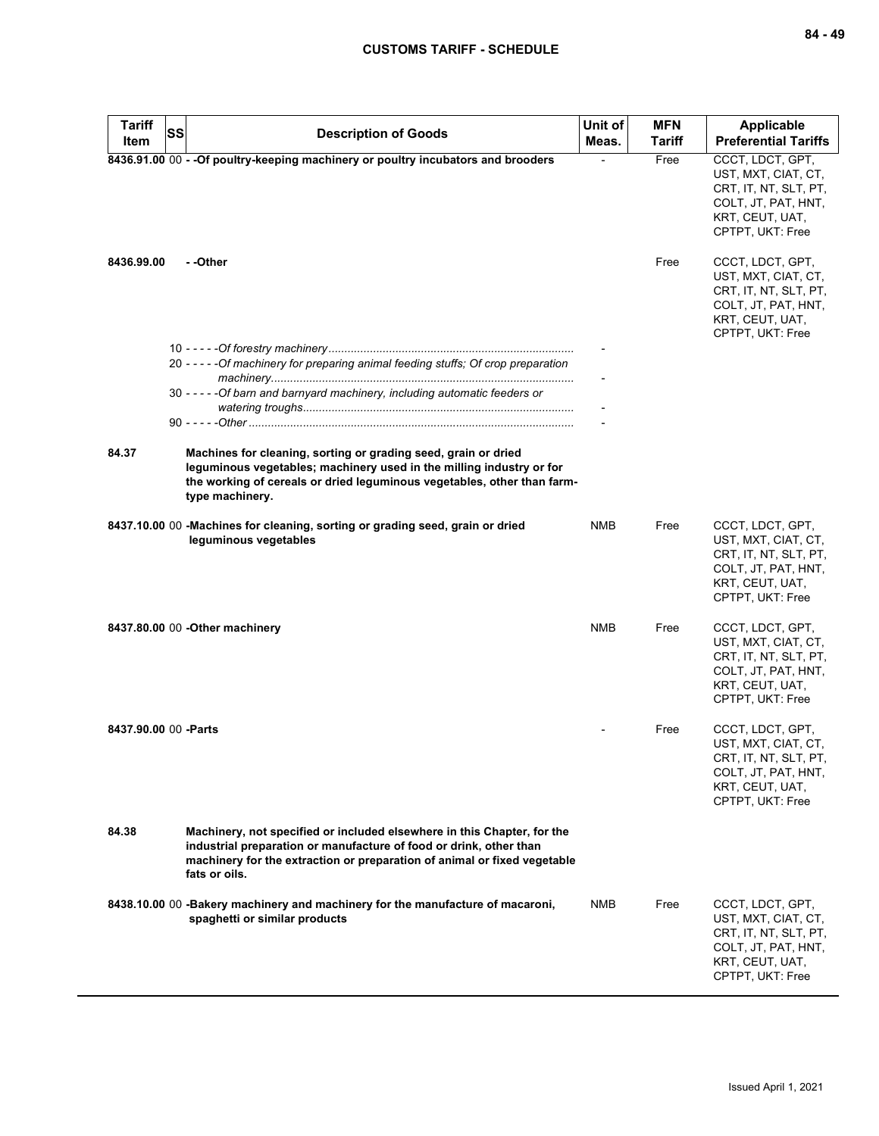| <b>Tariff</b><br>Item | <b>SS</b><br><b>Description of Goods</b>                                                                                                                                                                                                   | Unit of<br>Meas. | <b>MFN</b><br><b>Tariff</b> | <b>Applicable</b><br><b>Preferential Tariffs</b>                                                                               |
|-----------------------|--------------------------------------------------------------------------------------------------------------------------------------------------------------------------------------------------------------------------------------------|------------------|-----------------------------|--------------------------------------------------------------------------------------------------------------------------------|
|                       | 8436.91.00 00 - - Of poultry-keeping machinery or poultry incubators and brooders                                                                                                                                                          |                  | Free                        | CCCT, LDCT, GPT,<br>UST, MXT, CIAT, CT,<br>CRT, IT, NT, SLT, PT,<br>COLT, JT, PAT, HNT,<br>KRT, CEUT, UAT,<br>CPTPT, UKT: Free |
| 8436.99.00            | - -Other                                                                                                                                                                                                                                   |                  | Free                        | CCCT, LDCT, GPT,<br>UST, MXT, CIAT, CT,<br>CRT, IT, NT, SLT, PT,<br>COLT, JT, PAT, HNT,<br>KRT, CEUT, UAT,<br>CPTPT, UKT: Free |
|                       | 20 - - - - - Of machinery for preparing animal feeding stuffs; Of crop preparation                                                                                                                                                         |                  |                             |                                                                                                                                |
|                       | 30 - - - - - Of barn and barnyard machinery, including automatic feeders or                                                                                                                                                                |                  |                             |                                                                                                                                |
| 84.37                 | Machines for cleaning, sorting or grading seed, grain or dried<br>leguminous vegetables; machinery used in the milling industry or for<br>the working of cereals or dried leguminous vegetables, other than farm-<br>type machinery.       |                  |                             |                                                                                                                                |
|                       | 8437.10.00 00 -Machines for cleaning, sorting or grading seed, grain or dried<br>leguminous vegetables                                                                                                                                     | NMB              | Free                        | CCCT, LDCT, GPT,<br>UST, MXT, CIAT, CT,<br>CRT, IT, NT, SLT, PT,<br>COLT, JT, PAT, HNT,<br>KRT, CEUT, UAT,<br>CPTPT, UKT: Free |
|                       | 8437.80.00 00 - Other machinery                                                                                                                                                                                                            | <b>NMB</b>       | Free                        | CCCT, LDCT, GPT,<br>UST, MXT, CIAT, CT,<br>CRT, IT, NT, SLT, PT,<br>COLT, JT, PAT, HNT,<br>KRT, CEUT, UAT,<br>CPTPT, UKT: Free |
| 8437.90.00 00 - Parts |                                                                                                                                                                                                                                            |                  | Free                        | CCCT, LDCT, GPT,<br>UST, MXT, CIAT, CT,<br>CRT, IT, NT, SLT, PT,<br>COLT, JT, PAT, HNT,<br>KRT, CEUT, UAT,<br>CPTPT, UKT: Free |
| 84.38                 | Machinery, not specified or included elsewhere in this Chapter, for the<br>industrial preparation or manufacture of food or drink, other than<br>machinery for the extraction or preparation of animal or fixed vegetable<br>fats or oils. |                  |                             |                                                                                                                                |
|                       | 8438.10.00 00 -Bakery machinery and machinery for the manufacture of macaroni,<br>spaghetti or similar products                                                                                                                            | NMB              | Free                        | CCCT, LDCT, GPT,<br>UST, MXT, CIAT, CT,<br>CRT, IT, NT, SLT, PT,<br>COLT, JT, PAT, HNT,<br>KRT, CEUT, UAT,<br>CPTPT, UKT: Free |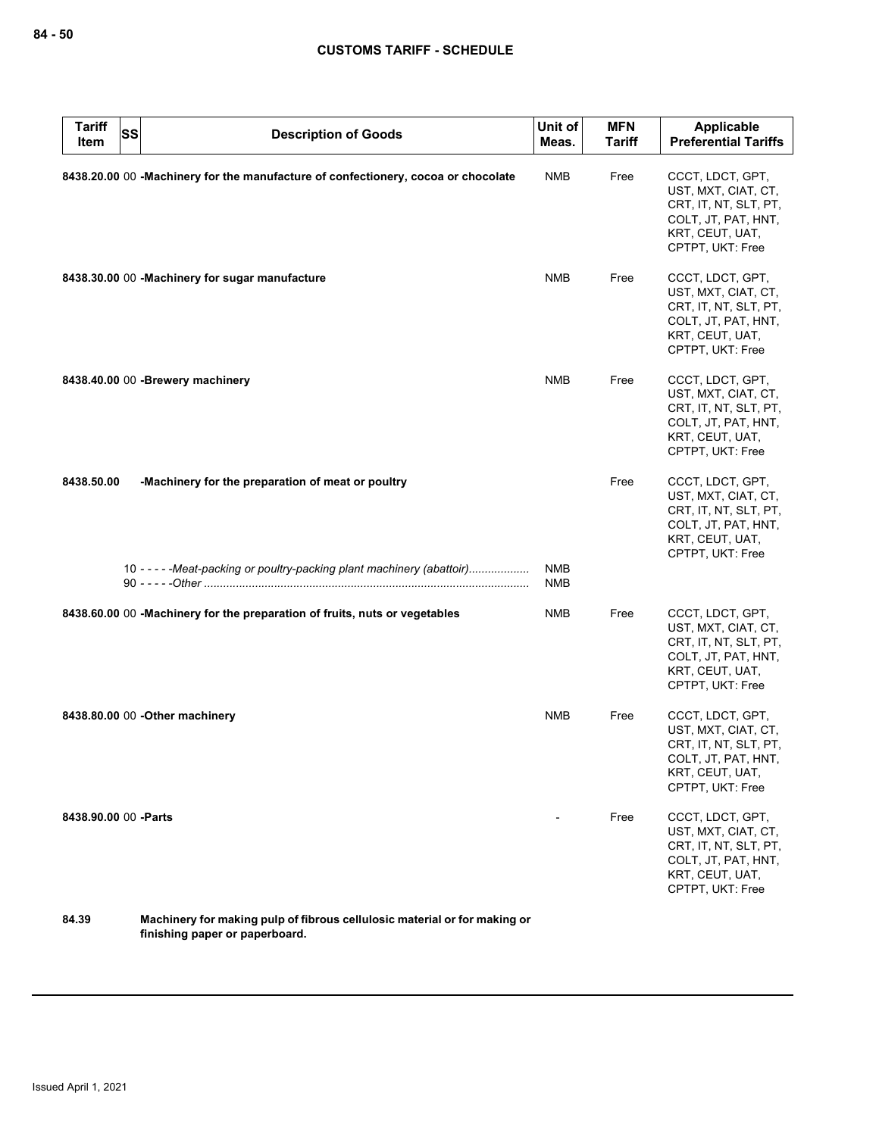| <b>Tariff</b><br>Item | <b>SS</b> | <b>Description of Goods</b>                                                                                                  | Unit of<br>Meas. | <b>MFN</b><br><b>Tariff</b> | <b>Applicable</b><br><b>Preferential Tariffs</b>                                                                               |
|-----------------------|-----------|------------------------------------------------------------------------------------------------------------------------------|------------------|-----------------------------|--------------------------------------------------------------------------------------------------------------------------------|
|                       |           | 8438.20.00 00 -Machinery for the manufacture of confectionery, cocoa or chocolate                                            | <b>NMB</b>       | Free                        | CCCT, LDCT, GPT,<br>UST, MXT, CIAT, CT,<br>CRT, IT, NT, SLT, PT,<br>COLT, JT, PAT, HNT,<br>KRT, CEUT, UAT,<br>CPTPT, UKT: Free |
|                       |           | 8438.30.00 00 -Machinery for sugar manufacture                                                                               | <b>NMB</b>       | Free                        | CCCT, LDCT, GPT,<br>UST, MXT, CIAT, CT,<br>CRT, IT, NT, SLT, PT,<br>COLT, JT, PAT, HNT,<br>KRT, CEUT, UAT,<br>CPTPT, UKT: Free |
|                       |           | 8438.40.00 00 - Brewery machinery                                                                                            | <b>NMB</b>       | Free                        | CCCT, LDCT, GPT,<br>UST, MXT, CIAT, CT,<br>CRT, IT, NT, SLT, PT,<br>COLT, JT, PAT, HNT,<br>KRT, CEUT, UAT,<br>CPTPT, UKT: Free |
| 8438.50.00            |           | -Machinery for the preparation of meat or poultry<br>10 - - - - - Meat-packing or poultry-packing plant machinery (abattoir) | <b>NMB</b>       | Free                        | CCCT, LDCT, GPT,<br>UST, MXT, CIAT, CT,<br>CRT, IT, NT, SLT, PT,<br>COLT, JT, PAT, HNT,<br>KRT, CEUT, UAT,<br>CPTPT, UKT: Free |
|                       |           |                                                                                                                              | <b>NMB</b>       |                             |                                                                                                                                |
|                       |           | 8438.60.00 00 -Machinery for the preparation of fruits, nuts or vegetables                                                   | <b>NMB</b>       | Free                        | CCCT, LDCT, GPT,<br>UST, MXT, CIAT, CT,<br>CRT, IT, NT, SLT, PT,<br>COLT, JT, PAT, HNT,<br>KRT, CEUT, UAT,<br>CPTPT, UKT: Free |
|                       |           | 8438.80.00 00 - Other machinery                                                                                              | <b>NMB</b>       | Free                        | CCCT, LDCT, GPT,<br>UST, MXT, CIAT, CT,<br>CRT, IT, NT, SLT, PT,<br>COLT, JT, PAT, HNT,<br>KRT, CEUT, UAT,<br>CPTPT, UKT: Free |
| 8438.90.00 00 - Parts |           |                                                                                                                              |                  | Free                        | CCCT, LDCT, GPT,<br>UST, MXT, CIAT, CT,<br>CRT, IT, NT, SLT, PT,<br>COLT, JT, PAT, HNT,<br>KRT, CEUT, UAT,<br>CPTPT, UKT: Free |
| 84.39                 |           | Machinery for making pulp of fibrous cellulosic material or for making or                                                    |                  |                             |                                                                                                                                |

**finishing paper or paperboard.**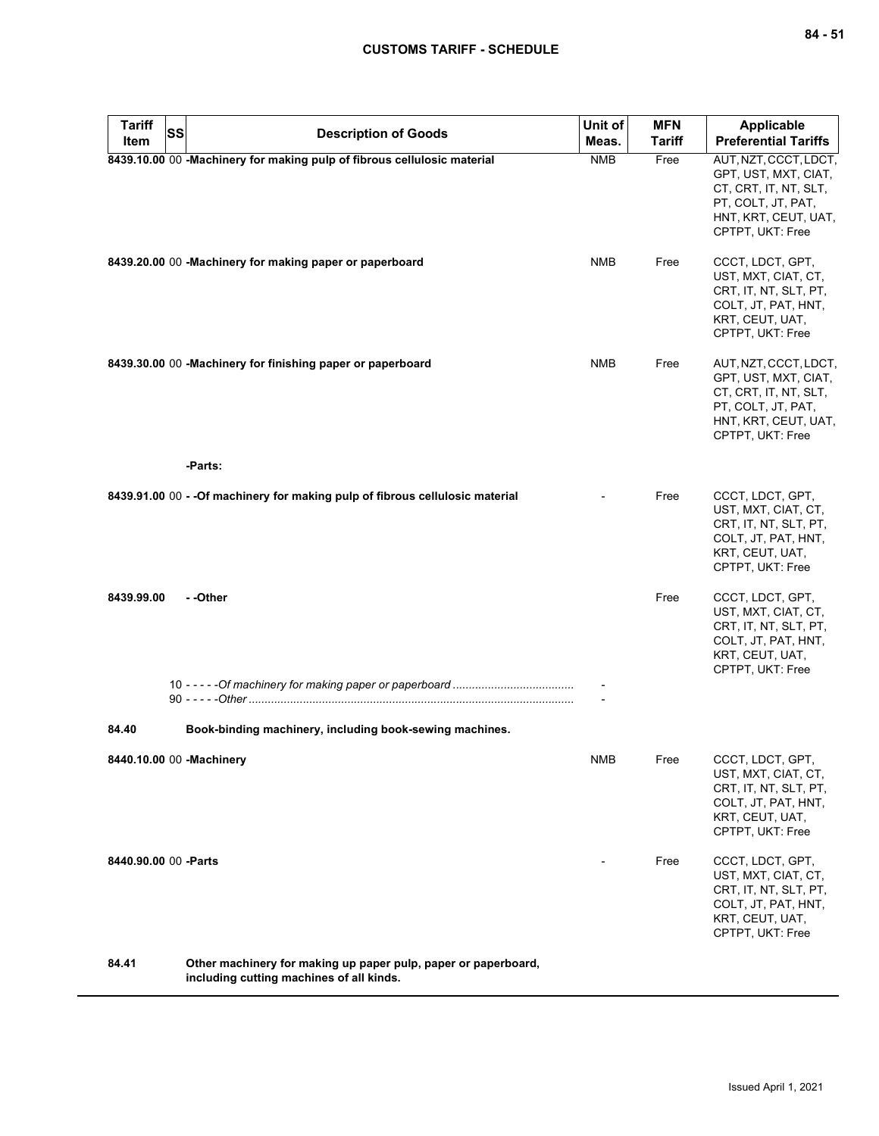| <b>Tariff</b><br>SS<br>Item | <b>Description of Goods</b>                                                                                | Unit of<br>Meas. | <b>MFN</b><br><b>Tariff</b> | Applicable<br><b>Preferential Tariffs</b>                                                                                                |
|-----------------------------|------------------------------------------------------------------------------------------------------------|------------------|-----------------------------|------------------------------------------------------------------------------------------------------------------------------------------|
|                             | 8439.10.00 00 -Machinery for making pulp of fibrous cellulosic material                                    | <b>NMB</b>       | Free                        | AUT, NZT, CCCT, LDCT,<br>GPT, UST, MXT, CIAT,<br>CT, CRT, IT, NT, SLT,<br>PT, COLT, JT, PAT,<br>HNT, KRT, CEUT, UAT,<br>CPTPT, UKT: Free |
|                             | 8439.20.00 00 -Machinery for making paper or paperboard                                                    | <b>NMB</b>       | Free                        | CCCT, LDCT, GPT,<br>UST, MXT, CIAT, CT,<br>CRT, IT, NT, SLT, PT,<br>COLT, JT, PAT, HNT,<br>KRT, CEUT, UAT,<br>CPTPT, UKT: Free           |
|                             | 8439.30.00 00 -Machinery for finishing paper or paperboard                                                 | <b>NMB</b>       | Free                        | AUT, NZT, CCCT, LDCT,<br>GPT, UST, MXT, CIAT,<br>CT, CRT, IT, NT, SLT,<br>PT, COLT, JT, PAT,<br>HNT, KRT, CEUT, UAT,<br>CPTPT, UKT: Free |
|                             | -Parts:                                                                                                    |                  |                             |                                                                                                                                          |
|                             | 8439.91.00 00 - - Of machinery for making pulp of fibrous cellulosic material                              |                  | Free                        | CCCT, LDCT, GPT,<br>UST, MXT, CIAT, CT,<br>CRT, IT, NT, SLT, PT,<br>COLT, JT, PAT, HNT,<br>KRT, CEUT, UAT,<br>CPTPT, UKT: Free           |
| 8439.99.00                  | - -Other                                                                                                   |                  | Free                        | CCCT, LDCT, GPT,<br>UST, MXT, CIAT, CT,<br>CRT, IT, NT, SLT, PT,<br>COLT, JT, PAT, HNT,<br>KRT, CEUT, UAT,<br>CPTPT, UKT: Free           |
|                             |                                                                                                            |                  |                             |                                                                                                                                          |
| 84.40                       | Book-binding machinery, including book-sewing machines.                                                    |                  |                             |                                                                                                                                          |
| 8440.10.00 00 -Machinery    |                                                                                                            | <b>NMB</b>       | Free                        | CCCT, LDCT, GPT,<br>UST, MXT, CIAT, CT,<br>CRT, IT, NT, SLT, PT,<br>COLT, JT, PAT, HNT,<br>KRT, CEUT, UAT,<br>CPTPT, UKT: Free           |
| 8440.90.00 00 - Parts       |                                                                                                            |                  | Free                        | CCCT, LDCT, GPT,<br>UST, MXT, CIAT, CT,<br>CRT, IT, NT, SLT, PT,<br>COLT, JT, PAT, HNT,<br>KRT, CEUT, UAT,<br>CPTPT, UKT: Free           |
| 84.41                       | Other machinery for making up paper pulp, paper or paperboard,<br>including cutting machines of all kinds. |                  |                             |                                                                                                                                          |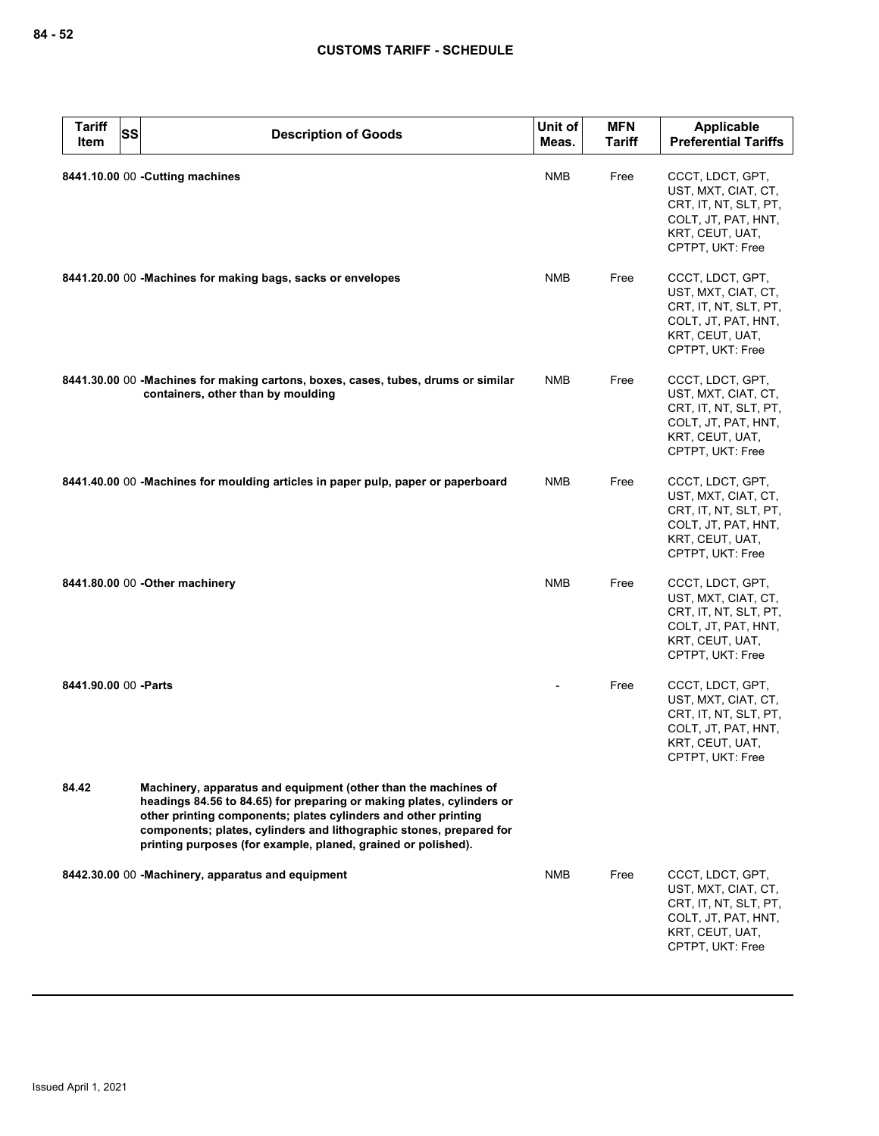| <b>Tariff</b><br>Item | <b>SS</b><br><b>Description of Goods</b>                                                                                                                                                                                                                                                                                                          | Unit of<br>Meas. | <b>MFN</b><br><b>Tariff</b> | <b>Applicable</b><br><b>Preferential Tariffs</b>                                                                               |
|-----------------------|---------------------------------------------------------------------------------------------------------------------------------------------------------------------------------------------------------------------------------------------------------------------------------------------------------------------------------------------------|------------------|-----------------------------|--------------------------------------------------------------------------------------------------------------------------------|
|                       | 8441.10.00 00 - Cutting machines                                                                                                                                                                                                                                                                                                                  | <b>NMB</b>       | Free                        | CCCT, LDCT, GPT,<br>UST, MXT, CIAT, CT,<br>CRT, IT, NT, SLT, PT,<br>COLT, JT, PAT, HNT,<br>KRT, CEUT, UAT,<br>CPTPT, UKT: Free |
|                       | 8441.20.00 00 -Machines for making bags, sacks or envelopes                                                                                                                                                                                                                                                                                       | <b>NMB</b>       | Free                        | CCCT, LDCT, GPT,<br>UST, MXT, CIAT, CT,<br>CRT, IT, NT, SLT, PT,<br>COLT, JT, PAT, HNT,<br>KRT, CEUT, UAT,<br>CPTPT, UKT: Free |
|                       | 8441.30.00 00 -Machines for making cartons, boxes, cases, tubes, drums or similar<br>containers, other than by moulding                                                                                                                                                                                                                           | <b>NMB</b>       | Free                        | CCCT, LDCT, GPT,<br>UST, MXT, CIAT, CT,<br>CRT, IT, NT, SLT, PT,<br>COLT, JT, PAT, HNT,<br>KRT, CEUT, UAT,<br>CPTPT, UKT: Free |
|                       | 8441.40.00 00 -Machines for moulding articles in paper pulp, paper or paperboard                                                                                                                                                                                                                                                                  | <b>NMB</b>       | Free                        | CCCT, LDCT, GPT,<br>UST, MXT, CIAT, CT,<br>CRT, IT, NT, SLT, PT,<br>COLT, JT, PAT, HNT,<br>KRT, CEUT, UAT,<br>CPTPT, UKT: Free |
|                       | 8441.80.00 00 - Other machinery                                                                                                                                                                                                                                                                                                                   | <b>NMB</b>       | Free                        | CCCT, LDCT, GPT,<br>UST, MXT, CIAT, CT,<br>CRT, IT, NT, SLT, PT,<br>COLT, JT, PAT, HNT,<br>KRT, CEUT, UAT,<br>CPTPT, UKT: Free |
| 8441.90.00 00 - Parts |                                                                                                                                                                                                                                                                                                                                                   |                  | Free                        | CCCT, LDCT, GPT,<br>UST, MXT, CIAT, CT,<br>CRT, IT, NT, SLT, PT,<br>COLT, JT, PAT, HNT,<br>KRT, CEUT, UAT,<br>CPTPT, UKT: Free |
| 84.42                 | Machinery, apparatus and equipment (other than the machines of<br>headings 84.56 to 84.65) for preparing or making plates, cylinders or<br>other printing components; plates cylinders and other printing<br>components; plates, cylinders and lithographic stones, prepared for<br>printing purposes (for example, planed, grained or polished). |                  |                             |                                                                                                                                |
|                       | 8442.30.00 00 -Machinery, apparatus and equipment                                                                                                                                                                                                                                                                                                 | NMB              | Free                        | CCCT, LDCT, GPT,<br>UST, MXT, CIAT, CT,<br>CRT, IT, NT, SLT, PT,<br>COLT, JT, PAT, HNT,<br>KRT, CEUT, UAT,<br>CPTPT, UKT: Free |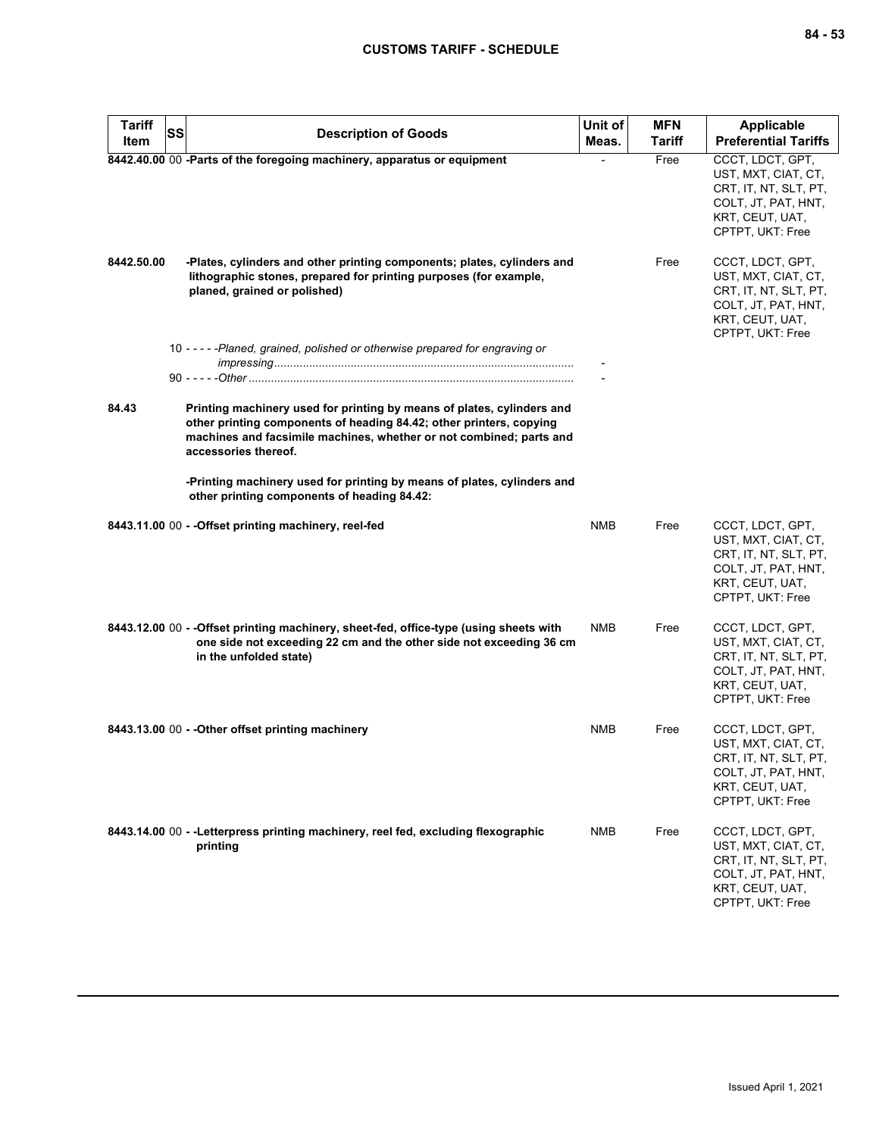| <b>Tariff</b><br>Item | <b>SS</b><br><b>Description of Goods</b>                                                                                                                                                                                                     | Unit of<br>Meas. | <b>MFN</b><br>Tariff | Applicable<br><b>Preferential Tariffs</b>                                                                                      |
|-----------------------|----------------------------------------------------------------------------------------------------------------------------------------------------------------------------------------------------------------------------------------------|------------------|----------------------|--------------------------------------------------------------------------------------------------------------------------------|
|                       | 8442.40.00 00 -Parts of the foregoing machinery, apparatus or equipment                                                                                                                                                                      |                  | Free                 | CCCT, LDCT, GPT,<br>UST, MXT, CIAT, CT,<br>CRT, IT, NT, SLT, PT,<br>COLT, JT, PAT, HNT,<br>KRT, CEUT, UAT,<br>CPTPT, UKT: Free |
| 8442.50.00            | -Plates, cylinders and other printing components; plates, cylinders and<br>lithographic stones, prepared for printing purposes (for example,<br>planed, grained or polished)                                                                 |                  | Free                 | CCCT, LDCT, GPT,<br>UST, MXT, CIAT, CT,<br>CRT, IT, NT, SLT, PT,<br>COLT, JT, PAT, HNT,<br>KRT, CEUT, UAT,<br>CPTPT, UKT: Free |
|                       | 10 - - - - - Planed, grained, polished or otherwise prepared for engraving or                                                                                                                                                                |                  |                      |                                                                                                                                |
| 84.43                 | Printing machinery used for printing by means of plates, cylinders and<br>other printing components of heading 84.42; other printers, copying<br>machines and facsimile machines, whether or not combined; parts and<br>accessories thereof. |                  |                      |                                                                                                                                |
|                       | -Printing machinery used for printing by means of plates, cylinders and<br>other printing components of heading 84.42:                                                                                                                       |                  |                      |                                                                                                                                |
|                       | 8443.11.00 00 - - Offset printing machinery, reel-fed                                                                                                                                                                                        | <b>NMB</b>       | Free                 | CCCT, LDCT, GPT,<br>UST, MXT, CIAT, CT,<br>CRT, IT, NT, SLT, PT,<br>COLT, JT, PAT, HNT,<br>KRT, CEUT, UAT,<br>CPTPT, UKT: Free |
|                       | 8443.12.00 00 - - Offset printing machinery, sheet-fed, office-type (using sheets with<br>one side not exceeding 22 cm and the other side not exceeding 36 cm<br>in the unfolded state)                                                      | NMB              | Free                 | CCCT, LDCT, GPT,<br>UST, MXT, CIAT, CT,<br>CRT, IT, NT, SLT, PT,<br>COLT, JT, PAT, HNT,<br>KRT, CEUT, UAT,<br>CPTPT, UKT: Free |
|                       | 8443.13.00 00 - - Other offset printing machinery                                                                                                                                                                                            | NMB              | Free                 | CCCT, LDCT, GPT,<br>UST, MXT, CIAT, CT,<br>CRT, IT, NT, SLT, PT,<br>COLT, JT, PAT, HNT,<br>KRT, CEUT, UAT,<br>CPTPT, UKT: Free |
|                       | 8443.14.00 00 - - Letterpress printing machinery, reel fed, excluding flexographic<br>printing                                                                                                                                               | <b>NMB</b>       | Free                 | CCCT, LDCT, GPT,<br>UST, MXT, CIAT, CT,<br>CRT, IT, NT, SLT, PT,<br>COLT, JT, PAT, HNT,<br>KRT, CEUT, UAT,<br>CPTPT, UKT: Free |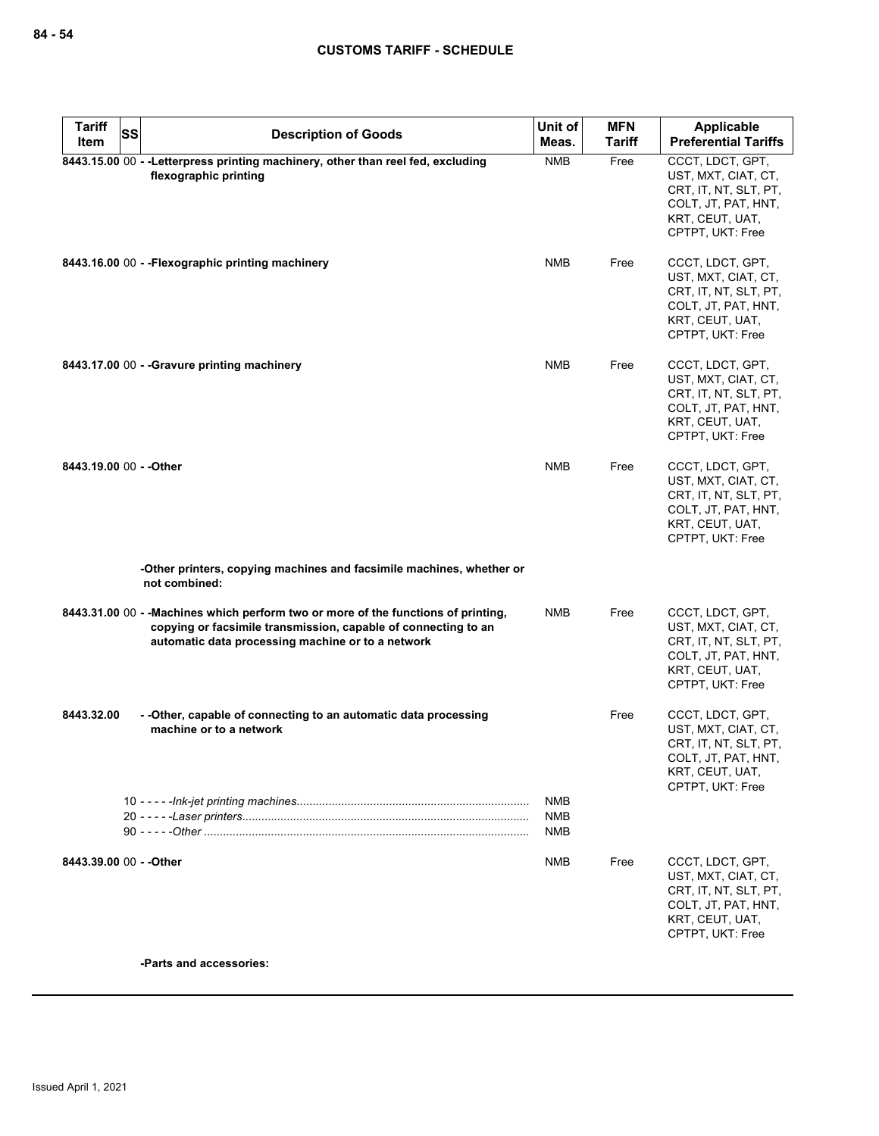| <b>Tariff</b>           | <b>SS</b> | <b>Description of Goods</b>                                                                                                                                                                               | Unit of                         | <b>MFN</b> | <b>Applicable</b>                                                                                                              |
|-------------------------|-----------|-----------------------------------------------------------------------------------------------------------------------------------------------------------------------------------------------------------|---------------------------------|------------|--------------------------------------------------------------------------------------------------------------------------------|
| Item                    |           |                                                                                                                                                                                                           | Meas.                           | Tariff     | <b>Preferential Tariffs</b>                                                                                                    |
|                         |           | 8443.15.00 00 - -Letterpress printing machinery, other than reel fed, excluding<br>flexographic printing                                                                                                  | <b>NMB</b>                      | Free       | CCCT, LDCT, GPT,<br>UST, MXT, CIAT, CT,<br>CRT, IT, NT, SLT, PT,<br>COLT, JT, PAT, HNT,<br>KRT, CEUT, UAT,<br>CPTPT, UKT: Free |
|                         |           | 8443.16.00 00 - - Flexographic printing machinery                                                                                                                                                         | <b>NMB</b>                      | Free       | CCCT, LDCT, GPT,<br>UST, MXT, CIAT, CT,<br>CRT, IT, NT, SLT, PT,<br>COLT, JT, PAT, HNT,<br>KRT, CEUT, UAT,<br>CPTPT, UKT: Free |
|                         |           | 8443.17.00 00 - - Gravure printing machinery                                                                                                                                                              | <b>NMB</b>                      | Free       | CCCT, LDCT, GPT,<br>UST, MXT, CIAT, CT,<br>CRT, IT, NT, SLT, PT,<br>COLT, JT, PAT, HNT,<br>KRT, CEUT, UAT,<br>CPTPT, UKT: Free |
| 8443.19.00 00 - - Other |           |                                                                                                                                                                                                           | <b>NMB</b>                      | Free       | CCCT, LDCT, GPT,<br>UST, MXT, CIAT, CT,<br>CRT, IT, NT, SLT, PT,<br>COLT, JT, PAT, HNT,<br>KRT, CEUT, UAT,<br>CPTPT, UKT: Free |
|                         |           | -Other printers, copying machines and facsimile machines, whether or<br>not combined:                                                                                                                     |                                 |            |                                                                                                                                |
|                         |           | 8443.31.00 00 - - Machines which perform two or more of the functions of printing,<br>copying or facsimile transmission, capable of connecting to an<br>automatic data processing machine or to a network | <b>NMB</b>                      | Free       | CCCT, LDCT, GPT,<br>UST, MXT, CIAT, CT,<br>CRT, IT, NT, SLT, PT,<br>COLT, JT, PAT, HNT,<br>KRT, CEUT, UAT,<br>CPTPT, UKT: Free |
| 8443.32.00              |           | - - Other, capable of connecting to an automatic data processing<br>machine or to a network                                                                                                               |                                 | Free       | CCCT, LDCT, GPT,<br>UST, MXT, CIAT, CT,<br>CRT, IT, NT, SLT, PT,<br>COLT, JT, PAT, HNT,<br>KRT, CEUT, UAT,<br>CPTPT, UKT: Free |
|                         |           |                                                                                                                                                                                                           | <b>NMB</b><br><b>NMB</b><br>NMB |            |                                                                                                                                |
| 8443.39.00 00 - - Other |           |                                                                                                                                                                                                           | <b>NMB</b>                      | Free       | CCCT, LDCT, GPT,<br>UST, MXT, CIAT, CT,<br>CRT, IT, NT, SLT, PT,<br>COLT, JT, PAT, HNT,<br>KRT, CEUT, UAT,<br>CPTPT, UKT: Free |

**-Parts and accessories:**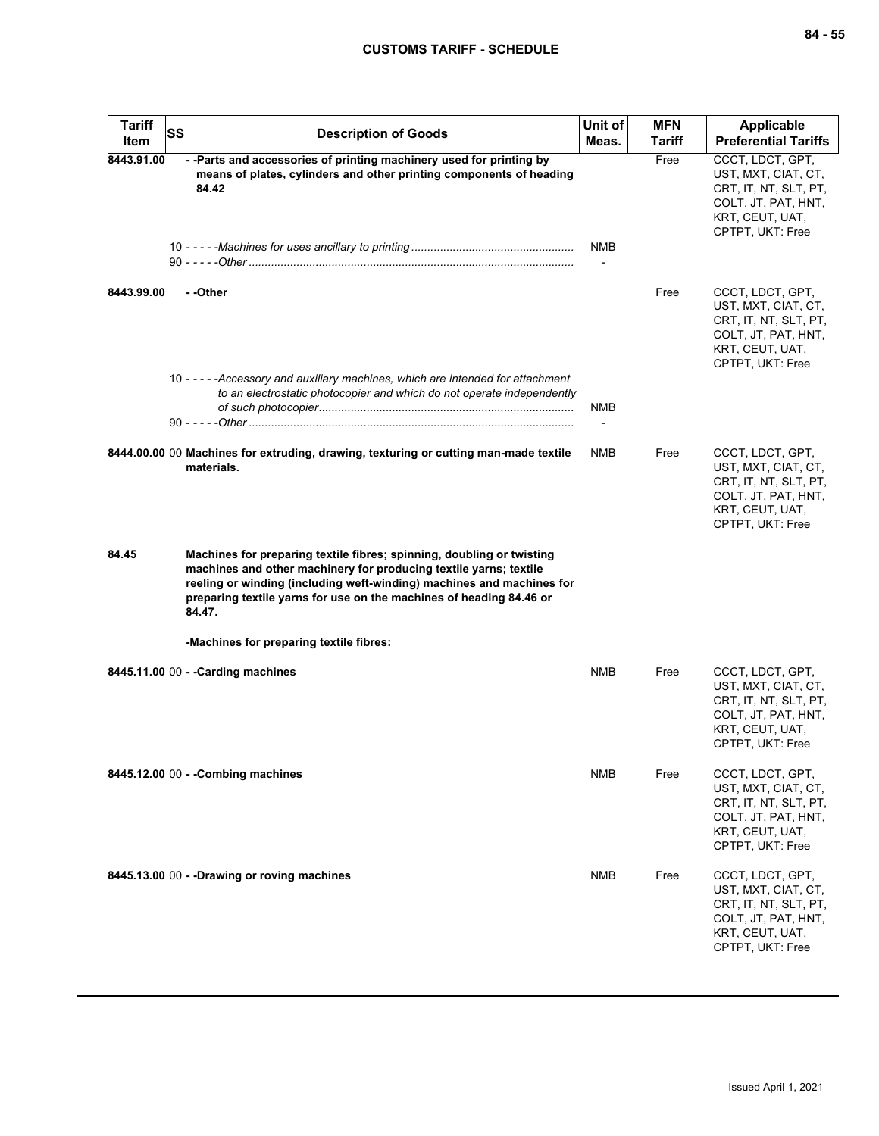| <b>Tariff</b><br>Item | SS | <b>Description of Goods</b>                                                                                                                                                                                                                                                                          | Unit of<br>Meas. | <b>MFN</b><br>Tariff | Applicable<br><b>Preferential Tariffs</b>                                                                                      |
|-----------------------|----|------------------------------------------------------------------------------------------------------------------------------------------------------------------------------------------------------------------------------------------------------------------------------------------------------|------------------|----------------------|--------------------------------------------------------------------------------------------------------------------------------|
| 8443.91.00            |    | -- Parts and accessories of printing machinery used for printing by<br>means of plates, cylinders and other printing components of heading<br>84.42                                                                                                                                                  |                  | Free                 | CCCT, LDCT, GPT,<br>UST, MXT, CIAT, CT,<br>CRT, IT, NT, SLT, PT,<br>COLT, JT, PAT, HNT,<br>KRT, CEUT, UAT,<br>CPTPT, UKT: Free |
|                       |    |                                                                                                                                                                                                                                                                                                      | NMB              |                      |                                                                                                                                |
| 8443.99.00            |    | --Other                                                                                                                                                                                                                                                                                              |                  | Free                 | CCCT, LDCT, GPT,<br>UST, MXT, CIAT, CT,<br>CRT, IT, NT, SLT, PT,<br>COLT, JT, PAT, HNT,<br>KRT, CEUT, UAT,<br>CPTPT, UKT: Free |
|                       |    | 10 - - - - - - Accessory and auxiliary machines, which are intended for attachment<br>to an electrostatic photocopier and which do not operate independently                                                                                                                                         | NMB              |                      |                                                                                                                                |
|                       |    | 8444.00.00 00 Machines for extruding, drawing, texturing or cutting man-made textile<br>materials.                                                                                                                                                                                                   | <b>NMB</b>       | Free                 | CCCT, LDCT, GPT,<br>UST, MXT, CIAT, CT,<br>CRT, IT, NT, SLT, PT,<br>COLT, JT, PAT, HNT,<br>KRT, CEUT, UAT,<br>CPTPT, UKT: Free |
| 84.45                 |    | Machines for preparing textile fibres; spinning, doubling or twisting<br>machines and other machinery for producing textile yarns; textile<br>reeling or winding (including weft-winding) machines and machines for<br>preparing textile yarns for use on the machines of heading 84.46 or<br>84.47. |                  |                      |                                                                                                                                |
|                       |    | -Machines for preparing textile fibres:                                                                                                                                                                                                                                                              |                  |                      |                                                                                                                                |
|                       |    | 8445.11.00 00 - - Carding machines                                                                                                                                                                                                                                                                   | NMB              | Free                 | CCCT, LDCT, GPT,<br>UST, MXT, CIAT, CT,<br>CRT, IT, NT, SLT, PT,<br>COLT, JT, PAT, HNT,<br>KRT, CEUT, UAT,<br>CPTPT, UKT: Free |
|                       |    | 8445.12.00 00 - - Combing machines                                                                                                                                                                                                                                                                   | <b>NMB</b>       | Free                 | CCCT, LDCT, GPT,<br>UST, MXT, CIAT, CT,<br>CRT, IT, NT, SLT, PT,<br>COLT, JT, PAT, HNT,<br>KRT, CEUT, UAT,<br>CPTPT, UKT: Free |
|                       |    | 8445.13.00 00 - - Drawing or roving machines                                                                                                                                                                                                                                                         | <b>NMB</b>       | Free                 | CCCT, LDCT, GPT,<br>UST, MXT, CIAT, CT,<br>CRT, IT, NT, SLT, PT,<br>COLT, JT, PAT, HNT,<br>KRT, CEUT, UAT,<br>CPTPT, UKT: Free |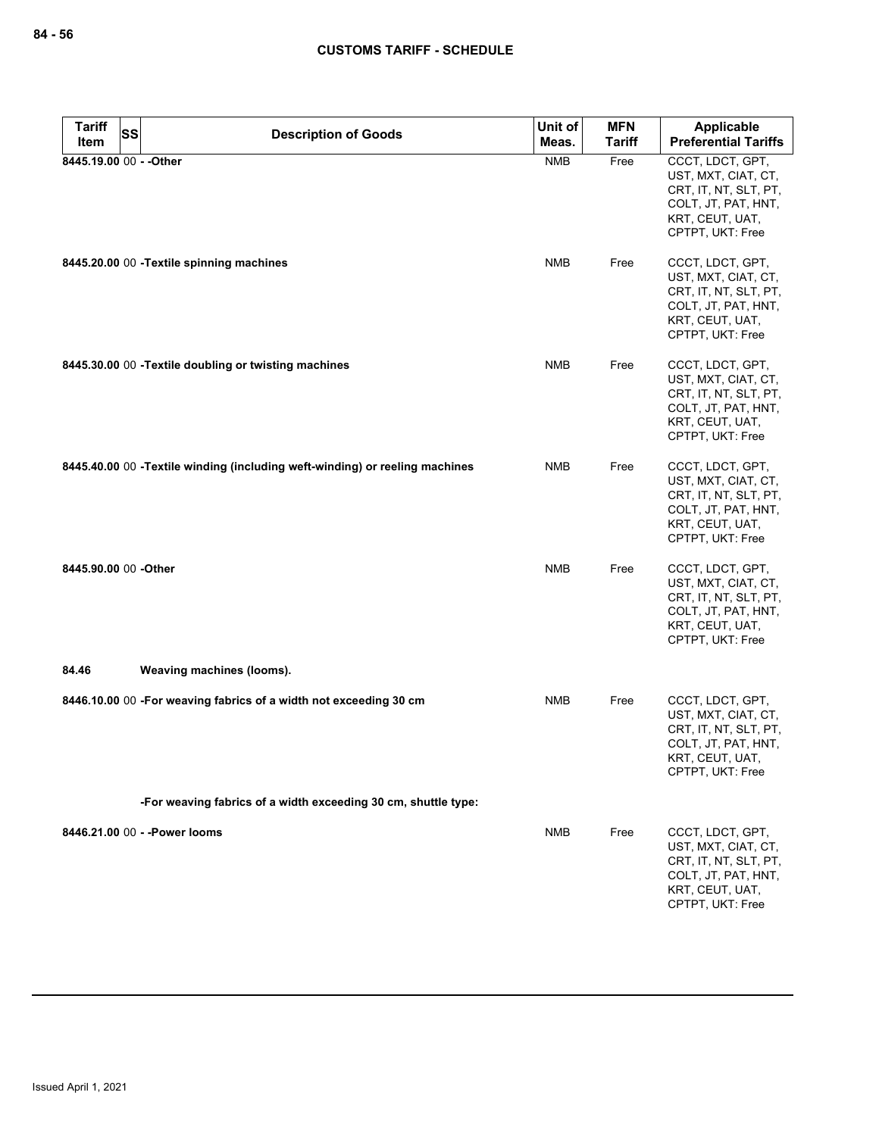| <b>Tariff</b><br>Item | <b>SS</b>                                 | <b>Description of Goods</b>                                                  | Unit of<br>Meas. | <b>MFN</b><br><b>Tariff</b> | <b>Applicable</b><br><b>Preferential Tariffs</b>                                                                               |
|-----------------------|-------------------------------------------|------------------------------------------------------------------------------|------------------|-----------------------------|--------------------------------------------------------------------------------------------------------------------------------|
|                       | 8445.19.00 00 - - Other                   |                                                                              | <b>NMB</b>       | Free                        | CCCT, LDCT, GPT,<br>UST, MXT, CIAT, CT,<br>CRT, IT, NT, SLT, PT,<br>COLT, JT, PAT, HNT,<br>KRT, CEUT, UAT,<br>CPTPT, UKT: Free |
|                       | 8445.20.00 00 - Textile spinning machines |                                                                              | <b>NMB</b>       | Free                        | CCCT, LDCT, GPT,<br>UST, MXT, CIAT, CT,<br>CRT, IT, NT, SLT, PT,<br>COLT, JT, PAT, HNT,<br>KRT, CEUT, UAT,<br>CPTPT, UKT: Free |
|                       |                                           | 8445.30.00 00 - Textile doubling or twisting machines                        | <b>NMB</b>       | Free                        | CCCT, LDCT, GPT,<br>UST, MXT, CIAT, CT,<br>CRT, IT, NT, SLT, PT,<br>COLT, JT, PAT, HNT,<br>KRT, CEUT, UAT,<br>CPTPT, UKT: Free |
|                       |                                           | 8445.40.00 00 - Textile winding (including weft-winding) or reeling machines | <b>NMB</b>       | Free                        | CCCT, LDCT, GPT,<br>UST, MXT, CIAT, CT,<br>CRT, IT, NT, SLT, PT,<br>COLT, JT, PAT, HNT,<br>KRT, CEUT, UAT,<br>CPTPT, UKT: Free |
| 8445.90.00 00 -Other  |                                           |                                                                              | <b>NMB</b>       | Free                        | CCCT, LDCT, GPT,<br>UST, MXT, CIAT, CT,<br>CRT, IT, NT, SLT, PT,<br>COLT, JT, PAT, HNT,<br>KRT, CEUT, UAT,<br>CPTPT, UKT: Free |
| 84.46                 | Weaving machines (looms).                 |                                                                              |                  |                             |                                                                                                                                |
|                       |                                           | 8446.10.00 00 -For weaving fabrics of a width not exceeding 30 cm            | <b>NMB</b>       | Free                        | CCCT, LDCT, GPT,<br>UST, MXT, CIAT, CT,<br>CRT, IT, NT, SLT, PT,<br>COLT, JT, PAT, HNT,<br>KRT, CEUT, UAT,<br>CPTPT, UKT: Free |
|                       |                                           | -For weaving fabrics of a width exceeding 30 cm, shuttle type:               |                  |                             |                                                                                                                                |
|                       | 8446.21.00 00 - - Power looms             |                                                                              | <b>NMB</b>       | Free                        | CCCT, LDCT, GPT,<br>UST, MXT, CIAT, CT,<br>CRT, IT, NT, SLT, PT,<br>COLT, JT, PAT, HNT,<br>KRT, CEUT, UAT,<br>CPTPT, UKT: Free |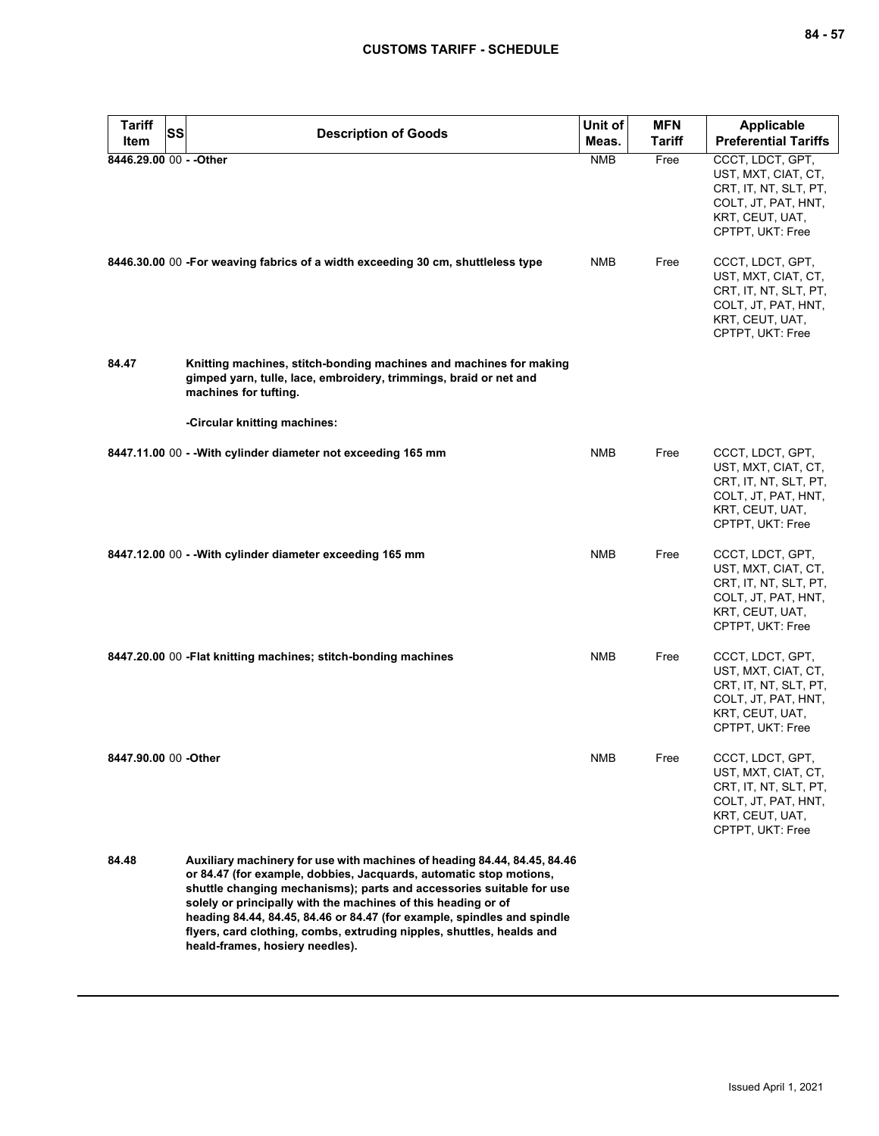| Tariff<br>Item          | SS | <b>Description of Goods</b>                                                                                                                                                                                                                                                                                                                                        | Unit of<br>Meas. | <b>MFN</b><br><b>Tariff</b> | Applicable<br><b>Preferential Tariffs</b>                                                                                      |
|-------------------------|----|--------------------------------------------------------------------------------------------------------------------------------------------------------------------------------------------------------------------------------------------------------------------------------------------------------------------------------------------------------------------|------------------|-----------------------------|--------------------------------------------------------------------------------------------------------------------------------|
| 8446.29.00 00 - - Other |    |                                                                                                                                                                                                                                                                                                                                                                    | <b>NMB</b>       | Free                        | CCCT, LDCT, GPT,<br>UST, MXT, CIAT, CT,<br>CRT, IT, NT, SLT, PT,<br>COLT, JT, PAT, HNT,<br>KRT, CEUT, UAT,<br>CPTPT, UKT: Free |
|                         |    | 8446.30.00 00 -For weaving fabrics of a width exceeding 30 cm, shuttleless type                                                                                                                                                                                                                                                                                    | NMB              | Free                        | CCCT, LDCT, GPT,<br>UST, MXT, CIAT, CT,<br>CRT, IT, NT, SLT, PT,<br>COLT, JT, PAT, HNT,<br>KRT, CEUT, UAT,<br>CPTPT, UKT: Free |
| 84.47                   |    | Knitting machines, stitch-bonding machines and machines for making<br>gimped yarn, tulle, lace, embroidery, trimmings, braid or net and<br>machines for tufting.                                                                                                                                                                                                   |                  |                             |                                                                                                                                |
|                         |    | -Circular knitting machines:                                                                                                                                                                                                                                                                                                                                       |                  |                             |                                                                                                                                |
|                         |    | 8447.11.00 00 - - With cylinder diameter not exceeding 165 mm                                                                                                                                                                                                                                                                                                      | NMB              | Free                        | CCCT, LDCT, GPT,<br>UST, MXT, CIAT, CT,<br>CRT, IT, NT, SLT, PT,<br>COLT, JT, PAT, HNT,<br>KRT, CEUT, UAT,<br>CPTPT, UKT: Free |
|                         |    | 8447.12.00 00 - - With cylinder diameter exceeding 165 mm                                                                                                                                                                                                                                                                                                          | NMB              | Free                        | CCCT, LDCT, GPT,<br>UST, MXT, CIAT, CT,<br>CRT, IT, NT, SLT, PT,<br>COLT, JT, PAT, HNT,<br>KRT, CEUT, UAT,<br>CPTPT, UKT: Free |
|                         |    | 8447.20.00 00 - Flat knitting machines; stitch-bonding machines                                                                                                                                                                                                                                                                                                    | NMB              | Free                        | CCCT, LDCT, GPT,<br>UST, MXT, CIAT, CT,<br>CRT, IT, NT, SLT, PT,<br>COLT, JT, PAT, HNT,<br>KRT, CEUT, UAT,<br>CPTPT, UKT: Free |
| 8447.90.00 00 -Other    |    |                                                                                                                                                                                                                                                                                                                                                                    | <b>NMB</b>       | Free                        | CCCT, LDCT, GPT,<br>UST, MXT, CIAT, CT,<br>CRT, IT, NT, SLT, PT,<br>COLT, JT, PAT, HNT,<br>KRT, CEUT, UAT,<br>CPTPT, UKT: Free |
| 84.48                   |    | Auxiliary machinery for use with machines of heading 84.44, 84.45, 84.46<br>or 84.47 (for example, dobbies, Jacquards, automatic stop motions,<br>shuttle changing mechanisms); parts and accessories suitable for use<br>solely or principally with the machines of this heading or of<br>heading 84.44, 84.45, 84.46 or 84.47 (for example, spindles and spindle |                  |                             |                                                                                                                                |

**flyers, card clothing, combs, extruding nipples, shuttles, healds and heald-frames, hosiery needles).**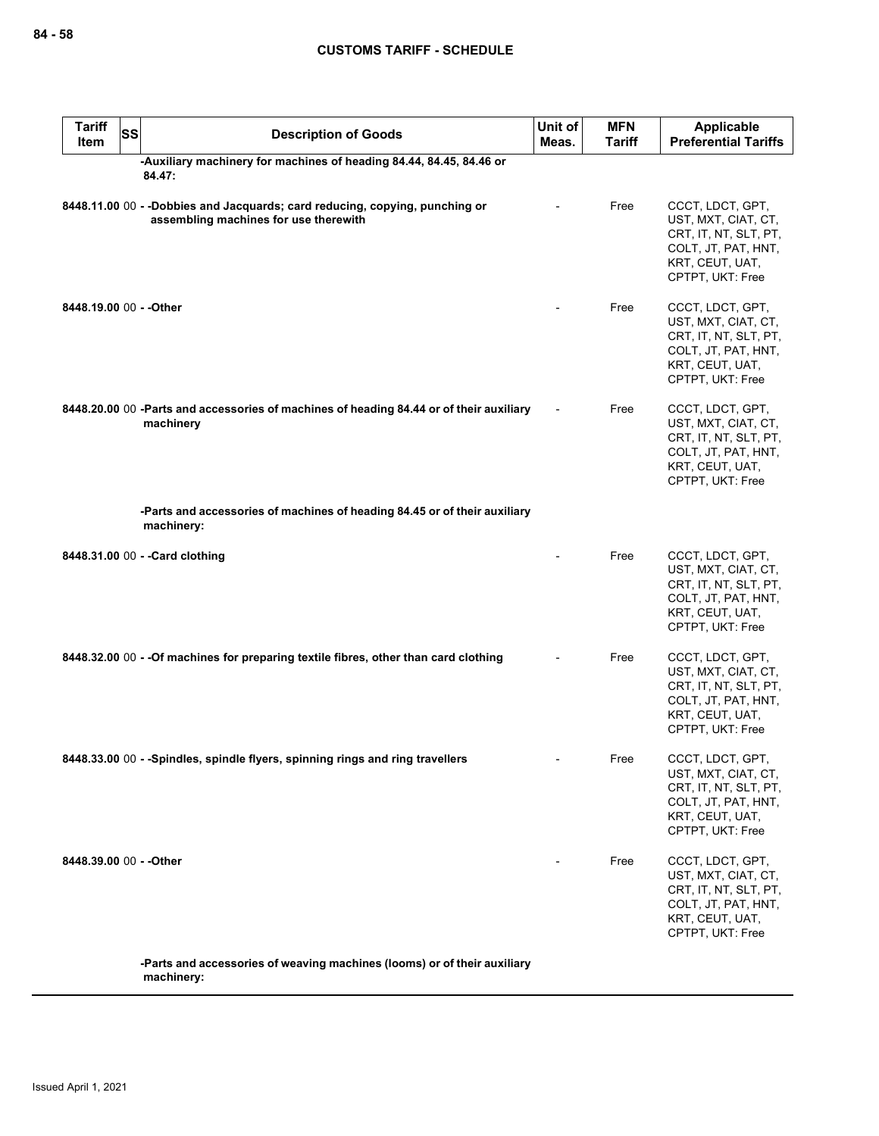| <b>Tariff</b><br><b>Item</b>    | <b>SS</b>  | <b>Description of Goods</b>                                                                                          | Unit of<br>Meas. | <b>MFN</b><br><b>Tariff</b> | <b>Applicable</b><br><b>Preferential Tariffs</b>                                                                               |
|---------------------------------|------------|----------------------------------------------------------------------------------------------------------------------|------------------|-----------------------------|--------------------------------------------------------------------------------------------------------------------------------|
|                                 | 84.47:     | -Auxiliary machinery for machines of heading 84.44, 84.45, 84.46 or                                                  |                  |                             |                                                                                                                                |
|                                 |            | 8448.11.00 00 - -Dobbies and Jacquards; card reducing, copying, punching or<br>assembling machines for use therewith |                  | Free                        | CCCT, LDCT, GPT,<br>UST, MXT, CIAT, CT,<br>CRT, IT, NT, SLT, PT,<br>COLT, JT, PAT, HNT,<br>KRT, CEUT, UAT,<br>CPTPT, UKT: Free |
| 8448.19.00 00 - - Other         |            |                                                                                                                      |                  | Free                        | CCCT, LDCT, GPT,<br>UST, MXT, CIAT, CT,<br>CRT, IT, NT, SLT, PT,<br>COLT, JT, PAT, HNT,<br>KRT, CEUT, UAT,<br>CPTPT, UKT: Free |
|                                 | machinery  | 8448.20.00 00 -Parts and accessories of machines of heading 84.44 or of their auxiliary                              |                  | Free                        | CCCT, LDCT, GPT,<br>UST, MXT, CIAT, CT,<br>CRT, IT, NT, SLT, PT,<br>COLT, JT, PAT, HNT,<br>KRT, CEUT, UAT,<br>CPTPT, UKT: Free |
|                                 | machinery: | -Parts and accessories of machines of heading 84.45 or of their auxiliary                                            |                  |                             |                                                                                                                                |
| 8448.31.00 00 - - Card clothing |            |                                                                                                                      |                  | Free                        | CCCT, LDCT, GPT,<br>UST, MXT, CIAT, CT,<br>CRT, IT, NT, SLT, PT,<br>COLT, JT, PAT, HNT,<br>KRT, CEUT, UAT,<br>CPTPT, UKT: Free |
|                                 |            | 8448.32.00 00 - - Of machines for preparing textile fibres, other than card clothing                                 |                  | Free                        | CCCT, LDCT, GPT,<br>UST, MXT, CIAT, CT,<br>CRT, IT, NT, SLT, PT,<br>COLT, JT, PAT, HNT,<br>KRT, CEUT, UAT,<br>CPTPT, UKT: Free |
|                                 |            | 8448.33.00 00 - -Spindles, spindle flyers, spinning rings and ring travellers                                        |                  | Free                        | CCCT, LDCT, GPT,<br>UST, MXT, CIAT, CT,<br>CRT, IT, NT, SLT, PT,<br>COLT, JT, PAT, HNT,<br>KRT, CEUT, UAT,<br>CPTPT, UKT: Free |
| 8448.39.00 00 - - Other         |            |                                                                                                                      |                  | Free                        | CCCT, LDCT, GPT,<br>UST, MXT, CIAT, CT,<br>CRT, IT, NT, SLT, PT,<br>COLT, JT, PAT, HNT,<br>KRT, CEUT, UAT,<br>CPTPT, UKT: Free |
|                                 |            | -Parts and accessories of weaving machines (looms) or of their auxiliary                                             |                  |                             |                                                                                                                                |

**machinery:**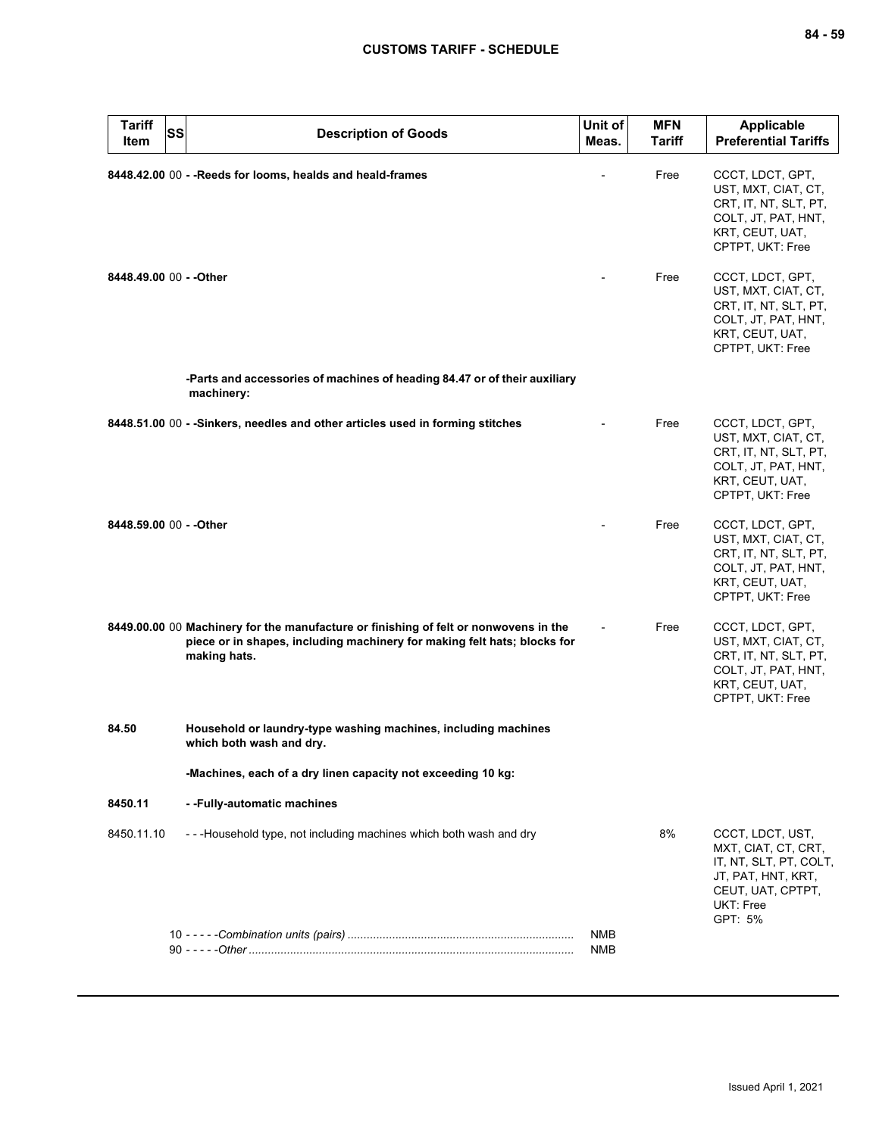| <b>Tariff</b><br><b>SS</b><br>Item | <b>Description of Goods</b>                                                                                                                                                      | Unit of<br>Meas.         | <b>MFN</b><br>Tariff | <b>Applicable</b><br><b>Preferential Tariffs</b>                                                                                     |
|------------------------------------|----------------------------------------------------------------------------------------------------------------------------------------------------------------------------------|--------------------------|----------------------|--------------------------------------------------------------------------------------------------------------------------------------|
|                                    | 8448.42.00 00 - - Reeds for looms, healds and heald-frames                                                                                                                       |                          | Free                 | CCCT, LDCT, GPT,<br>UST, MXT, CIAT, CT,<br>CRT, IT, NT, SLT, PT,<br>COLT, JT, PAT, HNT,<br>KRT, CEUT, UAT,<br>CPTPT, UKT: Free       |
| 8448.49.00 00 - - Other            |                                                                                                                                                                                  |                          | Free                 | CCCT, LDCT, GPT,<br>UST, MXT, CIAT, CT,<br>CRT, IT, NT, SLT, PT,<br>COLT, JT, PAT, HNT,<br>KRT, CEUT, UAT,<br>CPTPT, UKT: Free       |
|                                    | -Parts and accessories of machines of heading 84.47 or of their auxiliary<br>machinery:                                                                                          |                          |                      |                                                                                                                                      |
|                                    | 8448.51.00 00 - - Sinkers, needles and other articles used in forming stitches                                                                                                   |                          | Free                 | CCCT, LDCT, GPT,<br>UST, MXT, CIAT, CT,<br>CRT, IT, NT, SLT, PT,<br>COLT, JT, PAT, HNT,<br>KRT, CEUT, UAT,<br>CPTPT, UKT: Free       |
| 8448.59.00 00 - - Other            |                                                                                                                                                                                  |                          | Free                 | CCCT, LDCT, GPT,<br>UST, MXT, CIAT, CT,<br>CRT, IT, NT, SLT, PT,<br>COLT, JT, PAT, HNT,<br>KRT, CEUT, UAT,<br>CPTPT, UKT: Free       |
|                                    | 8449.00.00 00 Machinery for the manufacture or finishing of felt or nonwovens in the<br>piece or in shapes, including machinery for making felt hats; blocks for<br>making hats. |                          | Free                 | CCCT, LDCT, GPT,<br>UST, MXT, CIAT, CT,<br>CRT, IT, NT, SLT, PT,<br>COLT, JT, PAT, HNT,<br>KRT, CEUT, UAT,<br>CPTPT, UKT: Free       |
| 84.50                              | Household or laundry-type washing machines, including machines<br>which both wash and dry.                                                                                       |                          |                      |                                                                                                                                      |
|                                    | -Machines, each of a dry linen capacity not exceeding 10 kg:                                                                                                                     |                          |                      |                                                                                                                                      |
| 8450.11                            | - -Fully-automatic machines                                                                                                                                                      |                          |                      |                                                                                                                                      |
| 8450.11.10                         | ---Household type, not including machines which both wash and dry                                                                                                                |                          | 8%                   | CCCT, LDCT, UST,<br>MXT, CIAT, CT, CRT,<br>IT, NT, SLT, PT, COLT,<br>JT, PAT, HNT, KRT,<br>CEUT, UAT, CPTPT,<br>UKT: Free<br>GPT: 5% |
|                                    |                                                                                                                                                                                  | <b>NMB</b><br><b>NMB</b> |                      |                                                                                                                                      |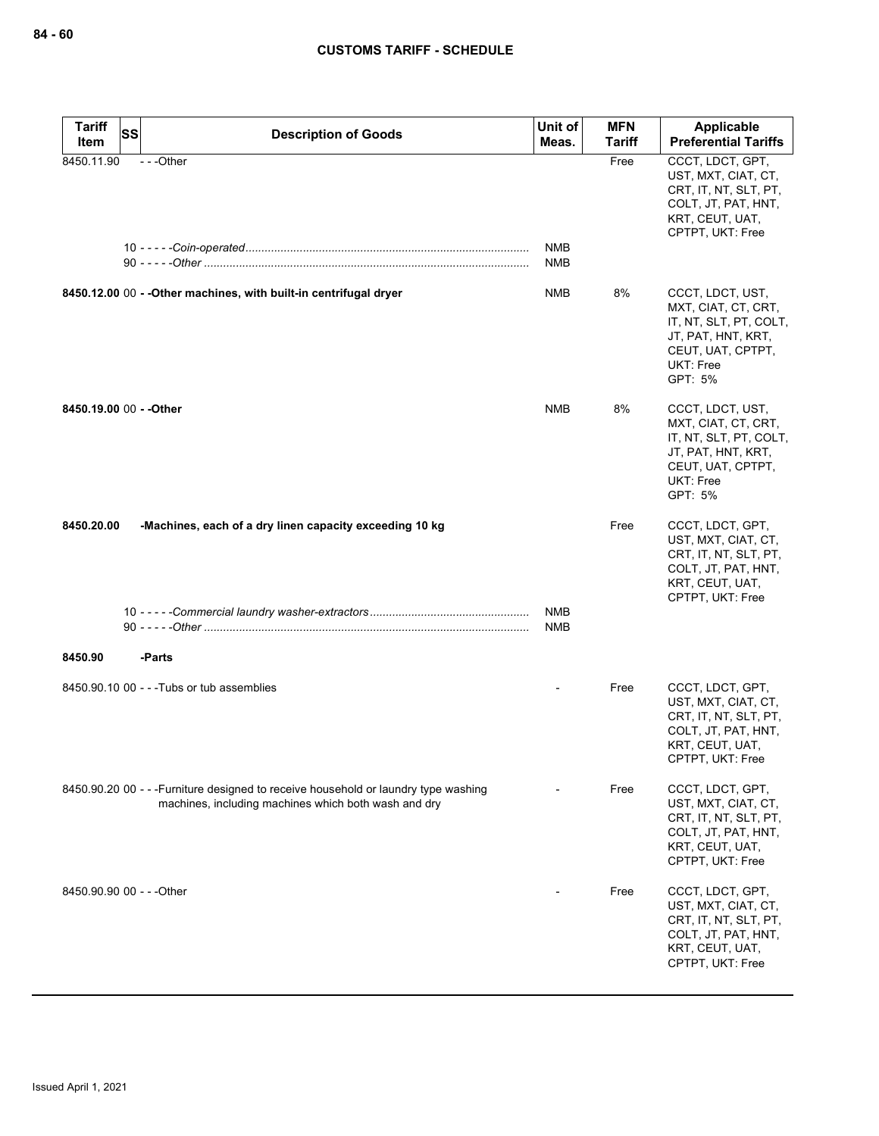| <b>Tariff</b><br>SS<br>Item | <b>Description of Goods</b>                                                                                                                 | Unit of<br>Meas.         | <b>MFN</b><br><b>Tariff</b> | Applicable<br><b>Preferential Tariffs</b>                                                                                            |
|-----------------------------|---------------------------------------------------------------------------------------------------------------------------------------------|--------------------------|-----------------------------|--------------------------------------------------------------------------------------------------------------------------------------|
| 8450.11.90                  | ---Other                                                                                                                                    | <b>NMB</b><br>NMB        | Free                        | CCCT, LDCT, GPT,<br>UST, MXT, CIAT, CT,<br>CRT, IT, NT, SLT, PT,<br>COLT, JT, PAT, HNT,<br>KRT, CEUT, UAT,<br>CPTPT, UKT: Free       |
|                             | 8450.12.00 00 - - Other machines, with built-in centrifugal dryer                                                                           | NMB                      | 8%                          | CCCT, LDCT, UST,<br>MXT, CIAT, CT, CRT,<br>IT, NT, SLT, PT, COLT,<br>JT, PAT, HNT, KRT,<br>CEUT, UAT, CPTPT,<br>UKT: Free<br>GPT: 5% |
| 8450.19.00 00 - - Other     |                                                                                                                                             | <b>NMB</b>               | 8%                          | CCCT, LDCT, UST,<br>MXT, CIAT, CT, CRT,<br>IT, NT, SLT, PT, COLT,<br>JT, PAT, HNT, KRT,<br>CEUT, UAT, CPTPT,<br>UKT: Free<br>GPT: 5% |
| 8450.20.00                  | -Machines, each of a dry linen capacity exceeding 10 kg                                                                                     |                          | Free                        | CCCT, LDCT, GPT,<br>UST, MXT, CIAT, CT,<br>CRT, IT, NT, SLT, PT,<br>COLT, JT, PAT, HNT,<br>KRT, CEUT, UAT,<br>CPTPT, UKT: Free       |
|                             |                                                                                                                                             | <b>NMB</b><br><b>NMB</b> |                             |                                                                                                                                      |
| 8450.90                     | -Parts                                                                                                                                      |                          |                             |                                                                                                                                      |
|                             | 8450.90.10 00 - - - Tubs or tub assemblies                                                                                                  |                          | Free                        | CCCT, LDCT, GPT,<br>UST, MXT, CIAT, CT,<br>CRT, IT, NT, SLT, PT,<br>COLT, JT, PAT, HNT,<br>KRT, CEUT, UAT,<br>CPTPT, UKT: Free       |
|                             | 8450.90.20 00 - - - Furniture designed to receive household or laundry type washing<br>machines, including machines which both wash and dry |                          | Free                        | CCCT, LDCT, GPT,<br>UST, MXT, CIAT, CT,<br>CRT, IT, NT, SLT, PT,<br>COLT, JT, PAT, HNT,<br>KRT, CEUT, UAT,<br>CPTPT, UKT: Free       |
| 8450.90.90 00 - - - Other   |                                                                                                                                             |                          | Free                        | CCCT, LDCT, GPT,<br>UST, MXT, CIAT, CT,<br>CRT, IT, NT, SLT, PT,<br>COLT, JT, PAT, HNT,<br>KRT, CEUT, UAT,<br>CPTPT, UKT: Free       |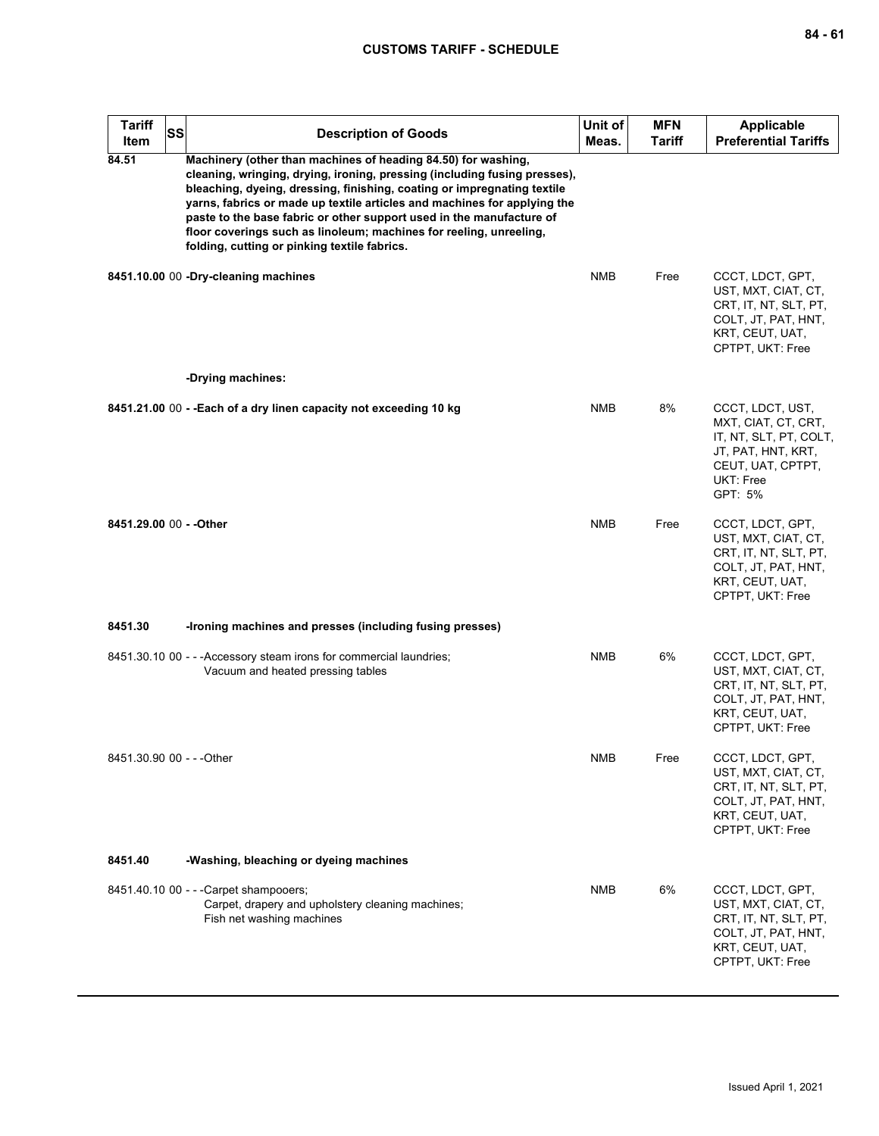| <b>Tariff</b><br>Item     | <b>SS</b> | <b>Description of Goods</b>                                                                                                                                                                                                                                                                                                                                                                                                                                                                     | Unit of<br>Meas. | <b>MFN</b><br><b>Tariff</b> | <b>Applicable</b><br><b>Preferential Tariffs</b>                                                                                     |
|---------------------------|-----------|-------------------------------------------------------------------------------------------------------------------------------------------------------------------------------------------------------------------------------------------------------------------------------------------------------------------------------------------------------------------------------------------------------------------------------------------------------------------------------------------------|------------------|-----------------------------|--------------------------------------------------------------------------------------------------------------------------------------|
| 84.51                     |           | Machinery (other than machines of heading 84.50) for washing,<br>cleaning, wringing, drying, ironing, pressing (including fusing presses),<br>bleaching, dyeing, dressing, finishing, coating or impregnating textile<br>yarns, fabrics or made up textile articles and machines for applying the<br>paste to the base fabric or other support used in the manufacture of<br>floor coverings such as linoleum; machines for reeling, unreeling,<br>folding, cutting or pinking textile fabrics. |                  |                             |                                                                                                                                      |
|                           |           | 8451.10.00 00 -Dry-cleaning machines                                                                                                                                                                                                                                                                                                                                                                                                                                                            | <b>NMB</b>       | Free                        | CCCT, LDCT, GPT,<br>UST, MXT, CIAT, CT,<br>CRT, IT, NT, SLT, PT,<br>COLT, JT, PAT, HNT,<br>KRT, CEUT, UAT,<br>CPTPT, UKT: Free       |
|                           |           | -Drying machines:                                                                                                                                                                                                                                                                                                                                                                                                                                                                               |                  |                             |                                                                                                                                      |
|                           |           | 8451.21.00 00 - - Each of a dry linen capacity not exceeding 10 kg                                                                                                                                                                                                                                                                                                                                                                                                                              | NMB              | 8%                          | CCCT, LDCT, UST,<br>MXT, CIAT, CT, CRT,<br>IT, NT, SLT, PT, COLT,<br>JT, PAT, HNT, KRT,<br>CEUT, UAT, CPTPT,<br>UKT: Free<br>GPT: 5% |
| 8451.29.00 00 - - Other   |           |                                                                                                                                                                                                                                                                                                                                                                                                                                                                                                 | <b>NMB</b>       | Free                        | CCCT, LDCT, GPT,<br>UST, MXT, CIAT, CT,<br>CRT, IT, NT, SLT, PT,<br>COLT, JT, PAT, HNT,<br>KRT, CEUT, UAT,<br>CPTPT, UKT: Free       |
| 8451.30                   |           | -Ironing machines and presses (including fusing presses)                                                                                                                                                                                                                                                                                                                                                                                                                                        |                  |                             |                                                                                                                                      |
|                           |           | 8451.30.10 00 - - - Accessory steam irons for commercial laundries;<br>Vacuum and heated pressing tables                                                                                                                                                                                                                                                                                                                                                                                        | NMB              | 6%                          | CCCT, LDCT, GPT,<br>UST, MXT, CIAT, CT,<br>CRT, IT, NT, SLT, PT,<br>COLT, JT, PAT, HNT,<br>KRT, CEUT, UAT,<br>CPTPT, UKT: Free       |
| 8451.30.90 00 - - - Other |           |                                                                                                                                                                                                                                                                                                                                                                                                                                                                                                 | <b>NMB</b>       | Free                        | CCCT, LDCT, GPT,<br>UST, MXT, CIAT, CT,<br>CRT, IT, NT, SLT, PT,<br>COLT, JT, PAT, HNT,<br>KRT, CEUT, UAT,<br>CPTPT, UKT: Free       |
| 8451.40                   |           | -Washing, bleaching or dyeing machines                                                                                                                                                                                                                                                                                                                                                                                                                                                          |                  |                             |                                                                                                                                      |
|                           |           | 8451.40.10 00 - - - Carpet shampooers;<br>Carpet, drapery and upholstery cleaning machines;<br>Fish net washing machines                                                                                                                                                                                                                                                                                                                                                                        | NMB              | 6%                          | CCCT, LDCT, GPT,<br>UST, MXT, CIAT, CT,<br>CRT, IT, NT, SLT, PT,<br>COLT, JT, PAT, HNT,<br>KRT, CEUT, UAT,<br>CPTPT, UKT: Free       |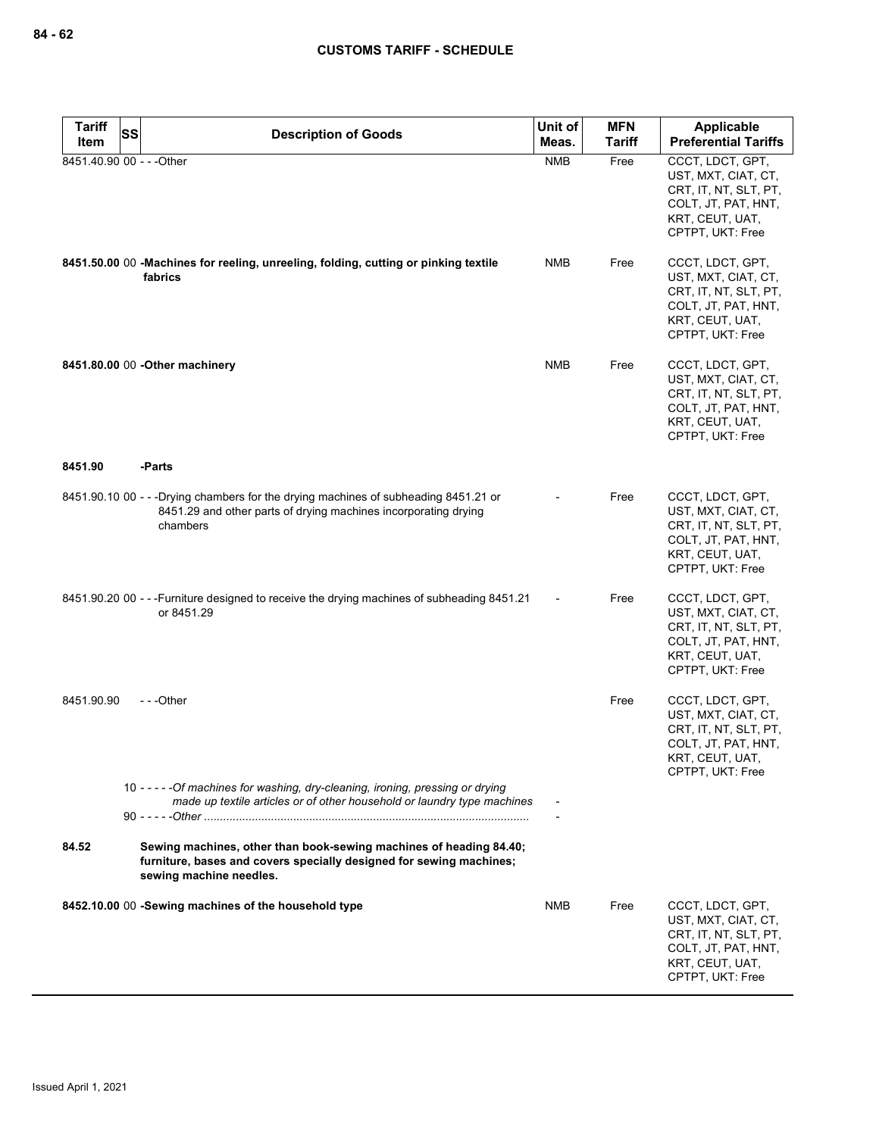| <b>Tariff</b> | <b>SS</b>                                                                                                                                                            | Unit of    | <b>MFN</b>    | <b>Applicable</b>                                                                                                              |
|---------------|----------------------------------------------------------------------------------------------------------------------------------------------------------------------|------------|---------------|--------------------------------------------------------------------------------------------------------------------------------|
| Item          | <b>Description of Goods</b>                                                                                                                                          | Meas.      | <b>Tariff</b> | <b>Preferential Tariffs</b>                                                                                                    |
|               | 8451.40.90 00 - - - Other                                                                                                                                            | <b>NMB</b> | Free          | CCCT, LDCT, GPT,<br>UST, MXT, CIAT, CT,<br>CRT, IT, NT, SLT, PT,<br>COLT, JT, PAT, HNT,<br>KRT, CEUT, UAT,<br>CPTPT, UKT: Free |
|               | 8451.50.00 00 -Machines for reeling, unreeling, folding, cutting or pinking textile<br>fabrics                                                                       | NMB        | Free          | CCCT, LDCT, GPT,<br>UST, MXT, CIAT, CT,<br>CRT, IT, NT, SLT, PT,<br>COLT, JT, PAT, HNT,<br>KRT, CEUT, UAT,<br>CPTPT, UKT: Free |
|               | 8451.80.00 00 - Other machinery                                                                                                                                      | <b>NMB</b> | Free          | CCCT, LDCT, GPT,<br>UST, MXT, CIAT, CT,<br>CRT, IT, NT, SLT, PT,<br>COLT, JT, PAT, HNT,<br>KRT, CEUT, UAT,<br>CPTPT, UKT: Free |
| 8451.90       | -Parts                                                                                                                                                               |            |               |                                                                                                                                |
|               | 8451.90.10 00 - - - Drying chambers for the drying machines of subheading 8451.21 or<br>8451.29 and other parts of drying machines incorporating drying<br>chambers  |            | Free          | CCCT, LDCT, GPT,<br>UST, MXT, CIAT, CT,<br>CRT, IT, NT, SLT, PT,<br>COLT, JT, PAT, HNT,<br>KRT, CEUT, UAT,<br>CPTPT, UKT: Free |
|               | 8451.90.20 00 - - - Furniture designed to receive the drying machines of subheading 8451.21<br>or 8451.29                                                            |            | Free          | CCCT, LDCT, GPT,<br>UST, MXT, CIAT, CT,<br>CRT, IT, NT, SLT, PT,<br>COLT, JT, PAT, HNT,<br>KRT, CEUT, UAT,<br>CPTPT, UKT: Free |
| 8451.90.90    | ---Other                                                                                                                                                             |            | Free          | CCCT, LDCT, GPT,<br>UST, MXT, CIAT, CT,<br>CRT, IT, NT, SLT, PT,<br>COLT, JT, PAT, HNT,<br>KRT, CEUT, UAT,<br>CPTPT, UKT: Free |
|               | 10 - - - - - Of machines for washing, dry-cleaning, ironing, pressing or drying<br>made up textile articles or of other household or laundry type machines           |            |               |                                                                                                                                |
| 84.52         | Sewing machines, other than book-sewing machines of heading 84.40;<br>furniture, bases and covers specially designed for sewing machines;<br>sewing machine needles. |            |               |                                                                                                                                |
|               | 8452.10.00 00 -Sewing machines of the household type                                                                                                                 | <b>NMB</b> | Free          | CCCT, LDCT, GPT,<br>UST, MXT, CIAT, CT,<br>CRT, IT, NT, SLT, PT,<br>COLT, JT, PAT, HNT,<br>KRT, CEUT, UAT,<br>CPTPT, UKT: Free |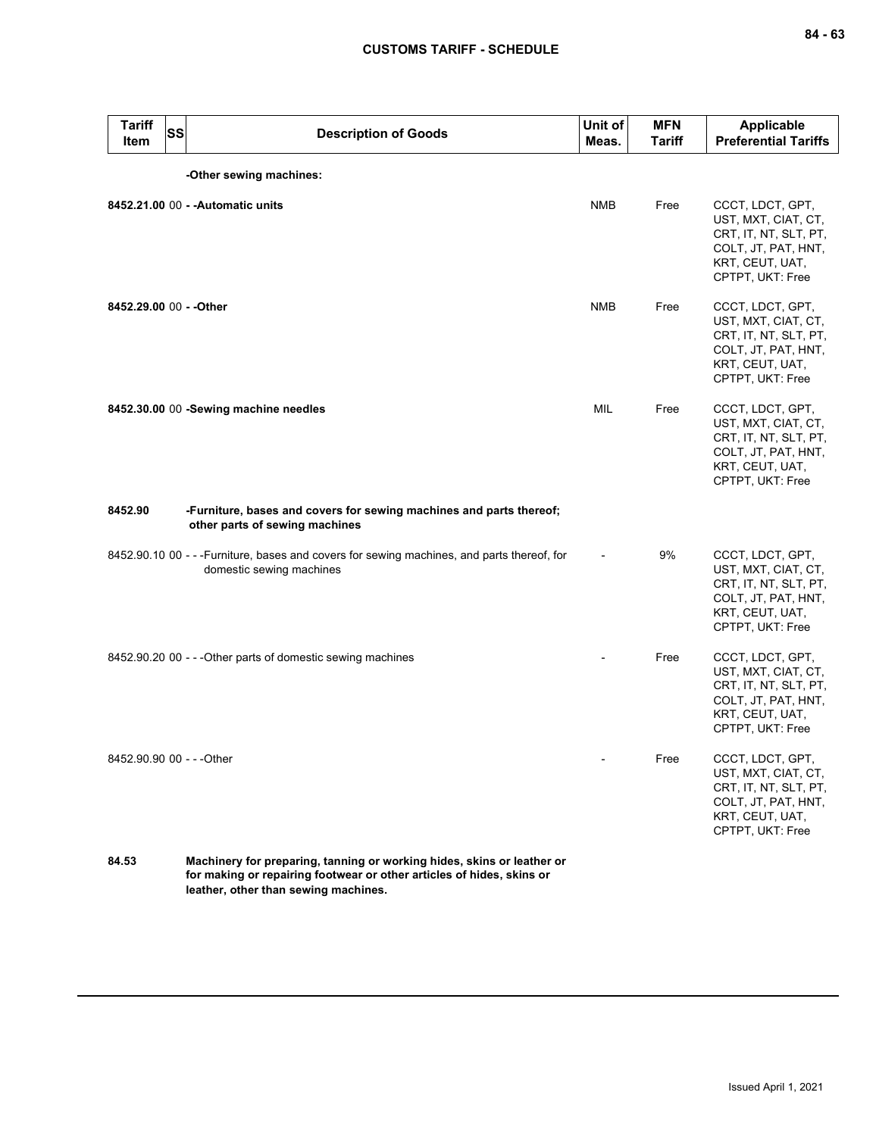| <b>Tariff</b><br>Item     | <b>SS</b> | <b>Description of Goods</b>                                                                                            | Unit of<br>Meas. | <b>MFN</b><br><b>Tariff</b> | <b>Applicable</b><br><b>Preferential Tariffs</b>                                                                               |
|---------------------------|-----------|------------------------------------------------------------------------------------------------------------------------|------------------|-----------------------------|--------------------------------------------------------------------------------------------------------------------------------|
|                           |           | -Other sewing machines:                                                                                                |                  |                             |                                                                                                                                |
|                           |           | 8452.21.00 00 - - Automatic units                                                                                      | <b>NMB</b>       | Free                        | CCCT, LDCT, GPT,<br>UST, MXT, CIAT, CT,<br>CRT, IT, NT, SLT, PT,<br>COLT, JT, PAT, HNT,<br>KRT, CEUT, UAT,<br>CPTPT, UKT: Free |
| 8452.29.00 00 - - Other   |           |                                                                                                                        | <b>NMB</b>       | Free                        | CCCT, LDCT, GPT,<br>UST, MXT, CIAT, CT,<br>CRT, IT, NT, SLT, PT,<br>COLT, JT, PAT, HNT,<br>KRT, CEUT, UAT,<br>CPTPT, UKT: Free |
|                           |           | 8452.30.00 00 -Sewing machine needles                                                                                  | <b>MIL</b>       | Free                        | CCCT, LDCT, GPT,<br>UST, MXT, CIAT, CT,<br>CRT, IT, NT, SLT, PT,<br>COLT, JT, PAT, HNT,<br>KRT, CEUT, UAT,<br>CPTPT, UKT: Free |
| 8452.90                   |           | -Furniture, bases and covers for sewing machines and parts thereof;<br>other parts of sewing machines                  |                  |                             |                                                                                                                                |
|                           |           | 8452.90.10 00 - - -Furniture, bases and covers for sewing machines, and parts thereof, for<br>domestic sewing machines |                  | 9%                          | CCCT, LDCT, GPT,<br>UST, MXT, CIAT, CT,<br>CRT, IT, NT, SLT, PT,<br>COLT, JT, PAT, HNT,<br>KRT, CEUT, UAT,<br>CPTPT, UKT: Free |
|                           |           | 8452.90.20 00 - - - Other parts of domestic sewing machines                                                            |                  | Free                        | CCCT, LDCT, GPT,<br>UST, MXT, CIAT, CT,<br>CRT, IT, NT, SLT, PT,<br>COLT, JT, PAT, HNT,<br>KRT, CEUT, UAT,<br>CPTPT, UKT: Free |
| 8452.90.90 00 - - - Other |           |                                                                                                                        |                  | Free                        | CCCT, LDCT, GPT,<br>UST, MXT, CIAT, CT,<br>CRT, IT, NT, SLT, PT,<br>COLT, JT, PAT, HNT,<br>KRT, CEUT, UAT,<br>CPTPT, UKT: Free |
| 84.53                     |           | Machinery for preparing, tanning or working hides, skins or leather or                                                 |                  |                             |                                                                                                                                |

**84.53 Machinery for preparing, tanning or working hides, skins or leather or for making or repairing footwear or other articles of hides, skins or leather, other than sewing machines.**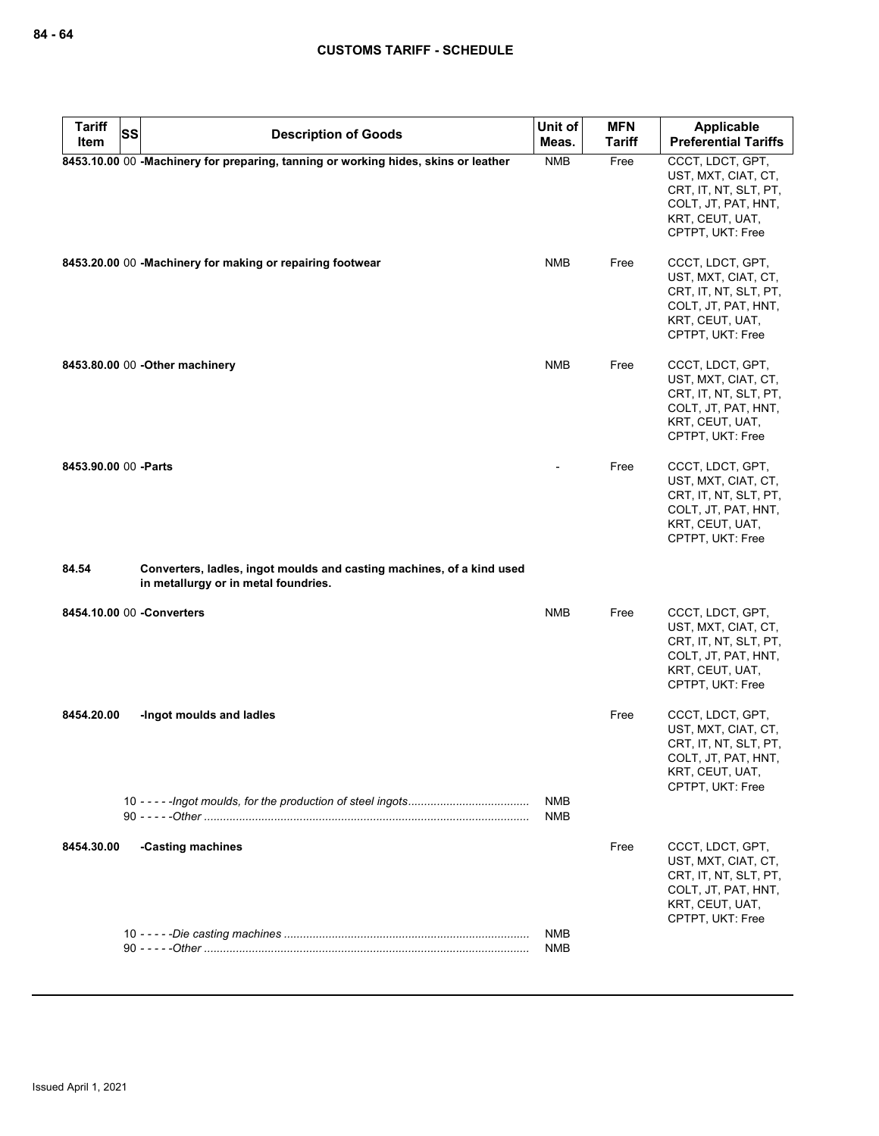| <b>Tariff</b>         | <b>SS</b>                                                                                                     | Unit of                  | <b>MFN</b>    | Applicable                                                                                                                     |
|-----------------------|---------------------------------------------------------------------------------------------------------------|--------------------------|---------------|--------------------------------------------------------------------------------------------------------------------------------|
| Item                  | <b>Description of Goods</b>                                                                                   | Meas.                    | <b>Tariff</b> | <b>Preferential Tariffs</b>                                                                                                    |
|                       | 8453.10.00 00 -Machinery for preparing, tanning or working hides, skins or leather                            | <b>NMB</b>               | Free          | CCCT, LDCT, GPT,<br>UST, MXT, CIAT, CT,<br>CRT, IT, NT, SLT, PT,<br>COLT, JT, PAT, HNT,<br>KRT, CEUT, UAT,<br>CPTPT, UKT: Free |
|                       | 8453.20.00 00 -Machinery for making or repairing footwear                                                     | <b>NMB</b>               | Free          | CCCT, LDCT, GPT,<br>UST, MXT, CIAT, CT,<br>CRT, IT, NT, SLT, PT,<br>COLT, JT, PAT, HNT,<br>KRT, CEUT, UAT,<br>CPTPT, UKT: Free |
|                       | 8453.80.00 00 - Other machinery                                                                               | <b>NMB</b>               | Free          | CCCT, LDCT, GPT,<br>UST, MXT, CIAT, CT,<br>CRT, IT, NT, SLT, PT,<br>COLT, JT, PAT, HNT,<br>KRT, CEUT, UAT,<br>CPTPT, UKT: Free |
| 8453.90.00 00 - Parts |                                                                                                               |                          | Free          | CCCT, LDCT, GPT,<br>UST, MXT, CIAT, CT,<br>CRT, IT, NT, SLT, PT,<br>COLT, JT, PAT, HNT,<br>KRT, CEUT, UAT,<br>CPTPT, UKT: Free |
| 84.54                 | Converters, ladles, ingot moulds and casting machines, of a kind used<br>in metallurgy or in metal foundries. |                          |               |                                                                                                                                |
|                       | 8454.10.00 00 - Converters                                                                                    | <b>NMB</b>               | Free          | CCCT, LDCT, GPT,<br>UST, MXT, CIAT, CT,<br>CRT, IT, NT, SLT, PT,<br>COLT, JT, PAT, HNT,<br>KRT, CEUT, UAT,<br>CPTPT, UKT: Free |
| 8454.20.00            | -Ingot moulds and ladles                                                                                      |                          | Free          | CCCT, LDCT, GPT,<br>UST, MXT, CIAT, CT,<br>CRT, IT, NT, SLT, PT,<br>COLT, JT, PAT, HNT,<br>KRT, CEUT, UAT,<br>CPTPT, UKT: Free |
|                       |                                                                                                               | <b>NMB</b><br><b>NMB</b> |               |                                                                                                                                |
| 8454.30.00            | -Casting machines                                                                                             |                          | Free          | CCCT, LDCT, GPT,<br>UST, MXT, CIAT, CT,<br>CRT, IT, NT, SLT, PT,<br>COLT, JT, PAT, HNT,<br>KRT, CEUT, UAT,<br>CPTPT, UKT: Free |
|                       |                                                                                                               | <b>NMB</b><br><b>NMB</b> |               |                                                                                                                                |
|                       |                                                                                                               |                          |               |                                                                                                                                |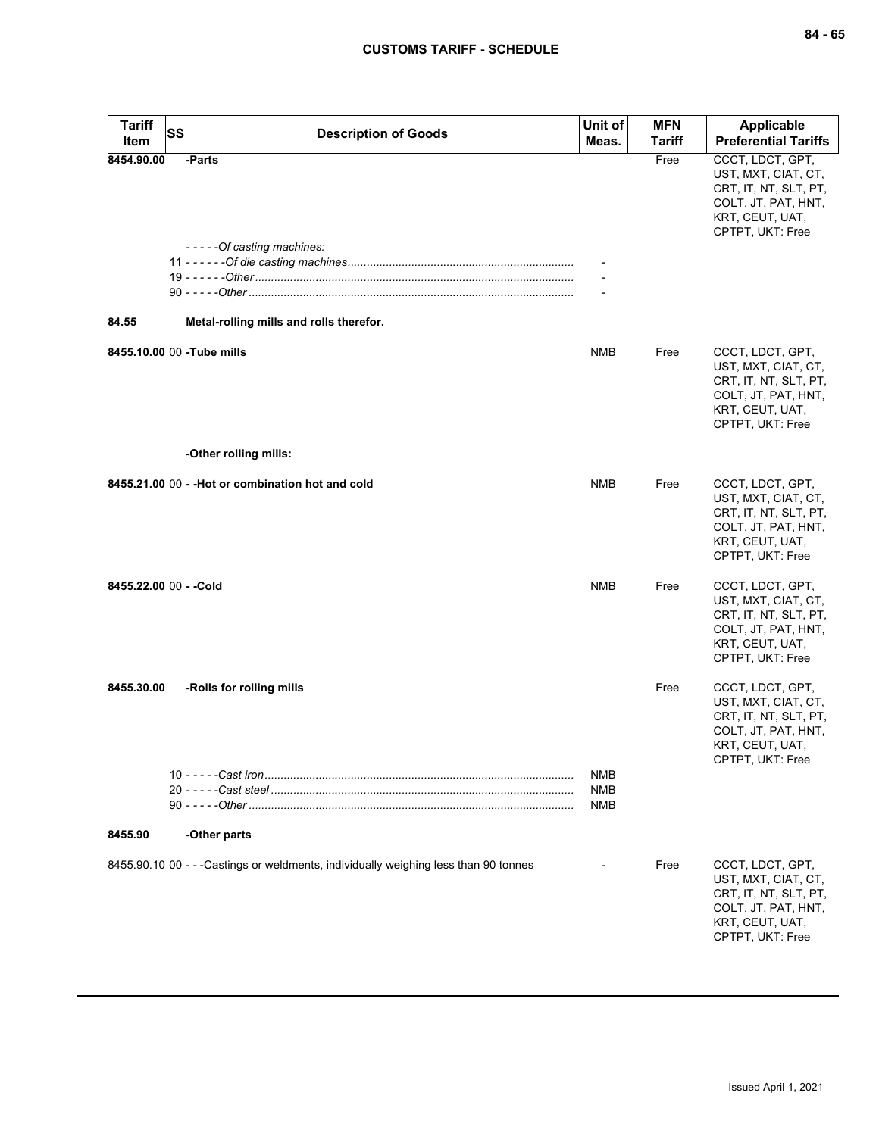| <b>Tariff</b><br><b>SS</b><br>Item | <b>Description of Goods</b>                                                          | Unit of<br>Meas.  | <b>MFN</b><br>Tariff | <b>Applicable</b><br><b>Preferential Tariffs</b>                                                                               |
|------------------------------------|--------------------------------------------------------------------------------------|-------------------|----------------------|--------------------------------------------------------------------------------------------------------------------------------|
| 8454.90.00                         | -Parts                                                                               |                   | Free                 | CCCT, LDCT, GPT,<br>UST, MXT, CIAT, CT,<br>CRT, IT, NT, SLT, PT,<br>COLT, JT, PAT, HNT,<br>KRT, CEUT, UAT,<br>CPTPT, UKT: Free |
|                                    | -----Of casting machines:                                                            |                   |                      |                                                                                                                                |
| 84.55                              | Metal-rolling mills and rolls therefor.                                              |                   |                      |                                                                                                                                |
| 8455.10.00 00 - Tube mills         |                                                                                      | <b>NMB</b>        | Free                 | CCCT, LDCT, GPT,<br>UST, MXT, CIAT, CT,<br>CRT, IT, NT, SLT, PT,<br>COLT, JT, PAT, HNT,<br>KRT, CEUT, UAT,<br>CPTPT, UKT: Free |
|                                    | -Other rolling mills:                                                                |                   |                      |                                                                                                                                |
|                                    | 8455.21.00 00 - - Hot or combination hot and cold                                    | NMB               | Free                 | CCCT, LDCT, GPT,<br>UST, MXT, CIAT, CT,<br>CRT, IT, NT, SLT, PT,<br>COLT, JT, PAT, HNT,<br>KRT, CEUT, UAT,<br>CPTPT, UKT: Free |
| 8455.22.00 00 - - Cold             |                                                                                      | <b>NMB</b>        | Free                 | CCCT, LDCT, GPT,<br>UST, MXT, CIAT, CT,<br>CRT, IT, NT, SLT, PT,<br>COLT, JT, PAT, HNT,<br>KRT, CEUT, UAT,<br>CPTPT, UKT: Free |
| 8455.30.00                         | -Rolls for rolling mills                                                             |                   | Free                 | CCCT, LDCT, GPT,<br>UST, MXT, CIAT, CT,<br>CRT, IT, NT, SLT, PT,<br>COLT, JT, PAT, HNT,<br>KRT, CEUT, UAT,<br>CPTPT, UKT: Free |
|                                    |                                                                                      | NMB<br>NMB<br>NMB |                      |                                                                                                                                |
| 8455.90                            | -Other parts                                                                         |                   |                      |                                                                                                                                |
|                                    | 8455.90.10 00 - - - Castings or weldments, individually weighing less than 90 tonnes |                   | Free                 | CCCT, LDCT, GPT,<br>UST, MXT, CIAT, CT,<br>CRT, IT, NT, SLT, PT,<br>COLT, JT, PAT, HNT,<br>KRT, CEUT, UAT,<br>CPTPT, UKT: Free |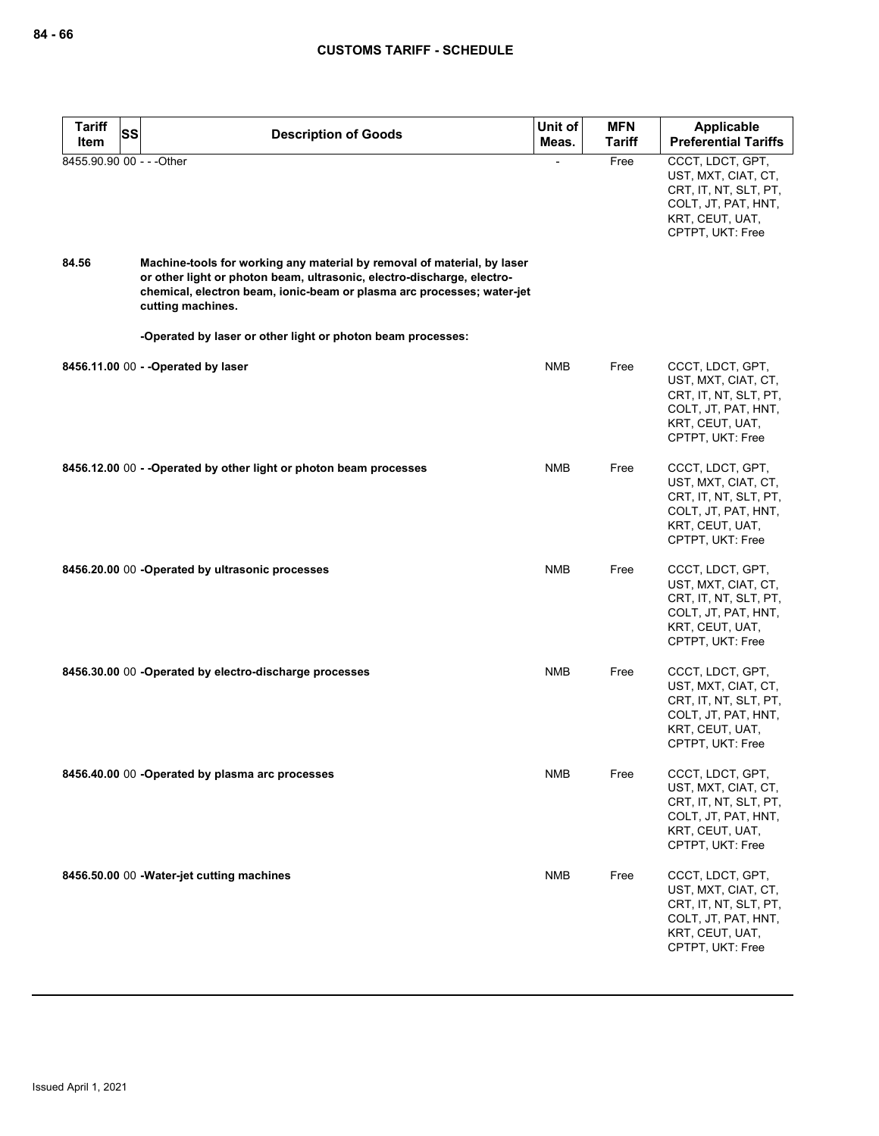| <b>Tariff</b>                      | SS<br><b>Description of Goods</b>                                                                                                                                                                                                    | Unit of    | <b>MFN</b>    | <b>Applicable</b>                                                                                                              |
|------------------------------------|--------------------------------------------------------------------------------------------------------------------------------------------------------------------------------------------------------------------------------------|------------|---------------|--------------------------------------------------------------------------------------------------------------------------------|
| Item                               |                                                                                                                                                                                                                                      | Meas.      | <b>Tariff</b> | <b>Preferential Tariffs</b>                                                                                                    |
| 8455.90.90 00 - - - Other<br>84.56 | Machine-tools for working any material by removal of material, by laser                                                                                                                                                              |            | Free          | CCCT, LDCT, GPT,<br>UST, MXT, CIAT, CT,<br>CRT, IT, NT, SLT, PT,<br>COLT, JT, PAT, HNT,<br>KRT, CEUT, UAT,<br>CPTPT, UKT: Free |
|                                    | or other light or photon beam, ultrasonic, electro-discharge, electro-<br>chemical, electron beam, ionic-beam or plasma arc processes; water-jet<br>cutting machines.<br>-Operated by laser or other light or photon beam processes: |            |               |                                                                                                                                |
|                                    |                                                                                                                                                                                                                                      |            |               |                                                                                                                                |
|                                    | 8456.11.00 00 - - Operated by laser                                                                                                                                                                                                  | <b>NMB</b> | Free          | CCCT, LDCT, GPT,<br>UST, MXT, CIAT, CT,<br>CRT, IT, NT, SLT, PT,<br>COLT, JT, PAT, HNT,<br>KRT, CEUT, UAT,<br>CPTPT, UKT: Free |
|                                    | 8456.12.00 00 - - Operated by other light or photon beam processes                                                                                                                                                                   | <b>NMB</b> | Free          | CCCT, LDCT, GPT,<br>UST, MXT, CIAT, CT,<br>CRT, IT, NT, SLT, PT,<br>COLT, JT, PAT, HNT,<br>KRT, CEUT, UAT,<br>CPTPT, UKT: Free |
|                                    | 8456.20.00 00 -Operated by ultrasonic processes                                                                                                                                                                                      | <b>NMB</b> | Free          | CCCT, LDCT, GPT,<br>UST, MXT, CIAT, CT,<br>CRT, IT, NT, SLT, PT,<br>COLT, JT, PAT, HNT,<br>KRT, CEUT, UAT,<br>CPTPT, UKT: Free |
|                                    | 8456.30.00 00 -Operated by electro-discharge processes                                                                                                                                                                               | <b>NMB</b> | Free          | CCCT, LDCT, GPT,<br>UST, MXT, CIAT, CT,<br>CRT, IT, NT, SLT, PT,<br>COLT, JT, PAT, HNT,<br>KRT, CEUT, UAT,<br>CPTPT, UKT: Free |
|                                    | 8456.40.00 00 -Operated by plasma arc processes                                                                                                                                                                                      | <b>NMB</b> | Free          | CCCT, LDCT, GPT,<br>UST, MXT, CIAT, CT,<br>CRT, IT, NT, SLT, PT,<br>COLT, JT, PAT, HNT,<br>KRT, CEUT, UAT,<br>CPTPT, UKT: Free |
|                                    | 8456.50.00 00 - Water-jet cutting machines                                                                                                                                                                                           | <b>NMB</b> | Free          | CCCT, LDCT, GPT,<br>UST, MXT, CIAT, CT,<br>CRT, IT, NT, SLT, PT,<br>COLT, JT, PAT, HNT,<br>KRT, CEUT, UAT,<br>CPTPT, UKT: Free |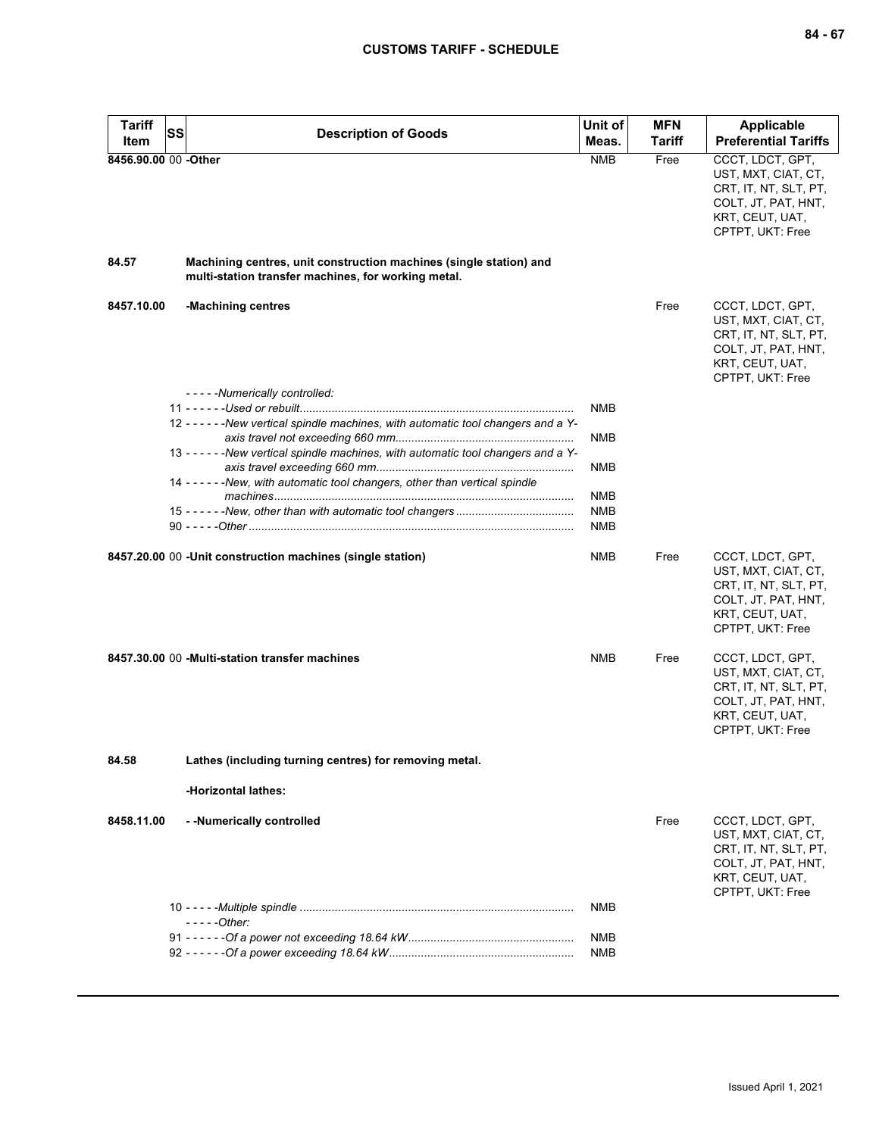| <b>Tariff</b><br>Item | SS | <b>Description of Goods</b>                                                                                               | Unit of<br>Meas. | <b>MFN</b><br>Tariff | Applicable<br><b>Preferential Tariffs</b>                                                                                      |
|-----------------------|----|---------------------------------------------------------------------------------------------------------------------------|------------------|----------------------|--------------------------------------------------------------------------------------------------------------------------------|
| 8456.90.00 00 -Other  |    |                                                                                                                           | <b>NMB</b>       | Free                 | CCCT, LDCT, GPT,                                                                                                               |
|                       |    |                                                                                                                           |                  |                      | UST, MXT, CIAT, CT,<br>CRT, IT, NT, SLT, PT,<br>COLT, JT, PAT, HNT,<br>KRT, CEUT, UAT,<br>CPTPT, UKT: Free                     |
| 84.57                 |    | Machining centres, unit construction machines (single station) and<br>multi-station transfer machines, for working metal. |                  |                      |                                                                                                                                |
| 8457.10.00            |    | -Machining centres                                                                                                        |                  | Free                 | CCCT, LDCT, GPT,<br>UST, MXT, CIAT, CT,<br>CRT, IT, NT, SLT, PT,<br>COLT, JT, PAT, HNT,<br>KRT, CEUT, UAT,<br>CPTPT, UKT: Free |
|                       |    | - - - - - Numerically controlled:                                                                                         |                  |                      |                                                                                                                                |
|                       |    | 12 - - - - - - New vertical spindle machines, with automatic tool changers and a Y-                                       | <b>NMB</b>       |                      |                                                                                                                                |
|                       |    | 13 - - - - - - - New vertical spindle machines, with automatic tool changers and a Y-                                     | NMB              |                      |                                                                                                                                |
|                       |    |                                                                                                                           | NMB              |                      |                                                                                                                                |
|                       |    | 14 - - - - - - New, with automatic tool changers, other than vertical spindle                                             |                  |                      |                                                                                                                                |
|                       |    |                                                                                                                           | NMB<br>NMB       |                      |                                                                                                                                |
|                       |    |                                                                                                                           | NMB              |                      |                                                                                                                                |
|                       |    | 8457.20.00 00 -Unit construction machines (single station)                                                                | NMB              | Free                 | CCCT, LDCT, GPT,<br>UST, MXT, CIAT, CT,<br>CRT, IT, NT, SLT, PT,<br>COLT, JT, PAT, HNT,<br>KRT, CEUT, UAT,<br>CPTPT, UKT: Free |
|                       |    | 8457.30.00 00 -Multi-station transfer machines                                                                            | NMB              | Free                 | CCCT, LDCT, GPT,<br>UST, MXT, CIAT, CT,<br>CRT, IT, NT, SLT, PT,<br>COLT, JT, PAT, HNT,<br>KRT, CEUT, UAT,<br>CPTPT, UKT: Free |
| 84.58                 |    | Lathes (including turning centres) for removing metal.                                                                    |                  |                      |                                                                                                                                |
|                       |    | -Horizontal lathes:                                                                                                       |                  |                      |                                                                                                                                |
| 8458.11.00            |    | --Numerically controlled                                                                                                  |                  | Free                 | CCCT, LDCT, GPT,<br>UST, MXT, CIAT, CT,<br>CRT, IT, NT, SLT, PT,<br>COLT, JT, PAT, HNT,<br>KRT, CEUT, UAT,<br>CPTPT, UKT: Free |
|                       |    |                                                                                                                           | NMB              |                      |                                                                                                                                |
|                       |    | $---Other:$                                                                                                               | <b>NMB</b>       |                      |                                                                                                                                |
|                       |    |                                                                                                                           | NMB              |                      |                                                                                                                                |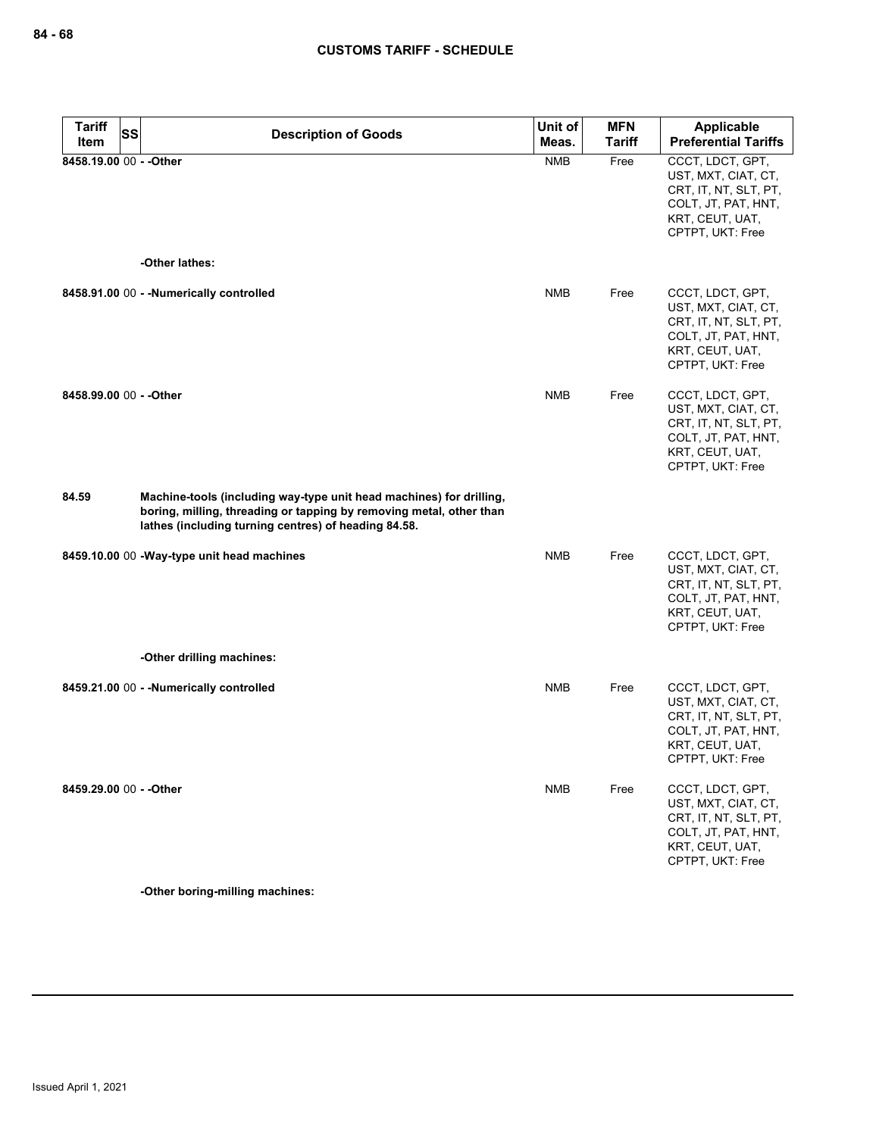| <b>Tariff</b><br>SS<br>Item | <b>Description of Goods</b>                                                                                                                                                                        | Unit of<br>Meas. | <b>MFN</b><br>Tariff | Applicable<br><b>Preferential Tariffs</b>                                                                                      |
|-----------------------------|----------------------------------------------------------------------------------------------------------------------------------------------------------------------------------------------------|------------------|----------------------|--------------------------------------------------------------------------------------------------------------------------------|
| 8458.19.00 00 - - Other     | -Other lathes:                                                                                                                                                                                     | <b>NMB</b>       | Free                 | CCCT, LDCT, GPT,<br>UST, MXT, CIAT, CT,<br>CRT, IT, NT, SLT, PT,<br>COLT, JT, PAT, HNT,<br>KRT, CEUT, UAT,<br>CPTPT, UKT: Free |
|                             |                                                                                                                                                                                                    |                  |                      |                                                                                                                                |
|                             | 8458.91.00 00 - - Numerically controlled                                                                                                                                                           | <b>NMB</b>       | Free                 | CCCT, LDCT, GPT,<br>UST, MXT, CIAT, CT,<br>CRT, IT, NT, SLT, PT,<br>COLT, JT, PAT, HNT,<br>KRT, CEUT, UAT,<br>CPTPT, UKT: Free |
| 8458.99.00 00 - - Other     |                                                                                                                                                                                                    | <b>NMB</b>       | Free                 | CCCT, LDCT, GPT,<br>UST, MXT, CIAT, CT,<br>CRT, IT, NT, SLT, PT,<br>COLT, JT, PAT, HNT,<br>KRT, CEUT, UAT,<br>CPTPT, UKT: Free |
| 84.59                       | Machine-tools (including way-type unit head machines) for drilling,<br>boring, milling, threading or tapping by removing metal, other than<br>lathes (including turning centres) of heading 84.58. |                  |                      |                                                                                                                                |
|                             | 8459.10.00 00 - Way-type unit head machines                                                                                                                                                        | <b>NMB</b>       | Free                 | CCCT, LDCT, GPT,<br>UST, MXT, CIAT, CT,<br>CRT, IT, NT, SLT, PT,<br>COLT, JT, PAT, HNT,<br>KRT, CEUT, UAT,<br>CPTPT, UKT: Free |
|                             | -Other drilling machines:                                                                                                                                                                          |                  |                      |                                                                                                                                |
|                             | 8459.21.00 00 - - Numerically controlled                                                                                                                                                           | <b>NMB</b>       | Free                 | CCCT, LDCT, GPT,<br>UST, MXT, CIAT, CT,<br>CRT, IT, NT, SLT, PT,<br>COLT, JT, PAT, HNT,<br>KRT, CEUT, UAT,<br>CPTPT, UKT: Free |
| 8459.29.00 00 - - Other     |                                                                                                                                                                                                    | NMB              | Free                 | CCCT, LDCT, GPT,<br>UST, MXT, CIAT, CT,<br>CRT, IT, NT, SLT, PT,<br>COLT, JT, PAT, HNT,<br>KRT, CEUT, UAT,<br>CPTPT, UKT: Free |

**-Other boring-milling machines:**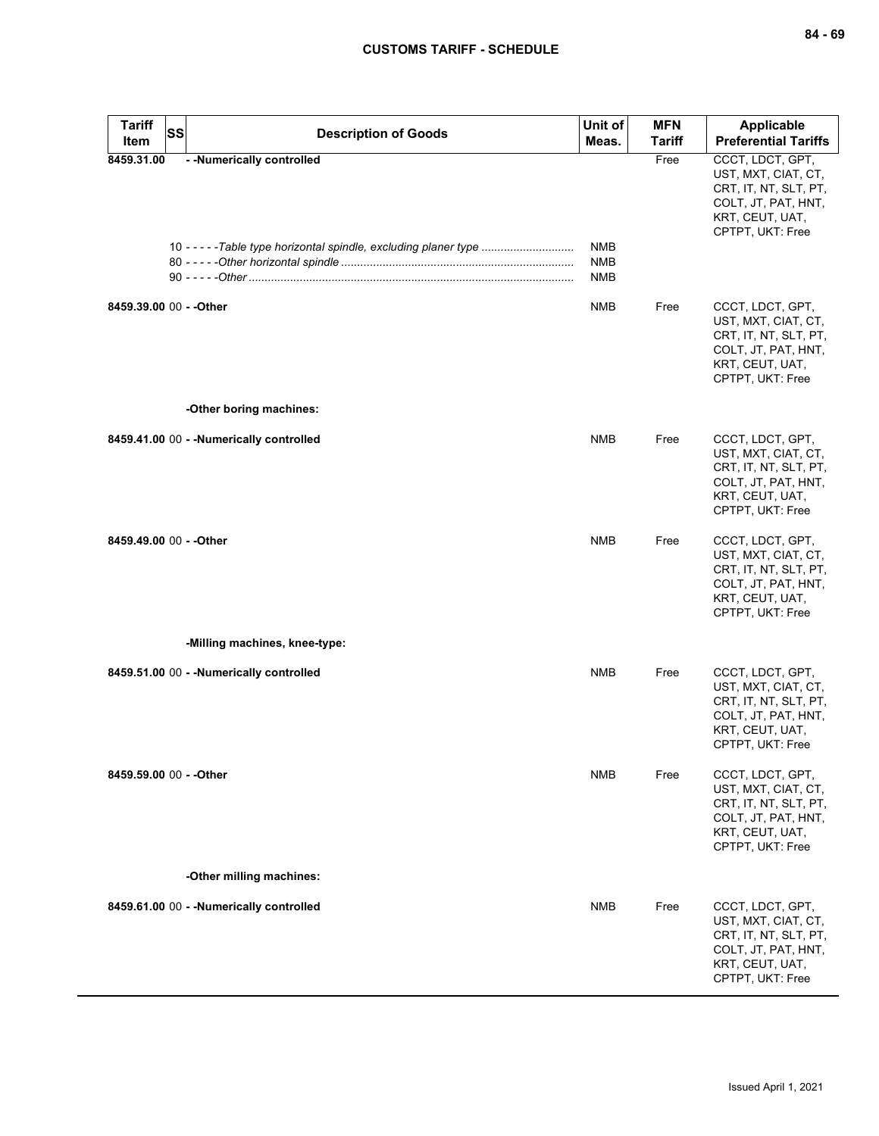| <b>Tariff</b><br>Item   | <b>SS</b><br><b>Description of Goods</b>                                                        | Unit of<br>Meas.                       | <b>MFN</b><br>Tariff | <b>Applicable</b><br><b>Preferential Tariffs</b>                                                                               |
|-------------------------|-------------------------------------------------------------------------------------------------|----------------------------------------|----------------------|--------------------------------------------------------------------------------------------------------------------------------|
| 8459.31.00              | - - Numerically controlled<br>10 - - - - - Table type horizontal spindle, excluding planer type | <b>NMB</b><br><b>NMB</b><br><b>NMB</b> | Free                 | CCCT, LDCT, GPT,<br>UST, MXT, CIAT, CT,<br>CRT, IT, NT, SLT, PT,<br>COLT, JT, PAT, HNT,<br>KRT, CEUT, UAT,<br>CPTPT, UKT: Free |
| 8459.39.00 00 - - Other |                                                                                                 | NMB                                    | Free                 | CCCT, LDCT, GPT,<br>UST, MXT, CIAT, CT,<br>CRT, IT, NT, SLT, PT,<br>COLT, JT, PAT, HNT,<br>KRT, CEUT, UAT,<br>CPTPT, UKT: Free |
|                         | -Other boring machines:                                                                         |                                        |                      |                                                                                                                                |
|                         | 8459.41.00 00 - - Numerically controlled                                                        | <b>NMB</b>                             | Free                 | CCCT, LDCT, GPT,<br>UST, MXT, CIAT, CT,<br>CRT, IT, NT, SLT, PT,<br>COLT, JT, PAT, HNT,<br>KRT, CEUT, UAT,<br>CPTPT, UKT: Free |
| 8459.49.00 00 - - Other |                                                                                                 | <b>NMB</b>                             | Free                 | CCCT, LDCT, GPT,<br>UST, MXT, CIAT, CT,<br>CRT, IT, NT, SLT, PT,<br>COLT, JT, PAT, HNT,<br>KRT, CEUT, UAT,<br>CPTPT, UKT: Free |
|                         | -Milling machines, knee-type:                                                                   |                                        |                      |                                                                                                                                |
|                         | 8459.51.00 00 - - Numerically controlled                                                        | <b>NMB</b>                             | Free                 | CCCT, LDCT, GPT,<br>UST, MXT, CIAT, CT,<br>CRT, IT, NT, SLT, PT,<br>COLT, JT, PAT, HNT,<br>KRT, CEUT, UAT,<br>CPTPT, UKT: Free |
| 8459.59.00 00 - - Other |                                                                                                 | <b>NMB</b>                             | Free                 | CCCT, LDCT, GPT,<br>UST, MXT, CIAT, CT,<br>CRT, IT, NT, SLT, PT,<br>COLT, JT, PAT, HNT,<br>KRT, CEUT, UAT,<br>CPTPT, UKT: Free |
|                         | -Other milling machines:                                                                        |                                        |                      |                                                                                                                                |
|                         | 8459.61.00 00 - - Numerically controlled                                                        | <b>NMB</b>                             | Free                 | CCCT, LDCT, GPT,<br>UST, MXT, CIAT, CT,<br>CRT, IT, NT, SLT, PT,<br>COLT, JT, PAT, HNT,<br>KRT, CEUT, UAT,<br>CPTPT, UKT: Free |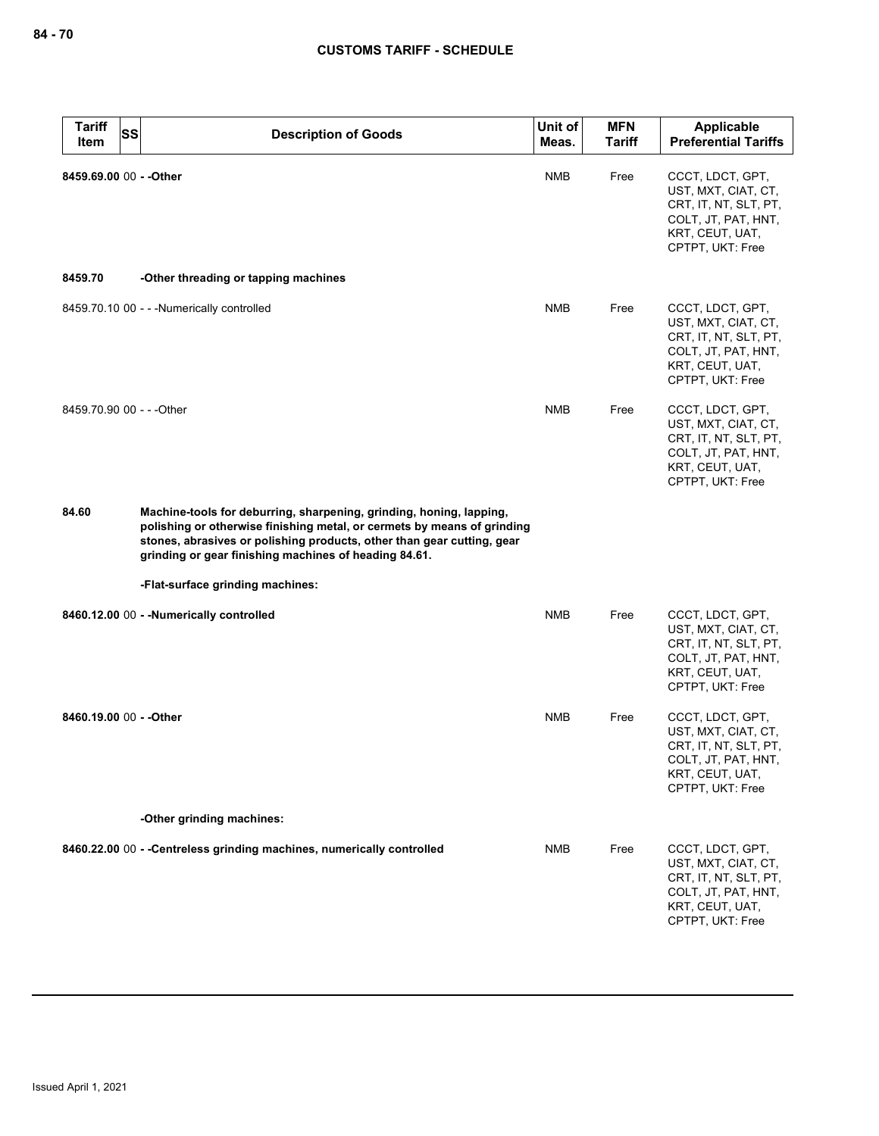| <b>Tariff</b><br>SS<br><b>Item</b> | <b>Description of Goods</b>                                                                                                                                                                                                                                                       | Unit of<br>Meas. | <b>MFN</b><br>Tariff | Applicable<br><b>Preferential Tariffs</b>                                                                                      |
|------------------------------------|-----------------------------------------------------------------------------------------------------------------------------------------------------------------------------------------------------------------------------------------------------------------------------------|------------------|----------------------|--------------------------------------------------------------------------------------------------------------------------------|
| 8459.69.00 00 - - Other            |                                                                                                                                                                                                                                                                                   | <b>NMB</b>       | Free                 | CCCT, LDCT, GPT,<br>UST, MXT, CIAT, CT,<br>CRT, IT, NT, SLT, PT,<br>COLT, JT, PAT, HNT,<br>KRT, CEUT, UAT,<br>CPTPT, UKT: Free |
| 8459.70                            | -Other threading or tapping machines                                                                                                                                                                                                                                              |                  |                      |                                                                                                                                |
|                                    | 8459.70.10 00 - - - Numerically controlled                                                                                                                                                                                                                                        | <b>NMB</b>       | Free                 | CCCT, LDCT, GPT,<br>UST, MXT, CIAT, CT,<br>CRT, IT, NT, SLT, PT,<br>COLT, JT, PAT, HNT,<br>KRT, CEUT, UAT,<br>CPTPT, UKT: Free |
| 8459.70.90 00 - - - Other          |                                                                                                                                                                                                                                                                                   | <b>NMB</b>       | Free                 | CCCT, LDCT, GPT,<br>UST, MXT, CIAT, CT,<br>CRT, IT, NT, SLT, PT,<br>COLT, JT, PAT, HNT,<br>KRT, CEUT, UAT,<br>CPTPT, UKT: Free |
| 84.60                              | Machine-tools for deburring, sharpening, grinding, honing, lapping,<br>polishing or otherwise finishing metal, or cermets by means of grinding<br>stones, abrasives or polishing products, other than gear cutting, gear<br>grinding or gear finishing machines of heading 84.61. |                  |                      |                                                                                                                                |
|                                    | -Flat-surface grinding machines:                                                                                                                                                                                                                                                  |                  |                      |                                                                                                                                |
|                                    | 8460.12.00 00 - - Numerically controlled                                                                                                                                                                                                                                          | <b>NMB</b>       | Free                 | CCCT, LDCT, GPT,<br>UST, MXT, CIAT, CT,<br>CRT, IT, NT, SLT, PT,<br>COLT, JT, PAT, HNT,<br>KRT, CEUT, UAT,<br>CPTPT, UKT: Free |
| 8460.19.00 00 - - Other            |                                                                                                                                                                                                                                                                                   | NMB              | Free                 | CCCT, LDCT, GPT,<br>UST, MXT, CIAT, CT,<br>CRT, IT, NT, SLT, PT,<br>COLT, JT, PAT, HNT,<br>KRT, CEUT, UAT,<br>CPTPT, UKT: Free |
|                                    | -Other grinding machines:                                                                                                                                                                                                                                                         |                  |                      |                                                                                                                                |
|                                    | 8460.22.00 00 - - Centreless grinding machines, numerically controlled                                                                                                                                                                                                            | <b>NMB</b>       | Free                 | CCCT, LDCT, GPT,<br>UST, MXT, CIAT, CT,<br>CRT, IT, NT, SLT, PT,<br>COLT, JT, PAT, HNT,<br>KRT, CEUT, UAT,<br>CPTPT, UKT: Free |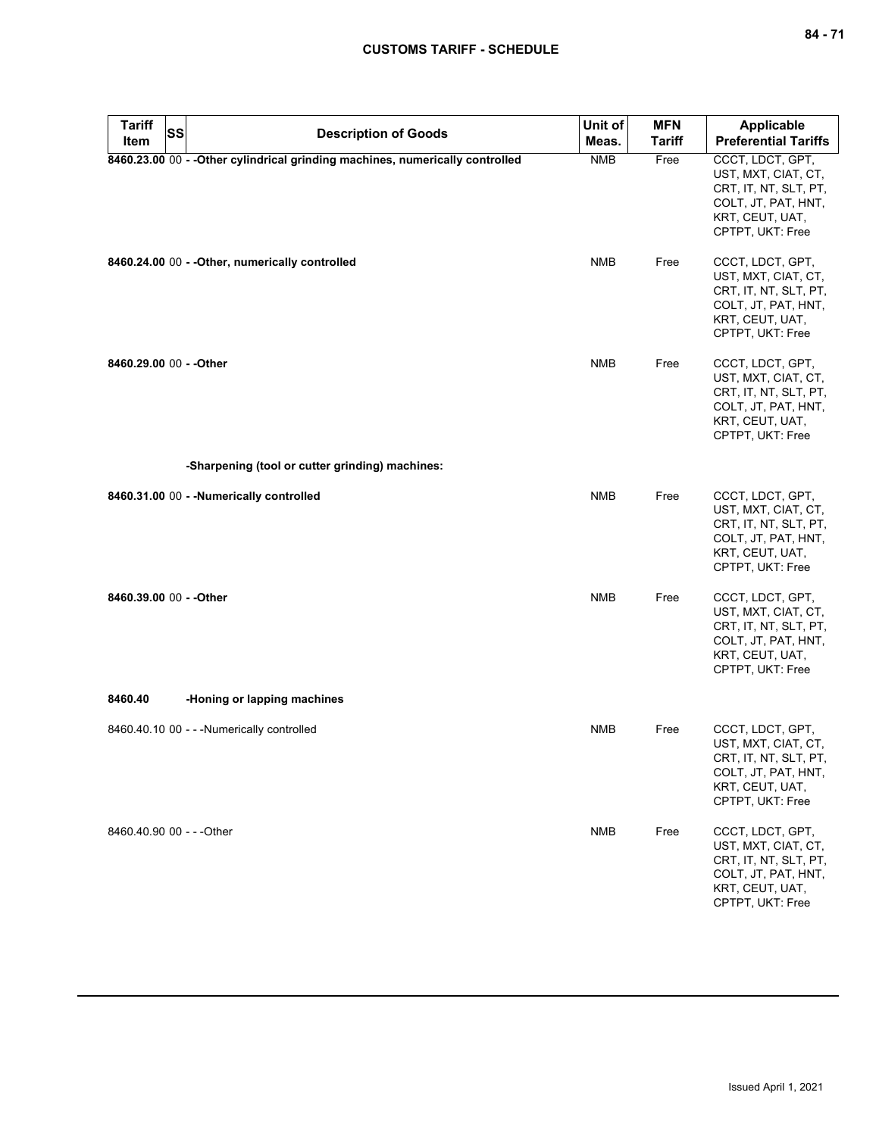| Tariff<br>Item            | <b>SS</b> | <b>Description of Goods</b>                                                   | Unit of<br>Meas. | <b>MFN</b><br><b>Tariff</b> | <b>Applicable</b><br><b>Preferential Tariffs</b>                                                                               |
|---------------------------|-----------|-------------------------------------------------------------------------------|------------------|-----------------------------|--------------------------------------------------------------------------------------------------------------------------------|
|                           |           | 8460.23.00 00 - - Other cylindrical grinding machines, numerically controlled | <b>NMB</b>       | Free                        | CCCT, LDCT, GPT,<br>UST, MXT, CIAT, CT,<br>CRT, IT, NT, SLT, PT,<br>COLT, JT, PAT, HNT,<br>KRT, CEUT, UAT,<br>CPTPT, UKT: Free |
|                           |           | 8460.24.00 00 - - Other, numerically controlled                               | <b>NMB</b>       | Free                        | CCCT, LDCT, GPT,<br>UST, MXT, CIAT, CT,<br>CRT, IT, NT, SLT, PT,<br>COLT, JT, PAT, HNT,<br>KRT, CEUT, UAT,<br>CPTPT, UKT: Free |
| 8460.29.00 00 - - Other   |           |                                                                               | <b>NMB</b>       | Free                        | CCCT, LDCT, GPT,<br>UST, MXT, CIAT, CT,<br>CRT, IT, NT, SLT, PT,<br>COLT, JT, PAT, HNT,<br>KRT, CEUT, UAT,<br>CPTPT, UKT: Free |
|                           |           | -Sharpening (tool or cutter grinding) machines:                               |                  |                             |                                                                                                                                |
|                           |           | 8460.31.00 00 - - Numerically controlled                                      | <b>NMB</b>       | Free                        | CCCT, LDCT, GPT,<br>UST, MXT, CIAT, CT,<br>CRT, IT, NT, SLT, PT,<br>COLT, JT, PAT, HNT,<br>KRT, CEUT, UAT,<br>CPTPT, UKT: Free |
| 8460.39.00 00 - - Other   |           |                                                                               | <b>NMB</b>       | Free                        | CCCT, LDCT, GPT,<br>UST, MXT, CIAT, CT,<br>CRT, IT, NT, SLT, PT,<br>COLT, JT, PAT, HNT,<br>KRT, CEUT, UAT,<br>CPTPT, UKT: Free |
| 8460.40                   |           | -Honing or lapping machines                                                   |                  |                             |                                                                                                                                |
|                           |           | 8460.40.10 00 - - - Numerically controlled                                    | <b>NMB</b>       | Free                        | CCCT, LDCT, GPT,<br>UST, MXT, CIAT, CT,<br>CHI, II, NI, SLI, PI,<br>COLT, JT, PAT, HNT,<br>KRT, CEUT, UAT,<br>CPTPT, UKT: Free |
| 8460.40.90 00 - - - Other |           |                                                                               | <b>NMB</b>       | Free                        | CCCT, LDCT, GPT,<br>UST, MXT, CIAT, CT,<br>CRT, IT, NT, SLT, PT,<br>COLT, JT, PAT, HNT,<br>KRT, CEUT, UAT,<br>CPTPT, UKT: Free |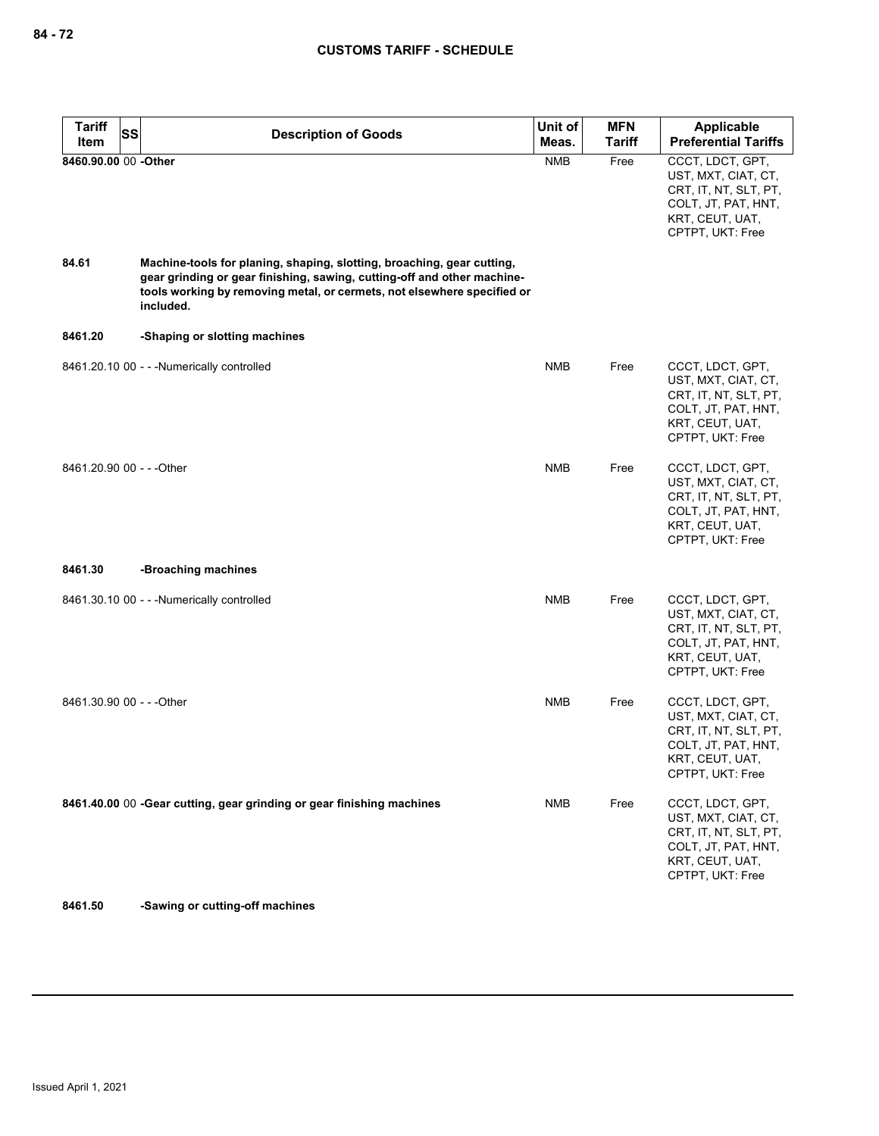| <b>Tariff</b><br>SS       |                                                                                                                                                                                                                                           | Unit of    | <b>MFN</b>    | <b>Applicable</b>                                                                                                              |
|---------------------------|-------------------------------------------------------------------------------------------------------------------------------------------------------------------------------------------------------------------------------------------|------------|---------------|--------------------------------------------------------------------------------------------------------------------------------|
| Item                      | <b>Description of Goods</b>                                                                                                                                                                                                               | Meas.      | <b>Tariff</b> | <b>Preferential Tariffs</b>                                                                                                    |
| 8460.90.00 00 -Other      |                                                                                                                                                                                                                                           | <b>NMB</b> | Free          | CCCT, LDCT, GPT,<br>UST, MXT, CIAT, CT,<br>CRT, IT, NT, SLT, PT,<br>COLT, JT, PAT, HNT,<br>KRT, CEUT, UAT,<br>CPTPT, UKT: Free |
| 84.61                     | Machine-tools for planing, shaping, slotting, broaching, gear cutting,<br>gear grinding or gear finishing, sawing, cutting-off and other machine-<br>tools working by removing metal, or cermets, not elsewhere specified or<br>included. |            |               |                                                                                                                                |
| 8461.20                   | -Shaping or slotting machines                                                                                                                                                                                                             |            |               |                                                                                                                                |
|                           | 8461.20.10 00 - - - Numerically controlled                                                                                                                                                                                                | <b>NMB</b> | Free          | CCCT, LDCT, GPT,<br>UST, MXT, CIAT, CT,<br>CRT, IT, NT, SLT, PT,<br>COLT, JT, PAT, HNT,<br>KRT, CEUT, UAT,<br>CPTPT, UKT: Free |
| 8461.20.90 00 - - - Other |                                                                                                                                                                                                                                           | <b>NMB</b> | Free          | CCCT, LDCT, GPT,<br>UST, MXT, CIAT, CT,<br>CRT, IT, NT, SLT, PT,<br>COLT, JT, PAT, HNT,<br>KRT, CEUT, UAT,<br>CPTPT, UKT: Free |
| 8461.30                   | -Broaching machines                                                                                                                                                                                                                       |            |               |                                                                                                                                |
|                           | 8461.30.10 00 - - - Numerically controlled                                                                                                                                                                                                | <b>NMB</b> | Free          | CCCT, LDCT, GPT,<br>UST, MXT, CIAT, CT,<br>CRT, IT, NT, SLT, PT,<br>COLT, JT, PAT, HNT,<br>KRT, CEUT, UAT,<br>CPTPT, UKT: Free |
| 8461.30.90 00 - - - Other |                                                                                                                                                                                                                                           | <b>NMB</b> | Free          | CCCT, LDCT, GPT,<br>UST, MXT, CIAT, CT,<br>CRT, IT, NT, SLT, PT,<br>COLT, JT, PAT, HNT,<br>KRT, CEUT, UAT,<br>CPTPT, UKT: Free |
|                           | 8461.40.00 00 -Gear cutting, gear grinding or gear finishing machines                                                                                                                                                                     | <b>NMB</b> | Free          | CCCT, LDCT, GPT,<br>UST, MXT, CIAT, CT,<br>CRT, IT, NT, SLT, PT,<br>COLT, JT, PAT, HNT,<br>KRT, CEUT, UAT,<br>CPTPT, UKT: Free |

**8461.50 -Sawing or cutting-off machines**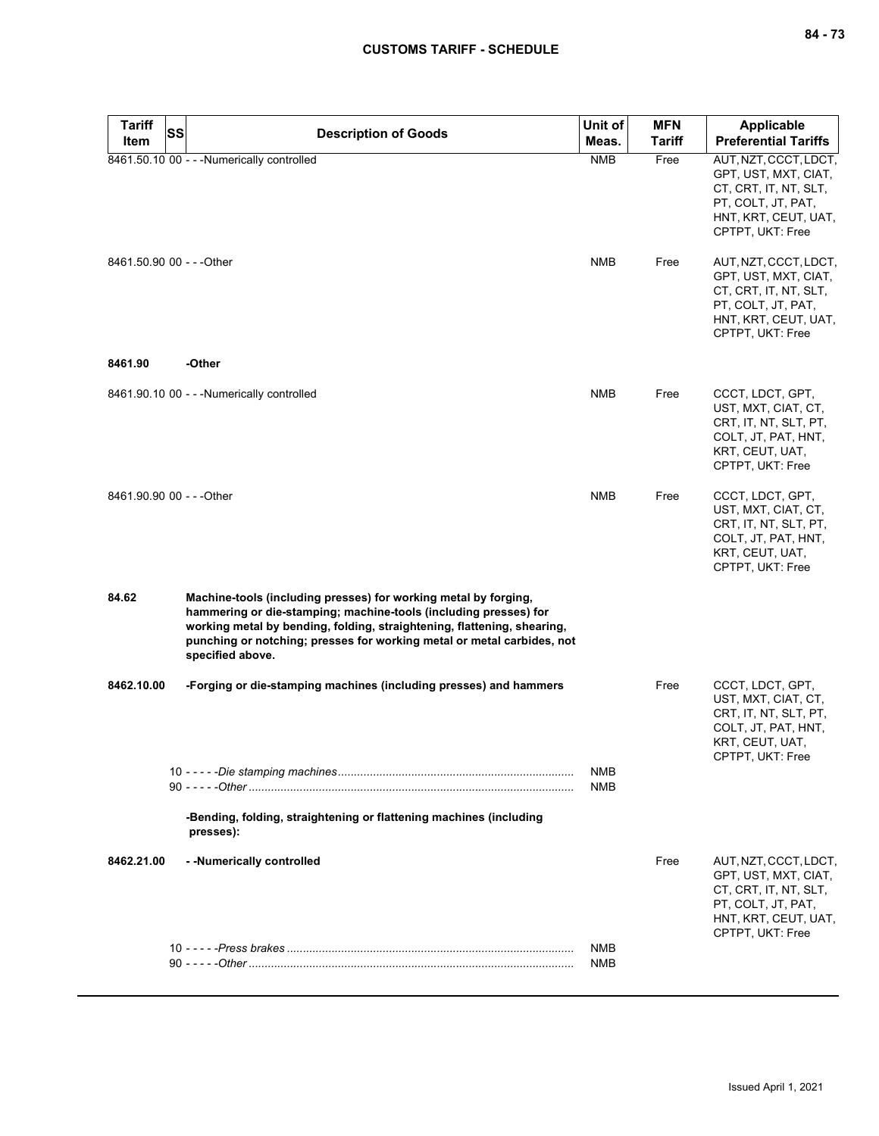| <b>Tariff</b>             | SS | <b>Description of Goods</b>                                                                                                                                                                                                                                                                                  | Unit of                  | <b>MFN</b>    | <b>Applicable</b>                                                                                                                                                                                                                                                                    |
|---------------------------|----|--------------------------------------------------------------------------------------------------------------------------------------------------------------------------------------------------------------------------------------------------------------------------------------------------------------|--------------------------|---------------|--------------------------------------------------------------------------------------------------------------------------------------------------------------------------------------------------------------------------------------------------------------------------------------|
| Item                      |    |                                                                                                                                                                                                                                                                                                              | Meas.                    | <b>Tariff</b> | <b>Preferential Tariffs</b>                                                                                                                                                                                                                                                          |
| 8461.50.90 00 - - - Other |    | 8461.50.10 00 - - - Numerically controlled                                                                                                                                                                                                                                                                   | <b>NMB</b><br><b>NMB</b> | Free<br>Free  | AUT, NZT, CCCT, LDCT,<br>GPT, UST, MXT, CIAT,<br>CT, CRT, IT, NT, SLT,<br>PT, COLT, JT, PAT,<br>HNT, KRT, CEUT, UAT,<br>CPTPT, UKT: Free<br>AUT, NZT, CCCT, LDCT,<br>GPT, UST, MXT, CIAT,<br>CT, CRT, IT, NT, SLT,<br>PT, COLT, JT, PAT,<br>HNT, KRT, CEUT, UAT,<br>CPTPT, UKT: Free |
| 8461.90                   |    | -Other                                                                                                                                                                                                                                                                                                       |                          |               |                                                                                                                                                                                                                                                                                      |
|                           |    | 8461.90.10 00 - - - Numerically controlled                                                                                                                                                                                                                                                                   | <b>NMB</b>               | Free          | CCCT, LDCT, GPT,<br>UST, MXT, CIAT, CT,<br>CRT, IT, NT, SLT, PT,<br>COLT, JT, PAT, HNT,<br>KRT, CEUT, UAT,<br>CPTPT, UKT: Free                                                                                                                                                       |
| 8461.90.90 00 - - - Other |    |                                                                                                                                                                                                                                                                                                              | <b>NMB</b>               | Free          | CCCT, LDCT, GPT,<br>UST, MXT, CIAT, CT,<br>CRT, IT, NT, SLT, PT,<br>COLT, JT, PAT, HNT,<br>KRT, CEUT, UAT,<br>CPTPT, UKT: Free                                                                                                                                                       |
| 84.62                     |    | Machine-tools (including presses) for working metal by forging,<br>hammering or die-stamping; machine-tools (including presses) for<br>working metal by bending, folding, straightening, flattening, shearing,<br>punching or notching; presses for working metal or metal carbides, not<br>specified above. |                          |               |                                                                                                                                                                                                                                                                                      |
| 8462.10.00                |    | -Forging or die-stamping machines (including presses) and hammers                                                                                                                                                                                                                                            |                          | Free          | CCCT, LDCT, GPT,<br>UST, MXT, CIAT, CT,<br>CRT, IT, NT, SLT, PT,<br>COLT, JT, PAT, HNT,<br>KRT, CEUT, UAT,<br>CPTPT, UKT: Free                                                                                                                                                       |
|                           |    |                                                                                                                                                                                                                                                                                                              | NMB                      |               |                                                                                                                                                                                                                                                                                      |
|                           |    |                                                                                                                                                                                                                                                                                                              | <b>NMB</b>               |               |                                                                                                                                                                                                                                                                                      |
|                           |    | -Bending, folding, straightening or flattening machines (including<br>presses):                                                                                                                                                                                                                              |                          |               |                                                                                                                                                                                                                                                                                      |
| 8462.21.00                |    | - - Numerically controlled                                                                                                                                                                                                                                                                                   |                          | Free          | AUT, NZT, CCCT, LDCT,<br>GPT, UST, MXT, CIAT,<br>CT, CRT, IT, NT, SLT,<br>PT, COLT, JT, PAT,<br>HNT, KRT, CEUT, UAT,<br>CPTPT, UKT: Free                                                                                                                                             |
|                           |    |                                                                                                                                                                                                                                                                                                              | NMB<br>NMB               |               |                                                                                                                                                                                                                                                                                      |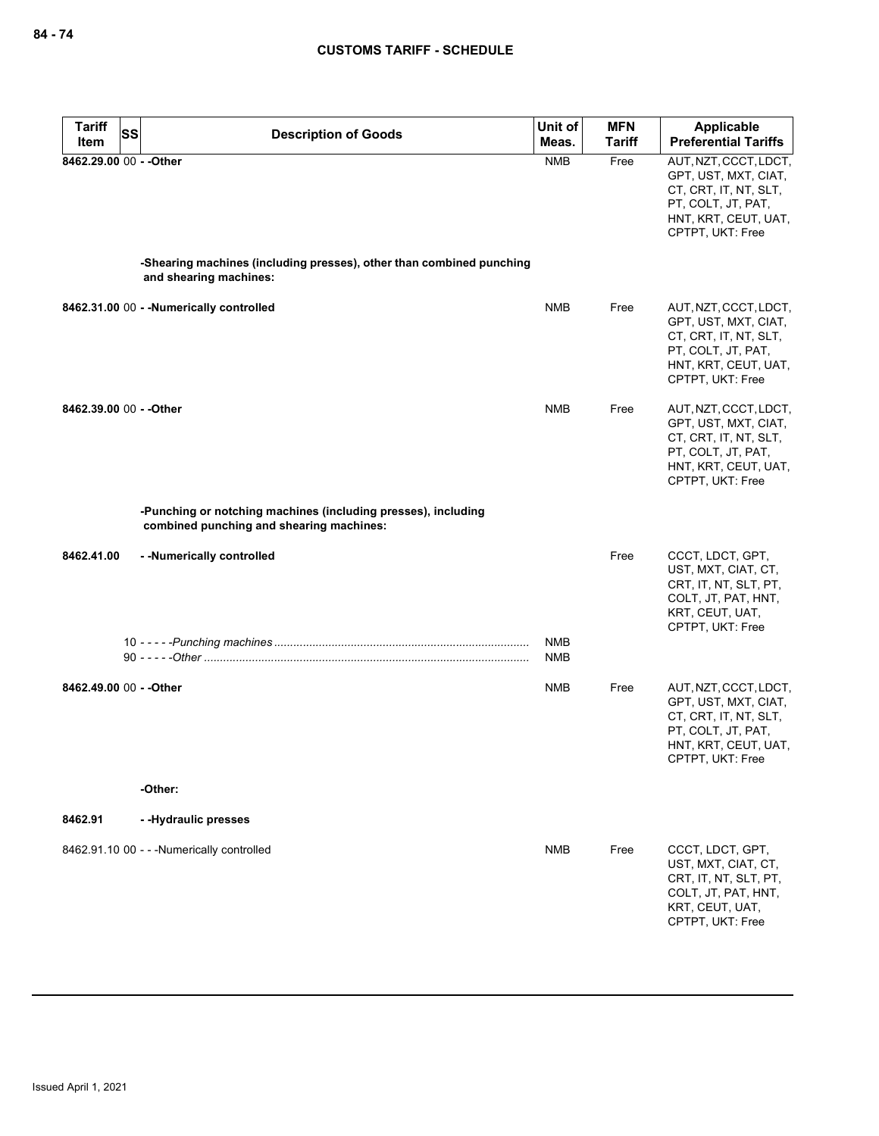| <b>Tariff</b><br><b>SS</b> | <b>Description of Goods</b>                                                                               | Unit of                  | <b>MFN</b>    | Applicable                                                                                                                               |
|----------------------------|-----------------------------------------------------------------------------------------------------------|--------------------------|---------------|------------------------------------------------------------------------------------------------------------------------------------------|
| Item                       |                                                                                                           | Meas.                    | <b>Tariff</b> | <b>Preferential Tariffs</b>                                                                                                              |
| 8462.29.00 00 - - Other    | -Shearing machines (including presses), other than combined punching<br>and shearing machines:            | <b>NMB</b>               | Free          | AUT, NZT, CCCT, LDCT,<br>GPT, UST, MXT, CIAT,<br>CT, CRT, IT, NT, SLT,<br>PT, COLT, JT, PAT,<br>HNT, KRT, CEUT, UAT,<br>CPTPT, UKT: Free |
|                            |                                                                                                           |                          |               |                                                                                                                                          |
|                            | 8462.31.00 00 - - Numerically controlled                                                                  | <b>NMB</b>               | Free          | AUT, NZT, CCCT, LDCT,<br>GPT, UST, MXT, CIAT,<br>CT, CRT, IT, NT, SLT,<br>PT, COLT, JT, PAT,<br>HNT, KRT, CEUT, UAT,<br>CPTPT, UKT: Free |
| 8462.39.00 00 - - Other    |                                                                                                           | <b>NMB</b>               | Free          | AUT, NZT, CCCT, LDCT,<br>GPT, UST, MXT, CIAT,<br>CT, CRT, IT, NT, SLT,<br>PT, COLT, JT, PAT,<br>HNT, KRT, CEUT, UAT,<br>CPTPT, UKT: Free |
|                            | -Punching or notching machines (including presses), including<br>combined punching and shearing machines: |                          |               |                                                                                                                                          |
| 8462.41.00                 | --Numerically controlled                                                                                  |                          | Free          | CCCT, LDCT, GPT,<br>UST, MXT, CIAT, CT,<br>CRT, IT, NT, SLT, PT,<br>COLT, JT, PAT, HNT,<br>KRT, CEUT, UAT,<br>CPTPT, UKT: Free           |
|                            |                                                                                                           | <b>NMB</b><br><b>NMB</b> |               |                                                                                                                                          |
| 8462.49.00 00 - - Other    |                                                                                                           | <b>NMB</b>               | Free          | AUT, NZT, CCCT, LDCT,<br>GPT, UST, MXT, CIAT,<br>CT, CRT, IT, NT, SLT,<br>PT, COLT, JT, PAT,<br>HNT, KRT, CEUT, UAT,<br>CPTPT, UKT: Free |
|                            | -Other:                                                                                                   |                          |               |                                                                                                                                          |
| 8462.91                    | --Hydraulic presses                                                                                       |                          |               |                                                                                                                                          |
|                            | 8462.91.10 00 - - - Numerically controlled                                                                | <b>NMB</b>               | Free          | CCCT, LDCT, GPT,<br>UST, MXT, CIAT, CT,<br>CRT, IT, NT, SLT, PT,<br>COLT, JT, PAT, HNT,<br>KRT, CEUT, UAT,<br>CPTPT. UKT: Free           |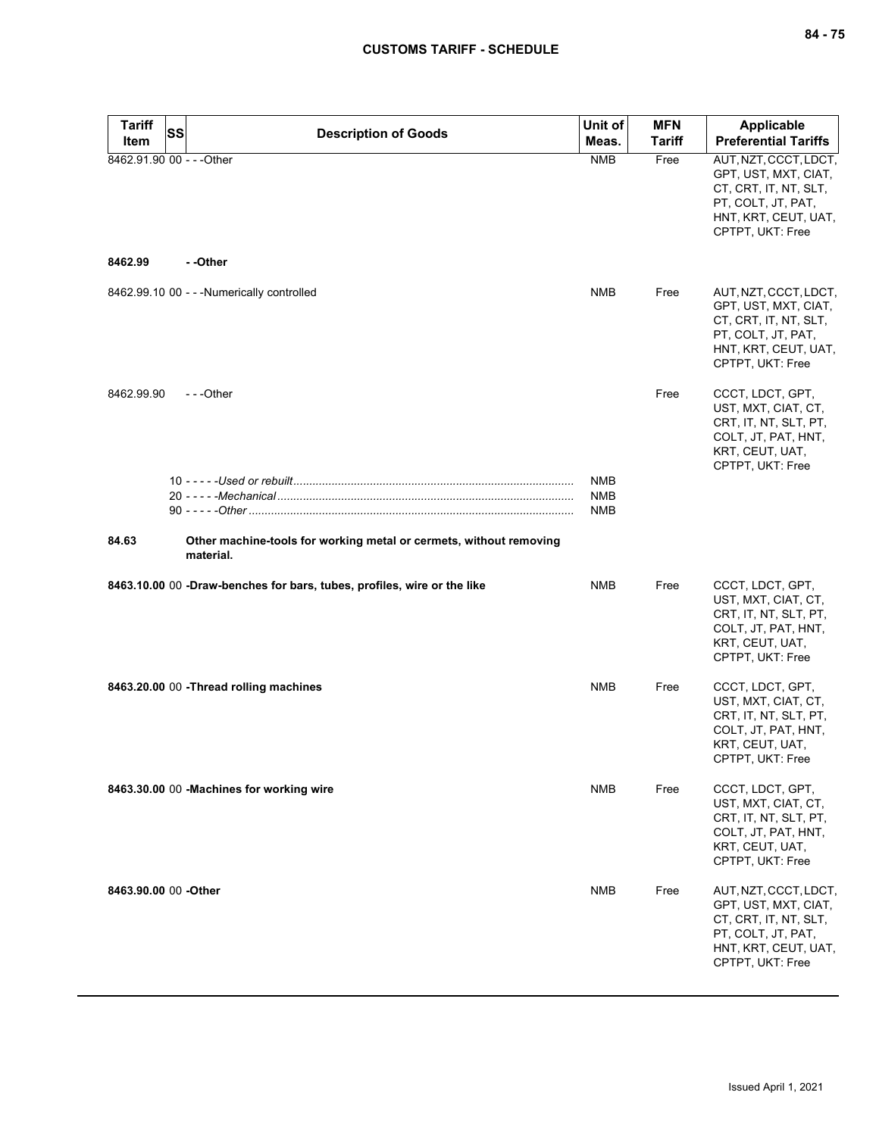| <b>Tariff</b><br>Item     | SS | <b>Description of Goods</b>                                                     | Unit of<br>Meas.  | <b>MFN</b><br><b>Tariff</b> | <b>Applicable</b><br><b>Preferential Tariffs</b>                                                                                         |
|---------------------------|----|---------------------------------------------------------------------------------|-------------------|-----------------------------|------------------------------------------------------------------------------------------------------------------------------------------|
| 8462.91.90 00 - - - Other |    |                                                                                 | <b>NMB</b>        | Free                        | AUT, NZT, CCCT, LDCT,<br>GPT, UST, MXT, CIAT,<br>CT, CRT, IT, NT, SLT,<br>PT, COLT, JT, PAT,<br>HNT, KRT, CEUT, UAT,<br>CPTPT, UKT: Free |
| 8462.99                   |    | - -Other                                                                        |                   |                             |                                                                                                                                          |
|                           |    | 8462.99.10 00 - - - Numerically controlled                                      | <b>NMB</b>        | Free                        | AUT, NZT, CCCT, LDCT,<br>GPT, UST, MXT, CIAT,<br>CT, CRT, IT, NT, SLT,<br>PT, COLT, JT, PAT,<br>HNT, KRT, CEUT, UAT,<br>CPTPT, UKT: Free |
| 8462.99.90                |    | ---Other                                                                        |                   | Free                        | CCCT, LDCT, GPT,<br>UST, MXT, CIAT, CT,<br>CRT, IT, NT, SLT, PT,<br>COLT, JT, PAT, HNT,<br>KRT, CEUT, UAT,<br>CPTPT, UKT: Free           |
|                           |    |                                                                                 | NMB<br>NMB<br>NMB |                             |                                                                                                                                          |
| 84.63                     |    | Other machine-tools for working metal or cermets, without removing<br>material. |                   |                             |                                                                                                                                          |
|                           |    | 8463.10.00 00 -Draw-benches for bars, tubes, profiles, wire or the like         | NMB               | Free                        | CCCT, LDCT, GPT,<br>UST, MXT, CIAT, CT,<br>CRT, IT, NT, SLT, PT,<br>COLT, JT, PAT, HNT,<br>KRT, CEUT, UAT,<br>CPTPT, UKT: Free           |
|                           |    | 8463.20.00 00 - Thread rolling machines                                         | <b>NMB</b>        | Free                        | CCCT, LDCT, GPT,<br>UST, MXT, CIAT, CT,<br>CRT, IT, NT, SLT, PT,<br>COLT, JT, PAT, HNT,<br>KRT, CEUT, UAT,<br>CPTPT, UKT: Free           |
|                           |    | 8463.30.00 00 -Machines for working wire                                        | NMB               | Free                        | CCCT, LDCT, GPT,<br>UST, MXT, CIAT, CT,<br>CRT, IT, NT, SLT, PT,<br>COLT, JT, PAT, HNT,<br>KRT, CEUT, UAT,<br>CPTPT, UKT: Free           |
| 8463.90.00 00 - Other     |    |                                                                                 | NMB               | Free                        | AUT, NZT, CCCT, LDCT,<br>GPT, UST, MXT, CIAT,<br>CT, CRT, IT, NT, SLT,<br>PT, COLT, JT, PAT,<br>HNT, KRT, CEUT, UAT,<br>CPTPT, UKT: Free |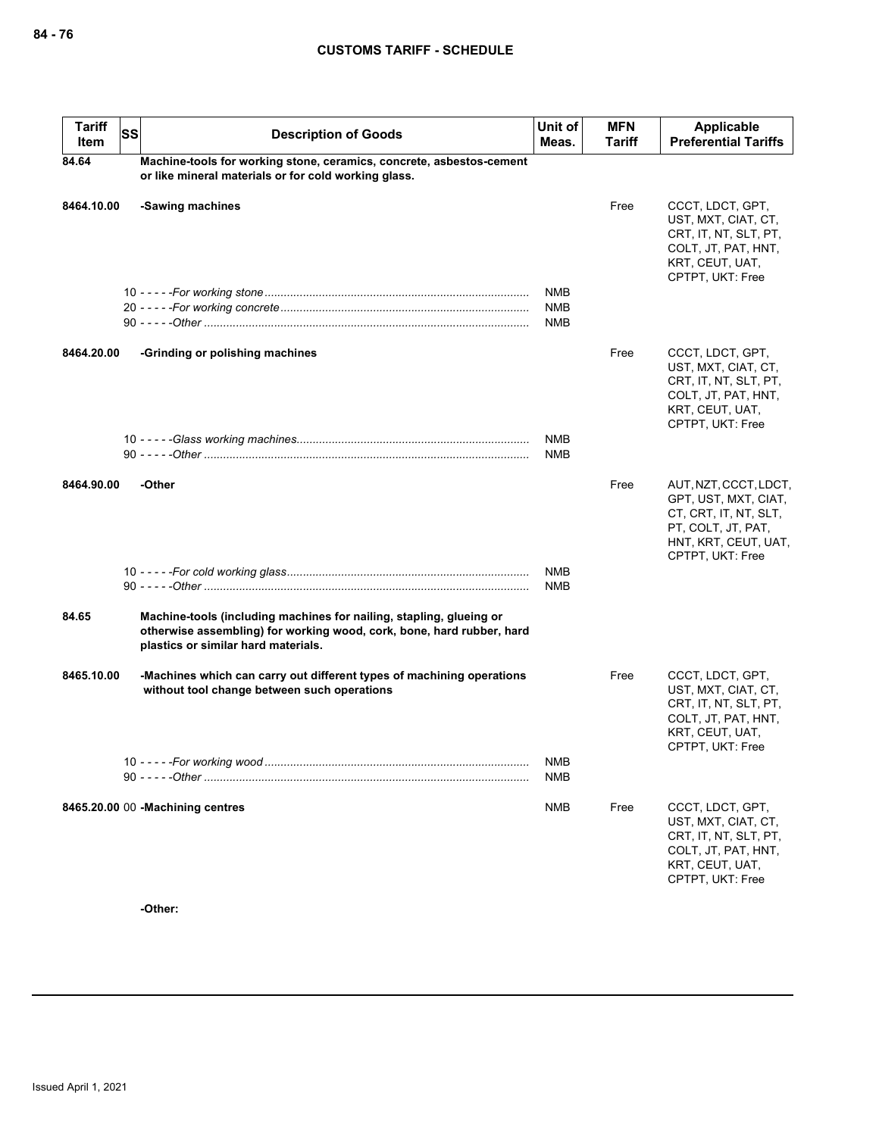| <b>Tariff</b><br>Item | <b>SS</b> | <b>Description of Goods</b>                                                                                                                                                         | Unit of<br>Meas. | <b>MFN</b><br>Tariff | <b>Applicable</b><br><b>Preferential Tariffs</b>                                                                                         |
|-----------------------|-----------|-------------------------------------------------------------------------------------------------------------------------------------------------------------------------------------|------------------|----------------------|------------------------------------------------------------------------------------------------------------------------------------------|
| 84.64                 |           | Machine-tools for working stone, ceramics, concrete, asbestos-cement<br>or like mineral materials or for cold working glass.                                                        |                  |                      |                                                                                                                                          |
| 8464.10.00            |           | -Sawing machines                                                                                                                                                                    |                  | Free                 | CCCT, LDCT, GPT,<br>UST, MXT, CIAT, CT,<br>CRT, IT, NT, SLT, PT,<br>COLT, JT, PAT, HNT,<br>KRT, CEUT, UAT,<br>CPTPT, UKT: Free           |
|                       |           |                                                                                                                                                                                     | NMB              |                      |                                                                                                                                          |
|                       |           |                                                                                                                                                                                     | NMB<br>NMB       |                      |                                                                                                                                          |
|                       |           |                                                                                                                                                                                     |                  |                      |                                                                                                                                          |
| 8464.20.00            |           | -Grinding or polishing machines                                                                                                                                                     |                  | Free                 | CCCT, LDCT, GPT,<br>UST, MXT, CIAT, CT,<br>CRT, IT, NT, SLT, PT,<br>COLT, JT, PAT, HNT,<br>KRT, CEUT, UAT,<br>CPTPT, UKT: Free           |
|                       |           |                                                                                                                                                                                     | <b>NMB</b>       |                      |                                                                                                                                          |
|                       |           |                                                                                                                                                                                     | NMB              |                      |                                                                                                                                          |
| 8464.90.00            |           | -Other                                                                                                                                                                              |                  | Free                 | AUT, NZT, CCCT, LDCT,<br>GPT, UST, MXT, CIAT,<br>CT, CRT, IT, NT, SLT,<br>PT, COLT, JT, PAT,<br>HNT, KRT, CEUT, UAT,<br>CPTPT, UKT: Free |
|                       |           |                                                                                                                                                                                     | <b>NMB</b>       |                      |                                                                                                                                          |
|                       |           |                                                                                                                                                                                     | <b>NMB</b>       |                      |                                                                                                                                          |
| 84.65                 |           | Machine-tools (including machines for nailing, stapling, glueing or<br>otherwise assembling) for working wood, cork, bone, hard rubber, hard<br>plastics or similar hard materials. |                  |                      |                                                                                                                                          |
| 8465.10.00            |           | -Machines which can carry out different types of machining operations<br>without tool change between such operations                                                                |                  | Free                 | CCCT, LDCT, GPT,<br>UST, MXT, CIAT, CT,<br>CRT, IT, NT, SLT, PT,<br>COLT, JT, PAT, HNT,<br>KRT, CEUT, UAT,<br>CPTPT, UKT: Free           |
|                       |           |                                                                                                                                                                                     | NMB<br>NMB       |                      |                                                                                                                                          |
|                       |           | 8465.20.00 00 - Machining centres                                                                                                                                                   | NMB              | Free                 | CCCT, LDCT, GPT,<br>UST, MXT, CIAT, CT,<br>CRT, IT, NT, SLT, PT,<br>COLT, JT, PAT, HNT,<br>KRT, CEUT, UAT,<br>CPTPT, UKT: Free           |

**-Other:**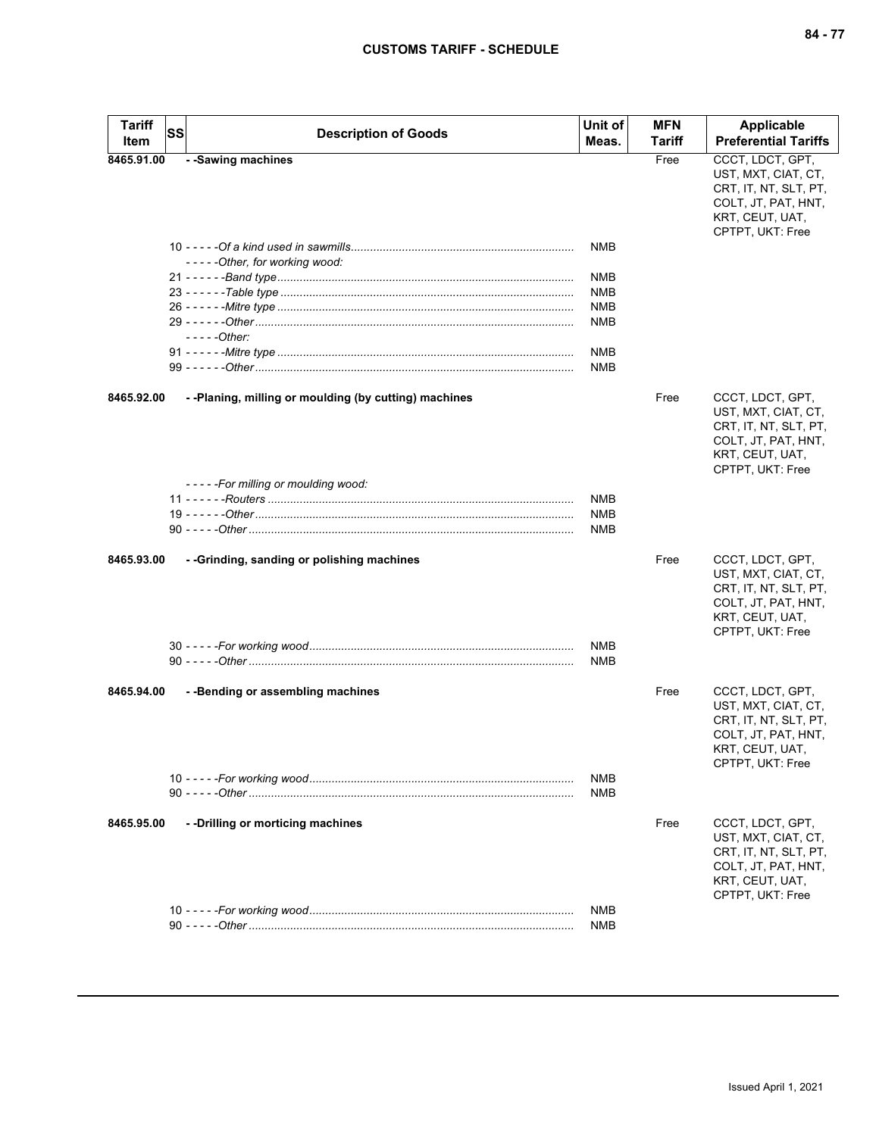| Tariff<br>Item | SS | <b>Description of Goods</b>                           | Unit of<br>Meas. | <b>MFN</b><br>Tariff | <b>Applicable</b><br><b>Preferential Tariffs</b>                                                                               |
|----------------|----|-------------------------------------------------------|------------------|----------------------|--------------------------------------------------------------------------------------------------------------------------------|
|                |    | - -Sawing machines                                    |                  |                      |                                                                                                                                |
| 8465.91.00     |    |                                                       |                  | Free                 | CCCT, LDCT, GPT,<br>UST, MXT, CIAT, CT,<br>CRT, IT, NT, SLT, PT,<br>COLT, JT, PAT, HNT,<br>KRT, CEUT, UAT,<br>CPTPT, UKT: Free |
|                |    | -----Other, for working wood:                         | NMB              |                      |                                                                                                                                |
|                |    |                                                       |                  |                      |                                                                                                                                |
|                |    |                                                       | NMB              |                      |                                                                                                                                |
|                |    |                                                       | NMB              |                      |                                                                                                                                |
|                |    |                                                       | <b>NMB</b>       |                      |                                                                                                                                |
|                |    |                                                       | <b>NMB</b>       |                      |                                                                                                                                |
|                |    | - - - - - Other:                                      |                  |                      |                                                                                                                                |
|                |    |                                                       | NMB              |                      |                                                                                                                                |
|                |    |                                                       | <b>NMB</b>       |                      |                                                                                                                                |
| 8465.92.00     |    | - -Planing, milling or moulding (by cutting) machines |                  | Free                 | CCCT, LDCT, GPT,<br>UST, MXT, CIAT, CT,<br>CRT, IT, NT, SLT, PT,<br>COLT, JT, PAT, HNT,<br>KRT, CEUT, UAT,<br>CPTPT, UKT: Free |
|                |    | - - - - - For milling or moulding wood:               |                  |                      |                                                                                                                                |
|                |    |                                                       | <b>NMB</b>       |                      |                                                                                                                                |
|                |    |                                                       | NMB              |                      |                                                                                                                                |
|                |    |                                                       | <b>NMB</b>       |                      |                                                                                                                                |
| 8465.93.00     |    | - -Grinding, sanding or polishing machines            | NMB              | Free                 | CCCT, LDCT, GPT,<br>UST, MXT, CIAT, CT,<br>CRT, IT, NT, SLT, PT,<br>COLT, JT, PAT, HNT,<br>KRT, CEUT, UAT,<br>CPTPT, UKT: Free |
|                |    |                                                       | NMB              |                      |                                                                                                                                |
| 8465.94.00     |    | - - Bending or assembling machines                    |                  | Free                 | CCCT, LDCT, GPT,<br>UST, MXT, CIAT, CT,<br>CRT, IT, NT, SLT, PT,<br>COLT, JT, PAT, HNT,<br>KRT, CEUT, UAT,<br>CPTPT, UKT: Free |
|                |    |                                                       | <b>NMB</b>       |                      |                                                                                                                                |
|                |    |                                                       | <b>NMB</b>       |                      |                                                                                                                                |
| 8465.95.00     |    | --Drilling or morticing machines                      |                  | Free                 | CCCT, LDCT, GPT,<br>UST, MXT, CIAT, CT,<br>CRT, IT, NT, SLT, PT,<br>COLT, JT, PAT, HNT,<br>KRT, CEUT, UAT,<br>CPTPT, UKT: Free |
|                |    |                                                       | <b>NMB</b>       |                      |                                                                                                                                |
|                |    |                                                       | <b>NMB</b>       |                      |                                                                                                                                |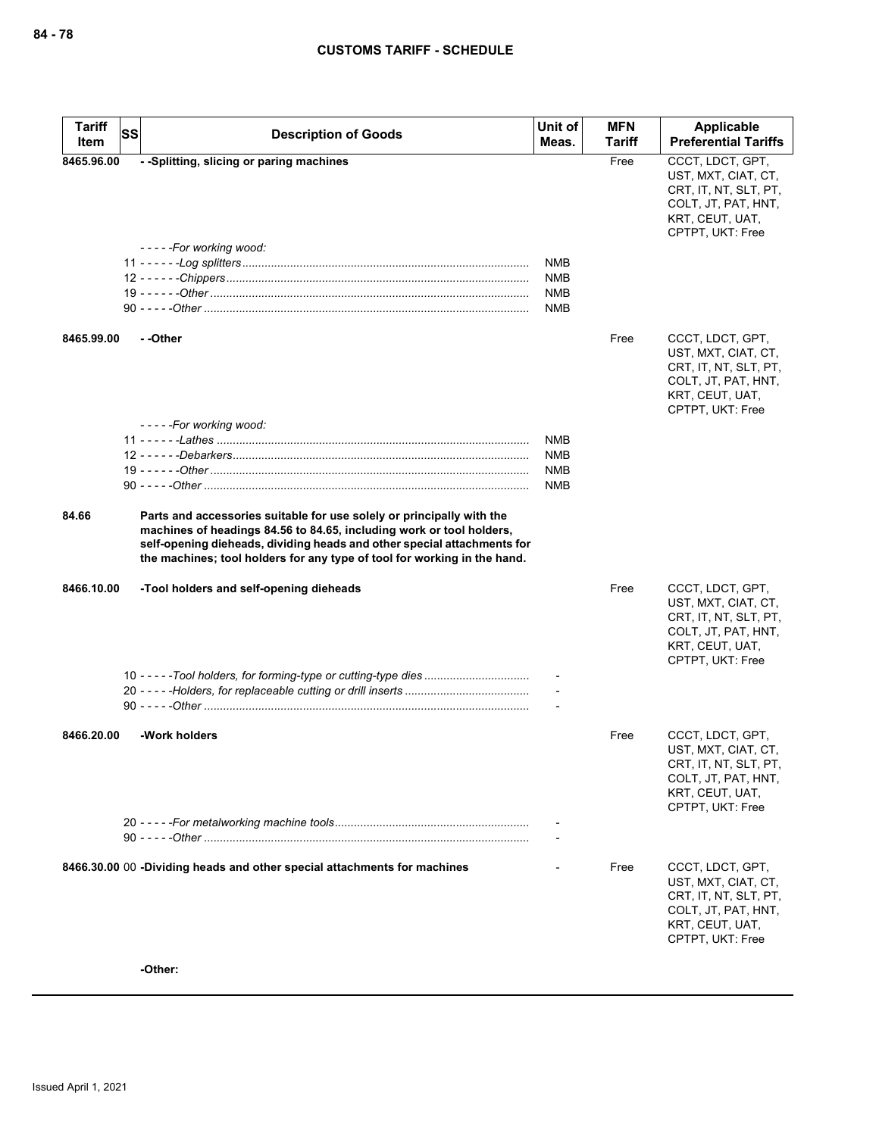| <b>Tariff</b><br>Item | SS | <b>Description of Goods</b>                                                                                                                                                                                                                                                                          | Unit of<br>Meas.                | <b>MFN</b><br>Tariff | Applicable<br><b>Preferential Tariffs</b>                                                                                      |
|-----------------------|----|------------------------------------------------------------------------------------------------------------------------------------------------------------------------------------------------------------------------------------------------------------------------------------------------------|---------------------------------|----------------------|--------------------------------------------------------------------------------------------------------------------------------|
| 8465.96.00            |    | - -Splitting, slicing or paring machines                                                                                                                                                                                                                                                             |                                 | Free                 | CCCT, LDCT, GPT,                                                                                                               |
|                       |    | -----For working wood:                                                                                                                                                                                                                                                                               | NMB                             |                      | UST, MXT, CIAT, CT,<br>CRT, IT, NT, SLT, PT,<br>COLT, JT, PAT, HNT,<br>KRT, CEUT, UAT,<br>CPTPT, UKT: Free                     |
|                       |    |                                                                                                                                                                                                                                                                                                      | NMB<br><b>NMB</b><br><b>NMB</b> |                      |                                                                                                                                |
| 8465.99.00            |    | - -Other                                                                                                                                                                                                                                                                                             |                                 | Free                 | CCCT, LDCT, GPT,<br>UST, MXT, CIAT, CT,<br>CRT, IT, NT, SLT, PT,<br>COLT, JT, PAT, HNT,<br>KRT, CEUT, UAT,<br>CPTPT, UKT: Free |
|                       |    | -----For working wood:                                                                                                                                                                                                                                                                               |                                 |                      |                                                                                                                                |
|                       |    |                                                                                                                                                                                                                                                                                                      | <b>NMB</b><br><b>NMB</b>        |                      |                                                                                                                                |
|                       |    |                                                                                                                                                                                                                                                                                                      | NMB<br>NMB                      |                      |                                                                                                                                |
|                       |    |                                                                                                                                                                                                                                                                                                      |                                 |                      |                                                                                                                                |
| 84.66                 |    | Parts and accessories suitable for use solely or principally with the<br>machines of headings 84.56 to 84.65, including work or tool holders,<br>self-opening dieheads, dividing heads and other special attachments for<br>the machines; tool holders for any type of tool for working in the hand. |                                 |                      |                                                                                                                                |
| 8466.10.00            |    | -Tool holders and self-opening dieheads                                                                                                                                                                                                                                                              |                                 | Free                 | CCCT, LDCT, GPT,<br>UST, MXT, CIAT, CT,<br>CRT, IT, NT, SLT, PT,<br>COLT, JT, PAT, HNT,<br>KRT, CEUT, UAT,<br>CPTPT, UKT: Free |
|                       |    |                                                                                                                                                                                                                                                                                                      |                                 |                      |                                                                                                                                |
|                       |    |                                                                                                                                                                                                                                                                                                      |                                 |                      |                                                                                                                                |
|                       |    |                                                                                                                                                                                                                                                                                                      |                                 |                      |                                                                                                                                |
| 8466.20.00            |    | -Work holders                                                                                                                                                                                                                                                                                        |                                 | Free                 | CCCT, LDCT, GPT,<br>UST, MXT, CIAT, CT,<br>CRT, IT, NT, SLT, PT,<br>COLT, JT, PAT, HNT,<br>KRT, CEUT, UAT,<br>CPTPT, UKT: Free |
|                       |    |                                                                                                                                                                                                                                                                                                      |                                 |                      |                                                                                                                                |
|                       |    | 8466.30.00 00 -Dividing heads and other special attachments for machines                                                                                                                                                                                                                             |                                 | Free                 | CCCT, LDCT, GPT,<br>UST, MXT, CIAT, CT,<br>CRT, IT, NT, SLT, PT,<br>COLT, JT, PAT, HNT,<br>KRT, CEUT, UAT,<br>CPTPT, UKT: Free |
|                       |    | -Other:                                                                                                                                                                                                                                                                                              |                                 |                      |                                                                                                                                |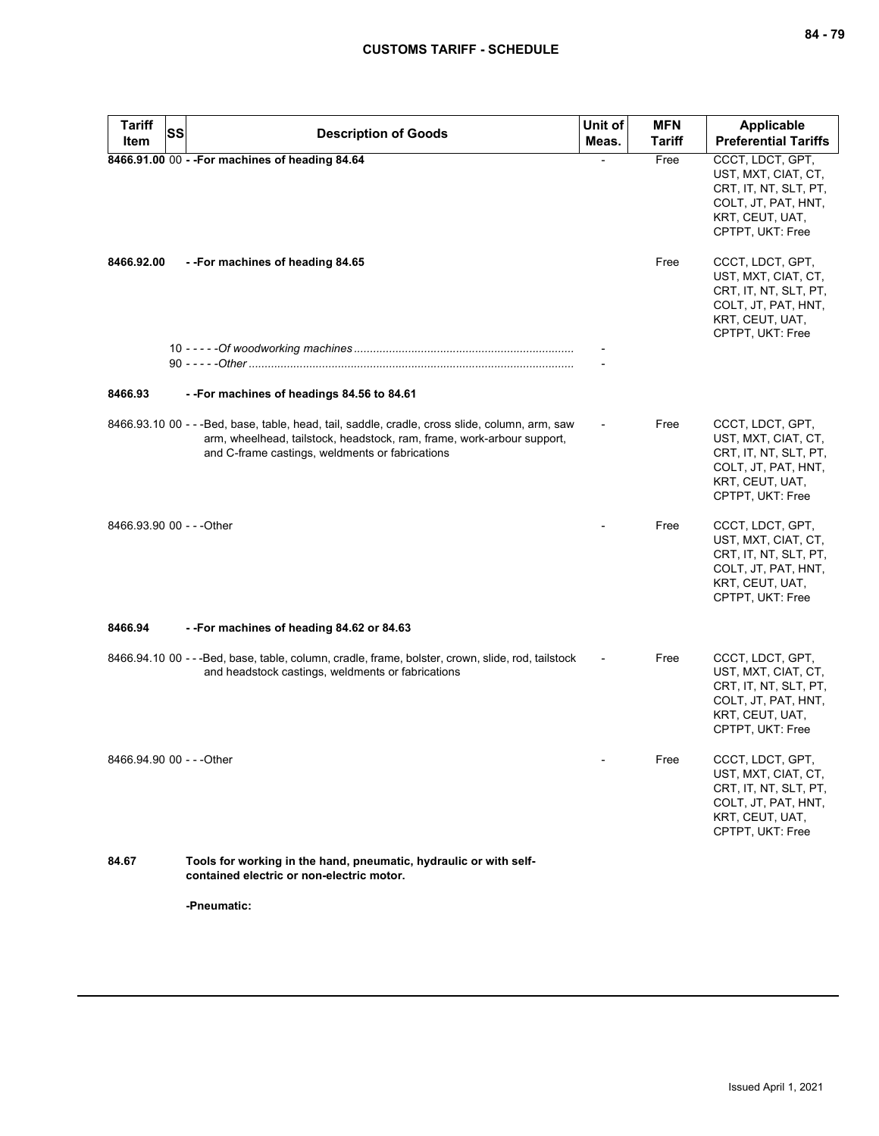| <b>Tariff</b><br><b>SS</b> | <b>Description of Goods</b>                                                                                                                                                                                                  | Unit of | <b>MFN</b>    | <b>Applicable</b>                                                                                                              |
|----------------------------|------------------------------------------------------------------------------------------------------------------------------------------------------------------------------------------------------------------------------|---------|---------------|--------------------------------------------------------------------------------------------------------------------------------|
| Item                       |                                                                                                                                                                                                                              | Meas.   | <b>Tariff</b> | <b>Preferential Tariffs</b>                                                                                                    |
|                            | 8466.91.00 00 - - For machines of heading 84.64                                                                                                                                                                              |         | Free          | CCCT, LDCT, GPT,<br>UST, MXT, CIAT, CT,<br>CRT, IT, NT, SLT, PT,<br>COLT, JT, PAT, HNT,<br>KRT, CEUT, UAT,<br>CPTPT, UKT: Free |
| 8466.92.00                 | --For machines of heading 84.65                                                                                                                                                                                              |         | Free          | CCCT, LDCT, GPT,<br>UST, MXT, CIAT, CT,<br>CRT, IT, NT, SLT, PT,<br>COLT, JT, PAT, HNT,<br>KRT, CEUT, UAT,<br>CPTPT, UKT: Free |
|                            |                                                                                                                                                                                                                              |         |               |                                                                                                                                |
|                            |                                                                                                                                                                                                                              |         |               |                                                                                                                                |
| 8466.93                    | --For machines of headings 84.56 to 84.61                                                                                                                                                                                    |         |               |                                                                                                                                |
|                            | 8466.93.10 00 - - - Bed, base, table, head, tail, saddle, cradle, cross slide, column, arm, saw<br>arm, wheelhead, tailstock, headstock, ram, frame, work-arbour support,<br>and C-frame castings, weldments or fabrications |         | Free          | CCCT, LDCT, GPT,<br>UST, MXT, CIAT, CT,<br>CRT, IT, NT, SLT, PT,<br>COLT, JT, PAT, HNT,<br>KRT, CEUT, UAT,<br>CPTPT, UKT: Free |
| 8466.93.90 00 - - - Other  |                                                                                                                                                                                                                              |         | Free          | CCCT, LDCT, GPT,<br>UST, MXT, CIAT, CT,<br>CRT, IT, NT, SLT, PT,<br>COLT, JT, PAT, HNT,<br>KRT, CEUT, UAT,<br>CPTPT, UKT: Free |
| 8466.94                    | --For machines of heading 84.62 or 84.63                                                                                                                                                                                     |         |               |                                                                                                                                |
|                            | 8466.94.10 00 - - -Bed, base, table, column, cradle, frame, bolster, crown, slide, rod, tailstock<br>and headstock castings, weldments or fabrications                                                                       |         | Free          | CCCT, LDCT, GPT,<br>UST, MXT, CIAT, CT,<br>CRT, IT, NT, SLT, PT,<br>COLT, JT, PAT, HNT,<br>KRT, CEUT, UAT,<br>CPTPT, UKT: Free |
| 8466.94.90 00 - - - Other  |                                                                                                                                                                                                                              |         | Free          | CCCT, LDCT, GPT,<br>UST, MXT, CIAT, CT,<br>CRT, IT, NT, SLT, PT,<br>COLT, JT, PAT, HNT,<br>KRT, CEUT, UAT,<br>CPTPT, UKT: Free |
| 84.67                      | Tools for working in the hand, pneumatic, hydraulic or with self-<br>contained electric or non-electric motor.                                                                                                               |         |               |                                                                                                                                |
|                            | -Pneumatic:                                                                                                                                                                                                                  |         |               |                                                                                                                                |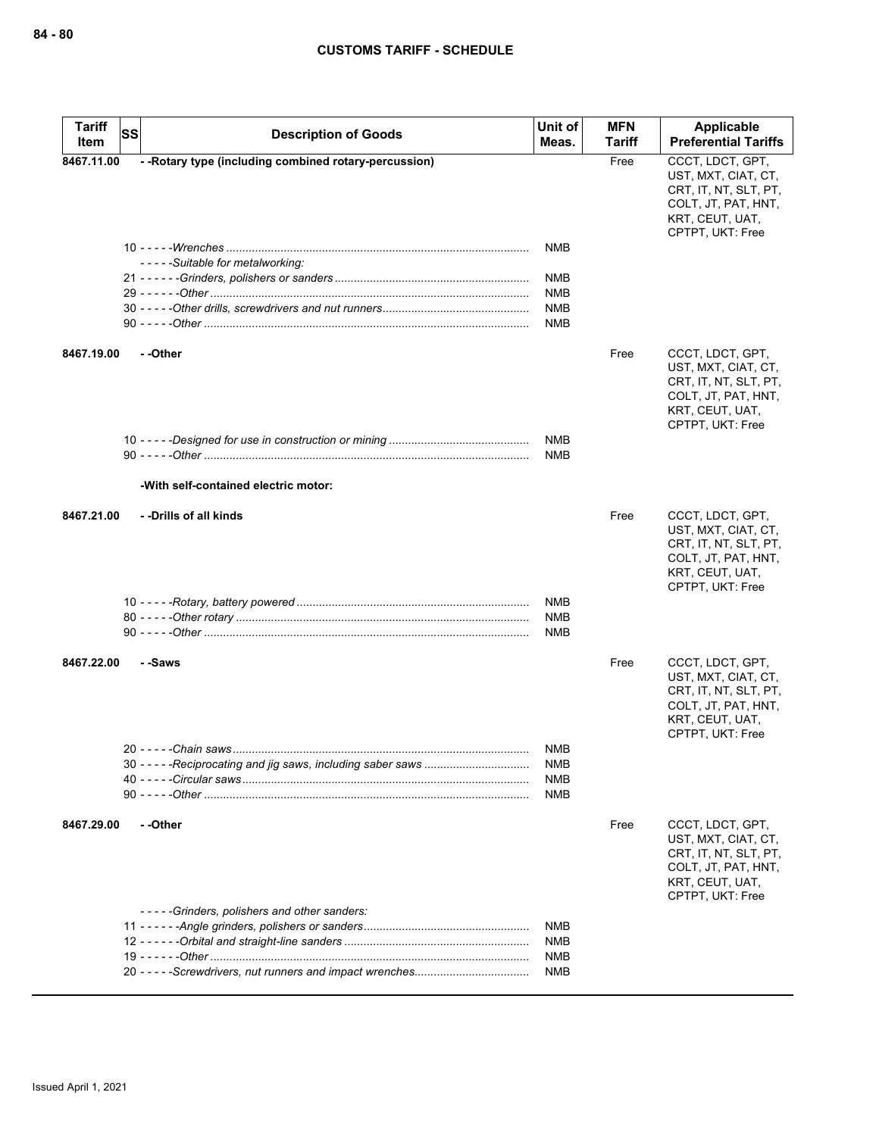| CCCT, LDCT, GPT,<br>- - Rotary type (including combined rotary-percussion)<br>Free<br>8467.11.00<br>UST, MXT, CIAT, CT,<br>CRT, IT, NT, SLT, PT,<br>COLT, JT, PAT, HNT,<br>KRT, CEUT, UAT,<br>CPTPT, UKT: Free<br><b>NMB</b><br>-----Suitable for metalworking:<br>NMB<br><b>NMB</b><br><b>NMB</b><br><b>NMB</b><br>- -Other<br>CCCT, LDCT, GPT,<br>8467.19.00<br>Free<br>UST, MXT, CIAT, CT,<br>CRT, IT, NT, SLT, PT,<br>COLT, JT, PAT, HNT,<br>KRT, CEUT, UAT,<br>CPTPT, UKT: Free<br><b>NMB</b><br><b>NMB</b><br>-With self-contained electric motor:<br>8467.21.00<br>- -Drills of all kinds<br>Free<br>CCCT, LDCT, GPT,<br>UST, MXT, CIAT, CT,<br>CRT, IT, NT, SLT, PT, |
|------------------------------------------------------------------------------------------------------------------------------------------------------------------------------------------------------------------------------------------------------------------------------------------------------------------------------------------------------------------------------------------------------------------------------------------------------------------------------------------------------------------------------------------------------------------------------------------------------------------------------------------------------------------------------|
|                                                                                                                                                                                                                                                                                                                                                                                                                                                                                                                                                                                                                                                                              |
|                                                                                                                                                                                                                                                                                                                                                                                                                                                                                                                                                                                                                                                                              |
|                                                                                                                                                                                                                                                                                                                                                                                                                                                                                                                                                                                                                                                                              |
|                                                                                                                                                                                                                                                                                                                                                                                                                                                                                                                                                                                                                                                                              |
|                                                                                                                                                                                                                                                                                                                                                                                                                                                                                                                                                                                                                                                                              |
|                                                                                                                                                                                                                                                                                                                                                                                                                                                                                                                                                                                                                                                                              |
|                                                                                                                                                                                                                                                                                                                                                                                                                                                                                                                                                                                                                                                                              |
|                                                                                                                                                                                                                                                                                                                                                                                                                                                                                                                                                                                                                                                                              |
|                                                                                                                                                                                                                                                                                                                                                                                                                                                                                                                                                                                                                                                                              |
|                                                                                                                                                                                                                                                                                                                                                                                                                                                                                                                                                                                                                                                                              |
| COLT, JT, PAT, HNT,<br>KRT, CEUT, UAT,<br>CPTPT, UKT: Free                                                                                                                                                                                                                                                                                                                                                                                                                                                                                                                                                                                                                   |
| NMB                                                                                                                                                                                                                                                                                                                                                                                                                                                                                                                                                                                                                                                                          |
| <b>NMB</b>                                                                                                                                                                                                                                                                                                                                                                                                                                                                                                                                                                                                                                                                   |
| NMB                                                                                                                                                                                                                                                                                                                                                                                                                                                                                                                                                                                                                                                                          |
| CCCT, LDCT, GPT,<br>8467.22.00<br>- -Saws<br>Free<br>UST, MXT, CIAT, CT,<br>CRT, IT, NT, SLT, PT,<br>COLT, JT, PAT, HNT,<br>KRT, CEUT, UAT,<br>CPTPT, UKT: Free                                                                                                                                                                                                                                                                                                                                                                                                                                                                                                              |
| <b>NMB</b>                                                                                                                                                                                                                                                                                                                                                                                                                                                                                                                                                                                                                                                                   |
| NMB<br>NMB                                                                                                                                                                                                                                                                                                                                                                                                                                                                                                                                                                                                                                                                   |
| NMB                                                                                                                                                                                                                                                                                                                                                                                                                                                                                                                                                                                                                                                                          |
| - -Other<br>8467.29.00<br>Free<br>CCCT, LDCT, GPT,<br>UST, MXT, CIAT, CT,<br>CRT, IT, NT, SLT, PT,<br>COLT, JT, PAT, HNT,<br>KRT, CEUT, UAT,<br>CPTPT, UKT: Free                                                                                                                                                                                                                                                                                                                                                                                                                                                                                                             |
| -----Grinders, polishers and other sanders:                                                                                                                                                                                                                                                                                                                                                                                                                                                                                                                                                                                                                                  |
| <b>NMB</b>                                                                                                                                                                                                                                                                                                                                                                                                                                                                                                                                                                                                                                                                   |
| NMB<br>NMB                                                                                                                                                                                                                                                                                                                                                                                                                                                                                                                                                                                                                                                                   |
| NMB                                                                                                                                                                                                                                                                                                                                                                                                                                                                                                                                                                                                                                                                          |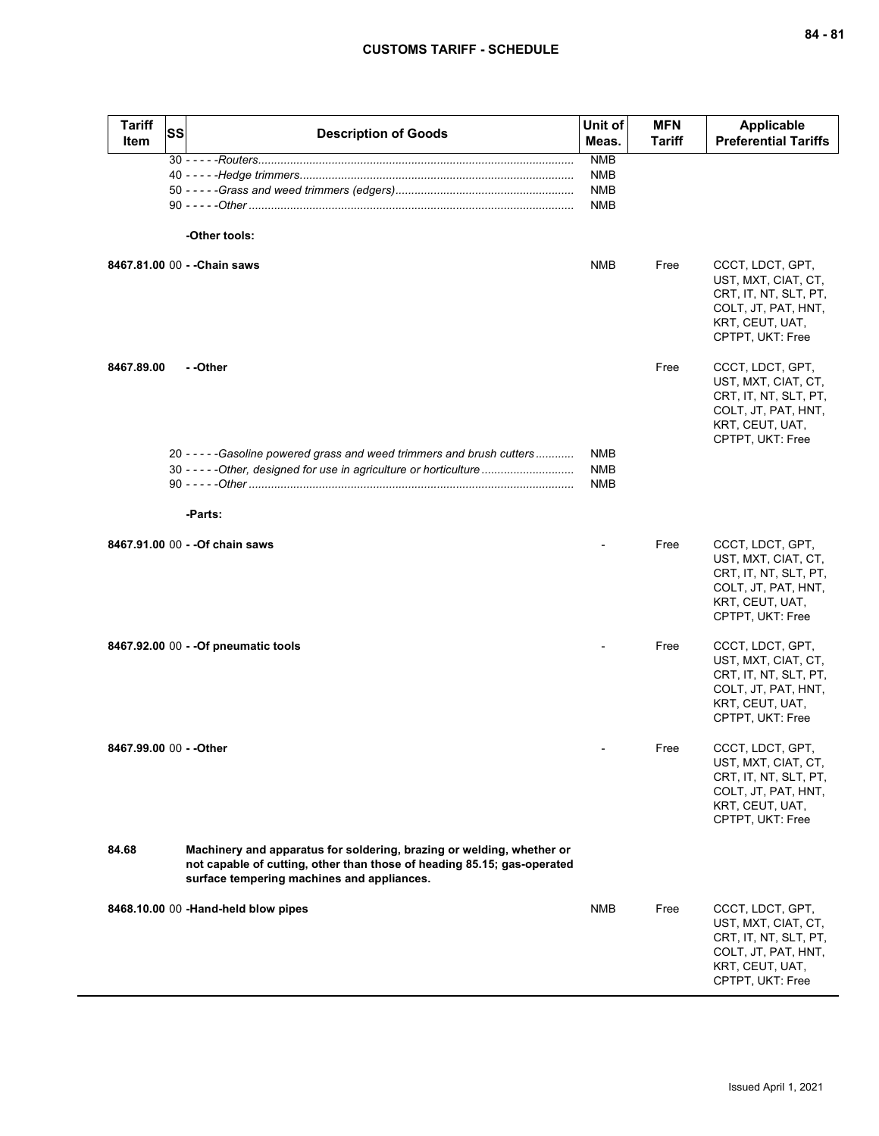| <b>Tariff</b><br>Item   | <b>SS</b> | <b>Description of Goods</b>                                                                                                                                                                    | Unit of<br>Meas.                                     | <b>MFN</b><br><b>Tariff</b> | <b>Applicable</b><br><b>Preferential Tariffs</b>                                                                               |
|-------------------------|-----------|------------------------------------------------------------------------------------------------------------------------------------------------------------------------------------------------|------------------------------------------------------|-----------------------------|--------------------------------------------------------------------------------------------------------------------------------|
|                         |           | -Other tools:                                                                                                                                                                                  | <b>NMB</b><br><b>NMB</b><br><b>NMB</b><br><b>NMB</b> |                             |                                                                                                                                |
|                         |           | 8467.81.00 00 - - Chain saws                                                                                                                                                                   | <b>NMB</b>                                           | Free                        | CCCT, LDCT, GPT,<br>UST, MXT, CIAT, CT,<br>CRT, IT, NT, SLT, PT,<br>COLT, JT, PAT, HNT,<br>KRT, CEUT, UAT,<br>CPTPT, UKT: Free |
| 8467.89.00              |           | - -Other                                                                                                                                                                                       |                                                      | Free                        | CCCT, LDCT, GPT,<br>UST, MXT, CIAT, CT,<br>CRT, IT, NT, SLT, PT,<br>COLT, JT, PAT, HNT,<br>KRT, CEUT, UAT,<br>CPTPT, UKT: Free |
|                         |           | 20 - - - - - Gasoline powered grass and weed trimmers and brush cutters<br>30 - - - - - Other, designed for use in agriculture or horticulture                                                 | <b>NMB</b><br><b>NMB</b><br><b>NMB</b>               |                             |                                                                                                                                |
|                         |           | -Parts:                                                                                                                                                                                        |                                                      |                             |                                                                                                                                |
|                         |           | 8467.91.00 00 - - Of chain saws                                                                                                                                                                |                                                      | Free                        | CCCT, LDCT, GPT,<br>UST, MXT, CIAT, CT,<br>CRT, IT, NT, SLT, PT,<br>COLT, JT, PAT, HNT,<br>KRT, CEUT, UAT,<br>CPTPT, UKT: Free |
|                         |           | 8467.92.00 00 - - Of pneumatic tools                                                                                                                                                           |                                                      | Free                        | CCCT, LDCT, GPT,<br>UST, MXT, CIAT, CT,<br>CRT, IT, NT, SLT, PT,<br>COLT, JT, PAT, HNT,<br>KRT, CEUT, UAT,<br>CPTPT, UKT: Free |
| 8467.99.00 00 - - Other |           |                                                                                                                                                                                                |                                                      | Free                        | CCCT, LDCT, GPT,<br>UST, MXT, CIAT, CT,<br>CRT, IT, NT, SLT, PT,<br>COLT, JT, PAT, HNT,<br>KRT, CEUT, UAT,<br>CPTPT, UKT: Free |
| 84.68                   |           | Machinery and apparatus for soldering, brazing or welding, whether or<br>not capable of cutting, other than those of heading 85.15; gas-operated<br>surface tempering machines and appliances. |                                                      |                             |                                                                                                                                |
|                         |           | 8468.10.00 00 -Hand-held blow pipes                                                                                                                                                            | <b>NMB</b>                                           | Free                        | CCCT, LDCT, GPT,<br>UST, MXT, CIAT, CT,<br>CRT, IT, NT, SLT, PT,<br>COLT, JT, PAT, HNT,<br>KRT, CEUT, UAT,<br>CPTPT, UKT: Free |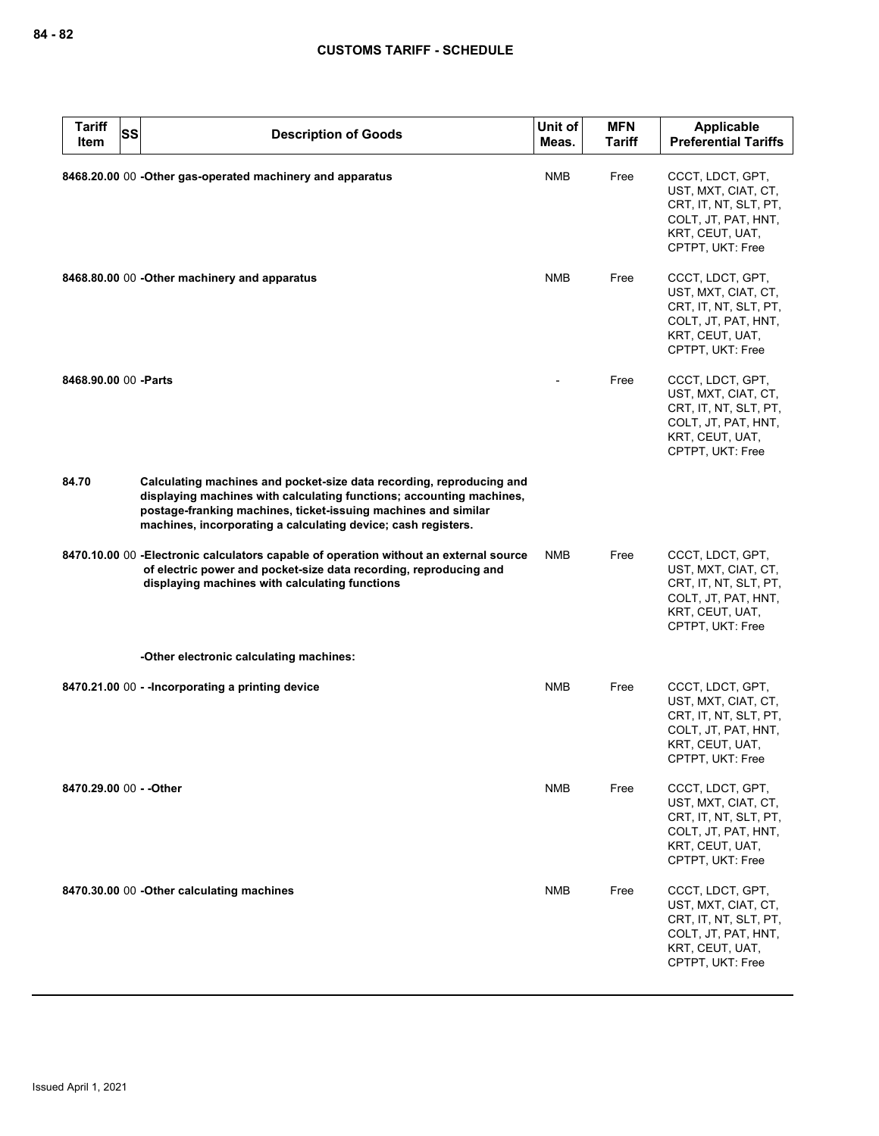| <b>Tariff</b><br><b>SS</b><br>Item | <b>Description of Goods</b>                                                                                                                                                                                                                                                     | Unit of<br>Meas. | <b>MFN</b><br><b>Tariff</b> | Applicable<br><b>Preferential Tariffs</b>                                                                                      |
|------------------------------------|---------------------------------------------------------------------------------------------------------------------------------------------------------------------------------------------------------------------------------------------------------------------------------|------------------|-----------------------------|--------------------------------------------------------------------------------------------------------------------------------|
|                                    | 8468.20.00 00 -Other gas-operated machinery and apparatus                                                                                                                                                                                                                       | <b>NMB</b>       | Free                        | CCCT, LDCT, GPT,<br>UST, MXT, CIAT, CT,<br>CRT, IT, NT, SLT, PT,<br>COLT, JT, PAT, HNT,<br>KRT, CEUT, UAT,<br>CPTPT, UKT: Free |
|                                    | 8468.80.00 00 - Other machinery and apparatus                                                                                                                                                                                                                                   | <b>NMB</b>       | Free                        | CCCT, LDCT, GPT,<br>UST, MXT, CIAT, CT,<br>CRT, IT, NT, SLT, PT,<br>COLT, JT, PAT, HNT,<br>KRT, CEUT, UAT,<br>CPTPT, UKT: Free |
| 8468.90.00 00 - Parts              |                                                                                                                                                                                                                                                                                 |                  | Free                        | CCCT, LDCT, GPT,<br>UST, MXT, CIAT, CT,<br>CRT, IT, NT, SLT, PT,<br>COLT, JT, PAT, HNT,<br>KRT, CEUT, UAT,<br>CPTPT, UKT: Free |
| 84.70                              | Calculating machines and pocket-size data recording, reproducing and<br>displaying machines with calculating functions; accounting machines,<br>postage-franking machines, ticket-issuing machines and similar<br>machines, incorporating a calculating device; cash registers. |                  |                             |                                                                                                                                |
|                                    | 8470.10.00 00 - Electronic calculators capable of operation without an external source<br>of electric power and pocket-size data recording, reproducing and<br>displaying machines with calculating functions                                                                   | <b>NMB</b>       | Free                        | CCCT, LDCT, GPT,<br>UST, MXT, CIAT, CT,<br>CRT, IT, NT, SLT, PT,<br>COLT, JT, PAT, HNT,<br>KRT, CEUT, UAT,<br>CPTPT, UKT: Free |
|                                    | -Other electronic calculating machines:                                                                                                                                                                                                                                         |                  |                             |                                                                                                                                |
|                                    | 8470.21.00 00 - - Incorporating a printing device                                                                                                                                                                                                                               | <b>NMB</b>       | Free                        | CCCT, LDCT, GPT,<br>UST, MXT, CIAT, CT,<br>CRT, IT, NT, SLT, PT,<br>COLT, JT, PAT, HNT,<br>KRT, CEUT, UAT,<br>CPTPT, UKT: Free |
| 8470.29.00 00 - - Other            |                                                                                                                                                                                                                                                                                 | NMB              | Free                        | CCCT, LDCT, GPT,<br>UST, MXT, CIAT, CT,<br>CRT, IT, NT, SLT, PT,<br>COLT, JT, PAT, HNT,<br>KRT, CEUT, UAT,<br>CPTPT, UKT: Free |
|                                    | 8470.30.00 00 - Other calculating machines                                                                                                                                                                                                                                      | <b>NMB</b>       | Free                        | CCCT, LDCT, GPT,<br>UST, MXT, CIAT, CT,<br>CRT, IT, NT, SLT, PT,<br>COLT, JT, PAT, HNT,<br>KRT, CEUT, UAT,<br>CPTPT, UKT: Free |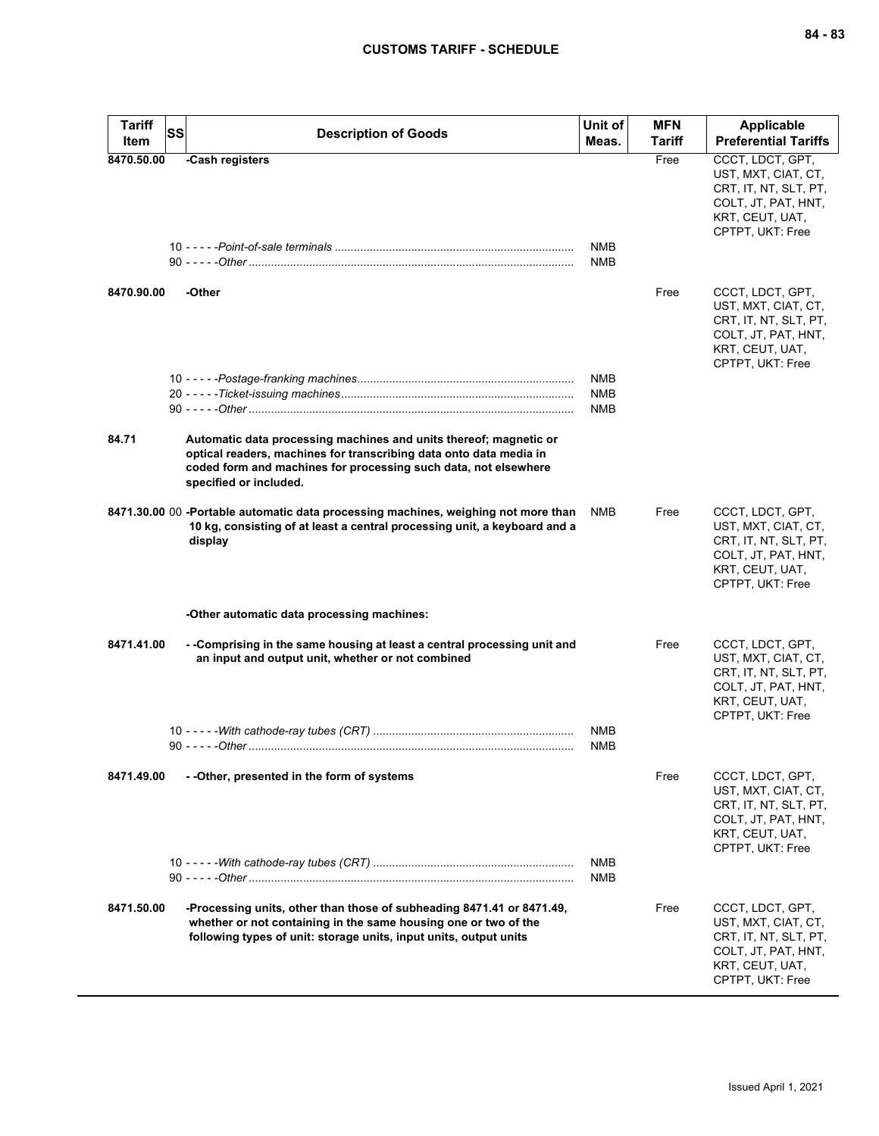| <b>Tariff</b><br>Item | SS | <b>Description of Goods</b>                                                                                                                                                                                                          | Unit of<br>Meas.         | <b>MFN</b><br>Tariff | <b>Applicable</b><br><b>Preferential Tariffs</b>                                                                               |
|-----------------------|----|--------------------------------------------------------------------------------------------------------------------------------------------------------------------------------------------------------------------------------------|--------------------------|----------------------|--------------------------------------------------------------------------------------------------------------------------------|
| 8470.50.00            |    | -Cash registers                                                                                                                                                                                                                      |                          | Free                 | CCCT, LDCT, GPT,                                                                                                               |
|                       |    |                                                                                                                                                                                                                                      | <b>NMB</b><br><b>NMB</b> |                      | UST, MXT, CIAT, CT,<br>CRT, IT, NT, SLT, PT,<br>COLT, JT, PAT, HNT,<br>KRT, CEUT, UAT,<br>CPTPT, UKT: Free                     |
| 8470.90.00            |    | -Other                                                                                                                                                                                                                               |                          | Free                 | CCCT, LDCT, GPT,<br>UST, MXT, CIAT, CT,<br>CRT, IT, NT, SLT, PT,<br>COLT, JT, PAT, HNT,<br>KRT, CEUT, UAT,<br>CPTPT, UKT: Free |
|                       |    |                                                                                                                                                                                                                                      | <b>NMB</b>               |                      |                                                                                                                                |
|                       |    |                                                                                                                                                                                                                                      | <b>NMB</b>               |                      |                                                                                                                                |
|                       |    |                                                                                                                                                                                                                                      | <b>NMB</b>               |                      |                                                                                                                                |
| 84.71                 |    | Automatic data processing machines and units thereof; magnetic or<br>optical readers, machines for transcribing data onto data media in<br>coded form and machines for processing such data, not elsewhere<br>specified or included. |                          |                      |                                                                                                                                |
|                       |    | 8471.30.00 00 -Portable automatic data processing machines, weighing not more than<br>10 kg, consisting of at least a central processing unit, a keyboard and a<br>display                                                           | <b>NMB</b>               | Free                 | CCCT, LDCT, GPT,<br>UST, MXT, CIAT, CT,<br>CRT, IT, NT, SLT, PT,<br>COLT, JT, PAT, HNT,<br>KRT, CEUT, UAT,<br>CPTPT, UKT: Free |
|                       |    | -Other automatic data processing machines:                                                                                                                                                                                           |                          |                      |                                                                                                                                |
| 8471.41.00            |    | - -Comprising in the same housing at least a central processing unit and<br>an input and output unit, whether or not combined                                                                                                        |                          | Free                 | CCCT, LDCT, GPT,<br>UST, MXT, CIAT, CT,<br>CRT, IT, NT, SLT, PT,<br>COLT, JT, PAT, HNT,<br>KRT, CEUT, UAT,<br>CPTPT, UKT: Free |
|                       |    |                                                                                                                                                                                                                                      | NMB                      |                      |                                                                                                                                |
|                       |    |                                                                                                                                                                                                                                      | <b>NMB</b>               |                      |                                                                                                                                |
| 8471.49.00            |    | - - Other, presented in the form of systems                                                                                                                                                                                          |                          | Free                 | CCCT, LDCT, GPT,<br>UST, MXT, CIAT, CT,<br>CRT, IT, NT, SLT, PT,<br>COLT, JT, PAT, HNT,<br>KRT, CEUT, UAT,<br>CPTPT, UKT: Free |
|                       |    |                                                                                                                                                                                                                                      | <b>NMB</b><br>NMB        |                      |                                                                                                                                |
| 8471.50.00            |    | -Processing units, other than those of subheading 8471.41 or 8471.49,<br>whether or not containing in the same housing one or two of the<br>following types of unit: storage units, input units, output units                        |                          | Free                 | CCCT, LDCT, GPT,<br>UST, MXT, CIAT, CT,<br>CRT, IT, NT, SLT, PT,<br>COLT, JT, PAT, HNT,<br>KRT, CEUT, UAT,<br>CPTPT, UKT: Free |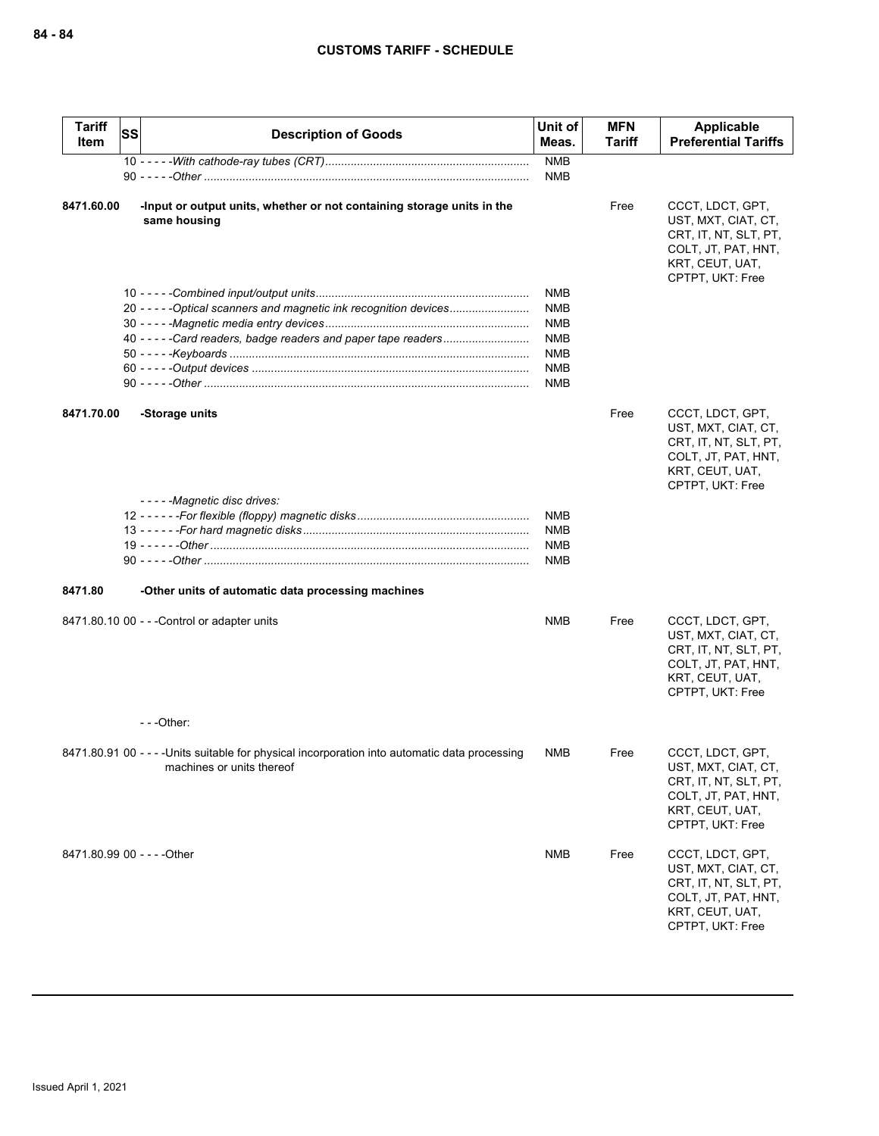| <b>Tariff</b><br>Item       | <b>SS</b> | <b>Description of Goods</b>                                                                                                 | Unit of<br>Meas.         | <b>MFN</b><br><b>Tariff</b> | Applicable<br><b>Preferential Tariffs</b>                                                                                      |
|-----------------------------|-----------|-----------------------------------------------------------------------------------------------------------------------------|--------------------------|-----------------------------|--------------------------------------------------------------------------------------------------------------------------------|
|                             |           |                                                                                                                             | <b>NMB</b>               |                             |                                                                                                                                |
|                             |           |                                                                                                                             | <b>NMB</b>               |                             |                                                                                                                                |
| 8471.60.00                  |           | -Input or output units, whether or not containing storage units in the<br>same housing                                      |                          | Free                        | CCCT, LDCT, GPT,<br>UST, MXT, CIAT, CT,<br>CRT, IT, NT, SLT, PT,<br>COLT, JT, PAT, HNT,<br>KRT, CEUT, UAT,<br>CPTPT, UKT: Free |
|                             |           | 20 - - - - - Optical scanners and magnetic ink recognition devices                                                          | <b>NMB</b><br><b>NMB</b> |                             |                                                                                                                                |
|                             |           |                                                                                                                             | <b>NMB</b>               |                             |                                                                                                                                |
|                             |           |                                                                                                                             | NMB                      |                             |                                                                                                                                |
|                             |           |                                                                                                                             | <b>NMB</b>               |                             |                                                                                                                                |
|                             |           |                                                                                                                             | <b>NMB</b>               |                             |                                                                                                                                |
|                             |           |                                                                                                                             | <b>NMB</b>               |                             |                                                                                                                                |
|                             |           |                                                                                                                             |                          |                             |                                                                                                                                |
| 8471.70.00                  |           | -Storage units                                                                                                              |                          | Free                        | CCCT, LDCT, GPT,<br>UST, MXT, CIAT, CT,<br>CRT, IT, NT, SLT, PT,<br>COLT, JT, PAT, HNT,<br>KRT, CEUT, UAT,<br>CPTPT, UKT: Free |
|                             |           | -----Magnetic disc drives:                                                                                                  |                          |                             |                                                                                                                                |
|                             |           |                                                                                                                             | <b>NMB</b>               |                             |                                                                                                                                |
|                             |           |                                                                                                                             | <b>NMB</b>               |                             |                                                                                                                                |
|                             |           |                                                                                                                             | <b>NMB</b>               |                             |                                                                                                                                |
|                             |           |                                                                                                                             | <b>NMB</b>               |                             |                                                                                                                                |
| 8471.80                     |           | -Other units of automatic data processing machines                                                                          |                          |                             |                                                                                                                                |
|                             |           | 8471.80.10 00 - - - Control or adapter units                                                                                | <b>NMB</b>               | Free                        | CCCT, LDCT, GPT,<br>UST, MXT, CIAT, CT,<br>CRT, IT, NT, SLT, PT,<br>COLT, JT, PAT, HNT,<br>KRT, CEUT, UAT,<br>CPTPT, UKT: Free |
|                             |           | ---Other:                                                                                                                   |                          |                             |                                                                                                                                |
|                             |           | 8471.80.91 00 - - - - Units suitable for physical incorporation into automatic data processing<br>machines or units thereof | NMB                      | Free                        | CCCT. LDCT. GPT.<br>UST, MXT, CIAT, CT,<br>CRT, IT, NT, SLT, PT,<br>COLT, JT, PAT, HNT,<br>KRT, CEUT, UAT,<br>CPTPT, UKT: Free |
| 8471.80.99 00 - - - - Other |           |                                                                                                                             | NMB                      | Free                        | CCCT, LDCT, GPT,<br>UST, MXT, CIAT, CT,<br>CRT, IT, NT, SLT, PT,<br>COLT, JT, PAT, HNT,<br>KRT, CEUT, UAT,<br>CPTPT, UKT: Free |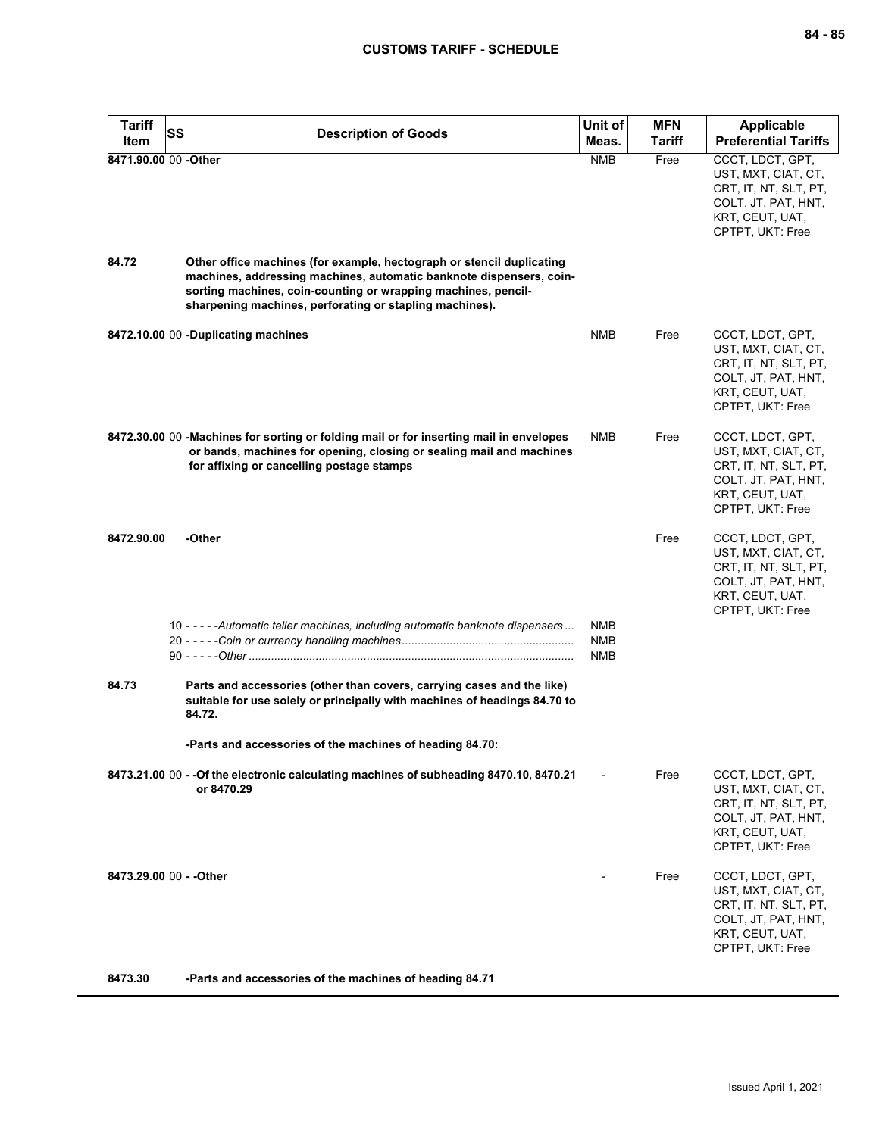| <b>Tariff</b><br>Item | <b>SS</b><br><b>Description of Goods</b>                                                                                                                                                                                                                                 | Unit of<br>Meas.                | <b>MFN</b><br>Tariff | <b>Applicable</b><br><b>Preferential Tariffs</b>                                                                               |
|-----------------------|--------------------------------------------------------------------------------------------------------------------------------------------------------------------------------------------------------------------------------------------------------------------------|---------------------------------|----------------------|--------------------------------------------------------------------------------------------------------------------------------|
| 8471.90.00 00 -Other  |                                                                                                                                                                                                                                                                          | <b>NMB</b>                      | Free                 | CCCT, LDCT, GPT,<br>UST, MXT, CIAT, CT,<br>CRT, IT, NT, SLT, PT,<br>COLT, JT, PAT, HNT,<br>KRT, CEUT, UAT,<br>CPTPT, UKT: Free |
| 84.72                 | Other office machines (for example, hectograph or stencil duplicating<br>machines, addressing machines, automatic banknote dispensers, coin-<br>sorting machines, coin-counting or wrapping machines, pencil-<br>sharpening machines, perforating or stapling machines). |                                 |                      |                                                                                                                                |
|                       | 8472.10.00 00 -Duplicating machines                                                                                                                                                                                                                                      | <b>NMB</b>                      | Free                 | CCCT, LDCT, GPT,<br>UST, MXT, CIAT, CT,<br>CRT, IT, NT, SLT, PT,<br>COLT, JT, PAT, HNT,<br>KRT, CEUT, UAT,<br>CPTPT, UKT: Free |
|                       | 8472.30.00 00 -Machines for sorting or folding mail or for inserting mail in envelopes<br>or bands, machines for opening, closing or sealing mail and machines<br>for affixing or cancelling postage stamps                                                              | <b>NMB</b>                      | Free                 | CCCT, LDCT, GPT,<br>UST, MXT, CIAT, CT,<br>CRT, IT, NT, SLT, PT,<br>COLT, JT, PAT, HNT,<br>KRT, CEUT, UAT,<br>CPTPT, UKT: Free |
| 8472.90.00            | -Other                                                                                                                                                                                                                                                                   |                                 | Free                 | CCCT, LDCT, GPT,<br>UST, MXT, CIAT, CT,<br>CRT, IT, NT, SLT, PT,<br>COLT, JT, PAT, HNT,<br>KRT, CEUT, UAT,<br>CPTPT, UKT: Free |
|                       | 10 - - - - - Automatic teller machines, including automatic banknote dispensers                                                                                                                                                                                          | NMB<br><b>NMB</b><br><b>NMB</b> |                      |                                                                                                                                |
| 84.73                 | Parts and accessories (other than covers, carrying cases and the like)<br>suitable for use solely or principally with machines of headings 84.70 to<br>84.72.                                                                                                            |                                 |                      |                                                                                                                                |
|                       | -Parts and accessories of the machines of heading 84.70:                                                                                                                                                                                                                 |                                 |                      |                                                                                                                                |
|                       | 8473.21.00 00 - - Of the electronic calculating machines of subheading 8470.10, 8470.21<br>or 8470.29                                                                                                                                                                    |                                 | Free                 | CCCT, LDCT, GPT,<br>UST, MXT, CIAT, CT,<br>CRT, IT, NT, SLT, PT,<br>COLT, JT, PAT, HNT,<br>KRT, CEUT, UAT,<br>CPTPT, UKT: Free |
|                       | 8473.29.00 00 - - Other                                                                                                                                                                                                                                                  |                                 | Free                 | CCCT, LDCT, GPT,<br>UST, MXT, CIAT, CT,<br>CRT, IT, NT, SLT, PT,<br>COLT, JT, PAT, HNT,<br>KRT, CEUT, UAT,<br>CPTPT, UKT: Free |

**8473.30 -Parts and accessories of the machines of heading 84.71**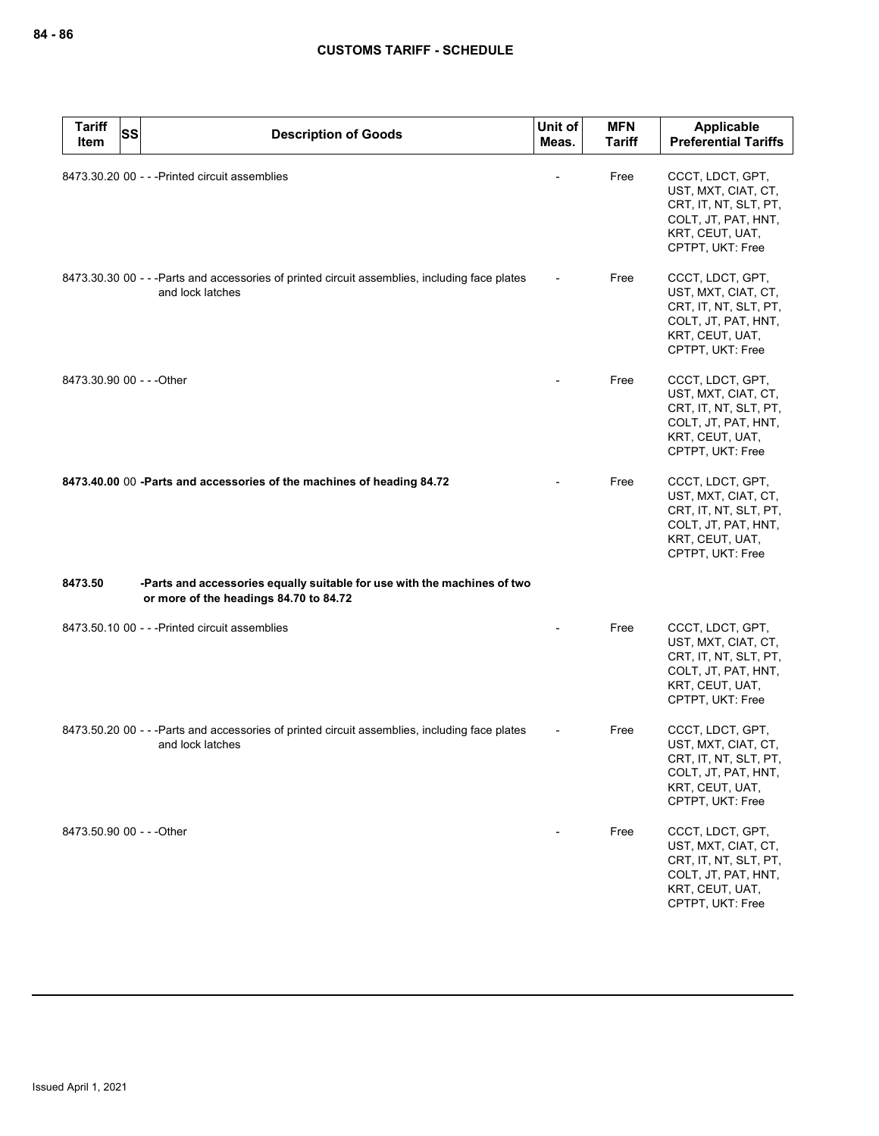| <b>Tariff</b><br>Item     | <b>SS</b> | <b>Description of Goods</b>                                                                                        | Unit of<br>Meas. | <b>MFN</b><br><b>Tariff</b> | Applicable<br><b>Preferential Tariffs</b>                                                                                      |
|---------------------------|-----------|--------------------------------------------------------------------------------------------------------------------|------------------|-----------------------------|--------------------------------------------------------------------------------------------------------------------------------|
|                           |           | 8473.30.20 00 - - - Printed circuit assemblies                                                                     |                  | Free                        | CCCT, LDCT, GPT,<br>UST, MXT, CIAT, CT,<br>CRT, IT, NT, SLT, PT,<br>COLT, JT, PAT, HNT,<br>KRT, CEUT, UAT,<br>CPTPT, UKT: Free |
|                           |           | 8473.30.30 00 - - - Parts and accessories of printed circuit assemblies, including face plates<br>and lock latches |                  | Free                        | CCCT, LDCT, GPT,<br>UST, MXT, CIAT, CT,<br>CRT, IT, NT, SLT, PT,<br>COLT, JT, PAT, HNT,<br>KRT, CEUT, UAT,<br>CPTPT, UKT: Free |
| 8473.30.90 00 - - - Other |           |                                                                                                                    |                  | Free                        | CCCT, LDCT, GPT,<br>UST, MXT, CIAT, CT,<br>CRT, IT, NT, SLT, PT,<br>COLT, JT, PAT, HNT,<br>KRT, CEUT, UAT,<br>CPTPT, UKT: Free |
|                           |           | 8473.40.00 00 -Parts and accessories of the machines of heading 84.72                                              |                  | Free                        | CCCT, LDCT, GPT,<br>UST, MXT, CIAT, CT,<br>CRT, IT, NT, SLT, PT,<br>COLT, JT, PAT, HNT,<br>KRT, CEUT, UAT,<br>CPTPT, UKT: Free |
| 8473.50                   |           | -Parts and accessories equally suitable for use with the machines of two<br>or more of the headings 84.70 to 84.72 |                  |                             |                                                                                                                                |
|                           |           | 8473.50.10 00 - - - Printed circuit assemblies                                                                     |                  | Free                        | CCCT, LDCT, GPT,<br>UST, MXT, CIAT, CT,<br>CRT, IT, NT, SLT, PT,<br>COLT, JT, PAT, HNT,<br>KRT, CEUT, UAT,<br>CPTPT, UKT: Free |
|                           |           | 8473.50.20 00 - - -Parts and accessories of printed circuit assemblies, including face plates<br>and lock latches  |                  | Free                        | CCCT, LDCT, GPT,<br>UST, MXT, CIAT, CT,<br>CRT, IT, NT, SLT, PT,<br>COLT, JT, PAT, HNT,<br>KRT, CEUT, UAT,<br>CPTPT, UKT: Free |
| 8473.50.90 00 - - - Other |           |                                                                                                                    |                  | Free                        | CCCT, LDCT, GPT,<br>UST, MXT, CIAT, CT,<br>CRT, IT, NT, SLT, PT,<br>COLT, JT, PAT, HNT,<br>KRT, CEUT, UAT,<br>CPTPT, UKT: Free |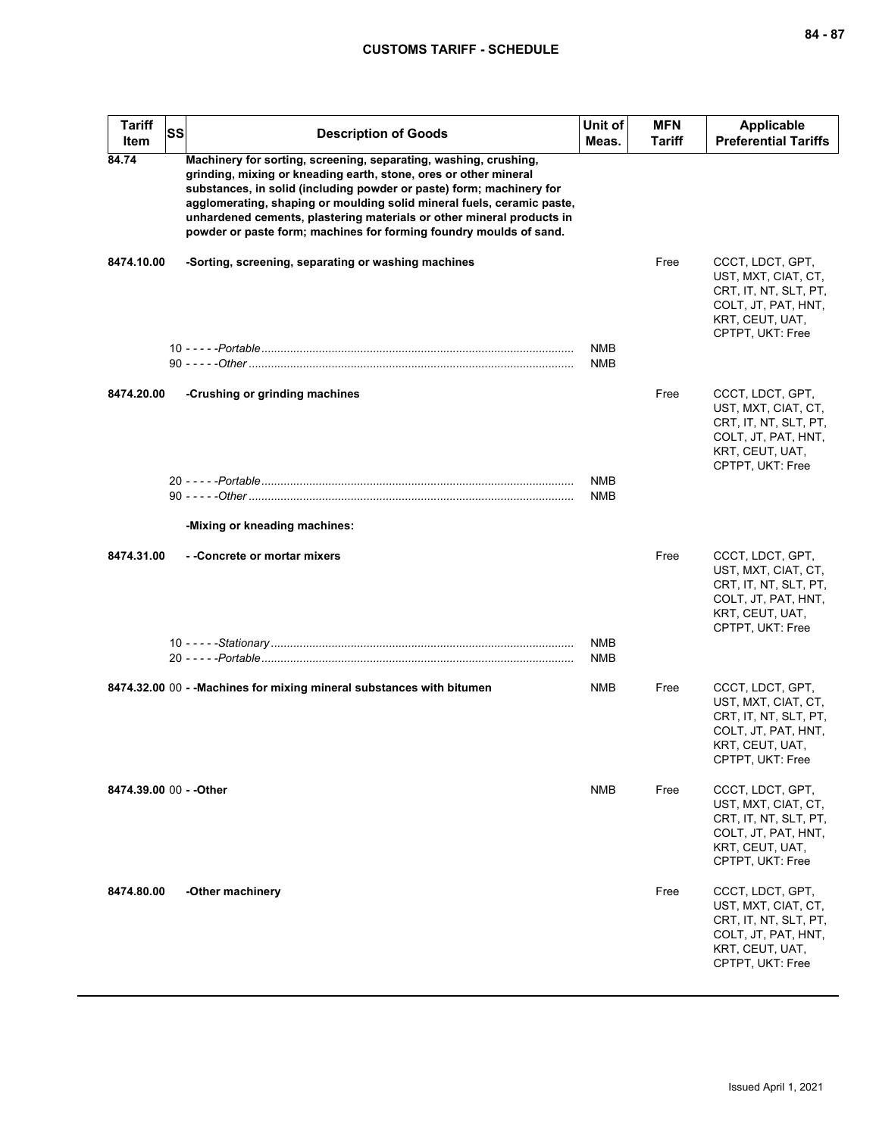| <b>Tariff</b><br><b>Item</b> | SS | <b>Description of Goods</b>                                                                                                                                                                                                                                                                                                                                                                                                           | Unit of<br>Meas.         | <b>MFN</b><br><b>Tariff</b> | <b>Applicable</b><br><b>Preferential Tariffs</b>                                                                               |
|------------------------------|----|---------------------------------------------------------------------------------------------------------------------------------------------------------------------------------------------------------------------------------------------------------------------------------------------------------------------------------------------------------------------------------------------------------------------------------------|--------------------------|-----------------------------|--------------------------------------------------------------------------------------------------------------------------------|
| 84.74                        |    | Machinery for sorting, screening, separating, washing, crushing,<br>grinding, mixing or kneading earth, stone, ores or other mineral<br>substances, in solid (including powder or paste) form; machinery for<br>agglomerating, shaping or moulding solid mineral fuels, ceramic paste,<br>unhardened cements, plastering materials or other mineral products in<br>powder or paste form; machines for forming foundry moulds of sand. |                          |                             |                                                                                                                                |
| 8474.10.00                   |    | -Sorting, screening, separating or washing machines                                                                                                                                                                                                                                                                                                                                                                                   |                          | Free                        | CCCT, LDCT, GPT,<br>UST, MXT, CIAT, CT,<br>CRT, IT, NT, SLT, PT,<br>COLT, JT, PAT, HNT,<br>KRT, CEUT, UAT,<br>CPTPT, UKT: Free |
|                              |    |                                                                                                                                                                                                                                                                                                                                                                                                                                       | <b>NMB</b><br><b>NMB</b> |                             |                                                                                                                                |
| 8474.20.00                   |    | -Crushing or grinding machines                                                                                                                                                                                                                                                                                                                                                                                                        |                          | Free                        | CCCT, LDCT, GPT,<br>UST, MXT, CIAT, CT,<br>CRT, IT, NT, SLT, PT,<br>COLT, JT, PAT, HNT,<br>KRT, CEUT, UAT,<br>CPTPT, UKT: Free |
|                              |    |                                                                                                                                                                                                                                                                                                                                                                                                                                       | <b>NMB</b><br><b>NMB</b> |                             |                                                                                                                                |
|                              |    | -Mixing or kneading machines:                                                                                                                                                                                                                                                                                                                                                                                                         |                          |                             |                                                                                                                                |
| 8474.31.00                   |    | --Concrete or mortar mixers                                                                                                                                                                                                                                                                                                                                                                                                           |                          | Free                        | CCCT, LDCT, GPT,<br>UST, MXT, CIAT, CT,<br>CRT, IT, NT, SLT, PT,<br>COLT, JT, PAT, HNT,<br>KRT, CEUT, UAT,<br>CPTPT, UKT: Free |
|                              |    |                                                                                                                                                                                                                                                                                                                                                                                                                                       | <b>NMB</b><br><b>NMB</b> |                             |                                                                                                                                |
|                              |    | 8474.32.00 00 - - Machines for mixing mineral substances with bitumen                                                                                                                                                                                                                                                                                                                                                                 | <b>NMB</b>               | Free                        | CCCT, LDCT, GPT,<br>UST, MXT, CIAT, CT,<br>CRT, IT, NT, SLT, PT,<br>COLT, JT, PAT, HNT,<br>KRT, CEUT, UAT,<br>CPTPT, UKT: Free |
| 8474.39.00 00 - - Other      |    |                                                                                                                                                                                                                                                                                                                                                                                                                                       | <b>NMB</b>               | Free                        | CCCT, LDCT, GPT,<br>UST, MXT, CIAT, CT,<br>CRT, IT, NT, SLT, PT,<br>COLT, JT, PAT, HNT,<br>KRT, CEUT, UAT,<br>CPTPT, UKT: Free |
| 8474.80.00                   |    | -Other machinery                                                                                                                                                                                                                                                                                                                                                                                                                      |                          | Free                        | CCCT, LDCT, GPT,<br>UST, MXT, CIAT, CT,<br>CRT, IT, NT, SLT, PT,<br>COLT, JT, PAT, HNT,<br>KRT, CEUT, UAT,<br>CPTPT, UKT: Free |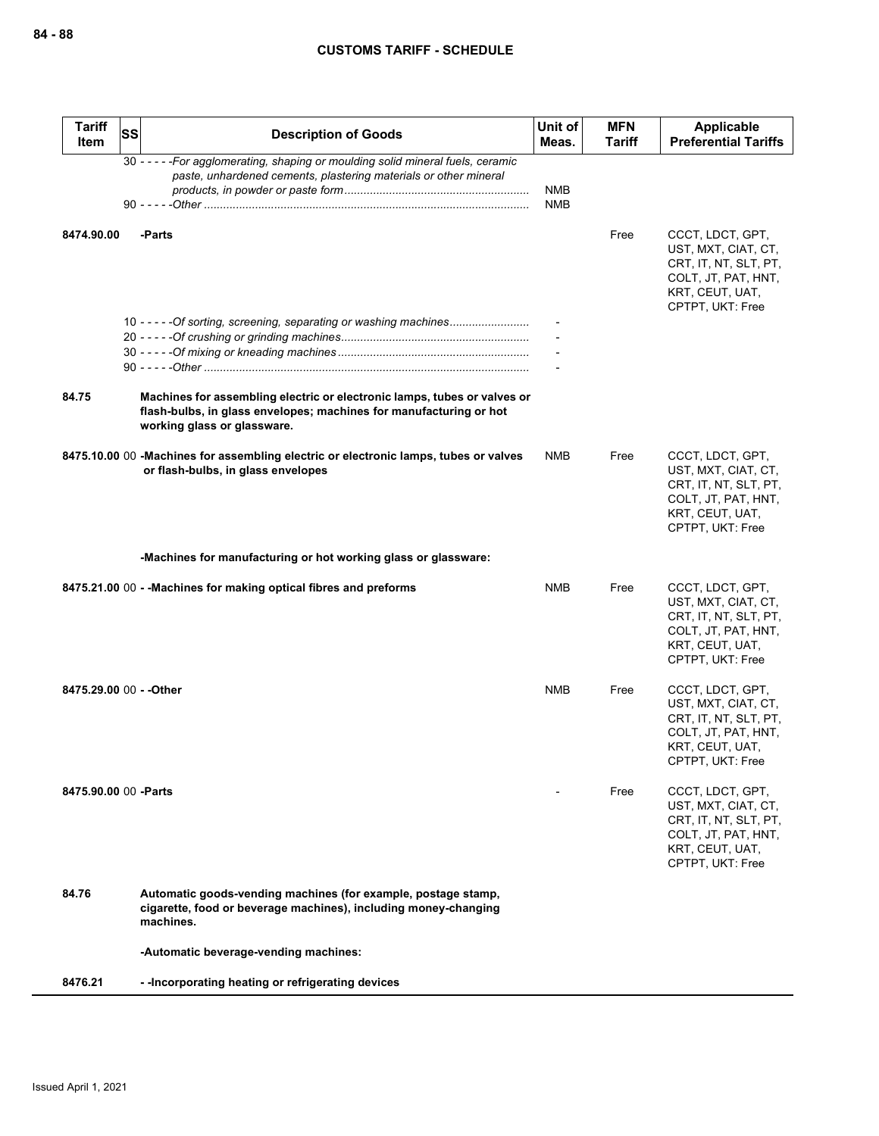| <b>Tariff</b><br>Item   | <b>SS</b> | <b>Description of Goods</b>                                                                                                                                                   | Unit of<br>Meas. | <b>MFN</b><br><b>Tariff</b> | Applicable<br><b>Preferential Tariffs</b>                                                                                      |
|-------------------------|-----------|-------------------------------------------------------------------------------------------------------------------------------------------------------------------------------|------------------|-----------------------------|--------------------------------------------------------------------------------------------------------------------------------|
|                         |           | 30 - - - - - For agglomerating, shaping or moulding solid mineral fuels, ceramic<br>paste, unhardened cements, plastering materials or other mineral                          | <b>NMB</b>       |                             |                                                                                                                                |
|                         |           |                                                                                                                                                                               | <b>NMB</b>       |                             |                                                                                                                                |
| 8474.90.00              |           | -Parts                                                                                                                                                                        |                  | Free                        | CCCT, LDCT, GPT,<br>UST, MXT, CIAT, CT,<br>CRT, IT, NT, SLT, PT,<br>COLT, JT, PAT, HNT,<br>KRT, CEUT, UAT,<br>CPTPT, UKT: Free |
|                         |           | 10 - - - - - Of sorting, screening, separating or washing machines                                                                                                            |                  |                             |                                                                                                                                |
|                         |           |                                                                                                                                                                               |                  |                             |                                                                                                                                |
| 84.75                   |           | Machines for assembling electric or electronic lamps, tubes or valves or<br>flash-bulbs, in glass envelopes; machines for manufacturing or hot<br>working glass or glassware. |                  |                             |                                                                                                                                |
|                         |           | 8475.10.00 00 -Machines for assembling electric or electronic lamps, tubes or valves<br>or flash-bulbs, in glass envelopes                                                    | NMB              | Free                        | CCCT, LDCT, GPT,<br>UST, MXT, CIAT, CT,<br>CRT, IT, NT, SLT, PT,<br>COLT, JT, PAT, HNT,<br>KRT, CEUT, UAT,<br>CPTPT, UKT: Free |
|                         |           | -Machines for manufacturing or hot working glass or glassware:                                                                                                                |                  |                             |                                                                                                                                |
|                         |           | 8475.21.00 00 - - Machines for making optical fibres and preforms                                                                                                             | NMB              | Free                        | CCCT, LDCT, GPT,<br>UST, MXT, CIAT, CT,<br>CRT, IT, NT, SLT, PT,<br>COLT, JT, PAT, HNT,<br>KRT, CEUT, UAT,<br>CPTPT, UKT: Free |
| 8475.29.00 00 - - Other |           |                                                                                                                                                                               | <b>NMB</b>       | Free                        | CCCT, LDCT, GPT,<br>UST, MXT, CIAT, CT,<br>CRT, IT, NT, SLT, PT,<br>COLT, JT, PAT, HNT,<br>KRT, CEUT, UAT,<br>CPTPT, UKT: Free |
| 8475.90.00 00 -Parts    |           |                                                                                                                                                                               |                  | Free                        | CCCT, LDCT, GPT,<br>UST, MXT, CIAT, CT,<br>CRT, IT, NT, SLT, PT,<br>COLT, JT, PAT, HNT,<br>KRT, CEUT, UAT,<br>CPTPT, UKT: Free |
| 84.76                   |           | Automatic goods-vending machines (for example, postage stamp,<br>cigarette, food or beverage machines), including money-changing<br>machines.                                 |                  |                             |                                                                                                                                |
|                         |           | -Automatic beverage-vending machines:                                                                                                                                         |                  |                             |                                                                                                                                |
| 8476.21                 |           | - - Incorporating heating or refrigerating devices                                                                                                                            |                  |                             |                                                                                                                                |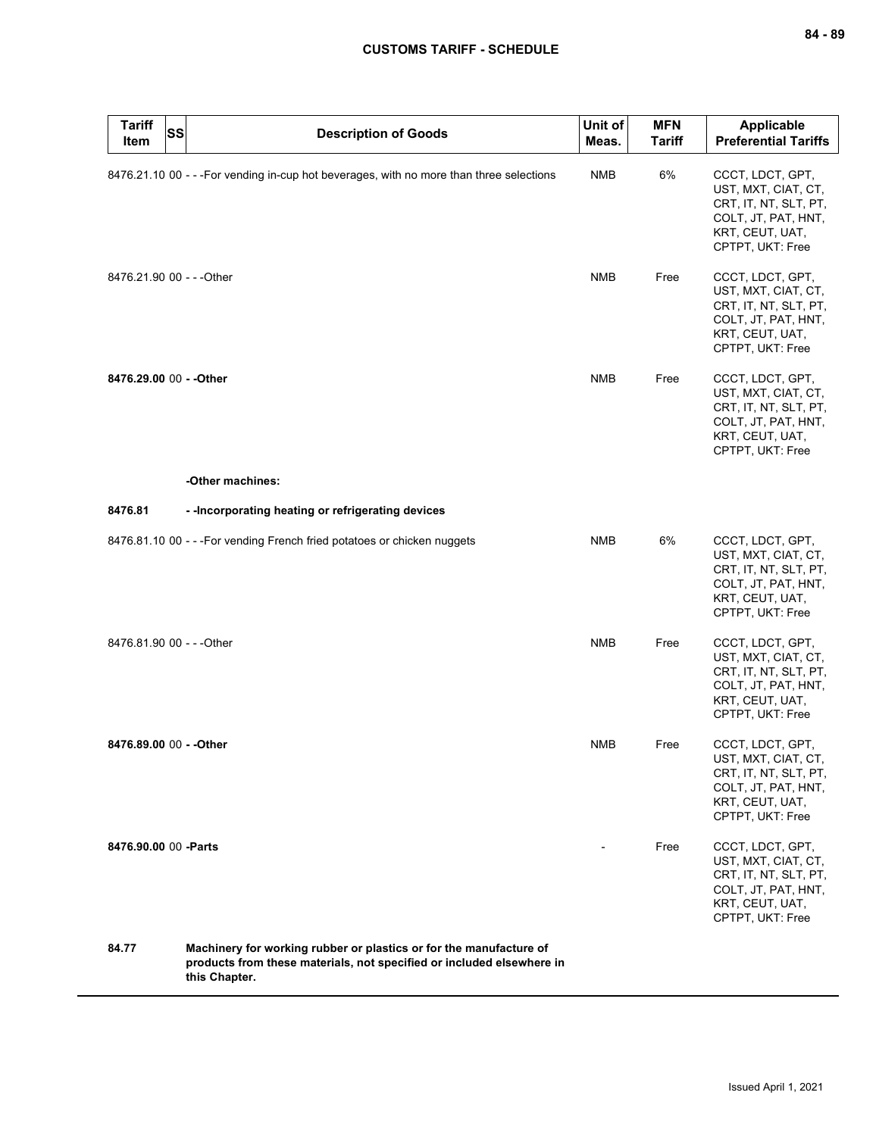| <b>Tariff</b><br><b>SS</b><br>Item | <b>Description of Goods</b>                                                                                                                                  | Unit of<br>Meas. | <b>MFN</b><br><b>Tariff</b> | <b>Applicable</b><br><b>Preferential Tariffs</b>                                                                               |
|------------------------------------|--------------------------------------------------------------------------------------------------------------------------------------------------------------|------------------|-----------------------------|--------------------------------------------------------------------------------------------------------------------------------|
|                                    | 8476.21.10 00 - - - For vending in-cup hot beverages, with no more than three selections                                                                     | <b>NMB</b>       | 6%                          | CCCT, LDCT, GPT,<br>UST, MXT, CIAT, CT,<br>CRT, IT, NT, SLT, PT,<br>COLT, JT, PAT, HNT,<br>KRT, CEUT, UAT,<br>CPTPT, UKT: Free |
| 8476.21.90 00 - - - Other          |                                                                                                                                                              | <b>NMB</b>       | Free                        | CCCT, LDCT, GPT,<br>UST, MXT, CIAT, CT,<br>CRT, IT, NT, SLT, PT,<br>COLT, JT, PAT, HNT,<br>KRT, CEUT, UAT,<br>CPTPT, UKT: Free |
| 8476.29.00 00 - - Other            |                                                                                                                                                              | <b>NMB</b>       | Free                        | CCCT, LDCT, GPT,<br>UST, MXT, CIAT, CT,<br>CRT, IT, NT, SLT, PT,<br>COLT, JT, PAT, HNT,<br>KRT, CEUT, UAT,<br>CPTPT, UKT: Free |
|                                    | -Other machines:                                                                                                                                             |                  |                             |                                                                                                                                |
| 8476.81                            | - - Incorporating heating or refrigerating devices                                                                                                           |                  |                             |                                                                                                                                |
|                                    | 8476.81.10 00 - - - For vending French fried potatoes or chicken nuggets                                                                                     | <b>NMB</b>       | 6%                          | CCCT, LDCT, GPT,<br>UST, MXT, CIAT, CT,<br>CRT, IT, NT, SLT, PT,<br>COLT, JT, PAT, HNT,<br>KRT, CEUT, UAT,<br>CPTPT, UKT: Free |
| 8476.81.90 00 - - - Other          |                                                                                                                                                              | <b>NMB</b>       | Free                        | CCCT, LDCT, GPT,<br>UST, MXT, CIAT, CT,<br>CRT, IT, NT, SLT, PT,<br>COLT, JT, PAT, HNT,<br>KRT, CEUT, UAT,<br>CPTPT, UKT: Free |
| 8476.89.00 00 - - Other            |                                                                                                                                                              | <b>NMB</b>       | Free                        | CCCT, LDCT, GPT,<br>UST, MXT, CIAT, CT,<br>CRT, IT, NT, SLT, PT,<br>COLT, JT, PAT, HNT,<br>KRT, CEUT, UAT,<br>CPTPT, UKT: Free |
| 8476.90.00 00 - Parts              |                                                                                                                                                              |                  | Free                        | CCCT, LDCT, GPT,<br>UST, MXT, CIAT, CT,<br>CRT, IT, NT, SLT, PT,<br>COLT, JT, PAT, HNT,<br>KRT, CEUT, UAT,<br>CPTPT, UKT: Free |
| 84.77                              | Machinery for working rubber or plastics or for the manufacture of<br>products from these materials, not specified or included elsewhere in<br>this Chapter. |                  |                             |                                                                                                                                |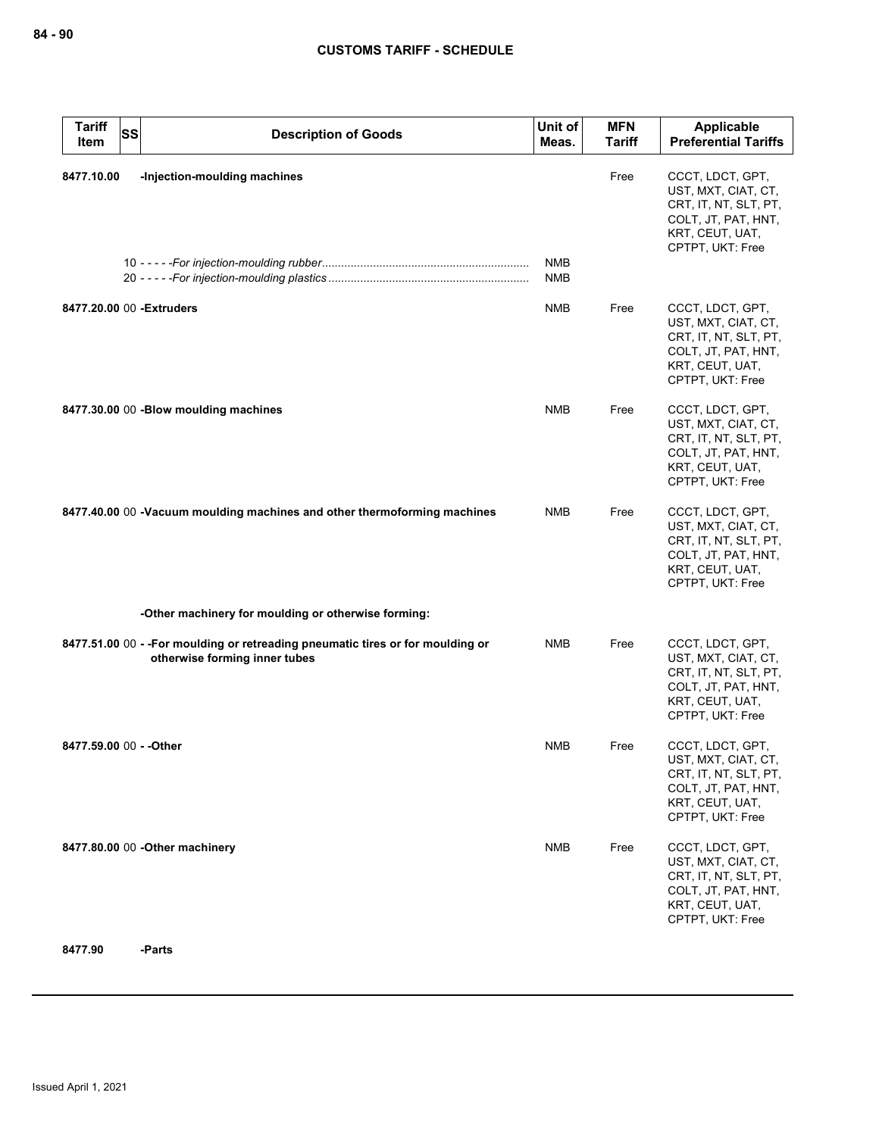| <b>Tariff</b><br><b>SS</b><br>Item | <b>Description of Goods</b>                                                                                      | Unit of<br>Meas.         | <b>MFN</b><br><b>Tariff</b> | <b>Applicable</b><br><b>Preferential Tariffs</b>                                                                               |
|------------------------------------|------------------------------------------------------------------------------------------------------------------|--------------------------|-----------------------------|--------------------------------------------------------------------------------------------------------------------------------|
| 8477.10.00                         | -Injection-moulding machines                                                                                     | <b>NMB</b><br><b>NMB</b> | Free                        | CCCT, LDCT, GPT,<br>UST, MXT, CIAT, CT,<br>CRT, IT, NT, SLT, PT,<br>COLT, JT, PAT, HNT,<br>KRT, CEUT, UAT,<br>CPTPT, UKT: Free |
| 8477.20.00 00 - Extruders          |                                                                                                                  | <b>NMB</b>               | Free                        | CCCT, LDCT, GPT,<br>UST, MXT, CIAT, CT,<br>CRT, IT, NT, SLT, PT,<br>COLT, JT, PAT, HNT,<br>KRT, CEUT, UAT,<br>CPTPT, UKT: Free |
|                                    | 8477.30.00 00 -Blow moulding machines                                                                            | <b>NMB</b>               | Free                        | CCCT, LDCT, GPT,<br>UST, MXT, CIAT, CT,<br>CRT, IT, NT, SLT, PT,<br>COLT, JT, PAT, HNT,<br>KRT, CEUT, UAT,<br>CPTPT, UKT: Free |
|                                    | 8477.40.00 00 -Vacuum moulding machines and other thermoforming machines                                         | <b>NMB</b>               | Free                        | CCCT, LDCT, GPT,<br>UST, MXT, CIAT, CT,<br>CRT, IT, NT, SLT, PT,<br>COLT, JT, PAT, HNT,<br>KRT, CEUT, UAT,<br>CPTPT, UKT: Free |
|                                    | -Other machinery for moulding or otherwise forming:                                                              |                          |                             |                                                                                                                                |
|                                    | 8477.51.00 00 - - For moulding or retreading pneumatic tires or for moulding or<br>otherwise forming inner tubes | <b>NMB</b>               | Free                        | CCCT, LDCT, GPT,<br>UST, MXT, CIAT, CT,<br>CRT, IT, NT, SLT, PT,<br>COLT, JT, PAT, HNT,<br>KRT, CEUT, UAT,<br>CPTPT, UKT: Free |
| 8477.59.00 00 - - Other            |                                                                                                                  | <b>NMB</b>               | Free                        | CCCT, LDCT, GPT,<br>UST, MXT, CIAT, CT,<br>CRT, IT, NT, SLT, PT,<br>COLT, JT, PAT, HNT,<br>KRT, CEUT, UAT,<br>CPTPT, UKT: Free |
|                                    | 8477.80.00 00 - Other machinery                                                                                  | <b>NMB</b>               | Free                        | CCCT, LDCT, GPT,<br>UST, MXT, CIAT, CT,<br>CRT, IT, NT, SLT, PT,<br>COLT, JT, PAT, HNT,<br>KRT, CEUT, UAT,<br>CPTPT, UKT: Free |

**8477.90 -Parts**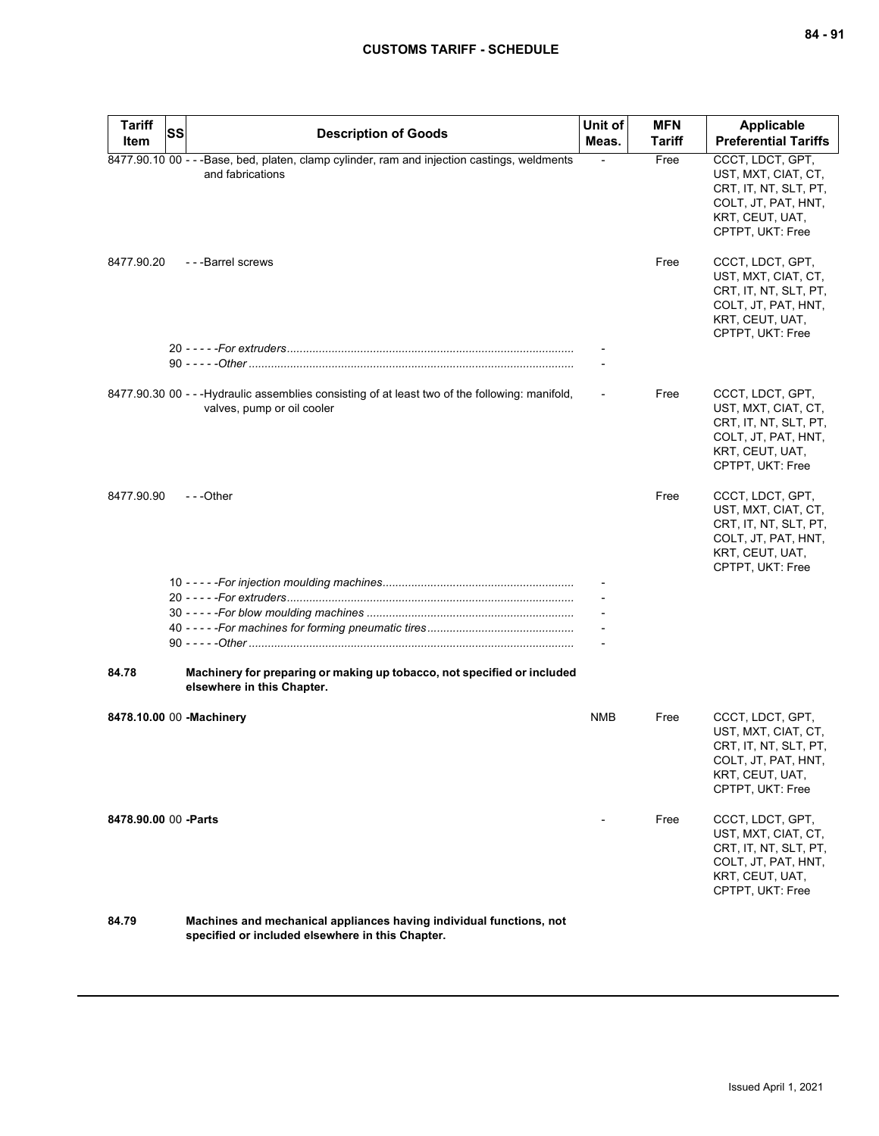| <b>Tariff</b><br>Item    | SS | <b>Description of Goods</b>                                                                                                   | Unit of<br>Meas. | <b>MFN</b><br><b>Tariff</b> | <b>Applicable</b><br><b>Preferential Tariffs</b>                                                                               |
|--------------------------|----|-------------------------------------------------------------------------------------------------------------------------------|------------------|-----------------------------|--------------------------------------------------------------------------------------------------------------------------------|
|                          |    | 8477.90.10 00 - - - Base, bed, platen, clamp cylinder, ram and injection castings, weldments<br>and fabrications              |                  | Free                        | CCCT, LDCT, GPT,<br>UST, MXT, CIAT, CT,<br>CRT, IT, NT, SLT, PT,<br>COLT, JT, PAT, HNT,<br>KRT, CEUT, UAT,<br>CPTPT, UKT: Free |
| 8477.90.20               |    | - - - Barrel screws                                                                                                           |                  | Free                        | CCCT, LDCT, GPT,<br>UST, MXT, CIAT, CT,<br>CRT, IT, NT, SLT, PT,<br>COLT, JT, PAT, HNT,<br>KRT, CEUT, UAT,<br>CPTPT, UKT: Free |
|                          |    |                                                                                                                               |                  |                             |                                                                                                                                |
|                          |    |                                                                                                                               |                  |                             |                                                                                                                                |
|                          |    | 8477.90.30 00 - - - Hydraulic assemblies consisting of at least two of the following: manifold,<br>valves, pump or oil cooler |                  | Free                        | CCCT, LDCT, GPT,<br>UST, MXT, CIAT, CT,<br>CRT, IT, NT, SLT, PT,<br>COLT, JT, PAT, HNT,<br>KRT, CEUT, UAT,<br>CPTPT, UKT: Free |
| 8477.90.90               |    | $-$ - -Other                                                                                                                  |                  | Free                        | CCCT, LDCT, GPT,<br>UST, MXT, CIAT, CT,<br>CRT, IT, NT, SLT, PT,<br>COLT, JT, PAT, HNT,<br>KRT, CEUT, UAT,<br>CPTPT, UKT: Free |
|                          |    |                                                                                                                               |                  |                             |                                                                                                                                |
|                          |    |                                                                                                                               |                  |                             |                                                                                                                                |
|                          |    |                                                                                                                               |                  |                             |                                                                                                                                |
|                          |    |                                                                                                                               |                  |                             |                                                                                                                                |
| 84.78                    |    | Machinery for preparing or making up tobacco, not specified or included<br>elsewhere in this Chapter.                         |                  |                             |                                                                                                                                |
| 8478.10.00 00 -Machinery |    |                                                                                                                               | <b>NMB</b>       | Free                        | CCCT, LDCT, GPT,<br>UST, MXT, CIAT, CT,<br>CRT, IT, NT, SLT, PT,<br>COLT, JT, PAT, HNT,<br>KRT, CEUT, UAT,<br>CPTPT, UKT: Free |
| 8478.90.00 00 - Parts    |    |                                                                                                                               |                  | Free                        | CCCT, LDCT, GPT,<br>UST, MXT, CIAT, CT,<br>CRT, IT, NT, SLT, PT,<br>COLT, JT, PAT, HNT,<br>KRT, CEUT, UAT,<br>CPTPT, UKT: Free |
| <b>24.70</b>             |    | Machines and mochanical appliances having individual functions, not                                                           |                  |                             |                                                                                                                                |

**84.79 Machines and mechanical appliances having individual functions, not specified or included elsewhere in this Chapter.**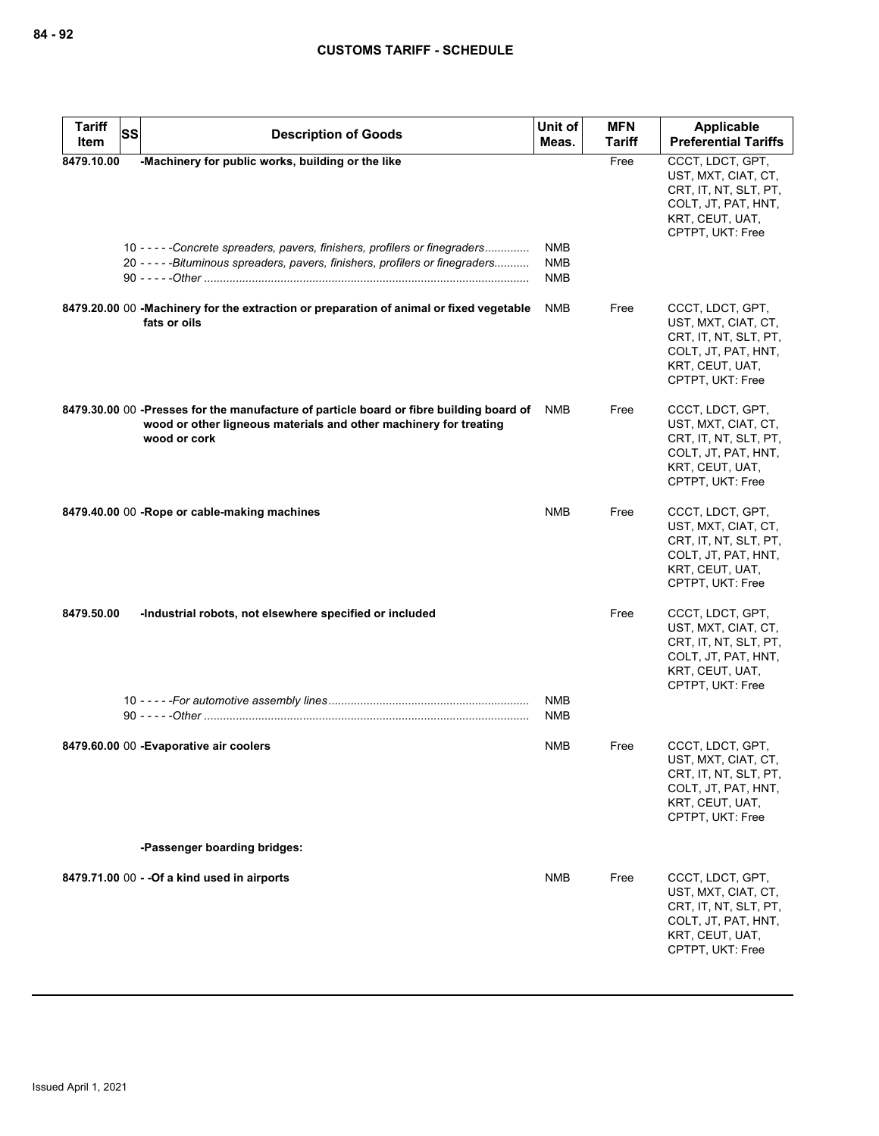| <b>Tariff</b><br><b>SS</b> | <b>Description of Goods</b>                                                                                                                                                                                         | Unit of                         | <b>MFN</b> | Applicable                                                                                                                     |
|----------------------------|---------------------------------------------------------------------------------------------------------------------------------------------------------------------------------------------------------------------|---------------------------------|------------|--------------------------------------------------------------------------------------------------------------------------------|
| Item                       |                                                                                                                                                                                                                     | Meas.                           | Tariff     | <b>Preferential Tariffs</b>                                                                                                    |
| 8479.10.00                 | -Machinery for public works, building or the like<br>10 - - - - - Concrete spreaders, pavers, finishers, profilers or finegraders<br>20 - - - - - Bituminous spreaders, pavers, finishers, profilers or finegraders | NMB<br><b>NMB</b><br><b>NMB</b> | Free       | CCCT, LDCT, GPT,<br>UST, MXT, CIAT, CT,<br>CRT, IT, NT, SLT, PT,<br>COLT, JT, PAT, HNT,<br>KRT, CEUT, UAT,<br>CPTPT, UKT: Free |
|                            | 8479.20.00 00 -Machinery for the extraction or preparation of animal or fixed vegetable<br>fats or oils                                                                                                             | <b>NMB</b>                      | Free       | CCCT, LDCT, GPT,<br>UST, MXT, CIAT, CT,<br>CRT, IT, NT, SLT, PT,<br>COLT, JT, PAT, HNT,<br>KRT, CEUT, UAT,<br>CPTPT, UKT: Free |
|                            | 8479.30.00 00 -Presses for the manufacture of particle board or fibre building board of<br>wood or other ligneous materials and other machinery for treating<br>wood or cork                                        | NMB                             | Free       | CCCT, LDCT, GPT,<br>UST, MXT, CIAT, CT,<br>CRT, IT, NT, SLT, PT,<br>COLT, JT, PAT, HNT,<br>KRT, CEUT, UAT,<br>CPTPT, UKT: Free |
|                            | 8479.40.00 00 -Rope or cable-making machines                                                                                                                                                                        | <b>NMB</b>                      | Free       | CCCT, LDCT, GPT,<br>UST, MXT, CIAT, CT,<br>CRT, IT, NT, SLT, PT,<br>COLT, JT, PAT, HNT,<br>KRT, CEUT, UAT,<br>CPTPT, UKT: Free |
| 8479.50.00                 | -Industrial robots, not elsewhere specified or included                                                                                                                                                             |                                 | Free       | CCCT, LDCT, GPT,<br>UST, MXT, CIAT, CT,<br>CRT, IT, NT, SLT, PT,<br>COLT, JT, PAT, HNT,<br>KRT, CEUT, UAT,<br>CPTPT, UKT: Free |
|                            |                                                                                                                                                                                                                     | <b>NMB</b><br><b>NMB</b>        |            |                                                                                                                                |
|                            | 8479.60.00 00 - Evaporative air coolers                                                                                                                                                                             | <b>NMB</b>                      | Free       | CCCT, LDCT, GPT,<br>UST, MXT, CIAT, CT,<br>CRT, IT, NT, SLT, PT,<br>COLT, JT, PAT, HNT,<br>KRT, CEUT, UAT,<br>CPTPT, UKT: Free |
|                            | -Passenger boarding bridges:                                                                                                                                                                                        |                                 |            |                                                                                                                                |
|                            | 8479.71.00 00 - - Of a kind used in airports                                                                                                                                                                        | <b>NMB</b>                      | Free       | CCCT, LDCT, GPT,<br>UST, MXT, CIAT, CT,<br>CRT, IT, NT, SLT, PT,<br>COLT, JT, PAT, HNT,<br>KRT, CEUT, UAT,<br>CPTPT, UKT: Free |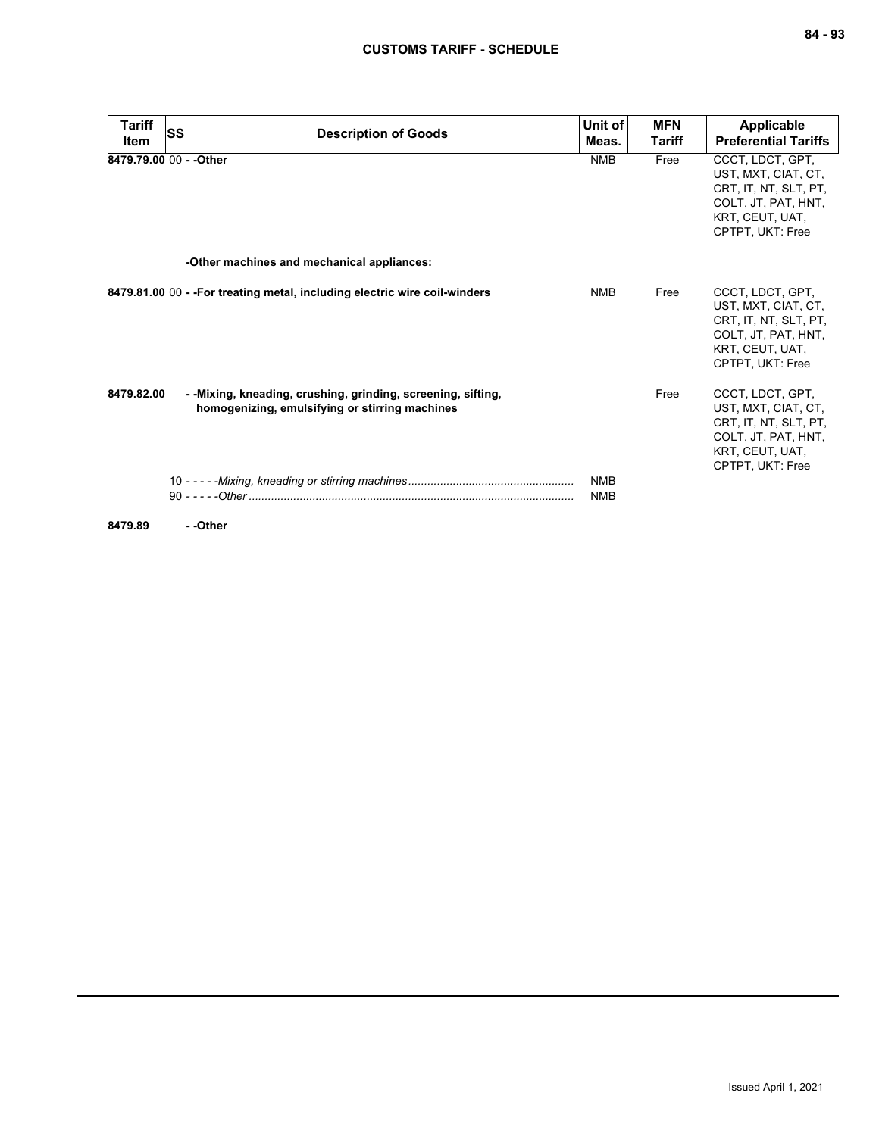| <b>Tariff</b><br><b>Item</b> | <b>SS</b> | <b>Description of Goods</b>                                                                                     | Unit of<br>Meas.         | <b>MFN</b><br><b>Tariff</b> | <b>Applicable</b><br><b>Preferential Tariffs</b>                                                                                      |
|------------------------------|-----------|-----------------------------------------------------------------------------------------------------------------|--------------------------|-----------------------------|---------------------------------------------------------------------------------------------------------------------------------------|
| 8479.79.00 00 - - Other      |           |                                                                                                                 | <b>NMB</b>               | Free                        | CCCT, LDCT, GPT,<br>UST, MXT, CIAT, CT,<br>CRT, IT, NT, SLT, PT,<br>COLT, JT, PAT, HNT,<br>KRT. CEUT. UAT.<br>CPTPT, UKT: Free        |
|                              |           | -Other machines and mechanical appliances:                                                                      |                          |                             |                                                                                                                                       |
|                              |           | 8479.81.00 00 - - For treating metal, including electric wire coil-winders                                      | <b>NMB</b>               | Free                        | CCCT, LDCT, GPT,<br>UST, MXT, CIAT, CT,<br>CRT, IT, NT, SLT, PT,<br>COLT, JT, PAT, HNT,<br>KRT, CEUT, UAT,<br><b>CPTPT, UKT: Free</b> |
| 8479.82.00                   |           | - - Mixing, kneading, crushing, grinding, screening, sifting,<br>homogenizing, emulsifying or stirring machines |                          | Free                        | CCCT, LDCT, GPT,<br>UST, MXT, CIAT, CT,<br>CRT, IT, NT, SLT, PT,<br>COLT, JT, PAT, HNT,<br>KRT. CEUT. UAT.<br>CPTPT, UKT: Free        |
|                              |           |                                                                                                                 | <b>NMB</b><br><b>NMB</b> |                             |                                                                                                                                       |

**8479.89 - -Other**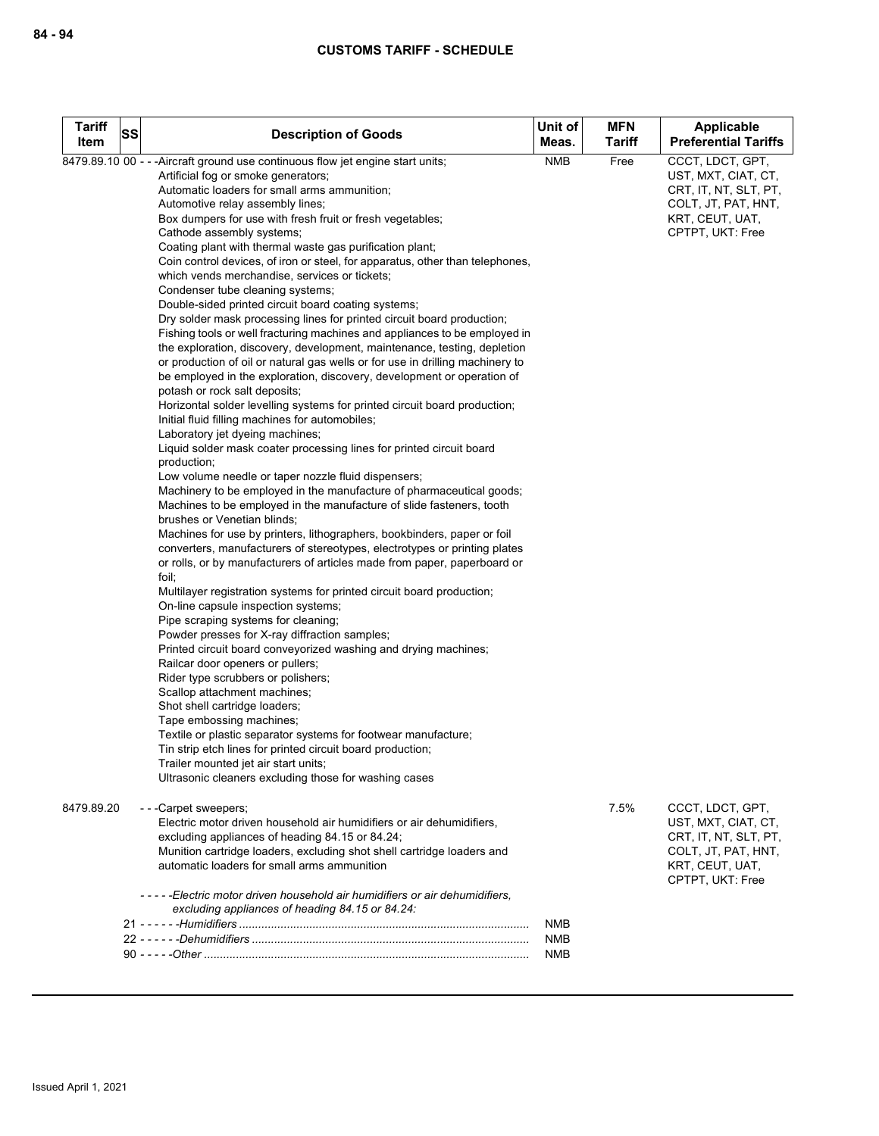| <b>Tariff</b><br>Item | <b>SS</b> | <b>Description of Goods</b>                                                                                                                                                                                                                                                                                                                                                                                                                                                                                                                                                                                                                                                                                                                                                                                                                                                                                                                                                                                                                                                                                                                                                                                                                                                                                                                                                                                                                                                                                                                                                                                                                                                                                                                                                                                                                                                                                                                                                                                                                                                                                                                                                                                                                                                                                                                                                                                                                                   | Unit of<br>Meas.         | <b>MFN</b><br>Tariff | Applicable<br><b>Preferential Tariffs</b>                                                                                      |
|-----------------------|-----------|---------------------------------------------------------------------------------------------------------------------------------------------------------------------------------------------------------------------------------------------------------------------------------------------------------------------------------------------------------------------------------------------------------------------------------------------------------------------------------------------------------------------------------------------------------------------------------------------------------------------------------------------------------------------------------------------------------------------------------------------------------------------------------------------------------------------------------------------------------------------------------------------------------------------------------------------------------------------------------------------------------------------------------------------------------------------------------------------------------------------------------------------------------------------------------------------------------------------------------------------------------------------------------------------------------------------------------------------------------------------------------------------------------------------------------------------------------------------------------------------------------------------------------------------------------------------------------------------------------------------------------------------------------------------------------------------------------------------------------------------------------------------------------------------------------------------------------------------------------------------------------------------------------------------------------------------------------------------------------------------------------------------------------------------------------------------------------------------------------------------------------------------------------------------------------------------------------------------------------------------------------------------------------------------------------------------------------------------------------------------------------------------------------------------------------------------------------------|--------------------------|----------------------|--------------------------------------------------------------------------------------------------------------------------------|
|                       |           | 8479.89.10 00 - - - Aircraft ground use continuous flow jet engine start units;<br>Artificial fog or smoke generators;<br>Automatic loaders for small arms ammunition;<br>Automotive relay assembly lines;<br>Box dumpers for use with fresh fruit or fresh vegetables;<br>Cathode assembly systems;<br>Coating plant with thermal waste gas purification plant;<br>Coin control devices, of iron or steel, for apparatus, other than telephones,<br>which vends merchandise, services or tickets;<br>Condenser tube cleaning systems;<br>Double-sided printed circuit board coating systems;<br>Dry solder mask processing lines for printed circuit board production;<br>Fishing tools or well fracturing machines and appliances to be employed in<br>the exploration, discovery, development, maintenance, testing, depletion<br>or production of oil or natural gas wells or for use in drilling machinery to<br>be employed in the exploration, discovery, development or operation of<br>potash or rock salt deposits;<br>Horizontal solder levelling systems for printed circuit board production;<br>Initial fluid filling machines for automobiles;<br>Laboratory jet dyeing machines;<br>Liquid solder mask coater processing lines for printed circuit board<br>production;<br>Low volume needle or taper nozzle fluid dispensers;<br>Machinery to be employed in the manufacture of pharmaceutical goods;<br>Machines to be employed in the manufacture of slide fasteners, tooth<br>brushes or Venetian blinds;<br>Machines for use by printers, lithographers, bookbinders, paper or foil<br>converters, manufacturers of stereotypes, electrotypes or printing plates<br>or rolls, or by manufacturers of articles made from paper, paperboard or<br>foil,<br>Multilayer registration systems for printed circuit board production;<br>On-line capsule inspection systems;<br>Pipe scraping systems for cleaning;<br>Powder presses for X-ray diffraction samples;<br>Printed circuit board conveyorized washing and drying machines;<br>Railcar door openers or pullers;<br>Rider type scrubbers or polishers;<br>Scallop attachment machines;<br>Shot shell cartridge loaders;<br>Tape embossing machines;<br>Textile or plastic separator systems for footwear manufacture;<br>Tin strip etch lines for printed circuit board production;<br>Trailer mounted jet air start units;<br>Ultrasonic cleaners excluding those for washing cases | <b>NMB</b>               | Free                 | CCCT, LDCT, GPT,<br>UST, MXT, CIAT, CT,<br>CRT, IT, NT, SLT, PT,<br>COLT, JT, PAT, HNT,<br>KRT, CEUT, UAT,<br>CPTPT, UKT: Free |
| 8479.89.20            |           | - - - Carpet sweepers;<br>Electric motor driven household air humidifiers or air dehumidifiers,<br>excluding appliances of heading 84.15 or 84.24;<br>Munition cartridge loaders, excluding shot shell cartridge loaders and<br>automatic loaders for small arms ammunition                                                                                                                                                                                                                                                                                                                                                                                                                                                                                                                                                                                                                                                                                                                                                                                                                                                                                                                                                                                                                                                                                                                                                                                                                                                                                                                                                                                                                                                                                                                                                                                                                                                                                                                                                                                                                                                                                                                                                                                                                                                                                                                                                                                   |                          | 7.5%                 | CCCT, LDCT, GPT,<br>UST, MXT, CIAT, CT,<br>CRT, IT, NT, SLT, PT,<br>COLT, JT, PAT, HNT,<br>KRT, CEUT, UAT,<br>CPTPT, UKT: Free |
|                       |           | -----Electric motor driven household air humidifiers or air dehumidifiers,<br>excluding appliances of heading 84.15 or 84.24:                                                                                                                                                                                                                                                                                                                                                                                                                                                                                                                                                                                                                                                                                                                                                                                                                                                                                                                                                                                                                                                                                                                                                                                                                                                                                                                                                                                                                                                                                                                                                                                                                                                                                                                                                                                                                                                                                                                                                                                                                                                                                                                                                                                                                                                                                                                                 | <b>NMB</b>               |                      |                                                                                                                                |
|                       |           |                                                                                                                                                                                                                                                                                                                                                                                                                                                                                                                                                                                                                                                                                                                                                                                                                                                                                                                                                                                                                                                                                                                                                                                                                                                                                                                                                                                                                                                                                                                                                                                                                                                                                                                                                                                                                                                                                                                                                                                                                                                                                                                                                                                                                                                                                                                                                                                                                                                               | <b>NMB</b><br><b>NMB</b> |                      |                                                                                                                                |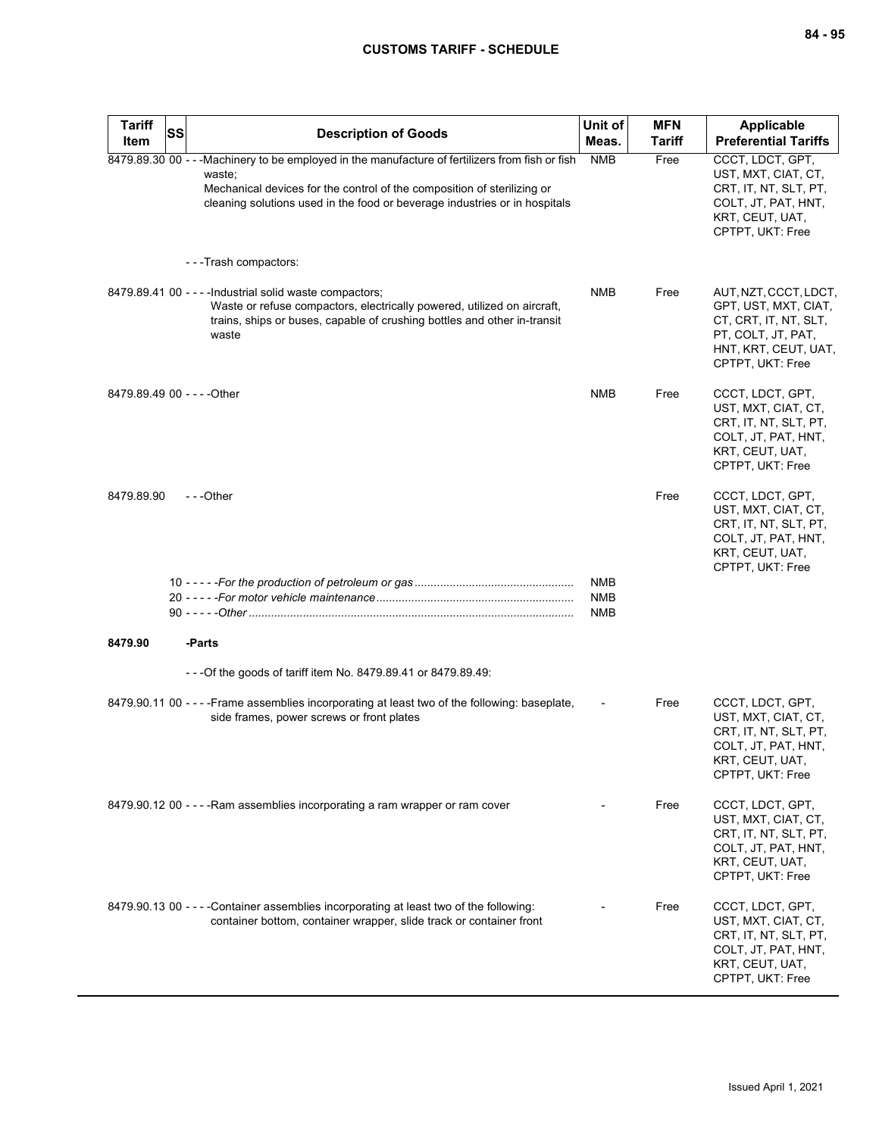| <b>Tariff</b><br>Item       | <b>SS</b> | <b>Description of Goods</b>                                                                                                                                                                                                                                         | Unit of<br>Meas.                | <b>MFN</b><br><b>Tariff</b> | Applicable<br><b>Preferential Tariffs</b>                                                                                                |
|-----------------------------|-----------|---------------------------------------------------------------------------------------------------------------------------------------------------------------------------------------------------------------------------------------------------------------------|---------------------------------|-----------------------------|------------------------------------------------------------------------------------------------------------------------------------------|
|                             |           | 8479.89.30 00 - - - Machinery to be employed in the manufacture of fertilizers from fish or fish<br>waste;<br>Mechanical devices for the control of the composition of sterilizing or<br>cleaning solutions used in the food or beverage industries or in hospitals | <b>NMB</b>                      | Free                        | CCCT, LDCT, GPT,<br>UST, MXT, CIAT, CT,<br>CRT, IT, NT, SLT, PT,<br>COLT, JT, PAT, HNT,<br>KRT, CEUT, UAT,<br>CPTPT, UKT: Free           |
|                             |           | ---Trash compactors:                                                                                                                                                                                                                                                |                                 |                             |                                                                                                                                          |
|                             |           | 8479.89.41 00 - - - - Industrial solid waste compactors;<br>Waste or refuse compactors, electrically powered, utilized on aircraft,<br>trains, ships or buses, capable of crushing bottles and other in-transit<br>waste                                            | NMB                             | Free                        | AUT, NZT, CCCT, LDCT,<br>GPT, UST, MXT, CIAT,<br>CT, CRT, IT, NT, SLT,<br>PT, COLT, JT, PAT,<br>HNT, KRT, CEUT, UAT,<br>CPTPT, UKT: Free |
| 8479.89.49 00 - - - - Other |           |                                                                                                                                                                                                                                                                     | <b>NMB</b>                      | Free                        | CCCT, LDCT, GPT,<br>UST, MXT, CIAT, CT,<br>CRT, IT, NT, SLT, PT,<br>COLT, JT, PAT, HNT,<br>KRT, CEUT, UAT,<br>CPTPT, UKT: Free           |
| 8479.89.90                  |           | $- -$ Other                                                                                                                                                                                                                                                         |                                 | Free                        | CCCT, LDCT, GPT,<br>UST, MXT, CIAT, CT,<br>CRT, IT, NT, SLT, PT,<br>COLT, JT, PAT, HNT,<br>KRT, CEUT, UAT,<br>CPTPT, UKT: Free           |
|                             |           |                                                                                                                                                                                                                                                                     | <b>NMB</b><br><b>NMB</b><br>NMB |                             |                                                                                                                                          |
| 8479.90                     |           | -Parts                                                                                                                                                                                                                                                              |                                 |                             |                                                                                                                                          |
|                             |           | - - - Of the goods of tariff item No. 8479.89.41 or 8479.89.49:                                                                                                                                                                                                     |                                 |                             |                                                                                                                                          |
|                             |           | 8479.90.11 00 - - - - Frame assemblies incorporating at least two of the following: baseplate,<br>side frames, power screws or front plates                                                                                                                         |                                 | Free                        | CCCT, LDCT, GPT,<br>UST, MXT, CIAT, CT,<br>CRT, IT, NT, SLT, PT,<br>COLT, JT, PAT, HNT,<br>KRT, CEUT, UAT,<br>CPTPT, UKT: Free           |
|                             |           | 8479.90.12 00 - - - - Ram assemblies incorporating a ram wrapper or ram cover                                                                                                                                                                                       |                                 | Free                        | CCCT, LDCT, GPT,<br>UST, MXT, CIAT, CT,<br>CRT, IT, NT, SLT, PT,<br>COLT, JT, PAT, HNT,<br>KRT, CEUT, UAT,<br>CPTPT, UKT: Free           |
|                             |           | 8479.90.13 00 - - - - Container assemblies incorporating at least two of the following:<br>container bottom, container wrapper, slide track or container front                                                                                                      |                                 | Free                        | CCCT, LDCT, GPT,<br>UST, MXT, CIAT, CT,<br>CRT, IT, NT, SLT, PT,<br>COLT, JT, PAT, HNT,<br>KRT, CEUT, UAT,<br>CPTPT, UKT: Free           |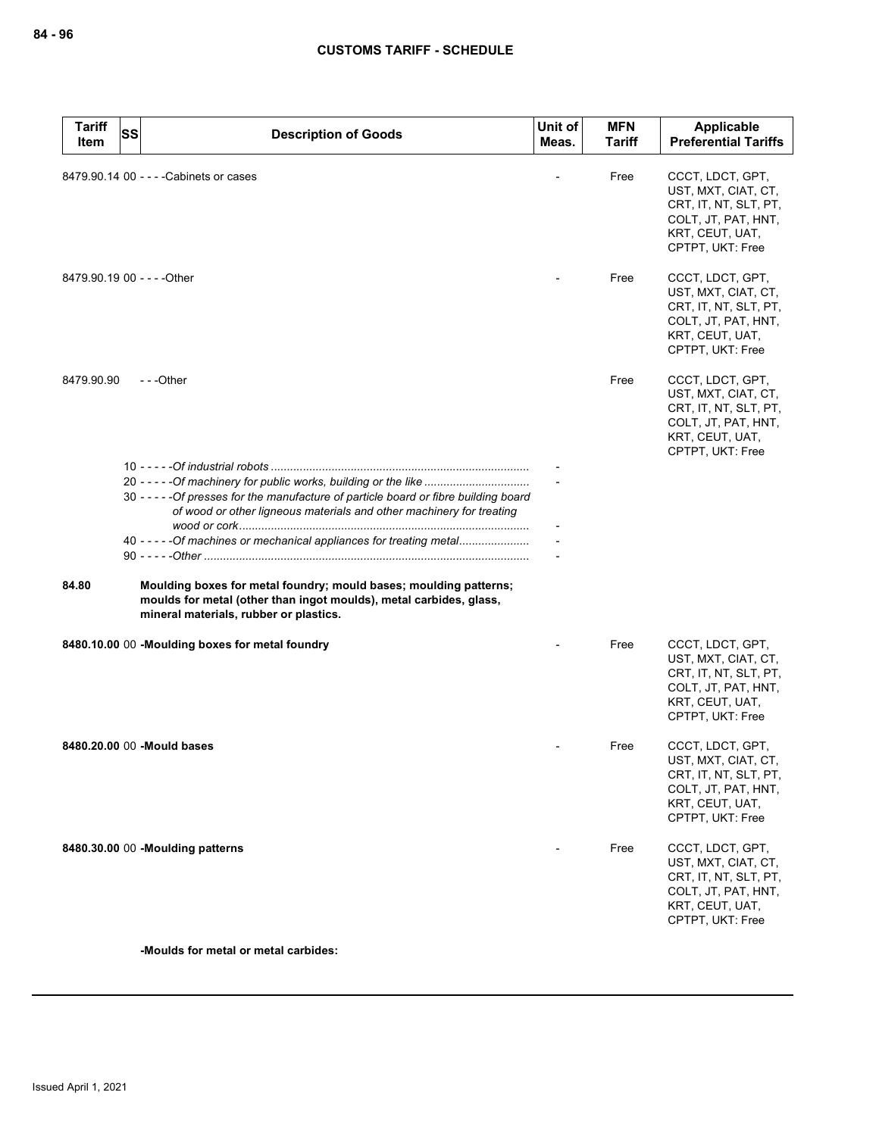| <b>Tariff</b><br>Item | SS<br><b>Description of Goods</b>                                                                                                                                                 | Unit of<br>Meas. | <b>MFN</b><br>Tariff | <b>Applicable</b><br><b>Preferential Tariffs</b>                                                                               |
|-----------------------|-----------------------------------------------------------------------------------------------------------------------------------------------------------------------------------|------------------|----------------------|--------------------------------------------------------------------------------------------------------------------------------|
|                       | 8479.90.14 00 - - - - Cabinets or cases                                                                                                                                           |                  | Free                 | CCCT, LDCT, GPT,<br>UST, MXT, CIAT, CT,<br>CRT, IT, NT, SLT, PT,<br>COLT, JT, PAT, HNT,<br>KRT, CEUT, UAT,<br>CPTPT, UKT: Free |
|                       | 8479.90.19 00 - - - - Other                                                                                                                                                       |                  | Free                 | CCCT, LDCT, GPT,<br>UST, MXT, CIAT, CT,<br>CRT, IT, NT, SLT, PT,<br>COLT, JT, PAT, HNT,<br>KRT, CEUT, UAT,<br>CPTPT, UKT: Free |
| 8479.90.90            | $- -$ Other                                                                                                                                                                       |                  | Free                 | CCCT, LDCT, GPT,<br>UST, MXT, CIAT, CT,<br>CRT, IT, NT, SLT, PT,<br>COLT, JT, PAT, HNT,<br>KRT, CEUT, UAT,<br>CPTPT, UKT: Free |
|                       | 20 - - - - - Of machinery for public works, building or the like                                                                                                                  |                  |                      |                                                                                                                                |
|                       | 30 - - - - - Of presses for the manufacture of particle board or fibre building board<br>of wood or other ligneous materials and other machinery for treating                     |                  |                      |                                                                                                                                |
|                       | 40 - - - - - Of machines or mechanical appliances for treating metal                                                                                                              |                  |                      |                                                                                                                                |
| 84.80                 | Moulding boxes for metal foundry; mould bases; moulding patterns;<br>moulds for metal (other than ingot moulds), metal carbides, glass,<br>mineral materials, rubber or plastics. |                  |                      |                                                                                                                                |
|                       | 8480.10.00 00 -Moulding boxes for metal foundry                                                                                                                                   |                  | Free                 | CCCT, LDCT, GPT,<br>UST, MXT, CIAT, CT,<br>CRT, IT, NT, SLT, PT,<br>COLT, JT, PAT, HNT,<br>KRT, CEUT, UAT,<br>CPTPT, UKT: Free |
|                       | 8480.20.00 00 - Mould bases                                                                                                                                                       |                  | Free                 | CCCT, LDCT, GPT,<br>UST, MXT, CIAT, CT,<br>CRT, IT, NT, SLT, PT,<br>COLT, JT, PAT, HNT,<br>KRT, CEUT, UAT,<br>CPTPT, UKT: Free |
|                       | 8480.30.00 00 -Moulding patterns                                                                                                                                                  |                  | Free                 | CCCT, LDCT, GPT,<br>UST, MXT, CIAT, CT,<br>CRT, IT, NT, SLT, PT,<br>COLT, JT, PAT, HNT,<br>KRT, CEUT, UAT,<br>CPTPT, UKT: Free |

**-Moulds for metal or metal carbides:**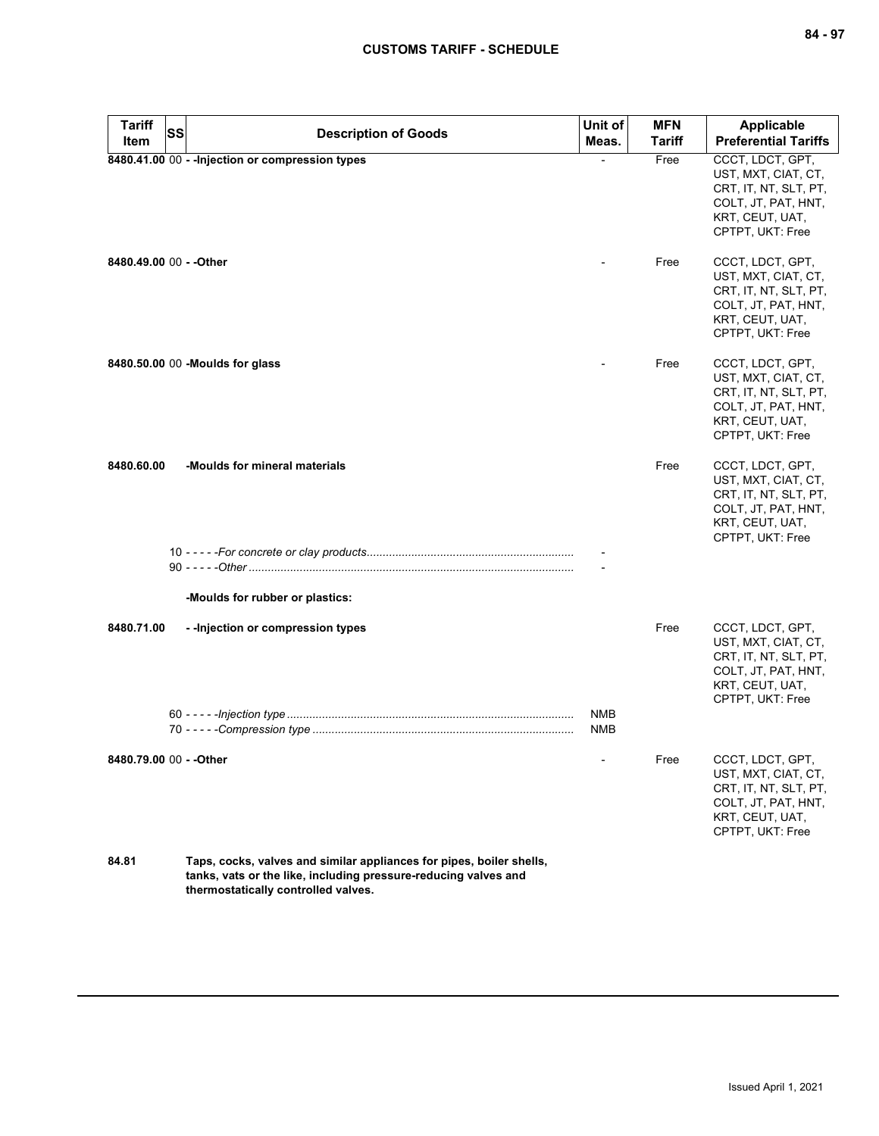| <b>Tariff</b><br>Item   | <b>SS</b> | <b>Description of Goods</b>                                          | Unit of<br>Meas.  | <b>MFN</b><br><b>Tariff</b> | <b>Applicable</b><br><b>Preferential Tariffs</b>                                                                               |
|-------------------------|-----------|----------------------------------------------------------------------|-------------------|-----------------------------|--------------------------------------------------------------------------------------------------------------------------------|
|                         |           | 8480.41.00 00 - - Injection or compression types                     |                   | Free                        | CCCT, LDCT, GPT,<br>UST, MXT, CIAT, CT,<br>CRT, IT, NT, SLT, PT,<br>COLT, JT, PAT, HNT,<br>KRT, CEUT, UAT,<br>CPTPT, UKT: Free |
| 8480.49.00 00 - - Other |           |                                                                      |                   | Free                        | CCCT, LDCT, GPT,<br>UST, MXT, CIAT, CT,<br>CRT, IT, NT, SLT, PT,<br>COLT, JT, PAT, HNT,<br>KRT, CEUT, UAT,<br>CPTPT, UKT: Free |
|                         |           | 8480.50.00 00 -Moulds for glass                                      |                   | Free                        | CCCT, LDCT, GPT,<br>UST, MXT, CIAT, CT,<br>CRT, IT, NT, SLT, PT,<br>COLT, JT, PAT, HNT,<br>KRT, CEUT, UAT,<br>CPTPT, UKT: Free |
| 8480.60.00              |           | -Moulds for mineral materials                                        |                   | Free                        | CCCT, LDCT, GPT,<br>UST, MXT, CIAT, CT,<br>CRT, IT, NT, SLT, PT,<br>COLT, JT, PAT, HNT,<br>KRT, CEUT, UAT,<br>CPTPT, UKT: Free |
|                         |           | -Moulds for rubber or plastics:                                      |                   |                             |                                                                                                                                |
| 8480.71.00              |           | - - Injection or compression types                                   |                   | Free                        | CCCT, LDCT, GPT,<br>UST, MXT, CIAT, CT,<br>CRT, IT, NT, SLT, PT,<br>COLT, JT, PAT, HNT,<br>KRT, CEUT, UAT,<br>CPTPT, UKT: Free |
|                         |           |                                                                      | NMB<br><b>NMB</b> |                             |                                                                                                                                |
| 8480.79.00 00 - - Other |           |                                                                      |                   | Free                        | CCCT, LDCT, GPT,<br>UST, MXT, CIAT, CT,<br>CRT, IT, NT, SLT, PT,<br>COLT, JT, PAT, HNT,<br>KRT, CEUT, UAT,<br>CPTPT, UKT: Free |
| 84.81                   |           | Taps, cocks, valves and similar appliances for pipes, boiler shells. |                   |                             |                                                                                                                                |

**84.81 Taps, cocks, valves and similar appliances for pipes, boiler shells, tanks, vats or the like, including pressure-reducing valves and thermostatically controlled valves.**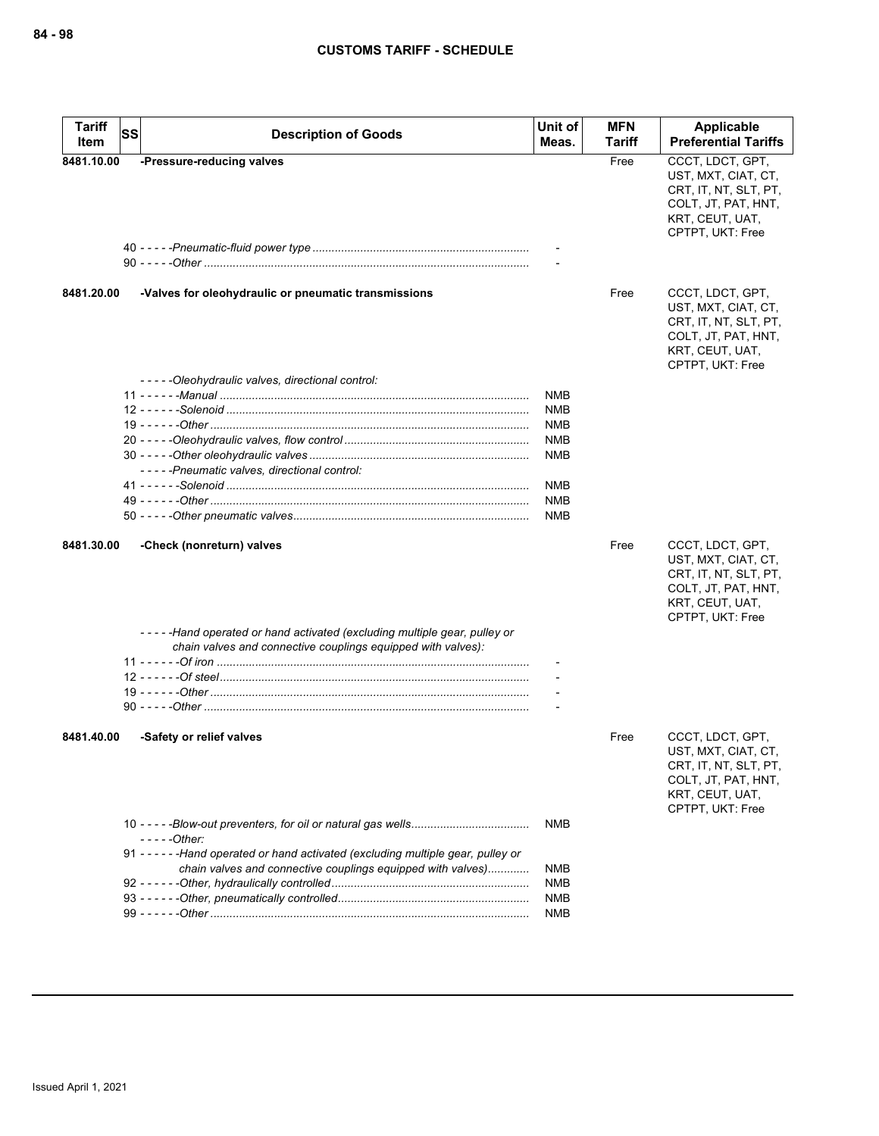| <b>Tariff</b> | <b>SS</b><br><b>Description of Goods</b>                                           | Unit of        | <b>MFN</b> | <b>Applicable</b>                                                                                                              |
|---------------|------------------------------------------------------------------------------------|----------------|------------|--------------------------------------------------------------------------------------------------------------------------------|
| Item          |                                                                                    | Meas.          | Tariff     | <b>Preferential Tariffs</b>                                                                                                    |
| 8481.10.00    | -Pressure-reducing valves                                                          |                | Free       | CCCT, LDCT, GPT,<br>UST, MXT, CIAT, CT,<br>CRT, IT, NT, SLT, PT,<br>COLT, JT, PAT, HNT,<br>KRT, CEUT, UAT,<br>CPTPT, UKT: Free |
|               |                                                                                    |                |            |                                                                                                                                |
|               |                                                                                    |                |            |                                                                                                                                |
| 8481.20.00    | -Valves for oleohydraulic or pneumatic transmissions                               |                | Free       | CCCT, LDCT, GPT,<br>UST, MXT, CIAT, CT,<br>CRT, IT, NT, SLT, PT,<br>COLT, JT, PAT, HNT,<br>KRT, CEUT, UAT,<br>CPTPT, UKT: Free |
|               | -----Oleohydraulic valves, directional control:                                    |                |            |                                                                                                                                |
|               |                                                                                    | NMB            |            |                                                                                                                                |
|               |                                                                                    | NMB            |            |                                                                                                                                |
|               |                                                                                    | <b>NMB</b>     |            |                                                                                                                                |
|               |                                                                                    | <b>NMB</b>     |            |                                                                                                                                |
|               |                                                                                    | <b>NMB</b>     |            |                                                                                                                                |
|               | -----Pneumatic valves, directional control:                                        |                |            |                                                                                                                                |
|               |                                                                                    | <b>NMB</b>     |            |                                                                                                                                |
|               |                                                                                    | <b>NMB</b>     |            |                                                                                                                                |
|               |                                                                                    | NMB            |            |                                                                                                                                |
| 8481.30.00    | -Check (nonreturn) valves                                                          |                | Free       | CCCT, LDCT, GPT,<br>UST, MXT, CIAT, CT,<br>CRT, IT, NT, SLT, PT,<br>COLT, JT, PAT, HNT,<br>KRT, CEUT, UAT,<br>CPTPT, UKT: Free |
|               | -----Hand operated or hand activated (excluding multiple gear, pulley or           |                |            |                                                                                                                                |
|               | chain valves and connective couplings equipped with valves):                       |                |            |                                                                                                                                |
|               |                                                                                    |                |            |                                                                                                                                |
|               |                                                                                    |                |            |                                                                                                                                |
|               |                                                                                    |                |            |                                                                                                                                |
|               |                                                                                    | $\blacksquare$ |            |                                                                                                                                |
| 8481.40.00    | -Safety or relief valves                                                           |                | Free       | CCCT, LDCT, GPT,<br>UST, MXT, CIAT, CT,<br>CRT, IT, NT, SLT, PT,<br>COLT, JT, PAT, HNT,<br>KRT, CEUT, UAT,<br>CPTPT, UKT: Free |
|               |                                                                                    | <b>NMB</b>     |            |                                                                                                                                |
|               | $---Other:$                                                                        |                |            |                                                                                                                                |
|               | 91 - - - - - - Hand operated or hand activated (excluding multiple gear, pulley or |                |            |                                                                                                                                |
|               | chain valves and connective couplings equipped with valves)                        | NMB            |            |                                                                                                                                |
|               |                                                                                    | NMB            |            |                                                                                                                                |
|               |                                                                                    | <b>NMB</b>     |            |                                                                                                                                |
|               |                                                                                    | <b>NMB</b>     |            |                                                                                                                                |
|               |                                                                                    |                |            |                                                                                                                                |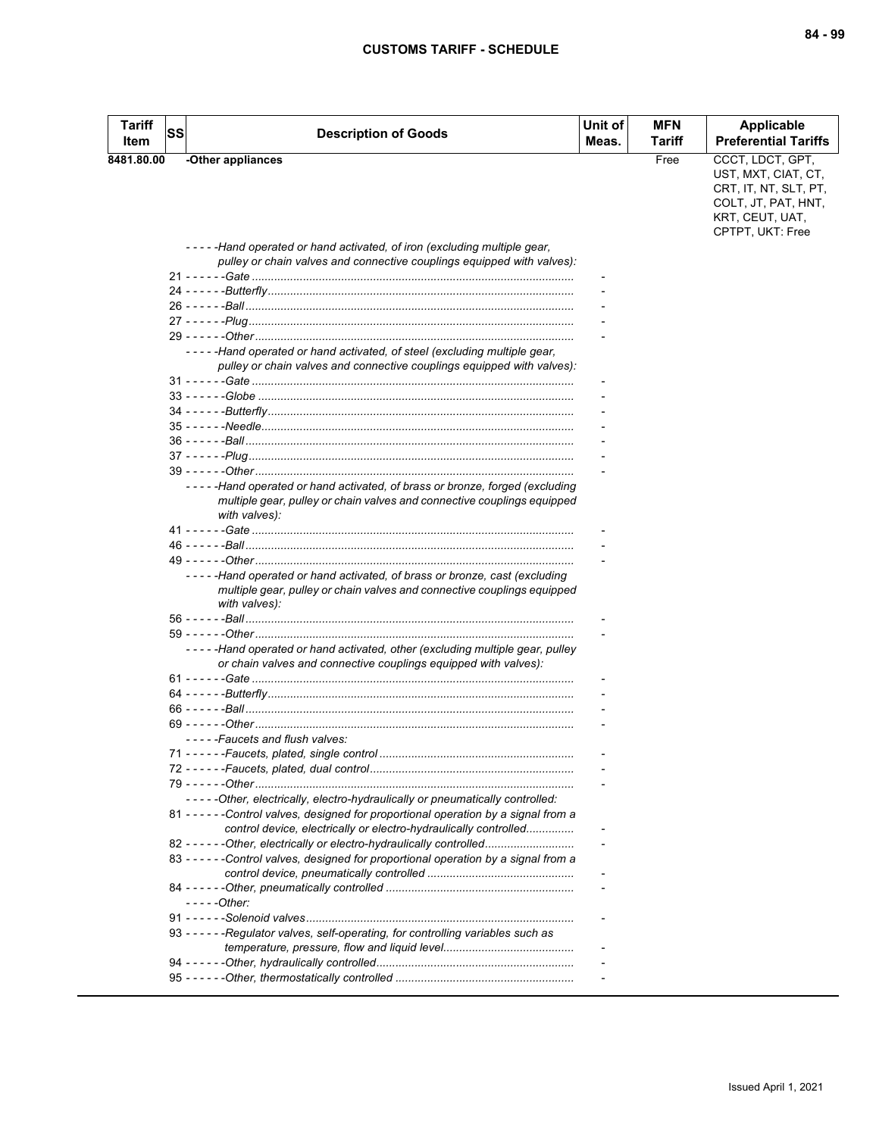| <b>Tariff</b><br>Item | <b>SS</b> | <b>Description of Goods</b>                                                                                                                                           | Unit of<br>Meas. | <b>MFN</b><br>Tariff | <b>Applicable</b><br><b>Preferential Tariffs</b>                                                           |
|-----------------------|-----------|-----------------------------------------------------------------------------------------------------------------------------------------------------------------------|------------------|----------------------|------------------------------------------------------------------------------------------------------------|
| 8481.80.00            |           | -Other appliances                                                                                                                                                     |                  | Free                 | CCCT, LDCT, GPT,                                                                                           |
|                       |           |                                                                                                                                                                       |                  |                      | UST, MXT, CIAT, CT,<br>CRT, IT, NT, SLT, PT,<br>COLT, JT, PAT, HNT,<br>KRT, CEUT, UAT,<br>CPTPT, UKT: Free |
|                       |           | -----Hand operated or hand activated, of iron (excluding multiple gear,                                                                                               |                  |                      |                                                                                                            |
|                       |           | pulley or chain valves and connective couplings equipped with valves):                                                                                                |                  |                      |                                                                                                            |
|                       |           |                                                                                                                                                                       |                  |                      |                                                                                                            |
|                       |           |                                                                                                                                                                       |                  |                      |                                                                                                            |
|                       |           |                                                                                                                                                                       |                  |                      |                                                                                                            |
|                       |           |                                                                                                                                                                       |                  |                      |                                                                                                            |
|                       |           | -----Hand operated or hand activated, of steel (excluding multiple gear,<br>pulley or chain valves and connective couplings equipped with valves):                    |                  |                      |                                                                                                            |
|                       |           |                                                                                                                                                                       |                  |                      |                                                                                                            |
|                       |           |                                                                                                                                                                       |                  |                      |                                                                                                            |
|                       |           |                                                                                                                                                                       |                  |                      |                                                                                                            |
|                       |           |                                                                                                                                                                       |                  |                      |                                                                                                            |
|                       |           |                                                                                                                                                                       |                  |                      |                                                                                                            |
|                       |           |                                                                                                                                                                       |                  |                      |                                                                                                            |
|                       |           | -----Hand operated or hand activated, of brass or bronze, forged (excluding                                                                                           |                  |                      |                                                                                                            |
|                       |           | multiple gear, pulley or chain valves and connective couplings equipped<br>with valves):                                                                              |                  |                      |                                                                                                            |
|                       |           |                                                                                                                                                                       |                  |                      |                                                                                                            |
|                       |           |                                                                                                                                                                       |                  |                      |                                                                                                            |
|                       |           |                                                                                                                                                                       |                  |                      |                                                                                                            |
|                       |           | -----Hand operated or hand activated, of brass or bronze, cast (excluding<br>multiple gear, pulley or chain valves and connective couplings equipped<br>with valves): |                  |                      |                                                                                                            |
|                       |           |                                                                                                                                                                       |                  |                      |                                                                                                            |
|                       |           |                                                                                                                                                                       |                  |                      |                                                                                                            |
|                       |           | -----Hand operated or hand activated, other (excluding multiple gear, pulley<br>or chain valves and connective couplings equipped with valves):                       |                  |                      |                                                                                                            |
|                       |           |                                                                                                                                                                       |                  |                      |                                                                                                            |
|                       |           |                                                                                                                                                                       |                  |                      |                                                                                                            |
|                       |           |                                                                                                                                                                       |                  |                      |                                                                                                            |
|                       |           | -----Faucets and flush valves:                                                                                                                                        |                  |                      |                                                                                                            |
|                       |           |                                                                                                                                                                       |                  |                      |                                                                                                            |
|                       |           |                                                                                                                                                                       |                  |                      |                                                                                                            |
|                       |           |                                                                                                                                                                       |                  |                      |                                                                                                            |
|                       |           | - - - - - Other, electrically, electro-hydraulically or pneumatically controlled:                                                                                     |                  |                      |                                                                                                            |
|                       |           | 81 - - - - - - Control valves, designed for proportional operation by a signal from a<br>control device, electrically or electro-hydraulically controlled             |                  |                      |                                                                                                            |
|                       |           | 82 - - - - - - Other, electrically or electro-hydraulically controlled                                                                                                |                  |                      |                                                                                                            |
|                       |           | 83 - - - - - - Control valves, designed for proportional operation by a signal from a                                                                                 |                  |                      |                                                                                                            |
|                       |           | $--$ - $-$ Other:                                                                                                                                                     |                  |                      |                                                                                                            |
|                       |           |                                                                                                                                                                       |                  |                      |                                                                                                            |
|                       |           | 93 - - - - - - Regulator valves, self-operating, for controlling variables such as                                                                                    |                  |                      |                                                                                                            |
|                       |           |                                                                                                                                                                       |                  |                      |                                                                                                            |
|                       |           |                                                                                                                                                                       |                  |                      |                                                                                                            |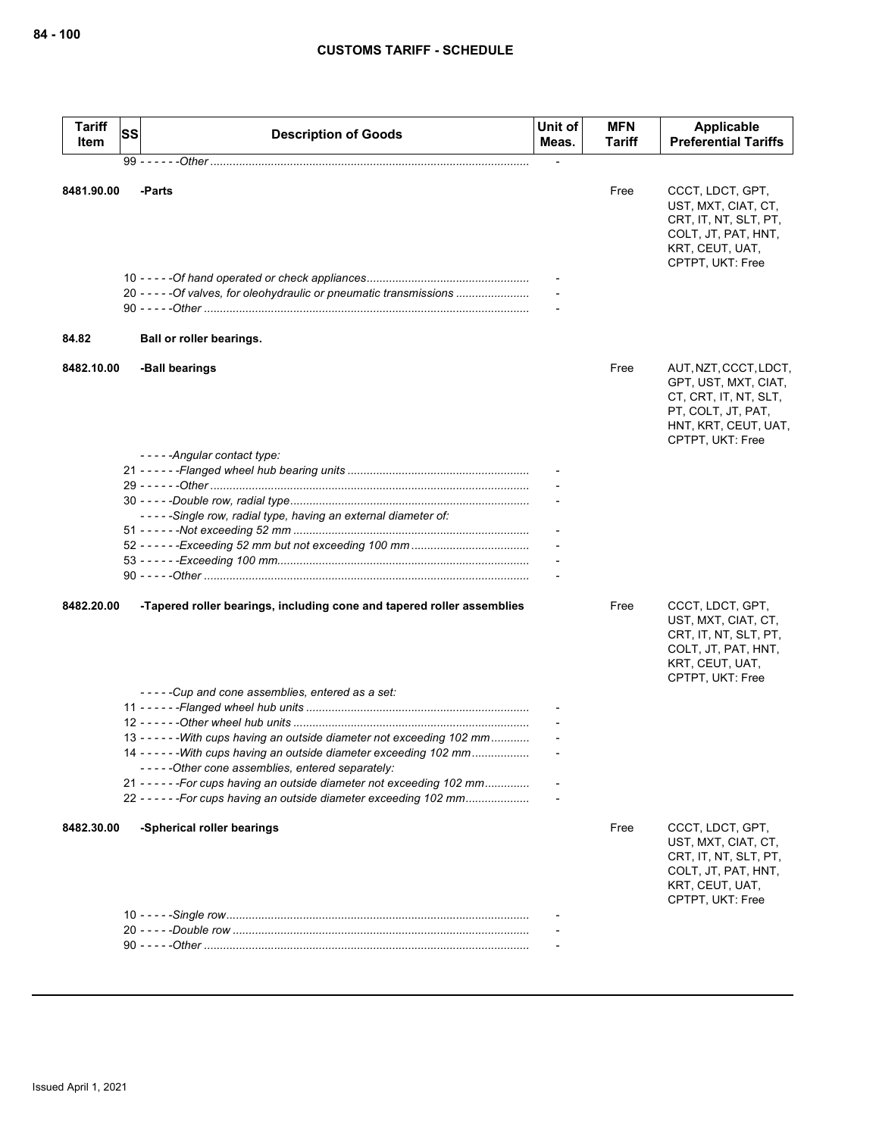| <b>Tariff</b><br>Item | SS | <b>Description of Goods</b>                                                                                                                    | Unit of<br>Meas. | <b>MFN</b><br>Tariff | Applicable<br><b>Preferential Tariffs</b>                                                                                                |
|-----------------------|----|------------------------------------------------------------------------------------------------------------------------------------------------|------------------|----------------------|------------------------------------------------------------------------------------------------------------------------------------------|
|                       |    |                                                                                                                                                |                  |                      |                                                                                                                                          |
| 8481.90.00            |    | -Parts                                                                                                                                         |                  | Free                 | CCCT, LDCT, GPT,<br>UST, MXT, CIAT, CT,<br>CRT, IT, NT, SLT, PT,<br>COLT, JT, PAT, HNT,<br>KRT, CEUT, UAT,<br>CPTPT, UKT: Free           |
|                       |    | 20 - - - - - Of valves, for oleohydraulic or pneumatic transmissions                                                                           |                  |                      |                                                                                                                                          |
|                       |    |                                                                                                                                                |                  |                      |                                                                                                                                          |
|                       |    |                                                                                                                                                |                  |                      |                                                                                                                                          |
| 84.82                 |    | Ball or roller bearings.                                                                                                                       |                  |                      |                                                                                                                                          |
| 8482.10.00            |    | -Ball bearings                                                                                                                                 |                  | Free                 | AUT, NZT, CCCT, LDCT,<br>GPT, UST, MXT, CIAT,<br>CT, CRT, IT, NT, SLT,<br>PT, COLT, JT, PAT,<br>HNT, KRT, CEUT, UAT,<br>CPTPT, UKT: Free |
|                       |    | -----Angular contact type:                                                                                                                     |                  |                      |                                                                                                                                          |
|                       |    |                                                                                                                                                |                  |                      |                                                                                                                                          |
|                       |    |                                                                                                                                                |                  |                      |                                                                                                                                          |
|                       |    |                                                                                                                                                |                  |                      |                                                                                                                                          |
|                       |    | -----Single row, radial type, having an external diameter of:                                                                                  |                  |                      |                                                                                                                                          |
|                       |    |                                                                                                                                                |                  |                      |                                                                                                                                          |
|                       |    |                                                                                                                                                |                  |                      |                                                                                                                                          |
|                       |    |                                                                                                                                                |                  |                      |                                                                                                                                          |
|                       |    |                                                                                                                                                |                  |                      |                                                                                                                                          |
| 8482.20.00            |    | -Tapered roller bearings, including cone and tapered roller assemblies                                                                         |                  | Free                 | CCCT, LDCT, GPT,<br>UST, MXT, CIAT, CT,<br>CRT, IT, NT, SLT, PT,<br>COLT, JT, PAT, HNT,<br>KRT, CEUT, UAT,<br>CPTPT, UKT: Free           |
|                       |    | -----Cup and cone assemblies, entered as a set:                                                                                                |                  |                      |                                                                                                                                          |
|                       |    |                                                                                                                                                |                  |                      |                                                                                                                                          |
|                       |    |                                                                                                                                                |                  |                      |                                                                                                                                          |
|                       |    | 13 - - - - - - With cups having an outside diameter not exceeding 102 mm                                                                       |                  |                      |                                                                                                                                          |
|                       |    | 14 - - - - - - With cups having an outside diameter exceeding 102 mm                                                                           |                  |                      |                                                                                                                                          |
|                       |    | -----Other cone assemblies, entered separately:                                                                                                |                  |                      |                                                                                                                                          |
|                       |    | 21 - - - - - - For cups having an outside diameter not exceeding 102 mm<br>22 - - - - - - For cups having an outside diameter exceeding 102 mm |                  |                      |                                                                                                                                          |
|                       |    |                                                                                                                                                |                  |                      |                                                                                                                                          |
| 8482.30.00            |    | -Spherical roller bearings                                                                                                                     |                  | Free                 | CCCT, LDCT, GPT,<br>UST, MXT, CIAT, CT,<br>CRT, IT, NT, SLT, PT,<br>COLT, JT, PAT, HNT,<br>KRT, CEUT, UAT,<br>CPTPT, UKT: Free           |
|                       |    |                                                                                                                                                |                  |                      |                                                                                                                                          |
|                       |    |                                                                                                                                                |                  |                      |                                                                                                                                          |
|                       |    |                                                                                                                                                |                  |                      |                                                                                                                                          |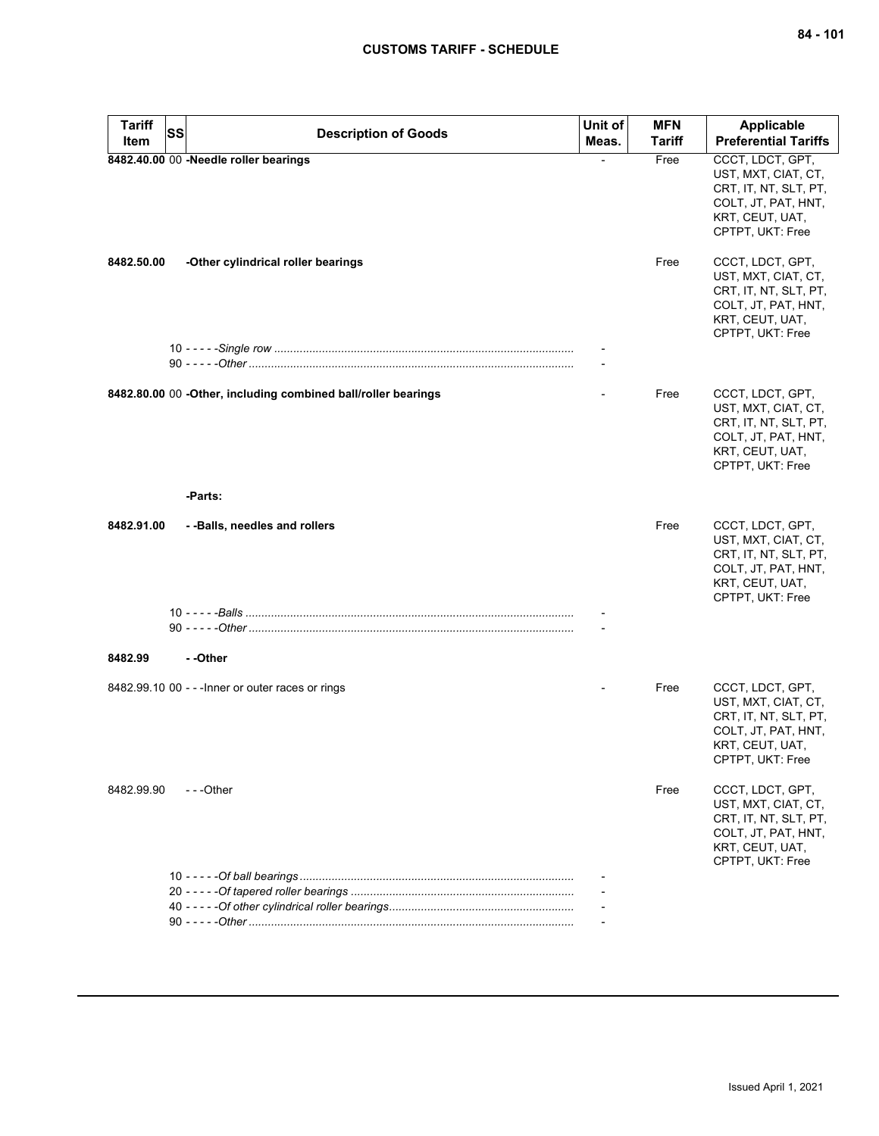| <b>Tariff</b> | <b>SS</b> | <b>Description of Goods</b>                                   | Unit of | <b>MFN</b> | <b>Applicable</b>                                                                                                              |
|---------------|-----------|---------------------------------------------------------------|---------|------------|--------------------------------------------------------------------------------------------------------------------------------|
| Item          |           |                                                               | Meas.   | Tariff     | <b>Preferential Tariffs</b>                                                                                                    |
|               |           | 8482.40.00 00 -Needle roller bearings                         |         | Free       | CCCT, LDCT, GPT,<br>UST, MXT, CIAT, CT,<br>CRT, IT, NT, SLT, PT,<br>COLT, JT, PAT, HNT,<br>KRT, CEUT, UAT,<br>CPTPT, UKT: Free |
| 8482.50.00    |           | -Other cylindrical roller bearings                            |         | Free       | CCCT, LDCT, GPT,<br>UST, MXT, CIAT, CT,<br>CRT, IT, NT, SLT, PT,<br>COLT, JT, PAT, HNT,<br>KRT, CEUT, UAT,<br>CPTPT, UKT: Free |
|               |           |                                                               |         |            |                                                                                                                                |
|               |           |                                                               |         |            |                                                                                                                                |
|               |           | 8482.80.00 00 -Other, including combined ball/roller bearings |         | Free       | CCCT, LDCT, GPT,<br>UST, MXT, CIAT, CT,<br>CRT, IT, NT, SLT, PT,<br>COLT, JT, PAT, HNT,<br>KRT, CEUT, UAT,<br>CPTPT, UKT: Free |
|               |           | -Parts:                                                       |         |            |                                                                                                                                |
| 8482.91.00    |           | --Balls, needles and rollers                                  |         | Free       | CCCT, LDCT, GPT,<br>UST, MXT, CIAT, CT,<br>CRT, IT, NT, SLT, PT,<br>COLT, JT, PAT, HNT,<br>KRT, CEUT, UAT,<br>CPTPT, UKT: Free |
|               |           |                                                               |         |            |                                                                                                                                |
|               |           |                                                               |         |            |                                                                                                                                |
| 8482.99       |           | - -Other                                                      |         |            |                                                                                                                                |
|               |           | 8482.99.10 00 - - - Inner or outer races or rings             |         | Free       | CCCT, LDCT, GPT,<br>UST, MXT, CIAT, CT,<br>CRT, IT, NT, SLT, PT,<br>COLT, JT, PAT, HNT,<br>KRT, CEUT, UAT,<br>CPTPT, UKT: Free |
| 8482.99.90    |           | ---Other                                                      |         | Free       | CCCT, LDCT, GPT,<br>UST, MXT, CIAT, CT,<br>CRT, IT, NT, SLT, PT,<br>COLT, JT, PAT, HNT,<br>KRT, CEUT, UAT,<br>CPTPT, UKT: Free |
|               |           |                                                               |         |            |                                                                                                                                |
|               |           |                                                               |         |            |                                                                                                                                |
|               |           |                                                               |         |            |                                                                                                                                |
|               |           |                                                               |         |            |                                                                                                                                |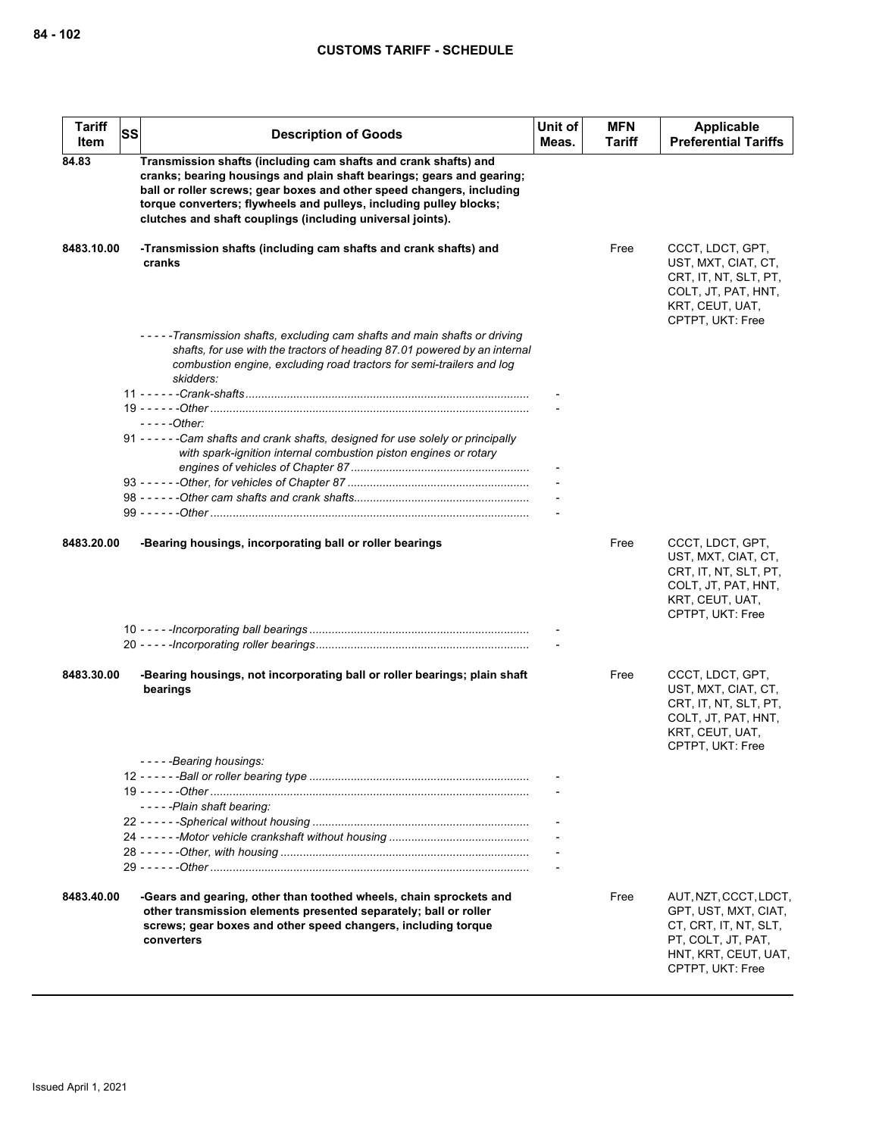| <b>Tariff</b><br>Item | <b>SS</b> | <b>Description of Goods</b>                                                                                                                                                                                                                                                                                                                           | Unit of<br>Meas. | <b>MFN</b><br>Tariff | Applicable<br><b>Preferential Tariffs</b>                                                                                                |
|-----------------------|-----------|-------------------------------------------------------------------------------------------------------------------------------------------------------------------------------------------------------------------------------------------------------------------------------------------------------------------------------------------------------|------------------|----------------------|------------------------------------------------------------------------------------------------------------------------------------------|
| 84.83                 |           | Transmission shafts (including cam shafts and crank shafts) and<br>cranks; bearing housings and plain shaft bearings; gears and gearing;<br>ball or roller screws; gear boxes and other speed changers, including<br>torque converters; flywheels and pulleys, including pulley blocks;<br>clutches and shaft couplings (including universal joints). |                  |                      |                                                                                                                                          |
| 8483.10.00            |           | -Transmission shafts (including cam shafts and crank shafts) and<br>cranks                                                                                                                                                                                                                                                                            |                  | Free                 | CCCT, LDCT, GPT,<br>UST, MXT, CIAT, CT,<br>CRT, IT, NT, SLT, PT,<br>COLT, JT, PAT, HNT,<br>KRT, CEUT, UAT,<br>CPTPT, UKT: Free           |
|                       |           | -----Transmission shafts, excluding cam shafts and main shafts or driving<br>shafts, for use with the tractors of heading 87.01 powered by an internal<br>combustion engine, excluding road tractors for semi-trailers and log<br>skidders:                                                                                                           |                  |                      |                                                                                                                                          |
|                       |           | $---Other:$<br>91 - - - - - - Cam shafts and crank shafts, designed for use solely or principally<br>with spark-ignition internal combustion piston engines or rotary                                                                                                                                                                                 |                  |                      |                                                                                                                                          |
|                       |           |                                                                                                                                                                                                                                                                                                                                                       |                  |                      |                                                                                                                                          |
| 8483.20.00            |           | -Bearing housings, incorporating ball or roller bearings                                                                                                                                                                                                                                                                                              |                  | Free                 | CCCT, LDCT, GPT,<br>UST, MXT, CIAT, CT,<br>CRT, IT, NT, SLT, PT,<br>COLT, JT, PAT, HNT,<br>KRT, CEUT, UAT,<br>CPTPT, UKT: Free           |
|                       |           |                                                                                                                                                                                                                                                                                                                                                       |                  |                      |                                                                                                                                          |
| 8483.30.00            |           | -Bearing housings, not incorporating ball or roller bearings; plain shaft<br>bearings                                                                                                                                                                                                                                                                 |                  | Free                 | CCCT, LDCT, GPT,<br>UST, MXT, CIAT, CT,<br>CRT, IT, NT, SLT, PT,<br>COLT, JT, PAT, HNT,<br>KRT, CEUT, UAT,<br>CPTPT, UKT: Free           |
|                       |           | -----Bearing housings:                                                                                                                                                                                                                                                                                                                                |                  |                      |                                                                                                                                          |
|                       |           | -----Plain shaft bearing:                                                                                                                                                                                                                                                                                                                             |                  |                      |                                                                                                                                          |
|                       |           |                                                                                                                                                                                                                                                                                                                                                       |                  |                      |                                                                                                                                          |
| 8483.40.00            |           | -Gears and gearing, other than toothed wheels, chain sprockets and<br>other transmission elements presented separately; ball or roller<br>screws; gear boxes and other speed changers, including torque<br>converters                                                                                                                                 |                  | Free                 | AUT, NZT, CCCT, LDCT,<br>GPT, UST, MXT, CIAT,<br>CT, CRT, IT, NT, SLT,<br>PT, COLT, JT, PAT,<br>HNT, KRT, CEUT, UAT,<br>CPTPT, UKT: Free |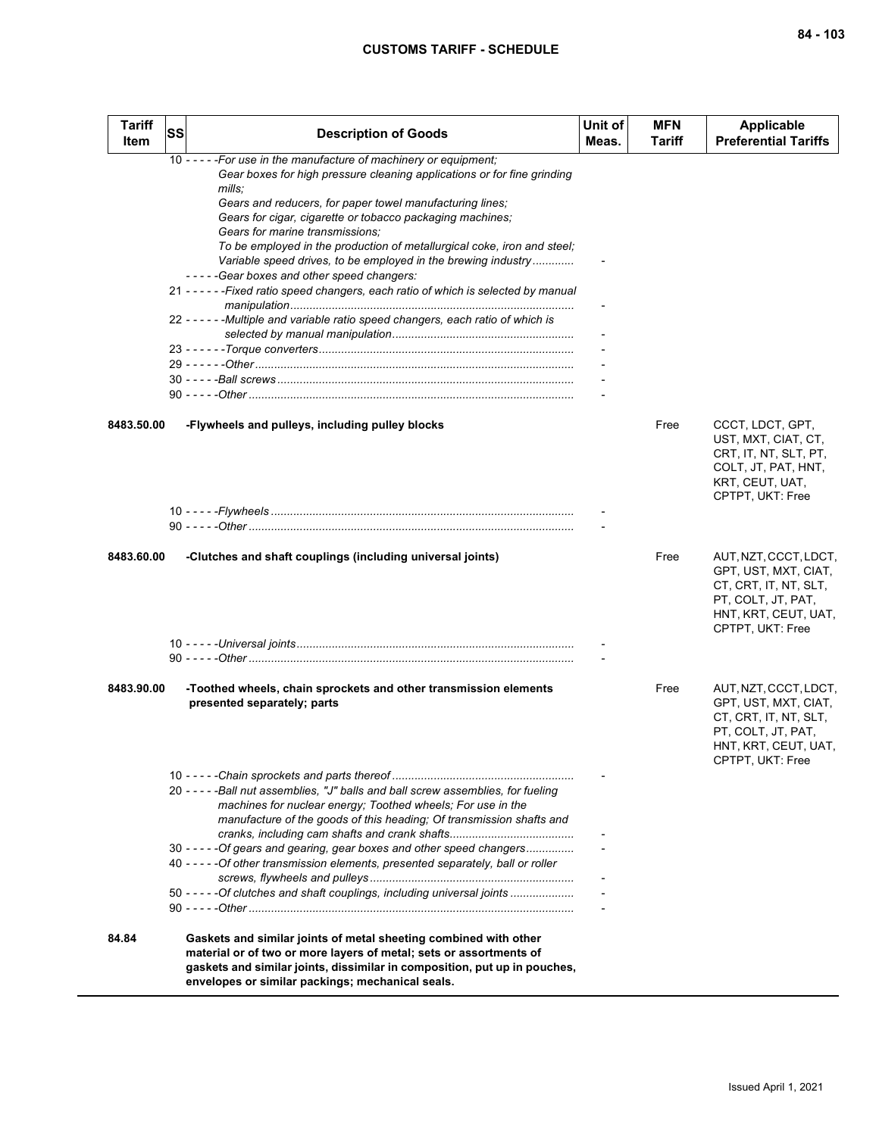| <b>Tariff</b><br>Item | <b>SS</b> | <b>Description of Goods</b>                                                                                                                                                                                                                                                                                                                                                                                                                                                                                                                                                                                                                                                               | Unit of<br>Meas. | <b>MFN</b><br>Tariff | <b>Applicable</b><br><b>Preferential Tariffs</b>                                                                                         |
|-----------------------|-----------|-------------------------------------------------------------------------------------------------------------------------------------------------------------------------------------------------------------------------------------------------------------------------------------------------------------------------------------------------------------------------------------------------------------------------------------------------------------------------------------------------------------------------------------------------------------------------------------------------------------------------------------------------------------------------------------------|------------------|----------------------|------------------------------------------------------------------------------------------------------------------------------------------|
|                       |           | 10 - - - - - For use in the manufacture of machinery or equipment;<br>Gear boxes for high pressure cleaning applications or for fine grinding<br>mills:<br>Gears and reducers, for paper towel manufacturing lines;<br>Gears for cigar, cigarette or tobacco packaging machines;<br>Gears for marine transmissions:<br>To be employed in the production of metallurgical coke, iron and steel;<br>Variable speed drives, to be employed in the brewing industry<br>-----Gear boxes and other speed changers:<br>21 - - - - - - Fixed ratio speed changers, each ratio of which is selected by manual<br>22 - - - - - - Multiple and variable ratio speed changers, each ratio of which is |                  |                      |                                                                                                                                          |
| 8483.50.00            |           | -Flywheels and pulleys, including pulley blocks                                                                                                                                                                                                                                                                                                                                                                                                                                                                                                                                                                                                                                           |                  | Free                 | CCCT, LDCT, GPT,<br>UST, MXT, CIAT, CT,<br>CRT, IT, NT, SLT, PT,<br>COLT, JT, PAT, HNT,<br>KRT, CEUT, UAT,<br>CPTPT, UKT: Free           |
|                       |           |                                                                                                                                                                                                                                                                                                                                                                                                                                                                                                                                                                                                                                                                                           |                  |                      |                                                                                                                                          |
| 8483.60.00            |           | -Clutches and shaft couplings (including universal joints)                                                                                                                                                                                                                                                                                                                                                                                                                                                                                                                                                                                                                                |                  | Free                 | AUT, NZT, CCCT, LDCT,<br>GPT, UST, MXT, CIAT,<br>CT, CRT, IT, NT, SLT,<br>PT, COLT, JT, PAT,<br>HNT, KRT, CEUT, UAT,<br>CPTPT, UKT: Free |
|                       |           |                                                                                                                                                                                                                                                                                                                                                                                                                                                                                                                                                                                                                                                                                           |                  |                      |                                                                                                                                          |
| 8483.90.00            |           | -Toothed wheels, chain sprockets and other transmission elements<br>presented separately; parts                                                                                                                                                                                                                                                                                                                                                                                                                                                                                                                                                                                           |                  | Free                 | AUT, NZT, CCCT, LDCT,<br>GPT, UST, MXT, CIAT,<br>CT, CRT, IT, NT, SLT,<br>PT, COLT, JT, PAT,<br>HNT, KRT, CEUT, UAT,<br>CPTPT, UKT: Free |
|                       |           | 20 - - - - - Ball nut assemblies. "J" balls and ball screw assemblies, for fueling<br>machines for nuclear energy; Toothed wheels; For use in the<br>manufacture of the goods of this heading; Of transmission shafts and                                                                                                                                                                                                                                                                                                                                                                                                                                                                 |                  |                      |                                                                                                                                          |
|                       |           | 30 - - - - - Of gears and gearing, gear boxes and other speed changers<br>40 - - - - - Of other transmission elements, presented separately, ball or roller<br>50 - - - - - Of clutches and shaft couplings, including universal joints                                                                                                                                                                                                                                                                                                                                                                                                                                                   |                  |                      |                                                                                                                                          |
| 84.84                 |           | Gaskets and similar joints of metal sheeting combined with other<br>material or of two or more layers of metal; sets or assortments of<br>gaskets and similar joints, dissimilar in composition, put up in pouches,<br>envelopes or similar packings; mechanical seals.                                                                                                                                                                                                                                                                                                                                                                                                                   |                  |                      |                                                                                                                                          |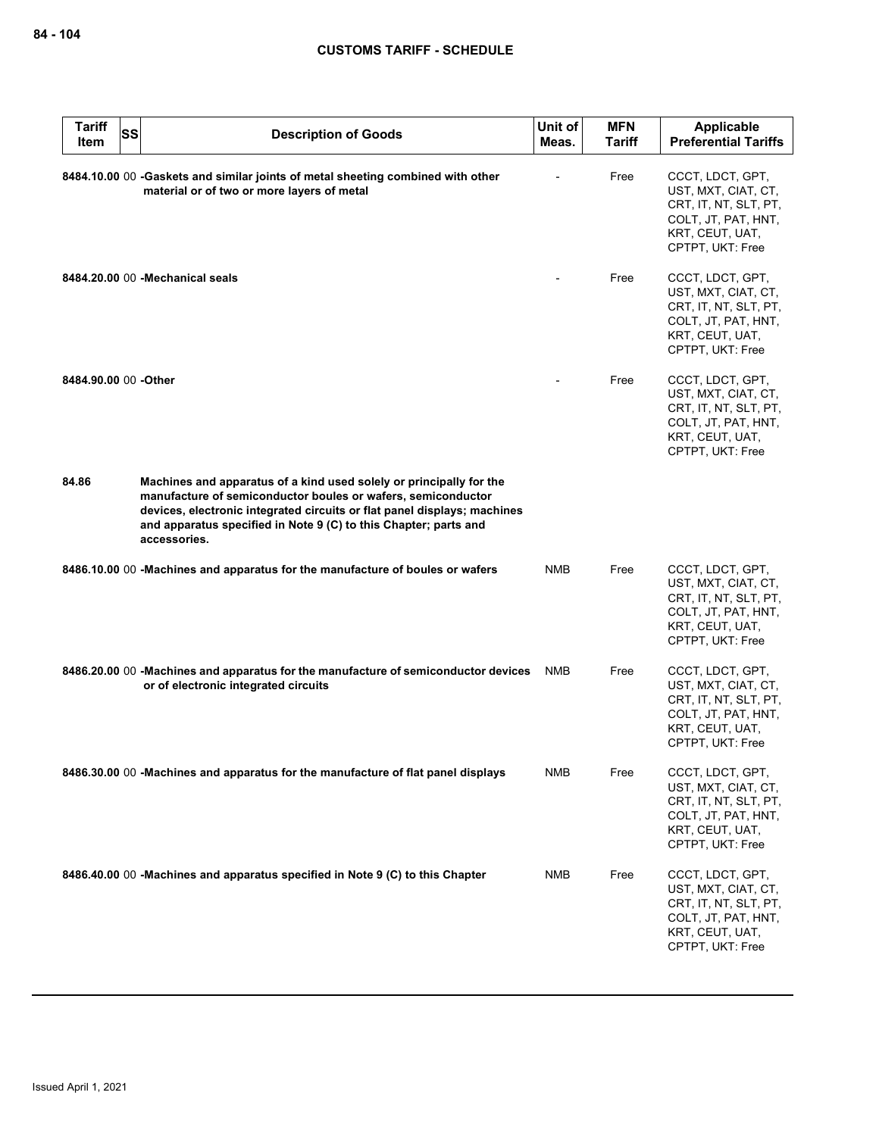| <b>Tariff</b><br>Item | <b>SS</b> | <b>Description of Goods</b>                                                                                                                                                                                                                                                                         | Unit of<br>Meas. | <b>MFN</b><br><b>Tariff</b> | Applicable<br><b>Preferential Tariffs</b>                                                                                      |
|-----------------------|-----------|-----------------------------------------------------------------------------------------------------------------------------------------------------------------------------------------------------------------------------------------------------------------------------------------------------|------------------|-----------------------------|--------------------------------------------------------------------------------------------------------------------------------|
|                       |           | 8484.10.00 00 -Gaskets and similar joints of metal sheeting combined with other<br>material or of two or more layers of metal                                                                                                                                                                       |                  | Free                        | CCCT, LDCT, GPT,<br>UST, MXT, CIAT, CT,<br>CRT, IT, NT, SLT, PT,<br>COLT, JT, PAT, HNT,<br>KRT, CEUT, UAT,<br>CPTPT, UKT: Free |
|                       |           | 8484.20.00 00 - Mechanical seals                                                                                                                                                                                                                                                                    |                  | Free                        | CCCT, LDCT, GPT,<br>UST, MXT, CIAT, CT,<br>CRT, IT, NT, SLT, PT,<br>COLT, JT, PAT, HNT,<br>KRT, CEUT, UAT,<br>CPTPT, UKT: Free |
| 8484.90.00 00 -Other  |           |                                                                                                                                                                                                                                                                                                     |                  | Free                        | CCCT, LDCT, GPT,<br>UST, MXT, CIAT, CT,<br>CRT, IT, NT, SLT, PT,<br>COLT, JT, PAT, HNT,<br>KRT, CEUT, UAT,<br>CPTPT, UKT: Free |
| 84.86                 |           | Machines and apparatus of a kind used solely or principally for the<br>manufacture of semiconductor boules or wafers, semiconductor<br>devices, electronic integrated circuits or flat panel displays; machines<br>and apparatus specified in Note 9 (C) to this Chapter; parts and<br>accessories. |                  |                             |                                                                                                                                |
|                       |           | 8486.10.00 00 -Machines and apparatus for the manufacture of boules or wafers                                                                                                                                                                                                                       | <b>NMB</b>       | Free                        | CCCT, LDCT, GPT,<br>UST, MXT, CIAT, CT,<br>CRT, IT, NT, SLT, PT,<br>COLT, JT, PAT, HNT,<br>KRT, CEUT, UAT,<br>CPTPT, UKT: Free |
|                       |           | 8486.20.00 00 -Machines and apparatus for the manufacture of semiconductor devices<br>or of electronic integrated circuits                                                                                                                                                                          | <b>NMB</b>       | Free                        | CCCT, LDCT, GPT,<br>UST, MXT, CIAT, CT,<br>CRT, IT, NT, SLT, PT,<br>COLT, JT, PAT, HNT,<br>KRT, CEUT, UAT,<br>CPTPT, UKT: Free |
|                       |           | 8486.30.00 00 - Machines and apparatus for the manufacture of flat panel displays                                                                                                                                                                                                                   | <b>NMB</b>       | Free                        | CCCT, LDCT, GPT,<br>UST, MXT, CIAT, CT,<br>CRT, IT, NT, SLT, PT,<br>COLT, JT, PAT, HNT,<br>KRT, CEUT, UAT,<br>CPTPT, UKT: Free |
|                       |           | 8486.40.00 00 -Machines and apparatus specified in Note 9 (C) to this Chapter                                                                                                                                                                                                                       | NMB              | Free                        | CCCT, LDCT, GPT,<br>UST, MXT, CIAT, CT,<br>CRT, IT, NT, SLT, PT,<br>COLT, JT, PAT, HNT,<br>KRT, CEUT, UAT,<br>CPTPT, UKT: Free |